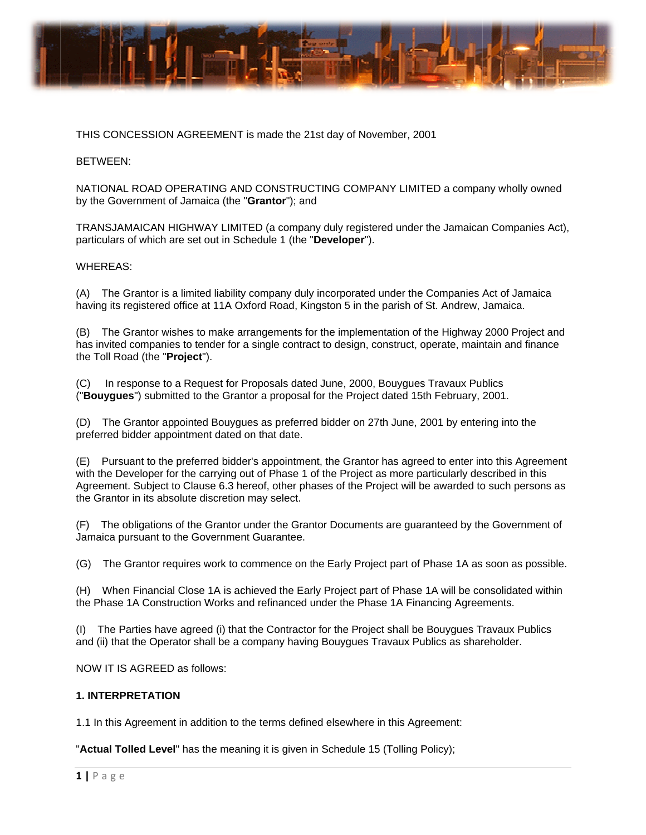

THIS CONCESSION AGREEMENT is made the 21st day of November, 2001

### BETWEE N:

NATIONAL ROAD OPERATING AND CONSTRUCTING COMPANY LIMITED a company wholly owned by the Government of Jamaica (the "Grantor"); and

TRANSJAMAICAN HIGHWAY LIMITED (a company duly registered under the Jamaican Companies Act), particulars of which are set out in Schedule 1 (the "Developer").

### WHEREAS:

(A) The Grantor is a limited liability company duly incorporated under the Companies Act of Jamaica having its registered office at 11A Oxford Road, Kingston 5 in the parish of St. Andrew, Jamaica.

(B) The Grantor wishes to make arrangements for the implementation of the Highway 2000 Project and has invited companies to tender for a single contract to design, construct, operate, maintain and finance the Toll R Road (the "**Pro oject**").

 $(C)$ ("Bouygues") submitted to the Grantor a proposal for the Project dated 15th February, 2001. esponse to a Request for Proposals dated June, 2000, Bouygues Travaux Publics

(D) The Grantor appointed Bouygues as preferred bidder on 27th June, 2001 by entering into the preferred bidder appointment dated on that date.

preferred bidder appointment dated on that date.<br>(E) Pursuant to the preferred bidder's appointment, the Grantor has agreed to enter into this Agreement with the Developer for the carrying out of Phase 1 of the Project as more particularly described in this with the Developer for the carrying out of Phase 1 of the Project as more particularly described in this<br>Agreement. Subject to Clause 6.3 hereof, other phases of the Project will be awarded to such persons as the Grantor in its absolute discretion may select.

(F) The obligations of the Grantor under the Grantor Documents are guaranteed by the Government of Jamaica pursuant to the Government Guarantee.

(G) The Grantor requires work to commence on the Early Project part of Phase 1A as soon as possible.

(H) When Financial Close 1A is achieved the Early Project part of Phase 1A will be consolidated within the Phase 1A Construction Works and refinanced under the Phase 1A Financing Agreements.

(I) The Parties have agreed (i) that the Contractor for the Project shall be Bouygues Travaux Publics and (ii) that the Operator shall be a company having Bouygues Travaux Publics as shareholder.

NOW IT IS AGREED as follows:

### **1. INTERP PRETATION**

1.1 In this Agreement in addition to the terms defined elsewhere in this Agreement:

"**Actual Tolled Level**" has the meaning it is given in Schedule 15 (Tolling Policy);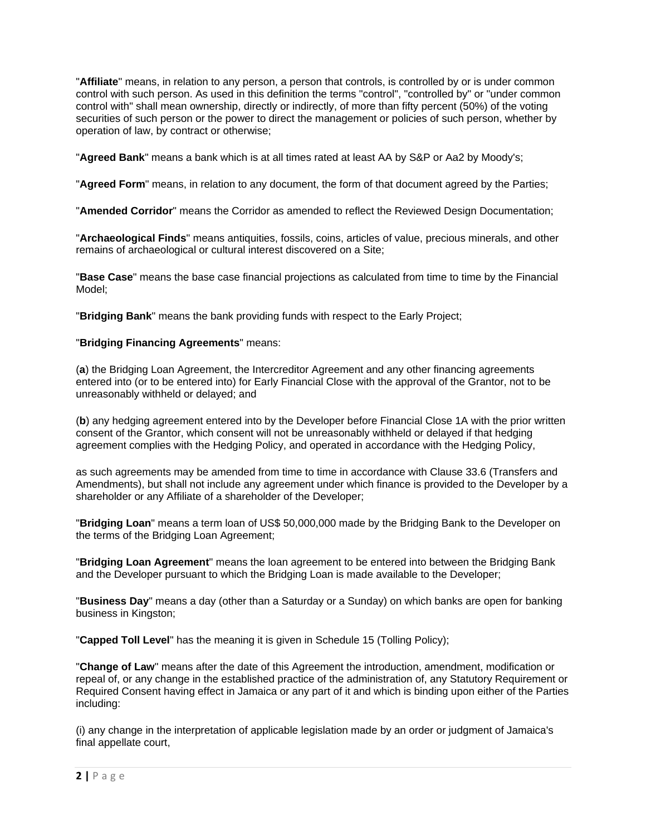"**Affiliate**" means, in relation to any person, a person that controls, is controlled by or is under common control with such person. As used in this definition the terms "control", "controlled by" or "under common control with" shall mean ownership, directly or indirectly, of more than fifty percent (50%) of the voting securities of such person or the power to direct the management or policies of such person, whether by operation of law, by contract or otherwise;

"**Agreed Bank**" means a bank which is at all times rated at least AA by S&P or Aa2 by Moody's;

"**Agreed Form**" means, in relation to any document, the form of that document agreed by the Parties;

"**Amended Corridor**" means the Corridor as amended to reflect the Reviewed Design Documentation;

"**Archaeological Finds**" means antiquities, fossils, coins, articles of value, precious minerals, and other remains of archaeological or cultural interest discovered on a Site;

"**Base Case**" means the base case financial projections as calculated from time to time by the Financial Model;

"**Bridging Bank**" means the bank providing funds with respect to the Early Project;

### "**Bridging Financing Agreements**" means:

(**a**) the Bridging Loan Agreement, the Intercreditor Agreement and any other financing agreements entered into (or to be entered into) for Early Financial Close with the approval of the Grantor, not to be unreasonably withheld or delayed; and

(**b**) any hedging agreement entered into by the Developer before Financial Close 1A with the prior written consent of the Grantor, which consent will not be unreasonably withheld or delayed if that hedging agreement complies with the Hedging Policy, and operated in accordance with the Hedging Policy,

as such agreements may be amended from time to time in accordance with Clause 33.6 (Transfers and Amendments), but shall not include any agreement under which finance is provided to the Developer by a shareholder or any Affiliate of a shareholder of the Developer;

"**Bridging Loan**" means a term loan of US\$ 50,000,000 made by the Bridging Bank to the Developer on the terms of the Bridging Loan Agreement;

"**Bridging Loan Agreement**" means the loan agreement to be entered into between the Bridging Bank and the Developer pursuant to which the Bridging Loan is made available to the Developer;

"**Business Day**" means a day (other than a Saturday or a Sunday) on which banks are open for banking business in Kingston;

"**Capped Toll Level**" has the meaning it is given in Schedule 15 (Tolling Policy);

"**Change of Law**" means after the date of this Agreement the introduction, amendment, modification or repeal of, or any change in the established practice of the administration of, any Statutory Requirement or Required Consent having effect in Jamaica or any part of it and which is binding upon either of the Parties including:

(i) any change in the interpretation of applicable legislation made by an order or judgment of Jamaica's final appellate court,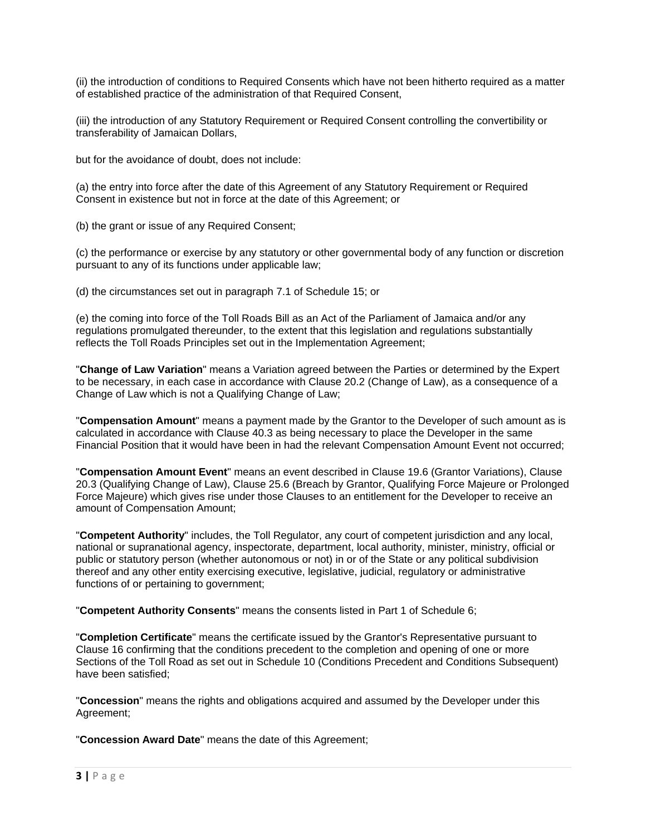(ii) the introduction of conditions to Required Consents which have not been hitherto required as a matter of established practice of the administration of that Required Consent,

(iii) the introduction of any Statutory Requirement or Required Consent controlling the convertibility or transferability of Jamaican Dollars,

but for the avoidance of doubt, does not include:

(a) the entry into force after the date of this Agreement of any Statutory Requirement or Required Consent in existence but not in force at the date of this Agreement; or

(b) the grant or issue of any Required Consent;

(c) the performance or exercise by any statutory or other governmental body of any function or discretion pursuant to any of its functions under applicable law;

(d) the circumstances set out in paragraph 7.1 of Schedule 15; or

(e) the coming into force of the Toll Roads Bill as an Act of the Parliament of Jamaica and/or any regulations promulgated thereunder, to the extent that this legislation and regulations substantially reflects the Toll Roads Principles set out in the Implementation Agreement;

"**Change of Law Variation**" means a Variation agreed between the Parties or determined by the Expert to be necessary, in each case in accordance with Clause 20.2 (Change of Law), as a consequence of a Change of Law which is not a Qualifying Change of Law;

"**Compensation Amount**" means a payment made by the Grantor to the Developer of such amount as is calculated in accordance with Clause 40.3 as being necessary to place the Developer in the same Financial Position that it would have been in had the relevant Compensation Amount Event not occurred;

"**Compensation Amount Event**" means an event described in Clause 19.6 (Grantor Variations), Clause 20.3 (Qualifying Change of Law), Clause 25.6 (Breach by Grantor, Qualifying Force Majeure or Prolonged Force Majeure) which gives rise under those Clauses to an entitlement for the Developer to receive an amount of Compensation Amount;

"**Competent Authority**" includes, the Toll Regulator, any court of competent jurisdiction and any local, national or supranational agency, inspectorate, department, local authority, minister, ministry, official or public or statutory person (whether autonomous or not) in or of the State or any political subdivision thereof and any other entity exercising executive, legislative, judicial, regulatory or administrative functions of or pertaining to government;

"**Competent Authority Consents**" means the consents listed in Part 1 of Schedule 6;

"**Completion Certificate**" means the certificate issued by the Grantor's Representative pursuant to Clause 16 confirming that the conditions precedent to the completion and opening of one or more Sections of the Toll Road as set out in Schedule 10 (Conditions Precedent and Conditions Subsequent) have been satisfied;

"**Concession**" means the rights and obligations acquired and assumed by the Developer under this Agreement;

"**Concession Award Date**" means the date of this Agreement;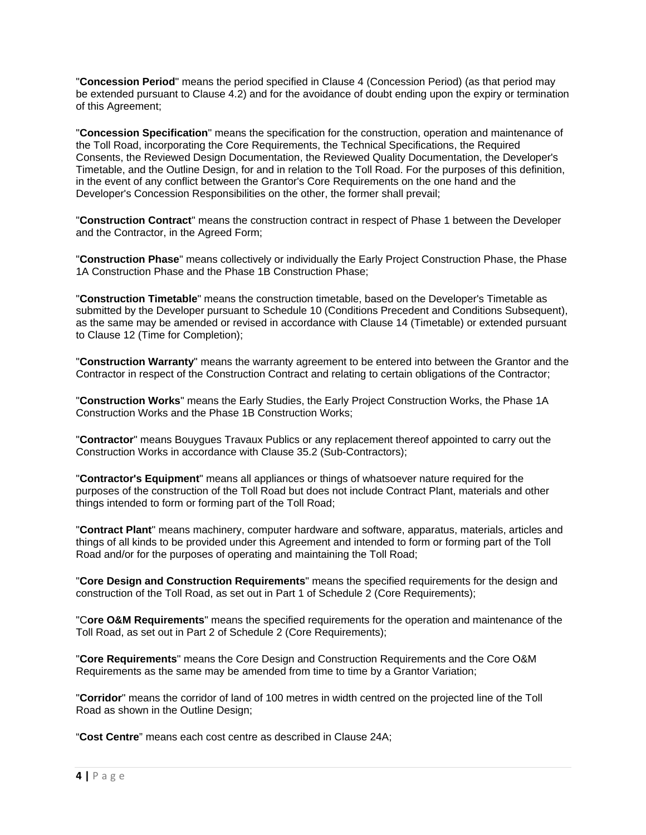"**Concession Period**" means the period specified in Clause 4 (Concession Period) (as that period may be extended pursuant to Clause 4.2) and for the avoidance of doubt ending upon the expiry or termination of this Agreement;

"**Concession Specification**" means the specification for the construction, operation and maintenance of the Toll Road, incorporating the Core Requirements, the Technical Specifications, the Required Consents, the Reviewed Design Documentation, the Reviewed Quality Documentation, the Developer's Timetable, and the Outline Design, for and in relation to the Toll Road. For the purposes of this definition, in the event of any conflict between the Grantor's Core Requirements on the one hand and the Developer's Concession Responsibilities on the other, the former shall prevail;

"**Construction Contract**" means the construction contract in respect of Phase 1 between the Developer and the Contractor, in the Agreed Form;

"**Construction Phase**" means collectively or individually the Early Project Construction Phase, the Phase 1A Construction Phase and the Phase 1B Construction Phase;

"**Construction Timetable**" means the construction timetable, based on the Developer's Timetable as submitted by the Developer pursuant to Schedule 10 (Conditions Precedent and Conditions Subsequent), as the same may be amended or revised in accordance with Clause 14 (Timetable) or extended pursuant to Clause 12 (Time for Completion);

"**Construction Warranty**" means the warranty agreement to be entered into between the Grantor and the Contractor in respect of the Construction Contract and relating to certain obligations of the Contractor;

"**Construction Works**" means the Early Studies, the Early Project Construction Works, the Phase 1A Construction Works and the Phase 1B Construction Works;

"**Contractor**" means Bouygues Travaux Publics or any replacement thereof appointed to carry out the Construction Works in accordance with Clause 35.2 (Sub-Contractors);

"**Contractor's Equipment**" means all appliances or things of whatsoever nature required for the purposes of the construction of the Toll Road but does not include Contract Plant, materials and other things intended to form or forming part of the Toll Road;

"**Contract Plant**" means machinery, computer hardware and software, apparatus, materials, articles and things of all kinds to be provided under this Agreement and intended to form or forming part of the Toll Road and/or for the purposes of operating and maintaining the Toll Road;

"**Core Design and Construction Requirements**" means the specified requirements for the design and construction of the Toll Road, as set out in Part 1 of Schedule 2 (Core Requirements);

"C**ore O&M Requirements**" means the specified requirements for the operation and maintenance of the Toll Road, as set out in Part 2 of Schedule 2 (Core Requirements);

"**Core Requirements**" means the Core Design and Construction Requirements and the Core O&M Requirements as the same may be amended from time to time by a Grantor Variation;

"**Corridor**" means the corridor of land of 100 metres in width centred on the projected line of the Toll Road as shown in the Outline Design;

"**Cost Centre**" means each cost centre as described in Clause 24A;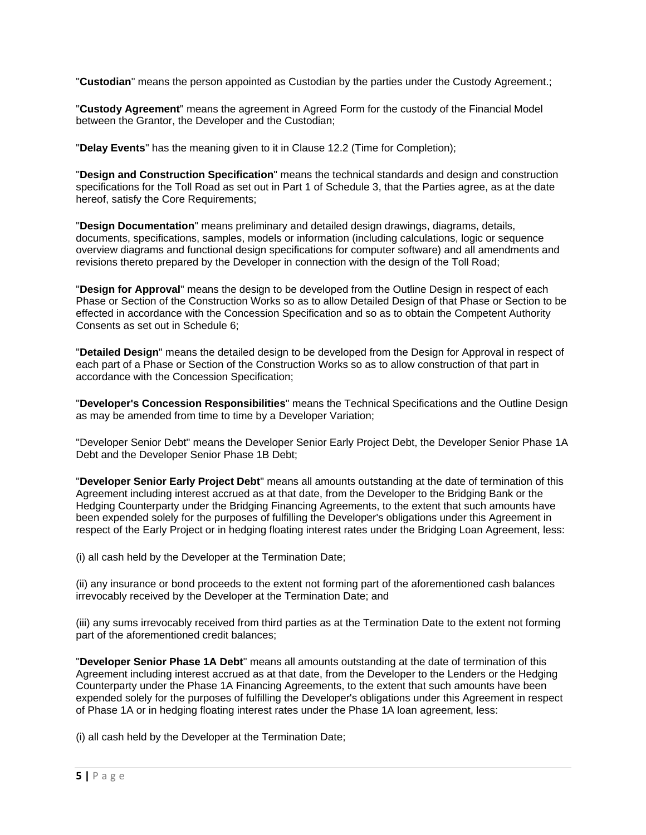"**Custodian**" means the person appointed as Custodian by the parties under the Custody Agreement.;

"**Custody Agreement**" means the agreement in Agreed Form for the custody of the Financial Model between the Grantor, the Developer and the Custodian;

"**Delay Events**" has the meaning given to it in Clause 12.2 (Time for Completion);

"**Design and Construction Specification**" means the technical standards and design and construction specifications for the Toll Road as set out in Part 1 of Schedule 3, that the Parties agree, as at the date hereof, satisfy the Core Requirements;

"**Design Documentation**" means preliminary and detailed design drawings, diagrams, details, documents, specifications, samples, models or information (including calculations, logic or sequence overview diagrams and functional design specifications for computer software) and all amendments and revisions thereto prepared by the Developer in connection with the design of the Toll Road;

"**Design for Approval**" means the design to be developed from the Outline Design in respect of each Phase or Section of the Construction Works so as to allow Detailed Design of that Phase or Section to be effected in accordance with the Concession Specification and so as to obtain the Competent Authority Consents as set out in Schedule 6;

"**Detailed Design**" means the detailed design to be developed from the Design for Approval in respect of each part of a Phase or Section of the Construction Works so as to allow construction of that part in accordance with the Concession Specification;

"**Developer's Concession Responsibilities**" means the Technical Specifications and the Outline Design as may be amended from time to time by a Developer Variation;

"Developer Senior Debt" means the Developer Senior Early Project Debt, the Developer Senior Phase 1A Debt and the Developer Senior Phase 1B Debt;

"**Developer Senior Early Project Debt**" means all amounts outstanding at the date of termination of this Agreement including interest accrued as at that date, from the Developer to the Bridging Bank or the Hedging Counterparty under the Bridging Financing Agreements, to the extent that such amounts have been expended solely for the purposes of fulfilling the Developer's obligations under this Agreement in respect of the Early Project or in hedging floating interest rates under the Bridging Loan Agreement, less:

(i) all cash held by the Developer at the Termination Date;

(ii) any insurance or bond proceeds to the extent not forming part of the aforementioned cash balances irrevocably received by the Developer at the Termination Date; and

(iii) any sums irrevocably received from third parties as at the Termination Date to the extent not forming part of the aforementioned credit balances;

"**Developer Senior Phase 1A Debt**" means all amounts outstanding at the date of termination of this Agreement including interest accrued as at that date, from the Developer to the Lenders or the Hedging Counterparty under the Phase 1A Financing Agreements, to the extent that such amounts have been expended solely for the purposes of fulfilling the Developer's obligations under this Agreement in respect of Phase 1A or in hedging floating interest rates under the Phase 1A loan agreement, less:

(i) all cash held by the Developer at the Termination Date;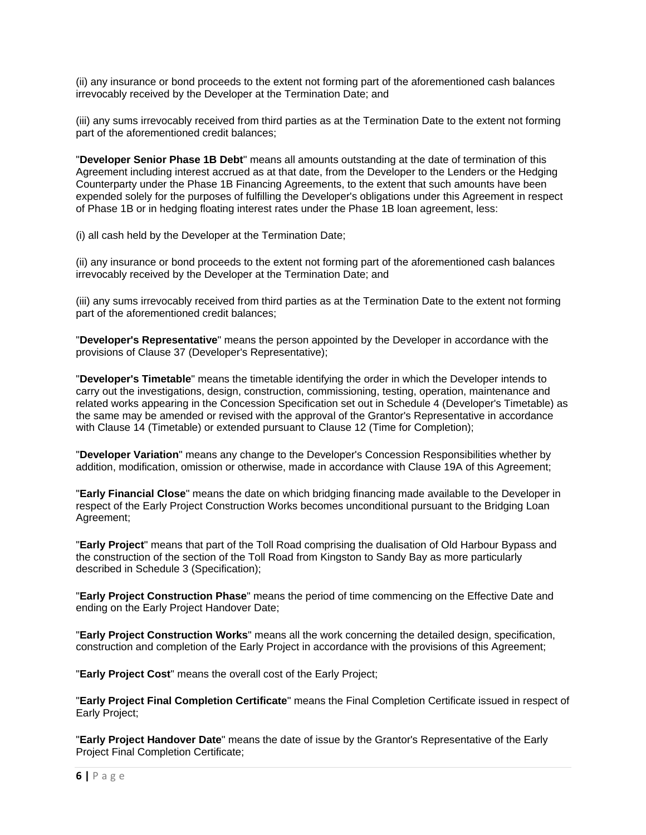(ii) any insurance or bond proceeds to the extent not forming part of the aforementioned cash balances irrevocably received by the Developer at the Termination Date; and

(iii) any sums irrevocably received from third parties as at the Termination Date to the extent not forming part of the aforementioned credit balances;

"**Developer Senior Phase 1B Debt**" means all amounts outstanding at the date of termination of this Agreement including interest accrued as at that date, from the Developer to the Lenders or the Hedging Counterparty under the Phase 1B Financing Agreements, to the extent that such amounts have been expended solely for the purposes of fulfilling the Developer's obligations under this Agreement in respect of Phase 1B or in hedging floating interest rates under the Phase 1B loan agreement, less:

(i) all cash held by the Developer at the Termination Date;

(ii) any insurance or bond proceeds to the extent not forming part of the aforementioned cash balances irrevocably received by the Developer at the Termination Date; and

(iii) any sums irrevocably received from third parties as at the Termination Date to the extent not forming part of the aforementioned credit balances;

"**Developer's Representative**" means the person appointed by the Developer in accordance with the provisions of Clause 37 (Developer's Representative);

"**Developer's Timetable**" means the timetable identifying the order in which the Developer intends to carry out the investigations, design, construction, commissioning, testing, operation, maintenance and related works appearing in the Concession Specification set out in Schedule 4 (Developer's Timetable) as the same may be amended or revised with the approval of the Grantor's Representative in accordance with Clause 14 (Timetable) or extended pursuant to Clause 12 (Time for Completion);

"**Developer Variation**" means any change to the Developer's Concession Responsibilities whether by addition, modification, omission or otherwise, made in accordance with Clause 19A of this Agreement;

"**Early Financial Close**" means the date on which bridging financing made available to the Developer in respect of the Early Project Construction Works becomes unconditional pursuant to the Bridging Loan Agreement;

"**Early Project**" means that part of the Toll Road comprising the dualisation of Old Harbour Bypass and the construction of the section of the Toll Road from Kingston to Sandy Bay as more particularly described in Schedule 3 (Specification);

"**Early Project Construction Phase**" means the period of time commencing on the Effective Date and ending on the Early Project Handover Date;

"**Early Project Construction Works**" means all the work concerning the detailed design, specification, construction and completion of the Early Project in accordance with the provisions of this Agreement;

"**Early Project Cost**" means the overall cost of the Early Project;

"**Early Project Final Completion Certificate**" means the Final Completion Certificate issued in respect of Early Project;

"**Early Project Handover Date**" means the date of issue by the Grantor's Representative of the Early Project Final Completion Certificate;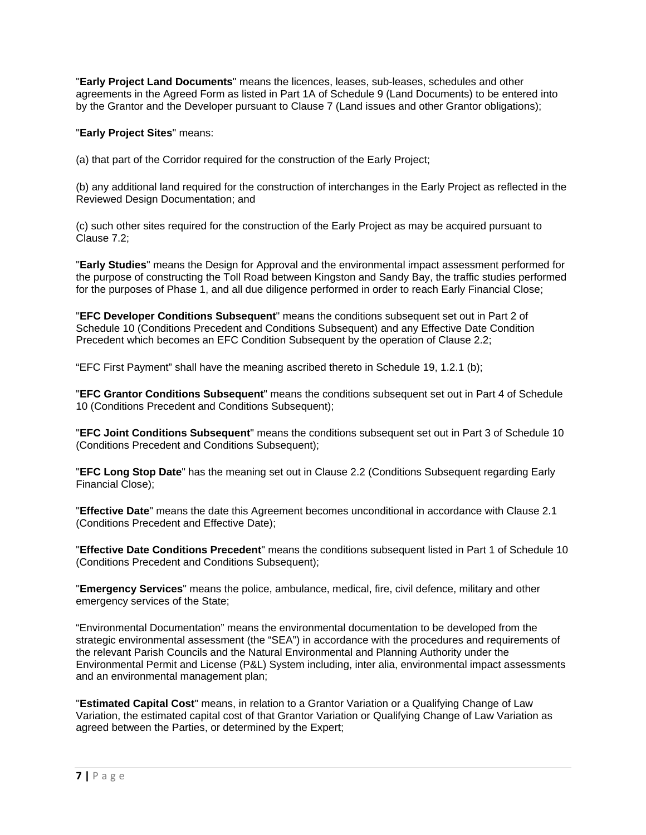"**Early Project Land Documents**" means the licences, leases, sub-leases, schedules and other agreements in the Agreed Form as listed in Part 1A of Schedule 9 (Land Documents) to be entered into by the Grantor and the Developer pursuant to Clause 7 (Land issues and other Grantor obligations);

"**Early Project Sites**" means:

(a) that part of the Corridor required for the construction of the Early Project;

(b) any additional land required for the construction of interchanges in the Early Project as reflected in the Reviewed Design Documentation; and

(c) such other sites required for the construction of the Early Project as may be acquired pursuant to Clause 7.2;

"**Early Studies**" means the Design for Approval and the environmental impact assessment performed for the purpose of constructing the Toll Road between Kingston and Sandy Bay, the traffic studies performed for the purposes of Phase 1, and all due diligence performed in order to reach Early Financial Close;

"**EFC Developer Conditions Subsequent**" means the conditions subsequent set out in Part 2 of Schedule 10 (Conditions Precedent and Conditions Subsequent) and any Effective Date Condition Precedent which becomes an EFC Condition Subsequent by the operation of Clause 2.2;

"EFC First Payment" shall have the meaning ascribed thereto in Schedule 19, 1.2.1 (b);

"**EFC Grantor Conditions Subsequent**" means the conditions subsequent set out in Part 4 of Schedule 10 (Conditions Precedent and Conditions Subsequent);

"**EFC Joint Conditions Subsequent**" means the conditions subsequent set out in Part 3 of Schedule 10 (Conditions Precedent and Conditions Subsequent);

"**EFC Long Stop Date**" has the meaning set out in Clause 2.2 (Conditions Subsequent regarding Early Financial Close);

"**Effective Date**" means the date this Agreement becomes unconditional in accordance with Clause 2.1 (Conditions Precedent and Effective Date);

"**Effective Date Conditions Precedent**" means the conditions subsequent listed in Part 1 of Schedule 10 (Conditions Precedent and Conditions Subsequent);

"**Emergency Services**" means the police, ambulance, medical, fire, civil defence, military and other emergency services of the State;

"Environmental Documentation" means the environmental documentation to be developed from the strategic environmental assessment (the "SEA") in accordance with the procedures and requirements of the relevant Parish Councils and the Natural Environmental and Planning Authority under the Environmental Permit and License (P&L) System including, inter alia, environmental impact assessments and an environmental management plan;

"**Estimated Capital Cost**" means, in relation to a Grantor Variation or a Qualifying Change of Law Variation, the estimated capital cost of that Grantor Variation or Qualifying Change of Law Variation as agreed between the Parties, or determined by the Expert;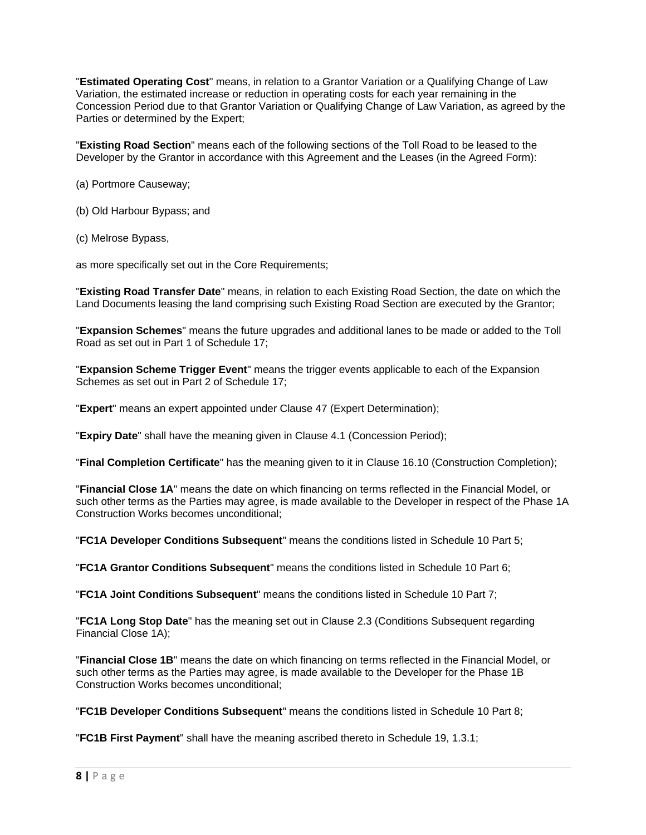"**Estimated Operating Cost**" means, in relation to a Grantor Variation or a Qualifying Change of Law Variation, the estimated increase or reduction in operating costs for each year remaining in the Concession Period due to that Grantor Variation or Qualifying Change of Law Variation, as agreed by the Parties or determined by the Expert;

"**Existing Road Section**" means each of the following sections of the Toll Road to be leased to the Developer by the Grantor in accordance with this Agreement and the Leases (in the Agreed Form):

- (a) Portmore Causeway;
- (b) Old Harbour Bypass; and
- (c) Melrose Bypass,

as more specifically set out in the Core Requirements;

"**Existing Road Transfer Date**" means, in relation to each Existing Road Section, the date on which the Land Documents leasing the land comprising such Existing Road Section are executed by the Grantor;

"**Expansion Schemes**" means the future upgrades and additional lanes to be made or added to the Toll Road as set out in Part 1 of Schedule 17;

"**Expansion Scheme Trigger Event**" means the trigger events applicable to each of the Expansion Schemes as set out in Part 2 of Schedule 17;

"**Expert**" means an expert appointed under Clause 47 (Expert Determination);

"**Expiry Date**" shall have the meaning given in Clause 4.1 (Concession Period);

"**Final Completion Certificate**" has the meaning given to it in Clause 16.10 (Construction Completion);

"**Financial Close 1A**" means the date on which financing on terms reflected in the Financial Model, or such other terms as the Parties may agree, is made available to the Developer in respect of the Phase 1A Construction Works becomes unconditional;

"**FC1A Developer Conditions Subsequent**" means the conditions listed in Schedule 10 Part 5;

"**FC1A Grantor Conditions Subsequent**" means the conditions listed in Schedule 10 Part 6;

"**FC1A Joint Conditions Subsequent**" means the conditions listed in Schedule 10 Part 7;

"**FC1A Long Stop Date**" has the meaning set out in Clause 2.3 (Conditions Subsequent regarding Financial Close 1A);

"**Financial Close 1B**" means the date on which financing on terms reflected in the Financial Model, or such other terms as the Parties may agree, is made available to the Developer for the Phase 1B Construction Works becomes unconditional;

"**FC1B Developer Conditions Subsequent**" means the conditions listed in Schedule 10 Part 8;

"**FC1B First Payment**" shall have the meaning ascribed thereto in Schedule 19, 1.3.1;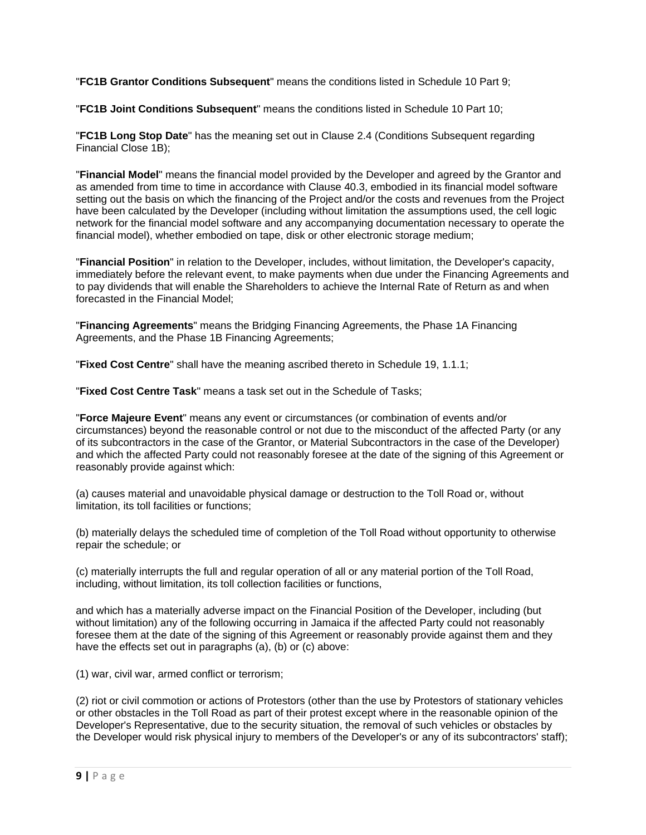"**FC1B Grantor Conditions Subsequent**" means the conditions listed in Schedule 10 Part 9;

"**FC1B Joint Conditions Subsequent**" means the conditions listed in Schedule 10 Part 10;

"**FC1B Long Stop Date**" has the meaning set out in Clause 2.4 (Conditions Subsequent regarding Financial Close 1B);

"**Financial Model**" means the financial model provided by the Developer and agreed by the Grantor and as amended from time to time in accordance with Clause 40.3, embodied in its financial model software setting out the basis on which the financing of the Project and/or the costs and revenues from the Project have been calculated by the Developer (including without limitation the assumptions used, the cell logic network for the financial model software and any accompanying documentation necessary to operate the financial model), whether embodied on tape, disk or other electronic storage medium;

"**Financial Position**" in relation to the Developer, includes, without limitation, the Developer's capacity, immediately before the relevant event, to make payments when due under the Financing Agreements and to pay dividends that will enable the Shareholders to achieve the Internal Rate of Return as and when forecasted in the Financial Model;

"**Financing Agreements**" means the Bridging Financing Agreements, the Phase 1A Financing Agreements, and the Phase 1B Financing Agreements;

"**Fixed Cost Centre**" shall have the meaning ascribed thereto in Schedule 19, 1.1.1;

"**Fixed Cost Centre Task**" means a task set out in the Schedule of Tasks;

"**Force Majeure Event**" means any event or circumstances (or combination of events and/or circumstances) beyond the reasonable control or not due to the misconduct of the affected Party (or any of its subcontractors in the case of the Grantor, or Material Subcontractors in the case of the Developer) and which the affected Party could not reasonably foresee at the date of the signing of this Agreement or reasonably provide against which:

(a) causes material and unavoidable physical damage or destruction to the Toll Road or, without limitation, its toll facilities or functions;

(b) materially delays the scheduled time of completion of the Toll Road without opportunity to otherwise repair the schedule; or

(c) materially interrupts the full and regular operation of all or any material portion of the Toll Road, including, without limitation, its toll collection facilities or functions,

and which has a materially adverse impact on the Financial Position of the Developer, including (but without limitation) any of the following occurring in Jamaica if the affected Party could not reasonably foresee them at the date of the signing of this Agreement or reasonably provide against them and they have the effects set out in paragraphs (a), (b) or (c) above:

(1) war, civil war, armed conflict or terrorism;

(2) riot or civil commotion or actions of Protestors (other than the use by Protestors of stationary vehicles or other obstacles in the Toll Road as part of their protest except where in the reasonable opinion of the Developer's Representative, due to the security situation, the removal of such vehicles or obstacles by the Developer would risk physical injury to members of the Developer's or any of its subcontractors' staff);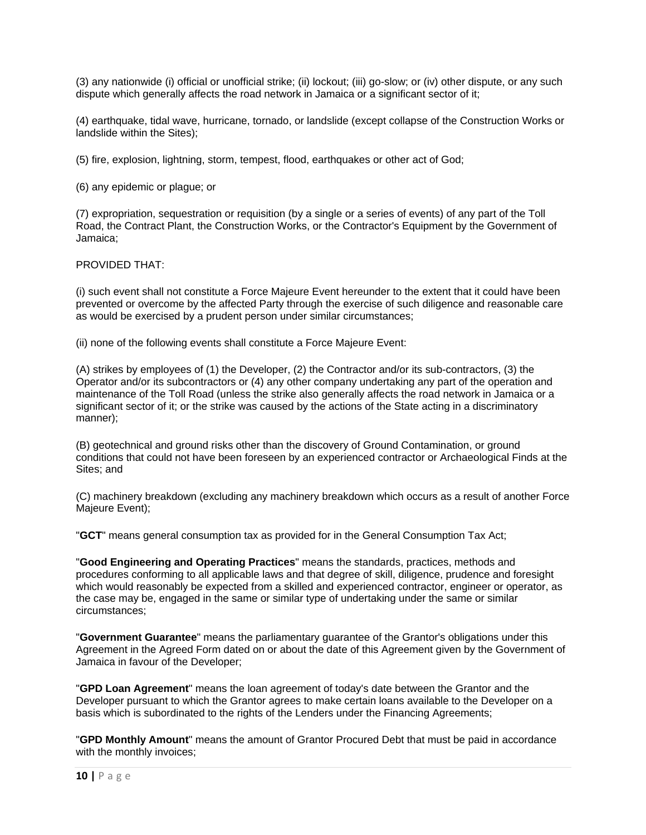(3) any nationwide (i) official or unofficial strike; (ii) lockout; (iii) go-slow; or (iv) other dispute, or any such dispute which generally affects the road network in Jamaica or a significant sector of it;

(4) earthquake, tidal wave, hurricane, tornado, or landslide (except collapse of the Construction Works or landslide within the Sites);

(5) fire, explosion, lightning, storm, tempest, flood, earthquakes or other act of God;

(6) any epidemic or plague; or

(7) expropriation, sequestration or requisition (by a single or a series of events) of any part of the Toll Road, the Contract Plant, the Construction Works, or the Contractor's Equipment by the Government of Jamaica;

PROVIDED THAT:

(i) such event shall not constitute a Force Majeure Event hereunder to the extent that it could have been prevented or overcome by the affected Party through the exercise of such diligence and reasonable care as would be exercised by a prudent person under similar circumstances;

(ii) none of the following events shall constitute a Force Majeure Event:

(A) strikes by employees of (1) the Developer, (2) the Contractor and/or its sub-contractors, (3) the Operator and/or its subcontractors or (4) any other company undertaking any part of the operation and maintenance of the Toll Road (unless the strike also generally affects the road network in Jamaica or a significant sector of it; or the strike was caused by the actions of the State acting in a discriminatory manner);

(B) geotechnical and ground risks other than the discovery of Ground Contamination, or ground conditions that could not have been foreseen by an experienced contractor or Archaeological Finds at the Sites; and

(C) machinery breakdown (excluding any machinery breakdown which occurs as a result of another Force Majeure Event);

"**GCT**" means general consumption tax as provided for in the General Consumption Tax Act;

"**Good Engineering and Operating Practices**" means the standards, practices, methods and procedures conforming to all applicable laws and that degree of skill, diligence, prudence and foresight which would reasonably be expected from a skilled and experienced contractor, engineer or operator, as the case may be, engaged in the same or similar type of undertaking under the same or similar circumstances;

"**Government Guarantee**" means the parliamentary guarantee of the Grantor's obligations under this Agreement in the Agreed Form dated on or about the date of this Agreement given by the Government of Jamaica in favour of the Developer;

"**GPD Loan Agreement**" means the loan agreement of today's date between the Grantor and the Developer pursuant to which the Grantor agrees to make certain loans available to the Developer on a basis which is subordinated to the rights of the Lenders under the Financing Agreements;

"**GPD Monthly Amount**" means the amount of Grantor Procured Debt that must be paid in accordance with the monthly invoices;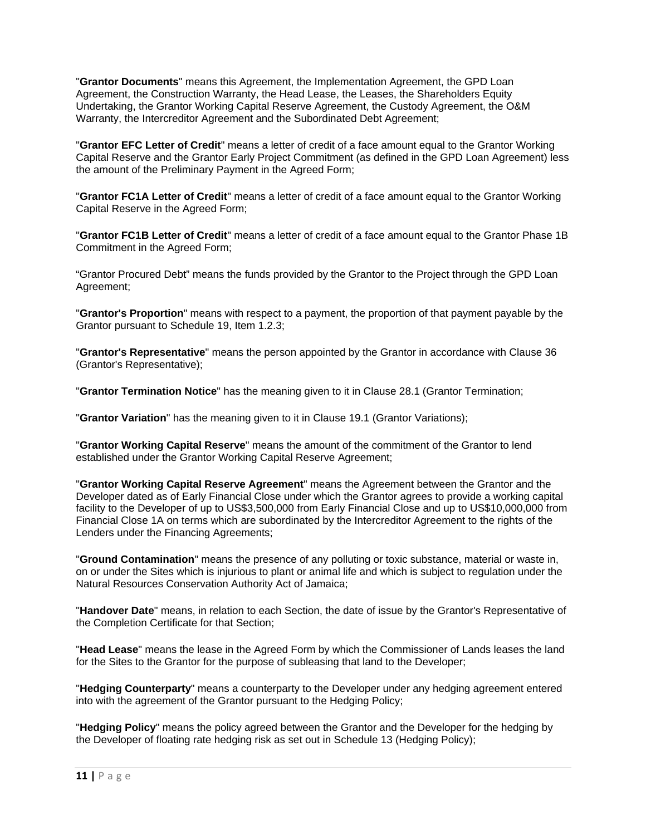"**Grantor Documents**" means this Agreement, the Implementation Agreement, the GPD Loan Agreement, the Construction Warranty, the Head Lease, the Leases, the Shareholders Equity Undertaking, the Grantor Working Capital Reserve Agreement, the Custody Agreement, the O&M Warranty, the Intercreditor Agreement and the Subordinated Debt Agreement;

"**Grantor EFC Letter of Credit**" means a letter of credit of a face amount equal to the Grantor Working Capital Reserve and the Grantor Early Project Commitment (as defined in the GPD Loan Agreement) less the amount of the Preliminary Payment in the Agreed Form;

"**Grantor FC1A Letter of Credit**" means a letter of credit of a face amount equal to the Grantor Working Capital Reserve in the Agreed Form;

"**Grantor FC1B Letter of Credit**" means a letter of credit of a face amount equal to the Grantor Phase 1B Commitment in the Agreed Form;

"Grantor Procured Debt" means the funds provided by the Grantor to the Project through the GPD Loan Agreement;

"**Grantor's Proportion**" means with respect to a payment, the proportion of that payment payable by the Grantor pursuant to Schedule 19, Item 1.2.3;

"**Grantor's Representative**" means the person appointed by the Grantor in accordance with Clause 36 (Grantor's Representative);

"**Grantor Termination Notice**" has the meaning given to it in Clause 28.1 (Grantor Termination;

"**Grantor Variation**" has the meaning given to it in Clause 19.1 (Grantor Variations);

"**Grantor Working Capital Reserve**" means the amount of the commitment of the Grantor to lend established under the Grantor Working Capital Reserve Agreement;

"**Grantor Working Capital Reserve Agreement**" means the Agreement between the Grantor and the Developer dated as of Early Financial Close under which the Grantor agrees to provide a working capital facility to the Developer of up to US\$3,500,000 from Early Financial Close and up to US\$10,000,000 from Financial Close 1A on terms which are subordinated by the Intercreditor Agreement to the rights of the Lenders under the Financing Agreements;

"**Ground Contamination**" means the presence of any polluting or toxic substance, material or waste in, on or under the Sites which is injurious to plant or animal life and which is subject to regulation under the Natural Resources Conservation Authority Act of Jamaica;

"**Handover Date**" means, in relation to each Section, the date of issue by the Grantor's Representative of the Completion Certificate for that Section;

"**Head Lease**" means the lease in the Agreed Form by which the Commissioner of Lands leases the land for the Sites to the Grantor for the purpose of subleasing that land to the Developer;

"**Hedging Counterparty**" means a counterparty to the Developer under any hedging agreement entered into with the agreement of the Grantor pursuant to the Hedging Policy;

"**Hedging Policy**" means the policy agreed between the Grantor and the Developer for the hedging by the Developer of floating rate hedging risk as set out in Schedule 13 (Hedging Policy);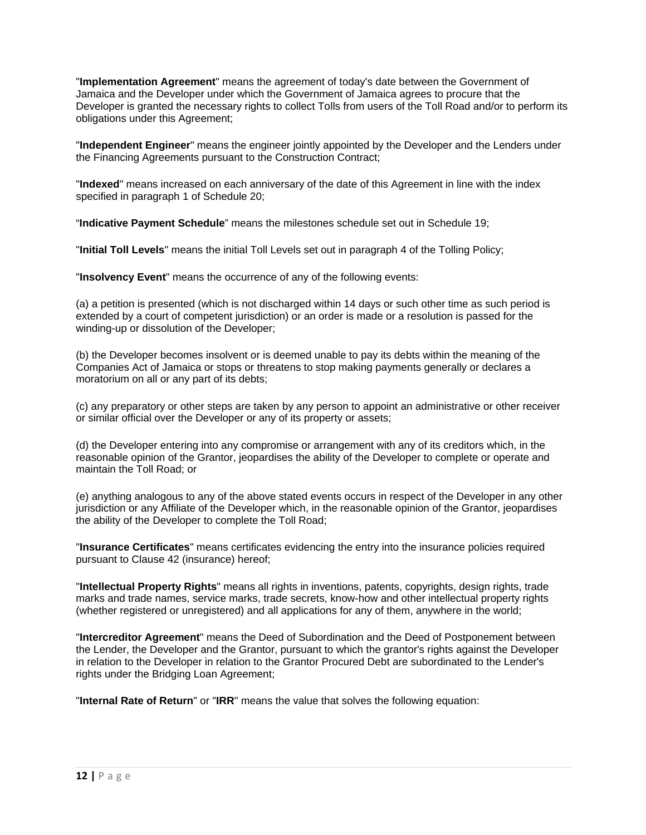"**Implementation Agreement**" means the agreement of today's date between the Government of Jamaica and the Developer under which the Government of Jamaica agrees to procure that the Developer is granted the necessary rights to collect Tolls from users of the Toll Road and/or to perform its obligations under this Agreement;

"**Independent Engineer**" means the engineer jointly appointed by the Developer and the Lenders under the Financing Agreements pursuant to the Construction Contract;

"**Indexed**" means increased on each anniversary of the date of this Agreement in line with the index specified in paragraph 1 of Schedule 20;

"**Indicative Payment Schedule**" means the milestones schedule set out in Schedule 19;

"**Initial Toll Levels**" means the initial Toll Levels set out in paragraph 4 of the Tolling Policy;

"**Insolvency Event**" means the occurrence of any of the following events:

(a) a petition is presented (which is not discharged within 14 days or such other time as such period is extended by a court of competent jurisdiction) or an order is made or a resolution is passed for the winding-up or dissolution of the Developer;

(b) the Developer becomes insolvent or is deemed unable to pay its debts within the meaning of the Companies Act of Jamaica or stops or threatens to stop making payments generally or declares a moratorium on all or any part of its debts;

(c) any preparatory or other steps are taken by any person to appoint an administrative or other receiver or similar official over the Developer or any of its property or assets;

(d) the Developer entering into any compromise or arrangement with any of its creditors which, in the reasonable opinion of the Grantor, jeopardises the ability of the Developer to complete or operate and maintain the Toll Road; or

(e) anything analogous to any of the above stated events occurs in respect of the Developer in any other jurisdiction or any Affiliate of the Developer which, in the reasonable opinion of the Grantor, jeopardises the ability of the Developer to complete the Toll Road;

"**Insurance Certificates**" means certificates evidencing the entry into the insurance policies required pursuant to Clause 42 (insurance) hereof;

"**Intellectual Property Rights**" means all rights in inventions, patents, copyrights, design rights, trade marks and trade names, service marks, trade secrets, know-how and other intellectual property rights (whether registered or unregistered) and all applications for any of them, anywhere in the world;

"**Intercreditor Agreement**" means the Deed of Subordination and the Deed of Postponement between the Lender, the Developer and the Grantor, pursuant to which the grantor's rights against the Developer in relation to the Developer in relation to the Grantor Procured Debt are subordinated to the Lender's rights under the Bridging Loan Agreement;

"**Internal Rate of Return**" or "**IRR**" means the value that solves the following equation: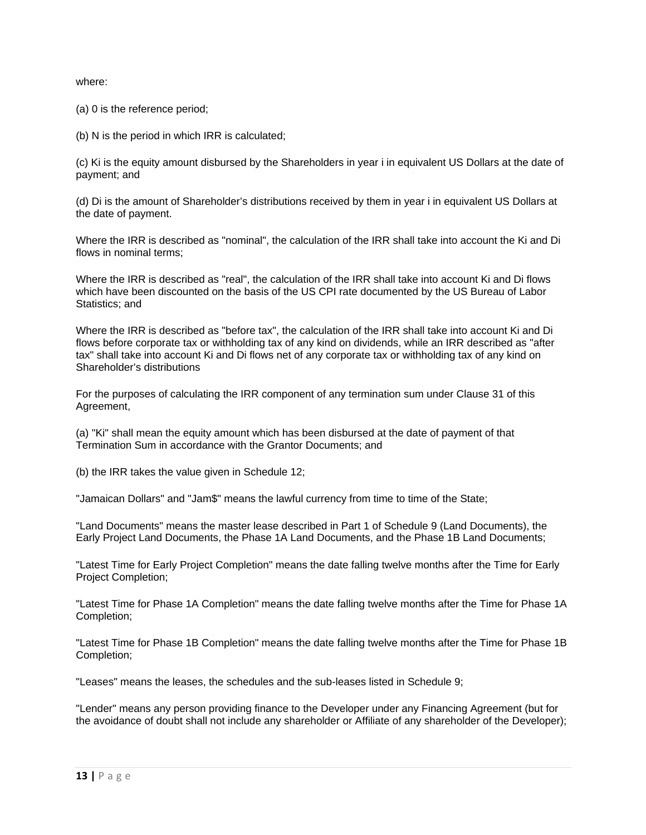where:

(a) 0 is the reference period;

(b) N is the period in which IRR is calculated;

(c) Ki is the equity amount disbursed by the Shareholders in year i in equivalent US Dollars at the date of payment; and

(d) Di is the amount of Shareholder's distributions received by them in year i in equivalent US Dollars at the date of payment.

Where the IRR is described as "nominal", the calculation of the IRR shall take into account the Ki and Di flows in nominal terms;

Where the IRR is described as "real", the calculation of the IRR shall take into account Ki and Di flows which have been discounted on the basis of the US CPI rate documented by the US Bureau of Labor Statistics; and

Where the IRR is described as "before tax", the calculation of the IRR shall take into account Ki and Di flows before corporate tax or withholding tax of any kind on dividends, while an IRR described as "after tax" shall take into account Ki and Di flows net of any corporate tax or withholding tax of any kind on Shareholder's distributions

For the purposes of calculating the IRR component of any termination sum under Clause 31 of this Agreement,

(a) "Ki" shall mean the equity amount which has been disbursed at the date of payment of that Termination Sum in accordance with the Grantor Documents; and

(b) the IRR takes the value given in Schedule 12;

"Jamaican Dollars" and "Jam\$" means the lawful currency from time to time of the State;

"Land Documents" means the master lease described in Part 1 of Schedule 9 (Land Documents), the Early Project Land Documents, the Phase 1A Land Documents, and the Phase 1B Land Documents;

"Latest Time for Early Project Completion" means the date falling twelve months after the Time for Early Project Completion;

"Latest Time for Phase 1A Completion" means the date falling twelve months after the Time for Phase 1A Completion;

"Latest Time for Phase 1B Completion" means the date falling twelve months after the Time for Phase 1B Completion;

"Leases" means the leases, the schedules and the sub-leases listed in Schedule 9;

"Lender" means any person providing finance to the Developer under any Financing Agreement (but for the avoidance of doubt shall not include any shareholder or Affiliate of any shareholder of the Developer);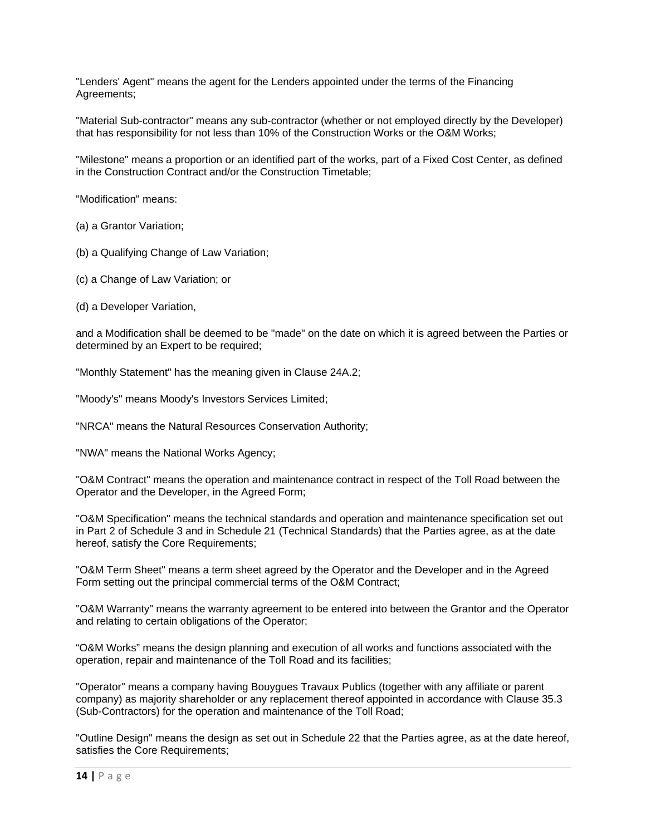"Lenders' Agent" means the agent for the Lenders appointed under the terms of the Financing Agreements;

"Material Sub-contractor" means any sub-contractor (whether or not employed directly by the Developer) that has responsibility for not less than 10% of the Construction Works or the O&M Works;

"Milestone" means a proportion or an identified part of the works, part of a Fixed Cost Center, as defined in the Construction Contract and/or the Construction Timetable;

"Modification" means:

(a) a Grantor Variation;

(b) a Qualifying Change of Law Variation;

(c) a Change of Law Variation; or

(d) a Developer Variation,

and a Modification shall be deemed to be "made" on the date on which it is agreed between the Parties or determined by an Expert to be required;

"Monthly Statement" has the meaning given in Clause 24A.2;

"Moody's" means Moody's Investors Services Limited;

"NRCA" means the Natural Resources Conservation Authority;

"NWA" means the National Works Agency;

"O&M Contract" means the operation and maintenance contract in respect of the Toll Road between the Operator and the Developer, in the Agreed Form;

"O&M Specification" means the technical standards and operation and maintenance specification set out in Part 2 of Schedule 3 and in Schedule 21 (Technical Standards) that the Parties agree, as at the date hereof, satisfy the Core Requirements;

"O&M Term Sheet" means a term sheet agreed by the Operator and the Developer and in the Agreed Form setting out the principal commercial terms of the O&M Contract;

"O&M Warranty" means the warranty agreement to be entered into between the Grantor and the Operator and relating to certain obligations of the Operator;

"O&M Works" means the design planning and execution of all works and functions associated with the operation, repair and maintenance of the Toll Road and its facilities;

"Operator" means a company having Bouygues Travaux Publics (together with any affiliate or parent company) as majority shareholder or any replacement thereof appointed in accordance with Clause 35.3 (Sub-Contractors) for the operation and maintenance of the Toll Road;

"Outline Design" means the design as set out in Schedule 22 that the Parties agree, as at the date hereof, satisfies the Core Requirements;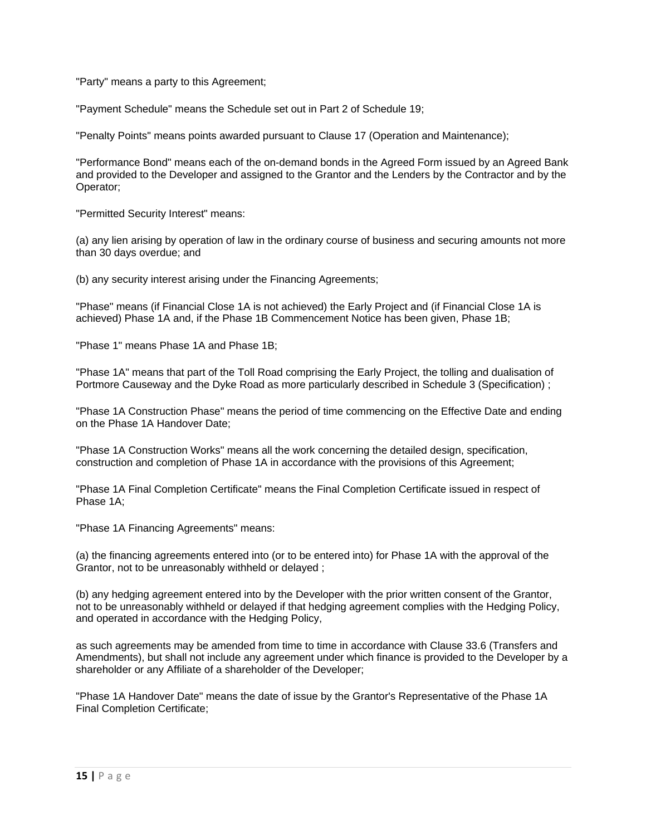"Party" means a party to this Agreement;

"Payment Schedule" means the Schedule set out in Part 2 of Schedule 19;

"Penalty Points" means points awarded pursuant to Clause 17 (Operation and Maintenance);

"Performance Bond" means each of the on-demand bonds in the Agreed Form issued by an Agreed Bank and provided to the Developer and assigned to the Grantor and the Lenders by the Contractor and by the Operator;

"Permitted Security Interest" means:

(a) any lien arising by operation of law in the ordinary course of business and securing amounts not more than 30 days overdue; and

(b) any security interest arising under the Financing Agreements;

"Phase" means (if Financial Close 1A is not achieved) the Early Project and (if Financial Close 1A is achieved) Phase 1A and, if the Phase 1B Commencement Notice has been given, Phase 1B;

"Phase 1" means Phase 1A and Phase 1B;

"Phase 1A" means that part of the Toll Road comprising the Early Project, the tolling and dualisation of Portmore Causeway and the Dyke Road as more particularly described in Schedule 3 (Specification) ;

"Phase 1A Construction Phase" means the period of time commencing on the Effective Date and ending on the Phase 1A Handover Date;

"Phase 1A Construction Works" means all the work concerning the detailed design, specification, construction and completion of Phase 1A in accordance with the provisions of this Agreement;

"Phase 1A Final Completion Certificate" means the Final Completion Certificate issued in respect of Phase 1A;

"Phase 1A Financing Agreements" means:

(a) the financing agreements entered into (or to be entered into) for Phase 1A with the approval of the Grantor, not to be unreasonably withheld or delayed ;

(b) any hedging agreement entered into by the Developer with the prior written consent of the Grantor, not to be unreasonably withheld or delayed if that hedging agreement complies with the Hedging Policy, and operated in accordance with the Hedging Policy,

as such agreements may be amended from time to time in accordance with Clause 33.6 (Transfers and Amendments), but shall not include any agreement under which finance is provided to the Developer by a shareholder or any Affiliate of a shareholder of the Developer;

"Phase 1A Handover Date" means the date of issue by the Grantor's Representative of the Phase 1A Final Completion Certificate;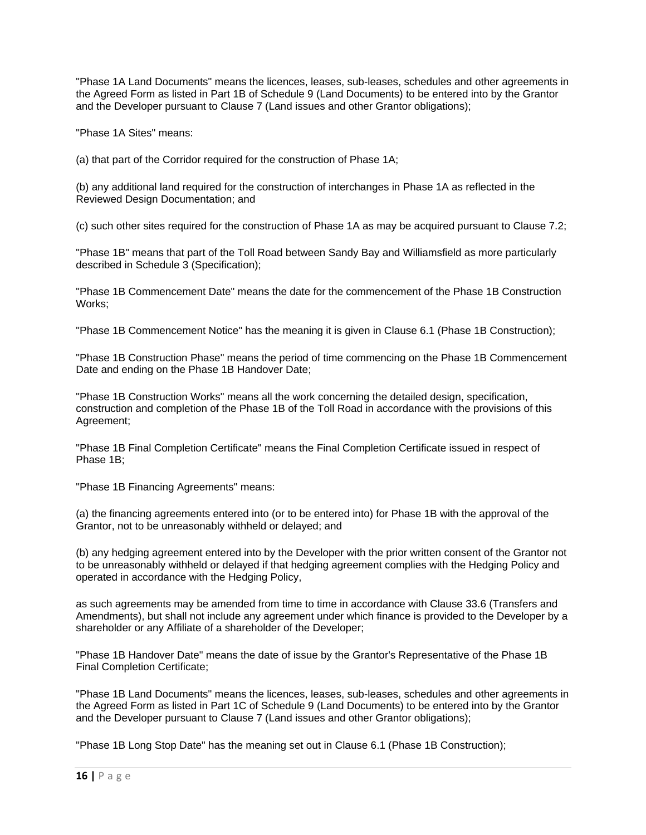"Phase 1A Land Documents" means the licences, leases, sub-leases, schedules and other agreements in the Agreed Form as listed in Part 1B of Schedule 9 (Land Documents) to be entered into by the Grantor and the Developer pursuant to Clause 7 (Land issues and other Grantor obligations);

"Phase 1A Sites" means:

(a) that part of the Corridor required for the construction of Phase 1A;

(b) any additional land required for the construction of interchanges in Phase 1A as reflected in the Reviewed Design Documentation; and

(c) such other sites required for the construction of Phase 1A as may be acquired pursuant to Clause 7.2;

"Phase 1B" means that part of the Toll Road between Sandy Bay and Williamsfield as more particularly described in Schedule 3 (Specification);

"Phase 1B Commencement Date" means the date for the commencement of the Phase 1B Construction Works;

"Phase 1B Commencement Notice" has the meaning it is given in Clause 6.1 (Phase 1B Construction);

"Phase 1B Construction Phase" means the period of time commencing on the Phase 1B Commencement Date and ending on the Phase 1B Handover Date;

"Phase 1B Construction Works" means all the work concerning the detailed design, specification, construction and completion of the Phase 1B of the Toll Road in accordance with the provisions of this Agreement;

"Phase 1B Final Completion Certificate" means the Final Completion Certificate issued in respect of Phase 1B;

"Phase 1B Financing Agreements" means:

(a) the financing agreements entered into (or to be entered into) for Phase 1B with the approval of the Grantor, not to be unreasonably withheld or delayed; and

(b) any hedging agreement entered into by the Developer with the prior written consent of the Grantor not to be unreasonably withheld or delayed if that hedging agreement complies with the Hedging Policy and operated in accordance with the Hedging Policy,

as such agreements may be amended from time to time in accordance with Clause 33.6 (Transfers and Amendments), but shall not include any agreement under which finance is provided to the Developer by a shareholder or any Affiliate of a shareholder of the Developer;

"Phase 1B Handover Date" means the date of issue by the Grantor's Representative of the Phase 1B Final Completion Certificate;

"Phase 1B Land Documents" means the licences, leases, sub-leases, schedules and other agreements in the Agreed Form as listed in Part 1C of Schedule 9 (Land Documents) to be entered into by the Grantor and the Developer pursuant to Clause 7 (Land issues and other Grantor obligations);

"Phase 1B Long Stop Date" has the meaning set out in Clause 6.1 (Phase 1B Construction);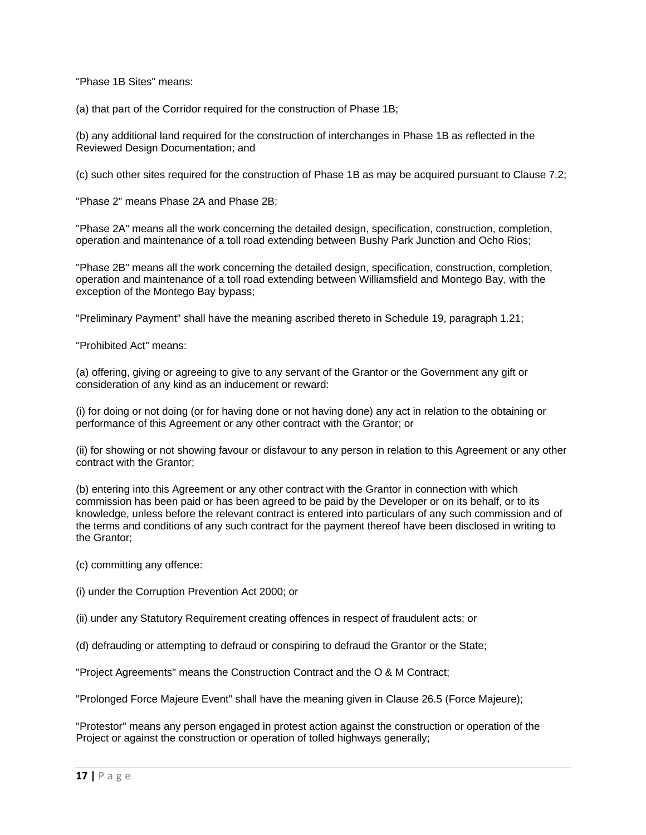"Phase 1B Sites" means:

(a) that part of the Corridor required for the construction of Phase 1B;

(b) any additional land required for the construction of interchanges in Phase 1B as reflected in the Reviewed Design Documentation; and

(c) such other sites required for the construction of Phase 1B as may be acquired pursuant to Clause 7.2;

"Phase 2" means Phase 2A and Phase 2B;

"Phase 2A" means all the work concerning the detailed design, specification, construction, completion, operation and maintenance of a toll road extending between Bushy Park Junction and Ocho Rios;

"Phase 2B" means all the work concerning the detailed design, specification, construction, completion, operation and maintenance of a toll road extending between Williamsfield and Montego Bay, with the exception of the Montego Bay bypass;

"Preliminary Payment" shall have the meaning ascribed thereto in Schedule 19, paragraph 1.21;

"Prohibited Act" means:

(a) offering, giving or agreeing to give to any servant of the Grantor or the Government any gift or consideration of any kind as an inducement or reward:

(i) for doing or not doing (or for having done or not having done) any act in relation to the obtaining or performance of this Agreement or any other contract with the Grantor; or

(ii) for showing or not showing favour or disfavour to any person in relation to this Agreement or any other contract with the Grantor;

(b) entering into this Agreement or any other contract with the Grantor in connection with which commission has been paid or has been agreed to be paid by the Developer or on its behalf, or to its knowledge, unless before the relevant contract is entered into particulars of any such commission and of the terms and conditions of any such contract for the payment thereof have been disclosed in writing to the Grantor;

(c) committing any offence:

(i) under the Corruption Prevention Act 2000; or

(ii) under any Statutory Requirement creating offences in respect of fraudulent acts; or

(d) defrauding or attempting to defraud or conspiring to defraud the Grantor or the State;

"Project Agreements" means the Construction Contract and the O & M Contract;

"Prolonged Force Majeure Event" shall have the meaning given in Clause 26.5 (Force Majeure);

"Protestor" means any person engaged in protest action against the construction or operation of the Project or against the construction or operation of tolled highways generally;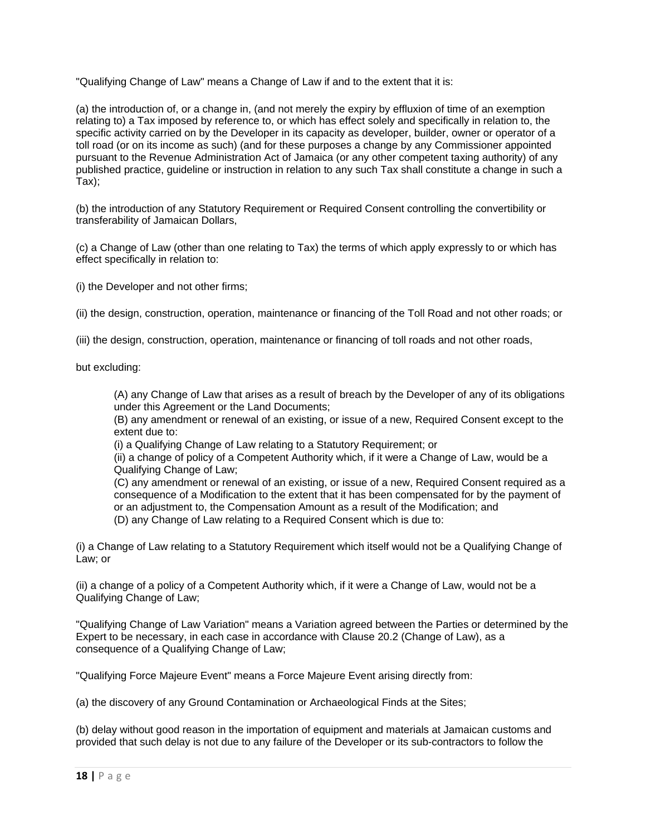"Qualifying Change of Law" means a Change of Law if and to the extent that it is:

(a) the introduction of, or a change in, (and not merely the expiry by effluxion of time of an exemption relating to) a Tax imposed by reference to, or which has effect solely and specifically in relation to, the specific activity carried on by the Developer in its capacity as developer, builder, owner or operator of a toll road (or on its income as such) (and for these purposes a change by any Commissioner appointed pursuant to the Revenue Administration Act of Jamaica (or any other competent taxing authority) of any published practice, guideline or instruction in relation to any such Tax shall constitute a change in such a Tax);

(b) the introduction of any Statutory Requirement or Required Consent controlling the convertibility or transferability of Jamaican Dollars,

(c) a Change of Law (other than one relating to Tax) the terms of which apply expressly to or which has effect specifically in relation to:

(i) the Developer and not other firms;

(ii) the design, construction, operation, maintenance or financing of the Toll Road and not other roads; or

(iii) the design, construction, operation, maintenance or financing of toll roads and not other roads,

but excluding:

 (A) any Change of Law that arises as a result of breach by the Developer of any of its obligations under this Agreement or the Land Documents;

 (B) any amendment or renewal of an existing, or issue of a new, Required Consent except to the extent due to:

(i) a Qualifying Change of Law relating to a Statutory Requirement; or

 (ii) a change of policy of a Competent Authority which, if it were a Change of Law, would be a Qualifying Change of Law;

 (C) any amendment or renewal of an existing, or issue of a new, Required Consent required as a consequence of a Modification to the extent that it has been compensated for by the payment of or an adjustment to, the Compensation Amount as a result of the Modification; and (D) any Change of Law relating to a Required Consent which is due to:

(i) a Change of Law relating to a Statutory Requirement which itself would not be a Qualifying Change of Law; or

(ii) a change of a policy of a Competent Authority which, if it were a Change of Law, would not be a Qualifying Change of Law;

"Qualifying Change of Law Variation" means a Variation agreed between the Parties or determined by the Expert to be necessary, in each case in accordance with Clause 20.2 (Change of Law), as a consequence of a Qualifying Change of Law;

"Qualifying Force Majeure Event" means a Force Majeure Event arising directly from:

(a) the discovery of any Ground Contamination or Archaeological Finds at the Sites;

(b) delay without good reason in the importation of equipment and materials at Jamaican customs and provided that such delay is not due to any failure of the Developer or its sub-contractors to follow the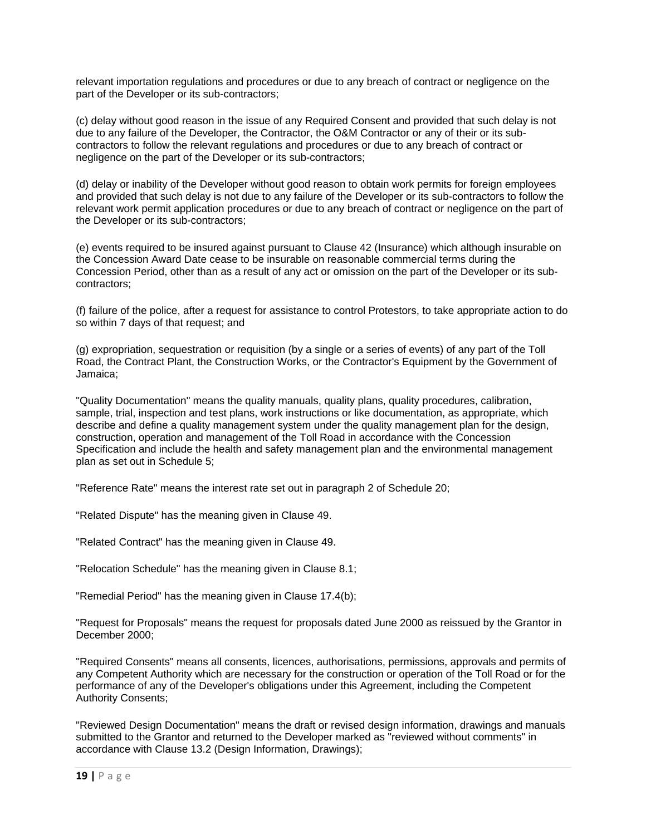relevant importation regulations and procedures or due to any breach of contract or negligence on the part of the Developer or its sub-contractors;

(c) delay without good reason in the issue of any Required Consent and provided that such delay is not due to any failure of the Developer, the Contractor, the O&M Contractor or any of their or its subcontractors to follow the relevant regulations and procedures or due to any breach of contract or negligence on the part of the Developer or its sub-contractors;

(d) delay or inability of the Developer without good reason to obtain work permits for foreign employees and provided that such delay is not due to any failure of the Developer or its sub-contractors to follow the relevant work permit application procedures or due to any breach of contract or negligence on the part of the Developer or its sub-contractors;

(e) events required to be insured against pursuant to Clause 42 (Insurance) which although insurable on the Concession Award Date cease to be insurable on reasonable commercial terms during the Concession Period, other than as a result of any act or omission on the part of the Developer or its subcontractors;

(f) failure of the police, after a request for assistance to control Protestors, to take appropriate action to do so within 7 days of that request; and

(g) expropriation, sequestration or requisition (by a single or a series of events) of any part of the Toll Road, the Contract Plant, the Construction Works, or the Contractor's Equipment by the Government of Jamaica;

"Quality Documentation" means the quality manuals, quality plans, quality procedures, calibration, sample, trial, inspection and test plans, work instructions or like documentation, as appropriate, which describe and define a quality management system under the quality management plan for the design, construction, operation and management of the Toll Road in accordance with the Concession Specification and include the health and safety management plan and the environmental management plan as set out in Schedule 5;

"Reference Rate" means the interest rate set out in paragraph 2 of Schedule 20;

"Related Dispute" has the meaning given in Clause 49.

"Related Contract" has the meaning given in Clause 49.

"Relocation Schedule" has the meaning given in Clause 8.1;

"Remedial Period" has the meaning given in Clause 17.4(b);

"Request for Proposals" means the request for proposals dated June 2000 as reissued by the Grantor in December 2000;

"Required Consents" means all consents, licences, authorisations, permissions, approvals and permits of any Competent Authority which are necessary for the construction or operation of the Toll Road or for the performance of any of the Developer's obligations under this Agreement, including the Competent Authority Consents;

"Reviewed Design Documentation" means the draft or revised design information, drawings and manuals submitted to the Grantor and returned to the Developer marked as "reviewed without comments" in accordance with Clause 13.2 (Design Information, Drawings);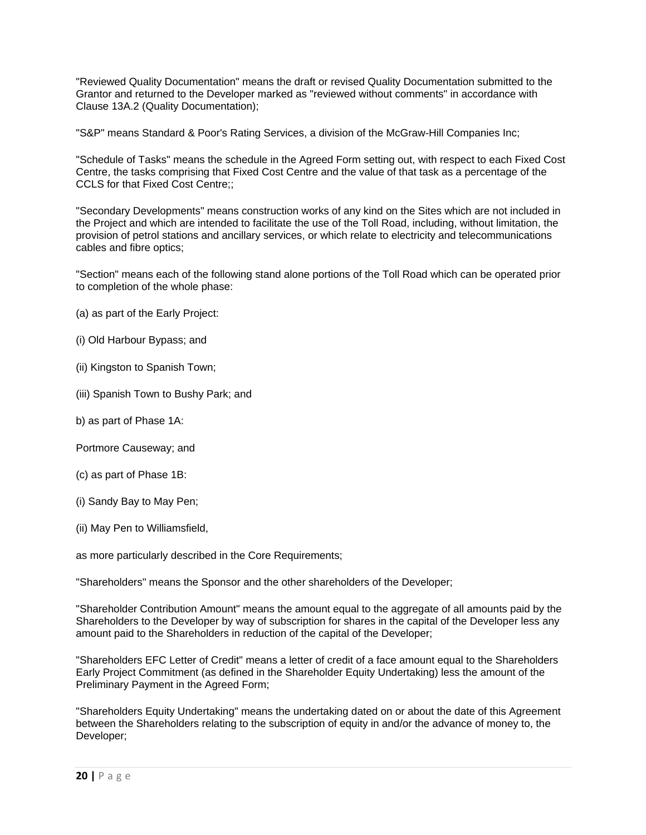"Reviewed Quality Documentation" means the draft or revised Quality Documentation submitted to the Grantor and returned to the Developer marked as "reviewed without comments" in accordance with Clause 13A.2 (Quality Documentation);

"S&P" means Standard & Poor's Rating Services, a division of the McGraw-Hill Companies Inc;

"Schedule of Tasks" means the schedule in the Agreed Form setting out, with respect to each Fixed Cost Centre, the tasks comprising that Fixed Cost Centre and the value of that task as a percentage of the CCLS for that Fixed Cost Centre;;

"Secondary Developments" means construction works of any kind on the Sites which are not included in the Project and which are intended to facilitate the use of the Toll Road, including, without limitation, the provision of petrol stations and ancillary services, or which relate to electricity and telecommunications cables and fibre optics;

"Section" means each of the following stand alone portions of the Toll Road which can be operated prior to completion of the whole phase:

- (a) as part of the Early Project:
- (i) Old Harbour Bypass; and
- (ii) Kingston to Spanish Town;
- (iii) Spanish Town to Bushy Park; and
- b) as part of Phase 1A:
- Portmore Causeway; and
- (c) as part of Phase 1B:
- (i) Sandy Bay to May Pen;
- (ii) May Pen to Williamsfield,

as more particularly described in the Core Requirements;

"Shareholders" means the Sponsor and the other shareholders of the Developer;

"Shareholder Contribution Amount" means the amount equal to the aggregate of all amounts paid by the Shareholders to the Developer by way of subscription for shares in the capital of the Developer less any amount paid to the Shareholders in reduction of the capital of the Developer;

"Shareholders EFC Letter of Credit" means a letter of credit of a face amount equal to the Shareholders Early Project Commitment (as defined in the Shareholder Equity Undertaking) less the amount of the Preliminary Payment in the Agreed Form;

"Shareholders Equity Undertaking" means the undertaking dated on or about the date of this Agreement between the Shareholders relating to the subscription of equity in and/or the advance of money to, the Developer;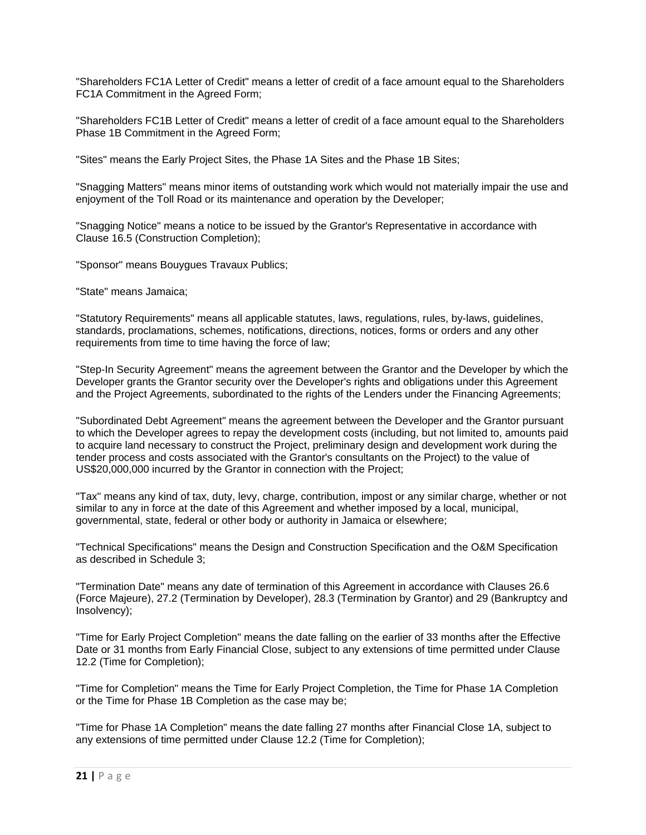"Shareholders FC1A Letter of Credit" means a letter of credit of a face amount equal to the Shareholders FC1A Commitment in the Agreed Form;

"Shareholders FC1B Letter of Credit" means a letter of credit of a face amount equal to the Shareholders Phase 1B Commitment in the Agreed Form;

"Sites" means the Early Project Sites, the Phase 1A Sites and the Phase 1B Sites;

"Snagging Matters" means minor items of outstanding work which would not materially impair the use and enjoyment of the Toll Road or its maintenance and operation by the Developer;

"Snagging Notice" means a notice to be issued by the Grantor's Representative in accordance with Clause 16.5 (Construction Completion);

"Sponsor" means Bouygues Travaux Publics;

"State" means Jamaica;

"Statutory Requirements" means all applicable statutes, laws, regulations, rules, by-laws, guidelines, standards, proclamations, schemes, notifications, directions, notices, forms or orders and any other requirements from time to time having the force of law;

"Step-In Security Agreement" means the agreement between the Grantor and the Developer by which the Developer grants the Grantor security over the Developer's rights and obligations under this Agreement and the Project Agreements, subordinated to the rights of the Lenders under the Financing Agreements;

"Subordinated Debt Agreement" means the agreement between the Developer and the Grantor pursuant to which the Developer agrees to repay the development costs (including, but not limited to, amounts paid to acquire land necessary to construct the Project, preliminary design and development work during the tender process and costs associated with the Grantor's consultants on the Project) to the value of US\$20,000,000 incurred by the Grantor in connection with the Project;

"Tax" means any kind of tax, duty, levy, charge, contribution, impost or any similar charge, whether or not similar to any in force at the date of this Agreement and whether imposed by a local, municipal, governmental, state, federal or other body or authority in Jamaica or elsewhere;

"Technical Specifications" means the Design and Construction Specification and the O&M Specification as described in Schedule 3;

"Termination Date" means any date of termination of this Agreement in accordance with Clauses 26.6 (Force Majeure), 27.2 (Termination by Developer), 28.3 (Termination by Grantor) and 29 (Bankruptcy and Insolvency);

"Time for Early Project Completion" means the date falling on the earlier of 33 months after the Effective Date or 31 months from Early Financial Close, subject to any extensions of time permitted under Clause 12.2 (Time for Completion);

"Time for Completion" means the Time for Early Project Completion, the Time for Phase 1A Completion or the Time for Phase 1B Completion as the case may be;

"Time for Phase 1A Completion" means the date falling 27 months after Financial Close 1A, subject to any extensions of time permitted under Clause 12.2 (Time for Completion);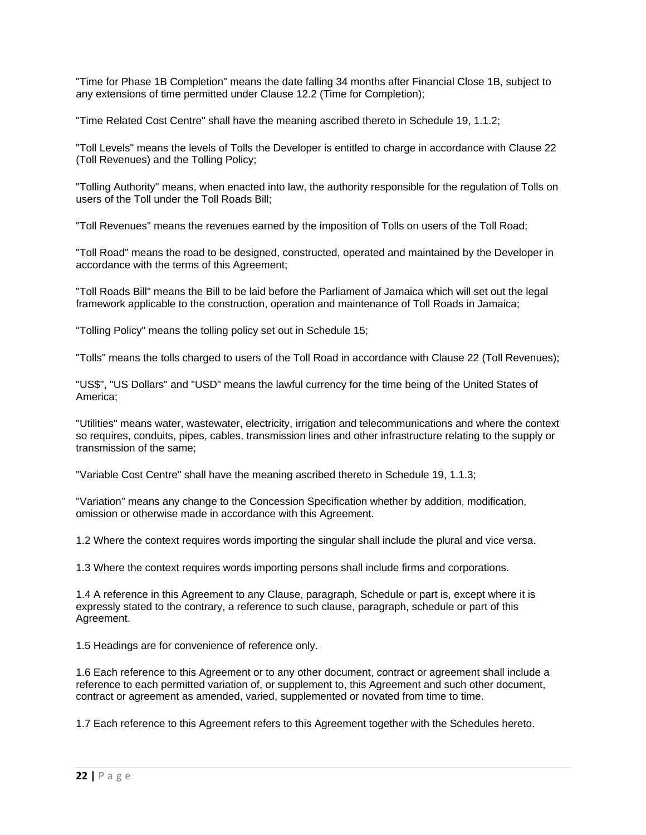"Time for Phase 1B Completion" means the date falling 34 months after Financial Close 1B, subject to any extensions of time permitted under Clause 12.2 (Time for Completion);

"Time Related Cost Centre" shall have the meaning ascribed thereto in Schedule 19, 1.1.2;

"Toll Levels" means the levels of Tolls the Developer is entitled to charge in accordance with Clause 22 (Toll Revenues) and the Tolling Policy;

"Tolling Authority" means, when enacted into law, the authority responsible for the regulation of Tolls on users of the Toll under the Toll Roads Bill;

"Toll Revenues" means the revenues earned by the imposition of Tolls on users of the Toll Road;

"Toll Road" means the road to be designed, constructed, operated and maintained by the Developer in accordance with the terms of this Agreement;

"Toll Roads Bill" means the Bill to be laid before the Parliament of Jamaica which will set out the legal framework applicable to the construction, operation and maintenance of Toll Roads in Jamaica;

"Tolling Policy" means the tolling policy set out in Schedule 15;

"Tolls" means the tolls charged to users of the Toll Road in accordance with Clause 22 (Toll Revenues);

"US\$", "US Dollars" and "USD" means the lawful currency for the time being of the United States of America;

"Utilities" means water, wastewater, electricity, irrigation and telecommunications and where the context so requires, conduits, pipes, cables, transmission lines and other infrastructure relating to the supply or transmission of the same;

"Variable Cost Centre" shall have the meaning ascribed thereto in Schedule 19, 1.1.3;

"Variation" means any change to the Concession Specification whether by addition, modification, omission or otherwise made in accordance with this Agreement.

1.2 Where the context requires words importing the singular shall include the plural and vice versa.

1.3 Where the context requires words importing persons shall include firms and corporations.

1.4 A reference in this Agreement to any Clause, paragraph, Schedule or part is, except where it is expressly stated to the contrary, a reference to such clause, paragraph, schedule or part of this Agreement.

1.5 Headings are for convenience of reference only.

1.6 Each reference to this Agreement or to any other document, contract or agreement shall include a reference to each permitted variation of, or supplement to, this Agreement and such other document, contract or agreement as amended, varied, supplemented or novated from time to time.

1.7 Each reference to this Agreement refers to this Agreement together with the Schedules hereto.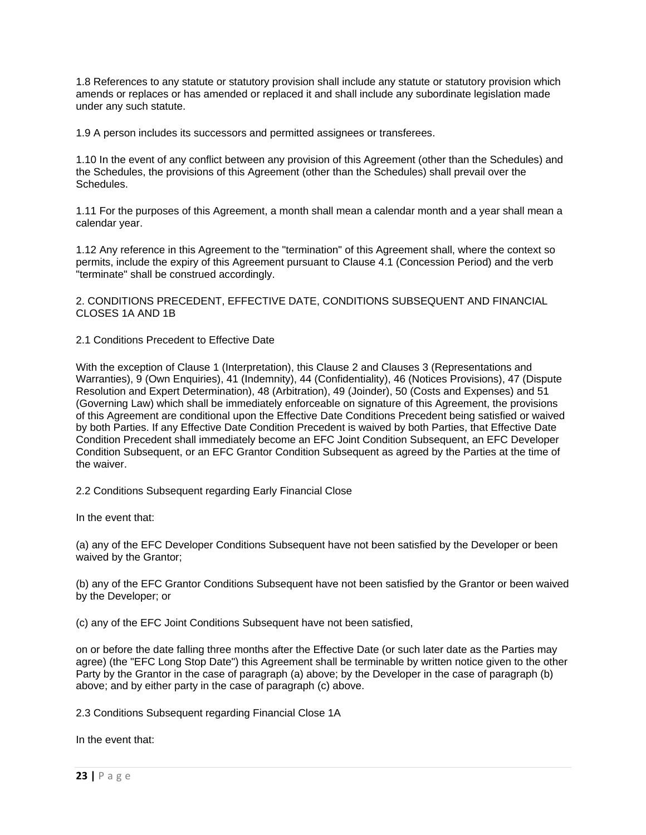1.8 References to any statute or statutory provision shall include any statute or statutory provision which amends or replaces or has amended or replaced it and shall include any subordinate legislation made under any such statute.

1.9 A person includes its successors and permitted assignees or transferees.

1.10 In the event of any conflict between any provision of this Agreement (other than the Schedules) and the Schedules, the provisions of this Agreement (other than the Schedules) shall prevail over the Schedules.

1.11 For the purposes of this Agreement, a month shall mean a calendar month and a year shall mean a calendar year.

1.12 Any reference in this Agreement to the "termination" of this Agreement shall, where the context so permits, include the expiry of this Agreement pursuant to Clause 4.1 (Concession Period) and the verb "terminate" shall be construed accordingly.

2. CONDITIONS PRECEDENT, EFFECTIVE DATE, CONDITIONS SUBSEQUENT AND FINANCIAL CLOSES 1A AND 1B

2.1 Conditions Precedent to Effective Date

With the exception of Clause 1 (Interpretation), this Clause 2 and Clauses 3 (Representations and Warranties), 9 (Own Enquiries), 41 (Indemnity), 44 (Confidentiality), 46 (Notices Provisions), 47 (Dispute Resolution and Expert Determination), 48 (Arbitration), 49 (Joinder), 50 (Costs and Expenses) and 51 (Governing Law) which shall be immediately enforceable on signature of this Agreement, the provisions of this Agreement are conditional upon the Effective Date Conditions Precedent being satisfied or waived by both Parties. If any Effective Date Condition Precedent is waived by both Parties, that Effective Date Condition Precedent shall immediately become an EFC Joint Condition Subsequent, an EFC Developer Condition Subsequent, or an EFC Grantor Condition Subsequent as agreed by the Parties at the time of the waiver.

2.2 Conditions Subsequent regarding Early Financial Close

In the event that:

(a) any of the EFC Developer Conditions Subsequent have not been satisfied by the Developer or been waived by the Grantor;

(b) any of the EFC Grantor Conditions Subsequent have not been satisfied by the Grantor or been waived by the Developer; or

(c) any of the EFC Joint Conditions Subsequent have not been satisfied,

on or before the date falling three months after the Effective Date (or such later date as the Parties may agree) (the "EFC Long Stop Date") this Agreement shall be terminable by written notice given to the other Party by the Grantor in the case of paragraph (a) above; by the Developer in the case of paragraph (b) above; and by either party in the case of paragraph (c) above.

2.3 Conditions Subsequent regarding Financial Close 1A

In the event that: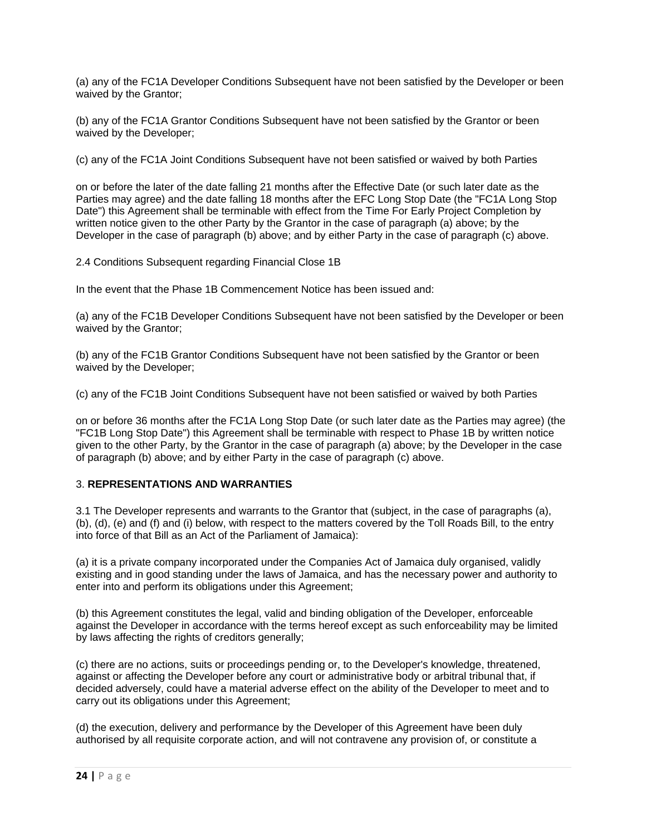(a) any of the FC1A Developer Conditions Subsequent have not been satisfied by the Developer or been waived by the Grantor;

(b) any of the FC1A Grantor Conditions Subsequent have not been satisfied by the Grantor or been waived by the Developer;

(c) any of the FC1A Joint Conditions Subsequent have not been satisfied or waived by both Parties

on or before the later of the date falling 21 months after the Effective Date (or such later date as the Parties may agree) and the date falling 18 months after the EFC Long Stop Date (the "FC1A Long Stop Date") this Agreement shall be terminable with effect from the Time For Early Project Completion by written notice given to the other Party by the Grantor in the case of paragraph (a) above; by the Developer in the case of paragraph (b) above; and by either Party in the case of paragraph (c) above.

2.4 Conditions Subsequent regarding Financial Close 1B

In the event that the Phase 1B Commencement Notice has been issued and:

(a) any of the FC1B Developer Conditions Subsequent have not been satisfied by the Developer or been waived by the Grantor;

(b) any of the FC1B Grantor Conditions Subsequent have not been satisfied by the Grantor or been waived by the Developer;

(c) any of the FC1B Joint Conditions Subsequent have not been satisfied or waived by both Parties

on or before 36 months after the FC1A Long Stop Date (or such later date as the Parties may agree) (the "FC1B Long Stop Date") this Agreement shall be terminable with respect to Phase 1B by written notice given to the other Party, by the Grantor in the case of paragraph (a) above; by the Developer in the case of paragraph (b) above; and by either Party in the case of paragraph (c) above.

# 3. **REPRESENTATIONS AND WARRANTIES**

3.1 The Developer represents and warrants to the Grantor that (subject, in the case of paragraphs (a), (b), (d), (e) and (f) and (i) below, with respect to the matters covered by the Toll Roads Bill, to the entry into force of that Bill as an Act of the Parliament of Jamaica):

(a) it is a private company incorporated under the Companies Act of Jamaica duly organised, validly existing and in good standing under the laws of Jamaica, and has the necessary power and authority to enter into and perform its obligations under this Agreement;

(b) this Agreement constitutes the legal, valid and binding obligation of the Developer, enforceable against the Developer in accordance with the terms hereof except as such enforceability may be limited by laws affecting the rights of creditors generally;

(c) there are no actions, suits or proceedings pending or, to the Developer's knowledge, threatened, against or affecting the Developer before any court or administrative body or arbitral tribunal that, if decided adversely, could have a material adverse effect on the ability of the Developer to meet and to carry out its obligations under this Agreement;

(d) the execution, delivery and performance by the Developer of this Agreement have been duly authorised by all requisite corporate action, and will not contravene any provision of, or constitute a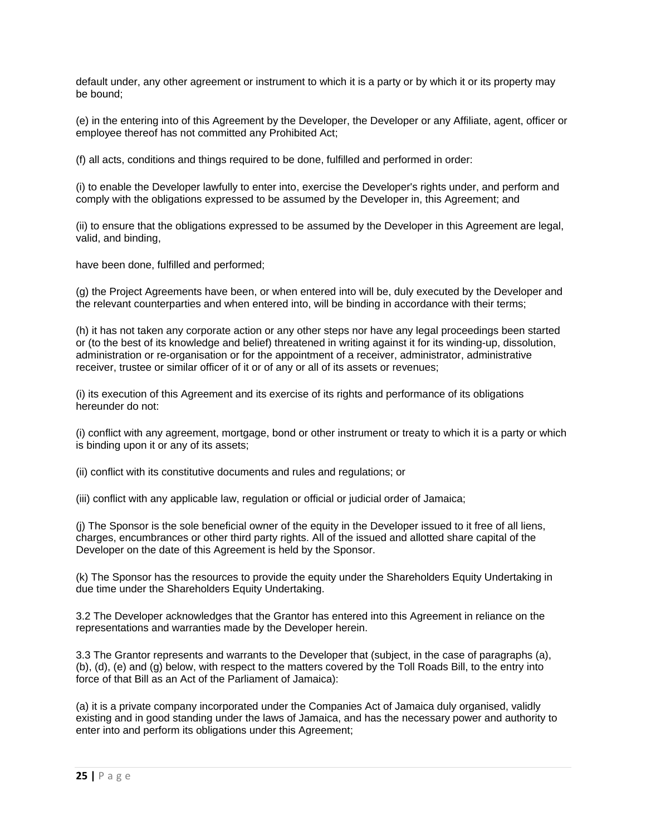default under, any other agreement or instrument to which it is a party or by which it or its property may be bound;

(e) in the entering into of this Agreement by the Developer, the Developer or any Affiliate, agent, officer or employee thereof has not committed any Prohibited Act;

(f) all acts, conditions and things required to be done, fulfilled and performed in order:

(i) to enable the Developer lawfully to enter into, exercise the Developer's rights under, and perform and comply with the obligations expressed to be assumed by the Developer in, this Agreement; and

(ii) to ensure that the obligations expressed to be assumed by the Developer in this Agreement are legal, valid, and binding,

have been done, fulfilled and performed;

(g) the Project Agreements have been, or when entered into will be, duly executed by the Developer and the relevant counterparties and when entered into, will be binding in accordance with their terms;

(h) it has not taken any corporate action or any other steps nor have any legal proceedings been started or (to the best of its knowledge and belief) threatened in writing against it for its winding-up, dissolution, administration or re-organisation or for the appointment of a receiver, administrator, administrative receiver, trustee or similar officer of it or of any or all of its assets or revenues;

(i) its execution of this Agreement and its exercise of its rights and performance of its obligations hereunder do not:

(i) conflict with any agreement, mortgage, bond or other instrument or treaty to which it is a party or which is binding upon it or any of its assets;

(ii) conflict with its constitutive documents and rules and regulations; or

(iii) conflict with any applicable law, regulation or official or judicial order of Jamaica;

(j) The Sponsor is the sole beneficial owner of the equity in the Developer issued to it free of all liens, charges, encumbrances or other third party rights. All of the issued and allotted share capital of the Developer on the date of this Agreement is held by the Sponsor.

(k) The Sponsor has the resources to provide the equity under the Shareholders Equity Undertaking in due time under the Shareholders Equity Undertaking.

3.2 The Developer acknowledges that the Grantor has entered into this Agreement in reliance on the representations and warranties made by the Developer herein.

3.3 The Grantor represents and warrants to the Developer that (subject, in the case of paragraphs (a), (b), (d), (e) and (g) below, with respect to the matters covered by the Toll Roads Bill, to the entry into force of that Bill as an Act of the Parliament of Jamaica):

(a) it is a private company incorporated under the Companies Act of Jamaica duly organised, validly existing and in good standing under the laws of Jamaica, and has the necessary power and authority to enter into and perform its obligations under this Agreement;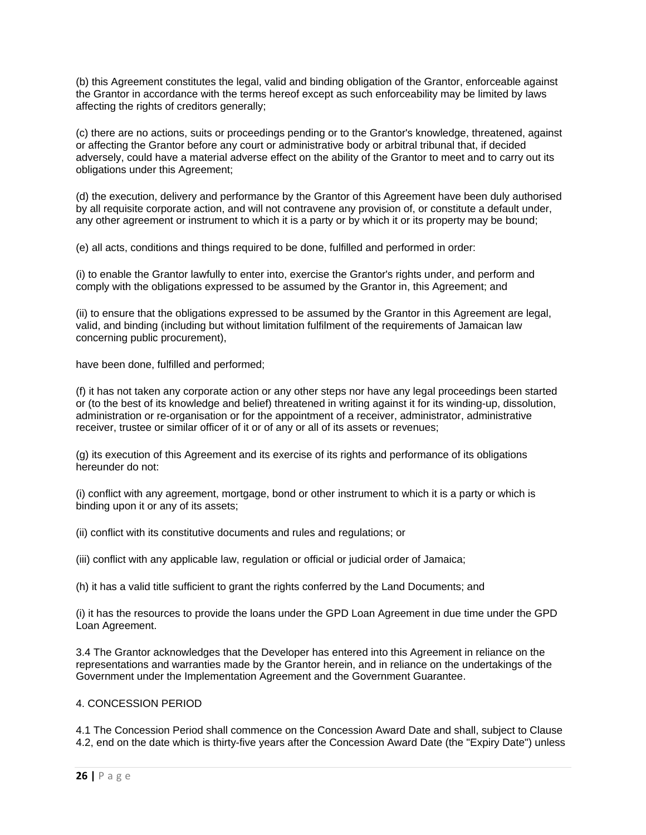(b) this Agreement constitutes the legal, valid and binding obligation of the Grantor, enforceable against the Grantor in accordance with the terms hereof except as such enforceability may be limited by laws affecting the rights of creditors generally:

(c) there are no actions, suits or proceedings pending or to the Grantor's knowledge, threatened, against or affecting the Grantor before any court or administrative body or arbitral tribunal that, if decided adversely, could have a material adverse effect on the ability of the Grantor to meet and to carry out its obligations under this Agreement;

(d) the execution, delivery and performance by the Grantor of this Agreement have been duly authorised by all requisite corporate action, and will not contravene any provision of, or constitute a default under, any other agreement or instrument to which it is a party or by which it or its property may be bound;

(e) all acts, conditions and things required to be done, fulfilled and performed in order:

(i) to enable the Grantor lawfully to enter into, exercise the Grantor's rights under, and perform and comply with the obligations expressed to be assumed by the Grantor in, this Agreement; and

(ii) to ensure that the obligations expressed to be assumed by the Grantor in this Agreement are legal, valid, and binding (including but without limitation fulfilment of the requirements of Jamaican law concerning public procurement),

have been done, fulfilled and performed;

(f) it has not taken any corporate action or any other steps nor have any legal proceedings been started or (to the best of its knowledge and belief) threatened in writing against it for its winding-up, dissolution, administration or re-organisation or for the appointment of a receiver, administrator, administrative receiver, trustee or similar officer of it or of any or all of its assets or revenues;

(g) its execution of this Agreement and its exercise of its rights and performance of its obligations hereunder do not:

(i) conflict with any agreement, mortgage, bond or other instrument to which it is a party or which is binding upon it or any of its assets;

(ii) conflict with its constitutive documents and rules and regulations; or

(iii) conflict with any applicable law, regulation or official or judicial order of Jamaica;

(h) it has a valid title sufficient to grant the rights conferred by the Land Documents; and

(i) it has the resources to provide the loans under the GPD Loan Agreement in due time under the GPD Loan Agreement.

3.4 The Grantor acknowledges that the Developer has entered into this Agreement in reliance on the representations and warranties made by the Grantor herein, and in reliance on the undertakings of the Government under the Implementation Agreement and the Government Guarantee.

### 4. CONCESSION PERIOD

4.1 The Concession Period shall commence on the Concession Award Date and shall, subject to Clause 4.2, end on the date which is thirty-five years after the Concession Award Date (the "Expiry Date") unless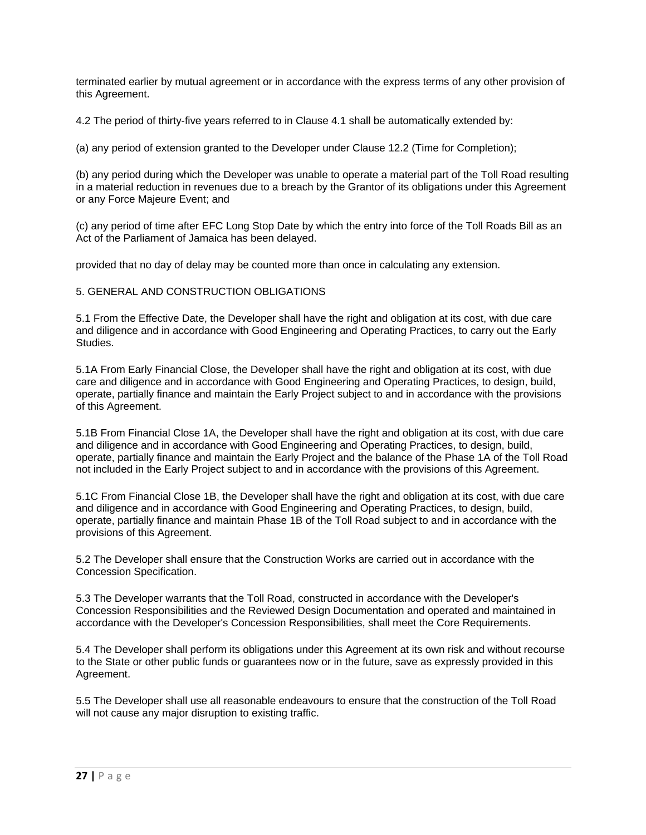terminated earlier by mutual agreement or in accordance with the express terms of any other provision of this Agreement.

4.2 The period of thirty-five years referred to in Clause 4.1 shall be automatically extended by:

(a) any period of extension granted to the Developer under Clause 12.2 (Time for Completion);

(b) any period during which the Developer was unable to operate a material part of the Toll Road resulting in a material reduction in revenues due to a breach by the Grantor of its obligations under this Agreement or any Force Majeure Event; and

(c) any period of time after EFC Long Stop Date by which the entry into force of the Toll Roads Bill as an Act of the Parliament of Jamaica has been delayed.

provided that no day of delay may be counted more than once in calculating any extension.

5. GENERAL AND CONSTRUCTION OBLIGATIONS

5.1 From the Effective Date, the Developer shall have the right and obligation at its cost, with due care and diligence and in accordance with Good Engineering and Operating Practices, to carry out the Early Studies.

5.1A From Early Financial Close, the Developer shall have the right and obligation at its cost, with due care and diligence and in accordance with Good Engineering and Operating Practices, to design, build, operate, partially finance and maintain the Early Project subject to and in accordance with the provisions of this Agreement.

5.1B From Financial Close 1A, the Developer shall have the right and obligation at its cost, with due care and diligence and in accordance with Good Engineering and Operating Practices, to design, build, operate, partially finance and maintain the Early Project and the balance of the Phase 1A of the Toll Road not included in the Early Project subject to and in accordance with the provisions of this Agreement.

5.1C From Financial Close 1B, the Developer shall have the right and obligation at its cost, with due care and diligence and in accordance with Good Engineering and Operating Practices, to design, build, operate, partially finance and maintain Phase 1B of the Toll Road subject to and in accordance with the provisions of this Agreement.

5.2 The Developer shall ensure that the Construction Works are carried out in accordance with the Concession Specification.

5.3 The Developer warrants that the Toll Road, constructed in accordance with the Developer's Concession Responsibilities and the Reviewed Design Documentation and operated and maintained in accordance with the Developer's Concession Responsibilities, shall meet the Core Requirements.

5.4 The Developer shall perform its obligations under this Agreement at its own risk and without recourse to the State or other public funds or guarantees now or in the future, save as expressly provided in this Agreement.

5.5 The Developer shall use all reasonable endeavours to ensure that the construction of the Toll Road will not cause any major disruption to existing traffic.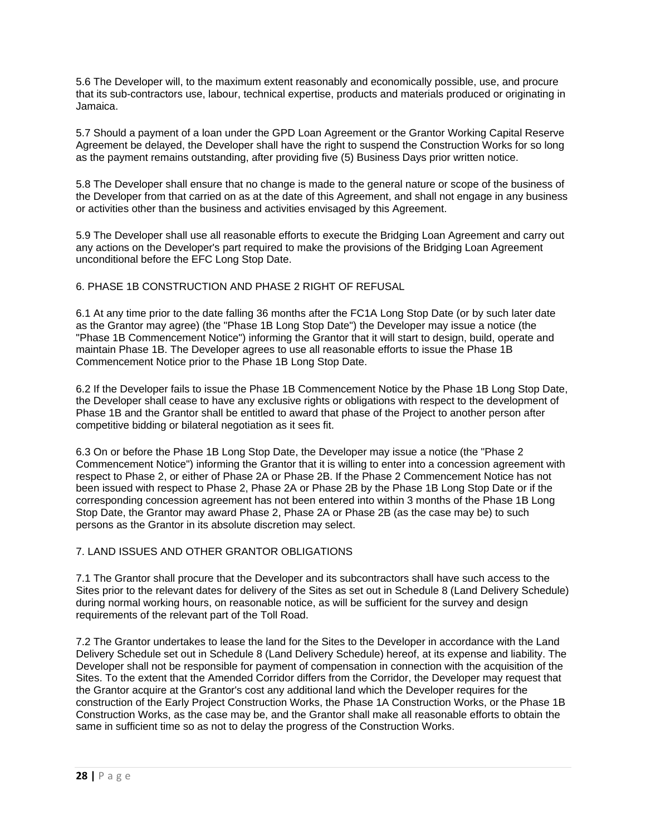5.6 The Developer will, to the maximum extent reasonably and economically possible, use, and procure that its sub-contractors use, labour, technical expertise, products and materials produced or originating in Jamaica.

5.7 Should a payment of a loan under the GPD Loan Agreement or the Grantor Working Capital Reserve Agreement be delayed, the Developer shall have the right to suspend the Construction Works for so long as the payment remains outstanding, after providing five (5) Business Days prior written notice.

5.8 The Developer shall ensure that no change is made to the general nature or scope of the business of the Developer from that carried on as at the date of this Agreement, and shall not engage in any business or activities other than the business and activities envisaged by this Agreement.

5.9 The Developer shall use all reasonable efforts to execute the Bridging Loan Agreement and carry out any actions on the Developer's part required to make the provisions of the Bridging Loan Agreement unconditional before the EFC Long Stop Date.

## 6. PHASE 1B CONSTRUCTION AND PHASE 2 RIGHT OF REFUSAL

6.1 At any time prior to the date falling 36 months after the FC1A Long Stop Date (or by such later date as the Grantor may agree) (the "Phase 1B Long Stop Date") the Developer may issue a notice (the "Phase 1B Commencement Notice") informing the Grantor that it will start to design, build, operate and maintain Phase 1B. The Developer agrees to use all reasonable efforts to issue the Phase 1B Commencement Notice prior to the Phase 1B Long Stop Date.

6.2 If the Developer fails to issue the Phase 1B Commencement Notice by the Phase 1B Long Stop Date, the Developer shall cease to have any exclusive rights or obligations with respect to the development of Phase 1B and the Grantor shall be entitled to award that phase of the Project to another person after competitive bidding or bilateral negotiation as it sees fit.

6.3 On or before the Phase 1B Long Stop Date, the Developer may issue a notice (the "Phase 2 Commencement Notice") informing the Grantor that it is willing to enter into a concession agreement with respect to Phase 2, or either of Phase 2A or Phase 2B. If the Phase 2 Commencement Notice has not been issued with respect to Phase 2, Phase 2A or Phase 2B by the Phase 1B Long Stop Date or if the corresponding concession agreement has not been entered into within 3 months of the Phase 1B Long Stop Date, the Grantor may award Phase 2, Phase 2A or Phase 2B (as the case may be) to such persons as the Grantor in its absolute discretion may select.

## 7. LAND ISSUES AND OTHER GRANTOR OBLIGATIONS

7.1 The Grantor shall procure that the Developer and its subcontractors shall have such access to the Sites prior to the relevant dates for delivery of the Sites as set out in Schedule 8 (Land Delivery Schedule) during normal working hours, on reasonable notice, as will be sufficient for the survey and design requirements of the relevant part of the Toll Road.

7.2 The Grantor undertakes to lease the land for the Sites to the Developer in accordance with the Land Delivery Schedule set out in Schedule 8 (Land Delivery Schedule) hereof, at its expense and liability. The Developer shall not be responsible for payment of compensation in connection with the acquisition of the Sites. To the extent that the Amended Corridor differs from the Corridor, the Developer may request that the Grantor acquire at the Grantor's cost any additional land which the Developer requires for the construction of the Early Project Construction Works, the Phase 1A Construction Works, or the Phase 1B Construction Works, as the case may be, and the Grantor shall make all reasonable efforts to obtain the same in sufficient time so as not to delay the progress of the Construction Works.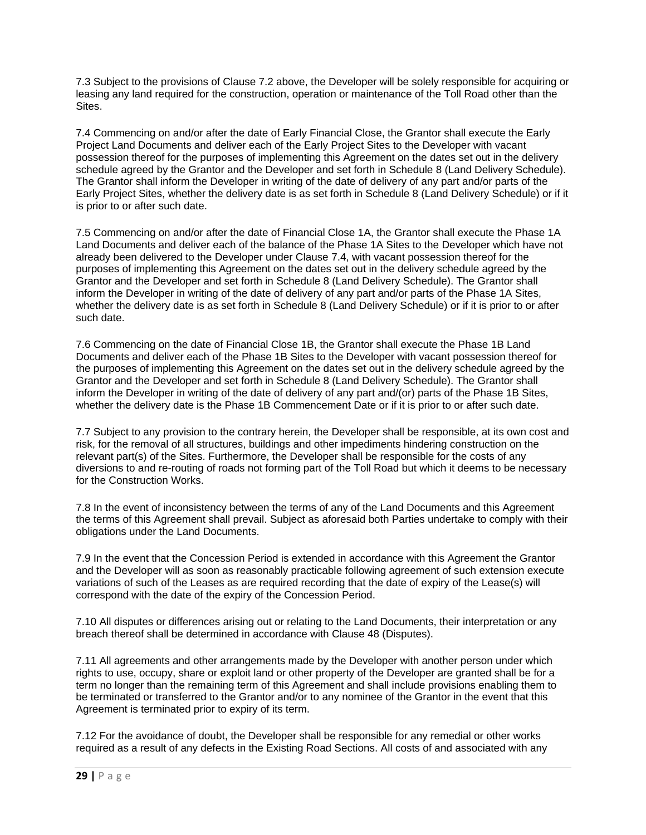7.3 Subject to the provisions of Clause 7.2 above, the Developer will be solely responsible for acquiring or leasing any land required for the construction, operation or maintenance of the Toll Road other than the Sites.

7.4 Commencing on and/or after the date of Early Financial Close, the Grantor shall execute the Early Project Land Documents and deliver each of the Early Project Sites to the Developer with vacant possession thereof for the purposes of implementing this Agreement on the dates set out in the delivery schedule agreed by the Grantor and the Developer and set forth in Schedule 8 (Land Delivery Schedule). The Grantor shall inform the Developer in writing of the date of delivery of any part and/or parts of the Early Project Sites, whether the delivery date is as set forth in Schedule 8 (Land Delivery Schedule) or if it is prior to or after such date.

7.5 Commencing on and/or after the date of Financial Close 1A, the Grantor shall execute the Phase 1A Land Documents and deliver each of the balance of the Phase 1A Sites to the Developer which have not already been delivered to the Developer under Clause 7.4, with vacant possession thereof for the purposes of implementing this Agreement on the dates set out in the delivery schedule agreed by the Grantor and the Developer and set forth in Schedule 8 (Land Delivery Schedule). The Grantor shall inform the Developer in writing of the date of delivery of any part and/or parts of the Phase 1A Sites, whether the delivery date is as set forth in Schedule 8 (Land Delivery Schedule) or if it is prior to or after such date.

7.6 Commencing on the date of Financial Close 1B, the Grantor shall execute the Phase 1B Land Documents and deliver each of the Phase 1B Sites to the Developer with vacant possession thereof for the purposes of implementing this Agreement on the dates set out in the delivery schedule agreed by the Grantor and the Developer and set forth in Schedule 8 (Land Delivery Schedule). The Grantor shall inform the Developer in writing of the date of delivery of any part and/(or) parts of the Phase 1B Sites, whether the delivery date is the Phase 1B Commencement Date or if it is prior to or after such date.

7.7 Subject to any provision to the contrary herein, the Developer shall be responsible, at its own cost and risk, for the removal of all structures, buildings and other impediments hindering construction on the relevant part(s) of the Sites. Furthermore, the Developer shall be responsible for the costs of any diversions to and re-routing of roads not forming part of the Toll Road but which it deems to be necessary for the Construction Works.

7.8 In the event of inconsistency between the terms of any of the Land Documents and this Agreement the terms of this Agreement shall prevail. Subject as aforesaid both Parties undertake to comply with their obligations under the Land Documents.

7.9 In the event that the Concession Period is extended in accordance with this Agreement the Grantor and the Developer will as soon as reasonably practicable following agreement of such extension execute variations of such of the Leases as are required recording that the date of expiry of the Lease(s) will correspond with the date of the expiry of the Concession Period.

7.10 All disputes or differences arising out or relating to the Land Documents, their interpretation or any breach thereof shall be determined in accordance with Clause 48 (Disputes).

7.11 All agreements and other arrangements made by the Developer with another person under which rights to use, occupy, share or exploit land or other property of the Developer are granted shall be for a term no longer than the remaining term of this Agreement and shall include provisions enabling them to be terminated or transferred to the Grantor and/or to any nominee of the Grantor in the event that this Agreement is terminated prior to expiry of its term.

7.12 For the avoidance of doubt, the Developer shall be responsible for any remedial or other works required as a result of any defects in the Existing Road Sections. All costs of and associated with any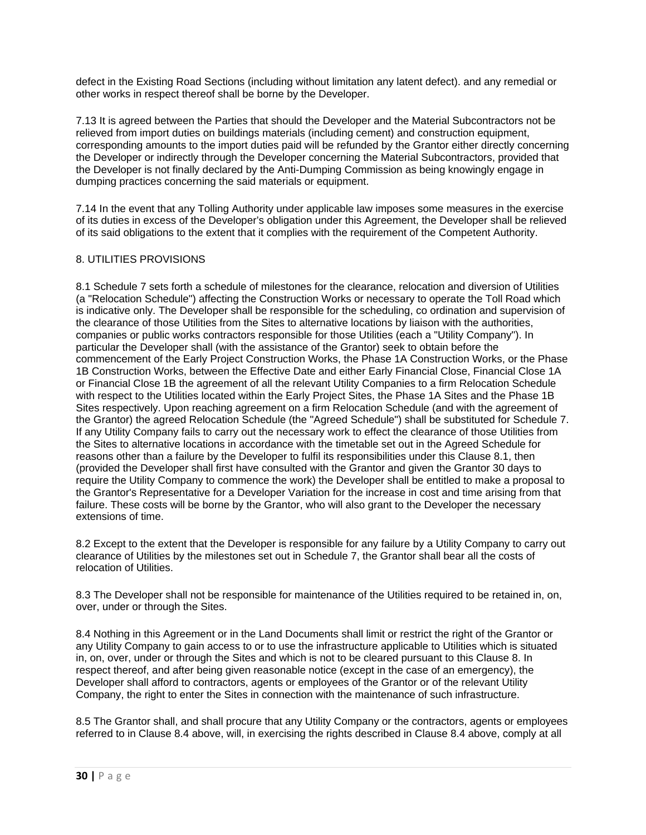defect in the Existing Road Sections (including without limitation any latent defect). and any remedial or other works in respect thereof shall be borne by the Developer.

7.13 It is agreed between the Parties that should the Developer and the Material Subcontractors not be relieved from import duties on buildings materials (including cement) and construction equipment, corresponding amounts to the import duties paid will be refunded by the Grantor either directly concerning the Developer or indirectly through the Developer concerning the Material Subcontractors, provided that the Developer is not finally declared by the Anti-Dumping Commission as being knowingly engage in dumping practices concerning the said materials or equipment.

7.14 In the event that any Tolling Authority under applicable law imposes some measures in the exercise of its duties in excess of the Developer's obligation under this Agreement, the Developer shall be relieved of its said obligations to the extent that it complies with the requirement of the Competent Authority.

# 8. UTILITIES PROVISIONS

8.1 Schedule 7 sets forth a schedule of milestones for the clearance, relocation and diversion of Utilities (a "Relocation Schedule") affecting the Construction Works or necessary to operate the Toll Road which is indicative only. The Developer shall be responsible for the scheduling, co ordination and supervision of the clearance of those Utilities from the Sites to alternative locations by liaison with the authorities, companies or public works contractors responsible for those Utilities (each a "Utility Company"). In particular the Developer shall (with the assistance of the Grantor) seek to obtain before the commencement of the Early Project Construction Works, the Phase 1A Construction Works, or the Phase 1B Construction Works, between the Effective Date and either Early Financial Close, Financial Close 1A or Financial Close 1B the agreement of all the relevant Utility Companies to a firm Relocation Schedule with respect to the Utilities located within the Early Project Sites, the Phase 1A Sites and the Phase 1B Sites respectively. Upon reaching agreement on a firm Relocation Schedule (and with the agreement of the Grantor) the agreed Relocation Schedule (the "Agreed Schedule") shall be substituted for Schedule 7. If any Utility Company fails to carry out the necessary work to effect the clearance of those Utilities from the Sites to alternative locations in accordance with the timetable set out in the Agreed Schedule for reasons other than a failure by the Developer to fulfil its responsibilities under this Clause 8.1, then (provided the Developer shall first have consulted with the Grantor and given the Grantor 30 days to require the Utility Company to commence the work) the Developer shall be entitled to make a proposal to the Grantor's Representative for a Developer Variation for the increase in cost and time arising from that failure. These costs will be borne by the Grantor, who will also grant to the Developer the necessary extensions of time.

8.2 Except to the extent that the Developer is responsible for any failure by a Utility Company to carry out clearance of Utilities by the milestones set out in Schedule 7, the Grantor shall bear all the costs of relocation of Utilities.

8.3 The Developer shall not be responsible for maintenance of the Utilities required to be retained in, on, over, under or through the Sites.

8.4 Nothing in this Agreement or in the Land Documents shall limit or restrict the right of the Grantor or any Utility Company to gain access to or to use the infrastructure applicable to Utilities which is situated in, on, over, under or through the Sites and which is not to be cleared pursuant to this Clause 8. In respect thereof, and after being given reasonable notice (except in the case of an emergency), the Developer shall afford to contractors, agents or employees of the Grantor or of the relevant Utility Company, the right to enter the Sites in connection with the maintenance of such infrastructure.

8.5 The Grantor shall, and shall procure that any Utility Company or the contractors, agents or employees referred to in Clause 8.4 above, will, in exercising the rights described in Clause 8.4 above, comply at all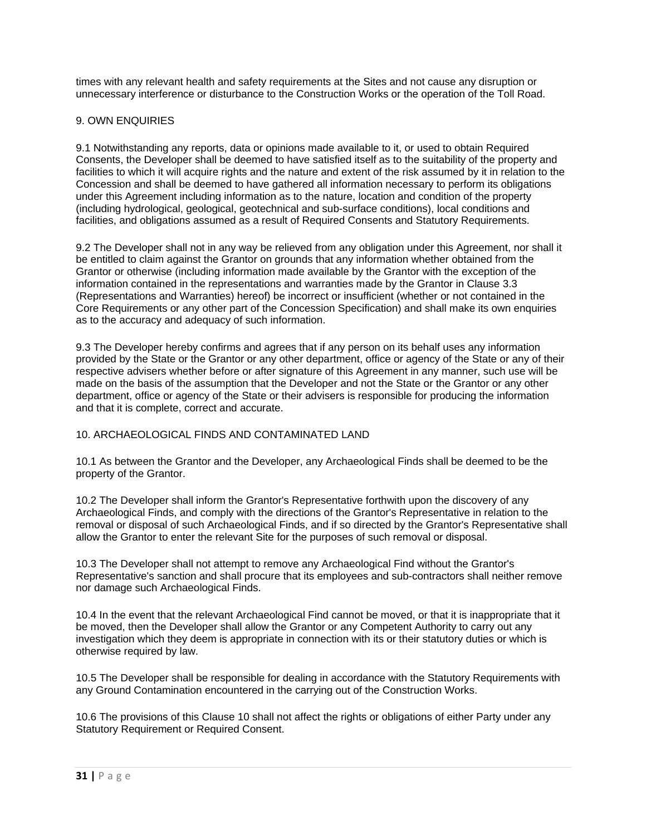times with any relevant health and safety requirements at the Sites and not cause any disruption or unnecessary interference or disturbance to the Construction Works or the operation of the Toll Road.

## 9. OWN ENQUIRIES

9.1 Notwithstanding any reports, data or opinions made available to it, or used to obtain Required Consents, the Developer shall be deemed to have satisfied itself as to the suitability of the property and facilities to which it will acquire rights and the nature and extent of the risk assumed by it in relation to the Concession and shall be deemed to have gathered all information necessary to perform its obligations under this Agreement including information as to the nature, location and condition of the property (including hydrological, geological, geotechnical and sub-surface conditions), local conditions and facilities, and obligations assumed as a result of Required Consents and Statutory Requirements.

9.2 The Developer shall not in any way be relieved from any obligation under this Agreement, nor shall it be entitled to claim against the Grantor on grounds that any information whether obtained from the Grantor or otherwise (including information made available by the Grantor with the exception of the information contained in the representations and warranties made by the Grantor in Clause 3.3 (Representations and Warranties) hereof) be incorrect or insufficient (whether or not contained in the Core Requirements or any other part of the Concession Specification) and shall make its own enquiries as to the accuracy and adequacy of such information.

9.3 The Developer hereby confirms and agrees that if any person on its behalf uses any information provided by the State or the Grantor or any other department, office or agency of the State or any of their respective advisers whether before or after signature of this Agreement in any manner, such use will be made on the basis of the assumption that the Developer and not the State or the Grantor or any other department, office or agency of the State or their advisers is responsible for producing the information and that it is complete, correct and accurate.

### 10. ARCHAEOLOGICAL FINDS AND CONTAMINATED LAND

10.1 As between the Grantor and the Developer, any Archaeological Finds shall be deemed to be the property of the Grantor.

10.2 The Developer shall inform the Grantor's Representative forthwith upon the discovery of any Archaeological Finds, and comply with the directions of the Grantor's Representative in relation to the removal or disposal of such Archaeological Finds, and if so directed by the Grantor's Representative shall allow the Grantor to enter the relevant Site for the purposes of such removal or disposal.

10.3 The Developer shall not attempt to remove any Archaeological Find without the Grantor's Representative's sanction and shall procure that its employees and sub-contractors shall neither remove nor damage such Archaeological Finds.

10.4 In the event that the relevant Archaeological Find cannot be moved, or that it is inappropriate that it be moved, then the Developer shall allow the Grantor or any Competent Authority to carry out any investigation which they deem is appropriate in connection with its or their statutory duties or which is otherwise required by law.

10.5 The Developer shall be responsible for dealing in accordance with the Statutory Requirements with any Ground Contamination encountered in the carrying out of the Construction Works.

10.6 The provisions of this Clause 10 shall not affect the rights or obligations of either Party under any Statutory Requirement or Required Consent.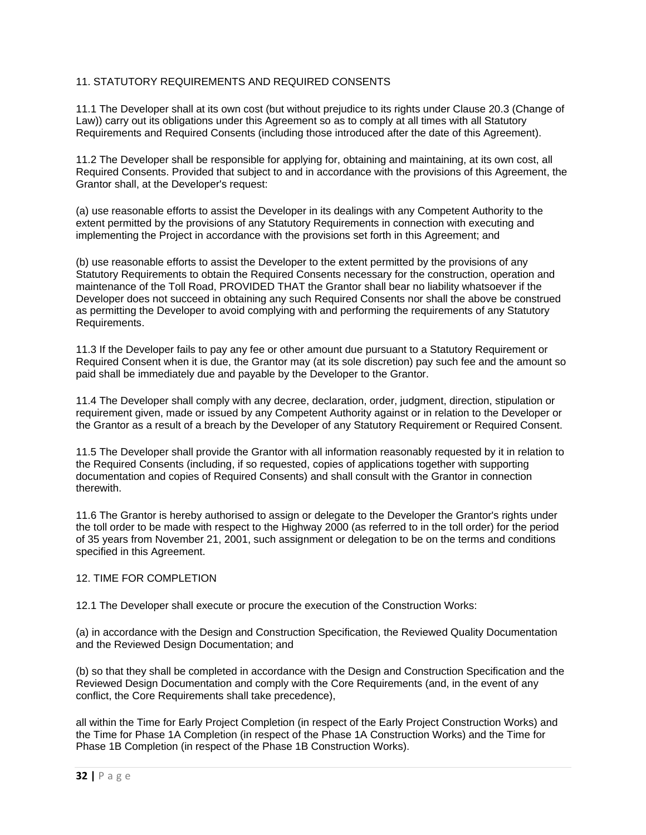# 11. STATUTORY REQUIREMENTS AND REQUIRED CONSENTS

11.1 The Developer shall at its own cost (but without prejudice to its rights under Clause 20.3 (Change of Law)) carry out its obligations under this Agreement so as to comply at all times with all Statutory Requirements and Required Consents (including those introduced after the date of this Agreement).

11.2 The Developer shall be responsible for applying for, obtaining and maintaining, at its own cost, all Required Consents. Provided that subject to and in accordance with the provisions of this Agreement, the Grantor shall, at the Developer's request:

(a) use reasonable efforts to assist the Developer in its dealings with any Competent Authority to the extent permitted by the provisions of any Statutory Requirements in connection with executing and implementing the Project in accordance with the provisions set forth in this Agreement; and

(b) use reasonable efforts to assist the Developer to the extent permitted by the provisions of any Statutory Requirements to obtain the Required Consents necessary for the construction, operation and maintenance of the Toll Road, PROVIDED THAT the Grantor shall bear no liability whatsoever if the Developer does not succeed in obtaining any such Required Consents nor shall the above be construed as permitting the Developer to avoid complying with and performing the requirements of any Statutory Requirements.

11.3 If the Developer fails to pay any fee or other amount due pursuant to a Statutory Requirement or Required Consent when it is due, the Grantor may (at its sole discretion) pay such fee and the amount so paid shall be immediately due and payable by the Developer to the Grantor.

11.4 The Developer shall comply with any decree, declaration, order, judgment, direction, stipulation or requirement given, made or issued by any Competent Authority against or in relation to the Developer or the Grantor as a result of a breach by the Developer of any Statutory Requirement or Required Consent.

11.5 The Developer shall provide the Grantor with all information reasonably requested by it in relation to the Required Consents (including, if so requested, copies of applications together with supporting documentation and copies of Required Consents) and shall consult with the Grantor in connection therewith.

11.6 The Grantor is hereby authorised to assign or delegate to the Developer the Grantor's rights under the toll order to be made with respect to the Highway 2000 (as referred to in the toll order) for the period of 35 years from November 21, 2001, such assignment or delegation to be on the terms and conditions specified in this Agreement.

### 12. TIME FOR COMPLETION

12.1 The Developer shall execute or procure the execution of the Construction Works:

(a) in accordance with the Design and Construction Specification, the Reviewed Quality Documentation and the Reviewed Design Documentation; and

(b) so that they shall be completed in accordance with the Design and Construction Specification and the Reviewed Design Documentation and comply with the Core Requirements (and, in the event of any conflict, the Core Requirements shall take precedence),

all within the Time for Early Project Completion (in respect of the Early Project Construction Works) and the Time for Phase 1A Completion (in respect of the Phase 1A Construction Works) and the Time for Phase 1B Completion (in respect of the Phase 1B Construction Works).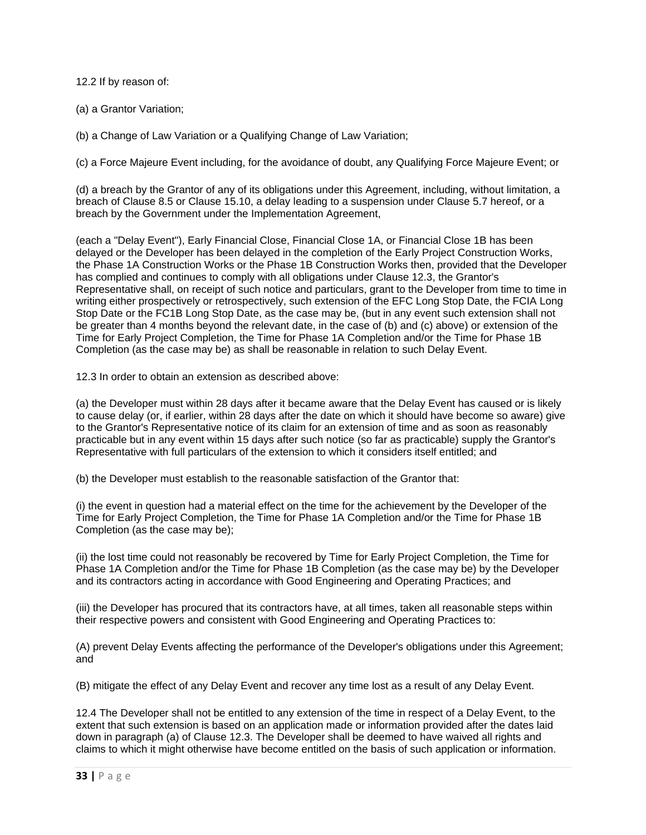12.2 If by reason of:

(a) a Grantor Variation;

(b) a Change of Law Variation or a Qualifying Change of Law Variation;

(c) a Force Majeure Event including, for the avoidance of doubt, any Qualifying Force Majeure Event; or

(d) a breach by the Grantor of any of its obligations under this Agreement, including, without limitation, a breach of Clause 8.5 or Clause 15.10, a delay leading to a suspension under Clause 5.7 hereof, or a breach by the Government under the Implementation Agreement,

(each a "Delay Event"), Early Financial Close, Financial Close 1A, or Financial Close 1B has been delayed or the Developer has been delayed in the completion of the Early Project Construction Works, the Phase 1A Construction Works or the Phase 1B Construction Works then, provided that the Developer has complied and continues to comply with all obligations under Clause 12.3, the Grantor's Representative shall, on receipt of such notice and particulars, grant to the Developer from time to time in writing either prospectively or retrospectively, such extension of the EFC Long Stop Date, the FCIA Long Stop Date or the FC1B Long Stop Date, as the case may be, (but in any event such extension shall not be greater than 4 months beyond the relevant date, in the case of (b) and (c) above) or extension of the Time for Early Project Completion, the Time for Phase 1A Completion and/or the Time for Phase 1B Completion (as the case may be) as shall be reasonable in relation to such Delay Event.

12.3 In order to obtain an extension as described above:

(a) the Developer must within 28 days after it became aware that the Delay Event has caused or is likely to cause delay (or, if earlier, within 28 days after the date on which it should have become so aware) give to the Grantor's Representative notice of its claim for an extension of time and as soon as reasonably practicable but in any event within 15 days after such notice (so far as practicable) supply the Grantor's Representative with full particulars of the extension to which it considers itself entitled; and

(b) the Developer must establish to the reasonable satisfaction of the Grantor that:

(i) the event in question had a material effect on the time for the achievement by the Developer of the Time for Early Project Completion, the Time for Phase 1A Completion and/or the Time for Phase 1B Completion (as the case may be);

(ii) the lost time could not reasonably be recovered by Time for Early Project Completion, the Time for Phase 1A Completion and/or the Time for Phase 1B Completion (as the case may be) by the Developer and its contractors acting in accordance with Good Engineering and Operating Practices; and

(iii) the Developer has procured that its contractors have, at all times, taken all reasonable steps within their respective powers and consistent with Good Engineering and Operating Practices to:

(A) prevent Delay Events affecting the performance of the Developer's obligations under this Agreement; and

(B) mitigate the effect of any Delay Event and recover any time lost as a result of any Delay Event.

12.4 The Developer shall not be entitled to any extension of the time in respect of a Delay Event, to the extent that such extension is based on an application made or information provided after the dates laid down in paragraph (a) of Clause 12.3. The Developer shall be deemed to have waived all rights and claims to which it might otherwise have become entitled on the basis of such application or information.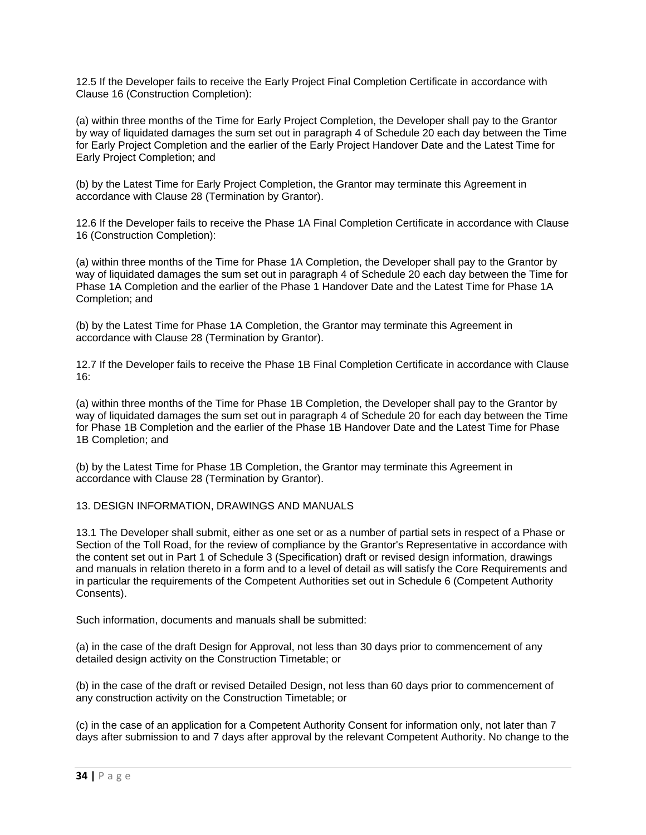12.5 If the Developer fails to receive the Early Project Final Completion Certificate in accordance with Clause 16 (Construction Completion):

(a) within three months of the Time for Early Project Completion, the Developer shall pay to the Grantor by way of liquidated damages the sum set out in paragraph 4 of Schedule 20 each day between the Time for Early Project Completion and the earlier of the Early Project Handover Date and the Latest Time for Early Project Completion; and

(b) by the Latest Time for Early Project Completion, the Grantor may terminate this Agreement in accordance with Clause 28 (Termination by Grantor).

12.6 If the Developer fails to receive the Phase 1A Final Completion Certificate in accordance with Clause 16 (Construction Completion):

(a) within three months of the Time for Phase 1A Completion, the Developer shall pay to the Grantor by way of liquidated damages the sum set out in paragraph 4 of Schedule 20 each day between the Time for Phase 1A Completion and the earlier of the Phase 1 Handover Date and the Latest Time for Phase 1A Completion; and

(b) by the Latest Time for Phase 1A Completion, the Grantor may terminate this Agreement in accordance with Clause 28 (Termination by Grantor).

12.7 If the Developer fails to receive the Phase 1B Final Completion Certificate in accordance with Clause 16:

(a) within three months of the Time for Phase 1B Completion, the Developer shall pay to the Grantor by way of liquidated damages the sum set out in paragraph 4 of Schedule 20 for each day between the Time for Phase 1B Completion and the earlier of the Phase 1B Handover Date and the Latest Time for Phase 1B Completion; and

(b) by the Latest Time for Phase 1B Completion, the Grantor may terminate this Agreement in accordance with Clause 28 (Termination by Grantor).

### 13. DESIGN INFORMATION, DRAWINGS AND MANUALS

13.1 The Developer shall submit, either as one set or as a number of partial sets in respect of a Phase or Section of the Toll Road, for the review of compliance by the Grantor's Representative in accordance with the content set out in Part 1 of Schedule 3 (Specification) draft or revised design information, drawings and manuals in relation thereto in a form and to a level of detail as will satisfy the Core Requirements and in particular the requirements of the Competent Authorities set out in Schedule 6 (Competent Authority Consents).

Such information, documents and manuals shall be submitted:

(a) in the case of the draft Design for Approval, not less than 30 days prior to commencement of any detailed design activity on the Construction Timetable; or

(b) in the case of the draft or revised Detailed Design, not less than 60 days prior to commencement of any construction activity on the Construction Timetable; or

(c) in the case of an application for a Competent Authority Consent for information only, not later than 7 days after submission to and 7 days after approval by the relevant Competent Authority. No change to the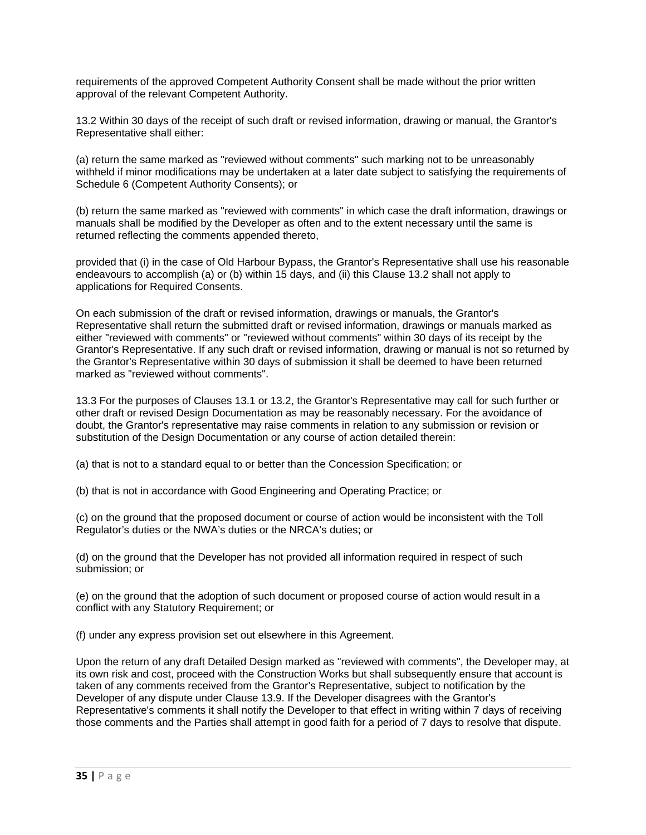requirements of the approved Competent Authority Consent shall be made without the prior written approval of the relevant Competent Authority.

13.2 Within 30 days of the receipt of such draft or revised information, drawing or manual, the Grantor's Representative shall either:

(a) return the same marked as "reviewed without comments" such marking not to be unreasonably withheld if minor modifications may be undertaken at a later date subject to satisfying the requirements of Schedule 6 (Competent Authority Consents); or

(b) return the same marked as "reviewed with comments" in which case the draft information, drawings or manuals shall be modified by the Developer as often and to the extent necessary until the same is returned reflecting the comments appended thereto,

provided that (i) in the case of Old Harbour Bypass, the Grantor's Representative shall use his reasonable endeavours to accomplish (a) or (b) within 15 days, and (ii) this Clause 13.2 shall not apply to applications for Required Consents.

On each submission of the draft or revised information, drawings or manuals, the Grantor's Representative shall return the submitted draft or revised information, drawings or manuals marked as either "reviewed with comments" or "reviewed without comments" within 30 days of its receipt by the Grantor's Representative. If any such draft or revised information, drawing or manual is not so returned by the Grantor's Representative within 30 days of submission it shall be deemed to have been returned marked as "reviewed without comments".

13.3 For the purposes of Clauses 13.1 or 13.2, the Grantor's Representative may call for such further or other draft or revised Design Documentation as may be reasonably necessary. For the avoidance of doubt, the Grantor's representative may raise comments in relation to any submission or revision or substitution of the Design Documentation or any course of action detailed therein:

(a) that is not to a standard equal to or better than the Concession Specification; or

(b) that is not in accordance with Good Engineering and Operating Practice; or

(c) on the ground that the proposed document or course of action would be inconsistent with the Toll Regulator's duties or the NWA's duties or the NRCA's duties; or

(d) on the ground that the Developer has not provided all information required in respect of such submission; or

(e) on the ground that the adoption of such document or proposed course of action would result in a conflict with any Statutory Requirement; or

(f) under any express provision set out elsewhere in this Agreement.

Upon the return of any draft Detailed Design marked as "reviewed with comments", the Developer may, at its own risk and cost, proceed with the Construction Works but shall subsequently ensure that account is taken of any comments received from the Grantor's Representative, subject to notification by the Developer of any dispute under Clause 13.9. If the Developer disagrees with the Grantor's Representative's comments it shall notify the Developer to that effect in writing within 7 days of receiving those comments and the Parties shall attempt in good faith for a period of 7 days to resolve that dispute.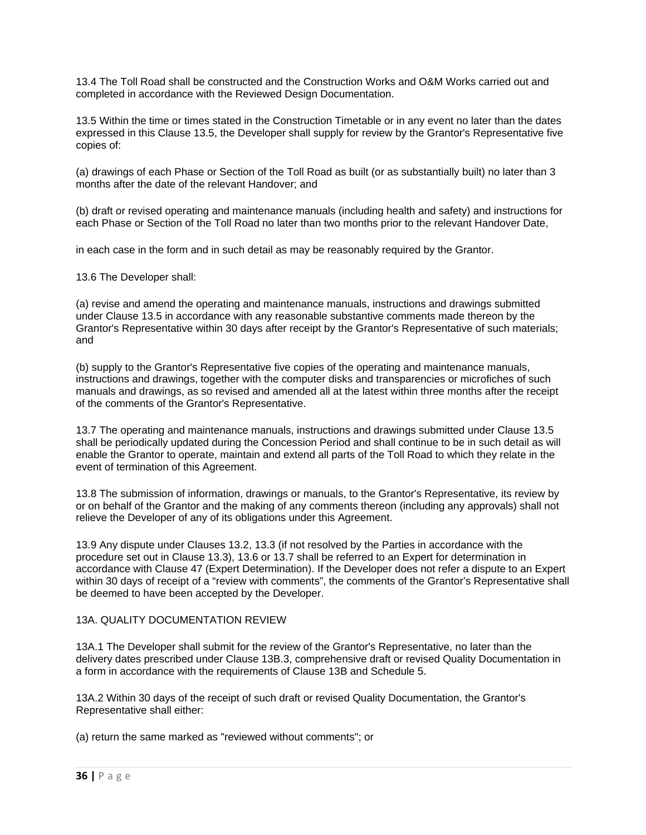13.4 The Toll Road shall be constructed and the Construction Works and O&M Works carried out and completed in accordance with the Reviewed Design Documentation.

13.5 Within the time or times stated in the Construction Timetable or in any event no later than the dates expressed in this Clause 13.5, the Developer shall supply for review by the Grantor's Representative five copies of:

(a) drawings of each Phase or Section of the Toll Road as built (or as substantially built) no later than 3 months after the date of the relevant Handover; and

(b) draft or revised operating and maintenance manuals (including health and safety) and instructions for each Phase or Section of the Toll Road no later than two months prior to the relevant Handover Date,

in each case in the form and in such detail as may be reasonably required by the Grantor.

13.6 The Developer shall:

(a) revise and amend the operating and maintenance manuals, instructions and drawings submitted under Clause 13.5 in accordance with any reasonable substantive comments made thereon by the Grantor's Representative within 30 days after receipt by the Grantor's Representative of such materials; and

(b) supply to the Grantor's Representative five copies of the operating and maintenance manuals, instructions and drawings, together with the computer disks and transparencies or microfiches of such manuals and drawings, as so revised and amended all at the latest within three months after the receipt of the comments of the Grantor's Representative.

13.7 The operating and maintenance manuals, instructions and drawings submitted under Clause 13.5 shall be periodically updated during the Concession Period and shall continue to be in such detail as will enable the Grantor to operate, maintain and extend all parts of the Toll Road to which they relate in the event of termination of this Agreement.

13.8 The submission of information, drawings or manuals, to the Grantor's Representative, its review by or on behalf of the Grantor and the making of any comments thereon (including any approvals) shall not relieve the Developer of any of its obligations under this Agreement.

13.9 Any dispute under Clauses 13.2, 13.3 (if not resolved by the Parties in accordance with the procedure set out in Clause 13.3), 13.6 or 13.7 shall be referred to an Expert for determination in accordance with Clause 47 (Expert Determination). If the Developer does not refer a dispute to an Expert within 30 days of receipt of a "review with comments", the comments of the Grantor's Representative shall be deemed to have been accepted by the Developer.

## 13A. QUALITY DOCUMENTATION REVIEW

13A.1 The Developer shall submit for the review of the Grantor's Representative, no later than the delivery dates prescribed under Clause 13B.3, comprehensive draft or revised Quality Documentation in a form in accordance with the requirements of Clause 13B and Schedule 5.

13A.2 Within 30 days of the receipt of such draft or revised Quality Documentation, the Grantor's Representative shall either:

(a) return the same marked as "reviewed without comments"; or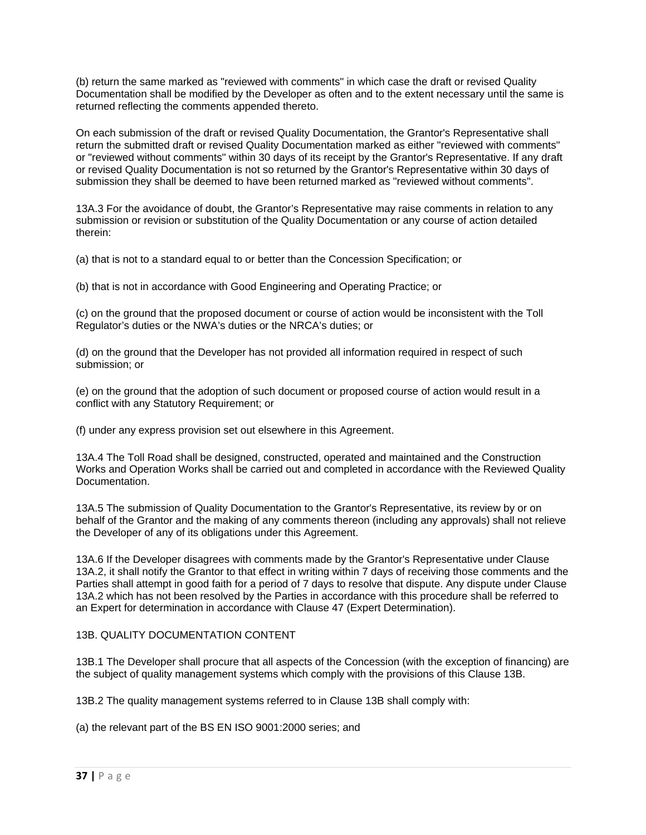(b) return the same marked as "reviewed with comments" in which case the draft or revised Quality Documentation shall be modified by the Developer as often and to the extent necessary until the same is returned reflecting the comments appended thereto.

On each submission of the draft or revised Quality Documentation, the Grantor's Representative shall return the submitted draft or revised Quality Documentation marked as either "reviewed with comments" or "reviewed without comments" within 30 days of its receipt by the Grantor's Representative. If any draft or revised Quality Documentation is not so returned by the Grantor's Representative within 30 days of submission they shall be deemed to have been returned marked as "reviewed without comments".

13A.3 For the avoidance of doubt, the Grantor's Representative may raise comments in relation to any submission or revision or substitution of the Quality Documentation or any course of action detailed therein:

(a) that is not to a standard equal to or better than the Concession Specification; or

(b) that is not in accordance with Good Engineering and Operating Practice; or

(c) on the ground that the proposed document or course of action would be inconsistent with the Toll Regulator's duties or the NWA's duties or the NRCA's duties; or

(d) on the ground that the Developer has not provided all information required in respect of such submission; or

(e) on the ground that the adoption of such document or proposed course of action would result in a conflict with any Statutory Requirement; or

(f) under any express provision set out elsewhere in this Agreement.

13A.4 The Toll Road shall be designed, constructed, operated and maintained and the Construction Works and Operation Works shall be carried out and completed in accordance with the Reviewed Quality Documentation.

13A.5 The submission of Quality Documentation to the Grantor's Representative, its review by or on behalf of the Grantor and the making of any comments thereon (including any approvals) shall not relieve the Developer of any of its obligations under this Agreement.

13A.6 If the Developer disagrees with comments made by the Grantor's Representative under Clause 13A.2, it shall notify the Grantor to that effect in writing within 7 days of receiving those comments and the Parties shall attempt in good faith for a period of 7 days to resolve that dispute. Any dispute under Clause 13A.2 which has not been resolved by the Parties in accordance with this procedure shall be referred to an Expert for determination in accordance with Clause 47 (Expert Determination).

## 13B. QUALITY DOCUMENTATION CONTENT

13B.1 The Developer shall procure that all aspects of the Concession (with the exception of financing) are the subject of quality management systems which comply with the provisions of this Clause 13B.

13B.2 The quality management systems referred to in Clause 13B shall comply with:

(a) the relevant part of the BS EN ISO 9001:2000 series; and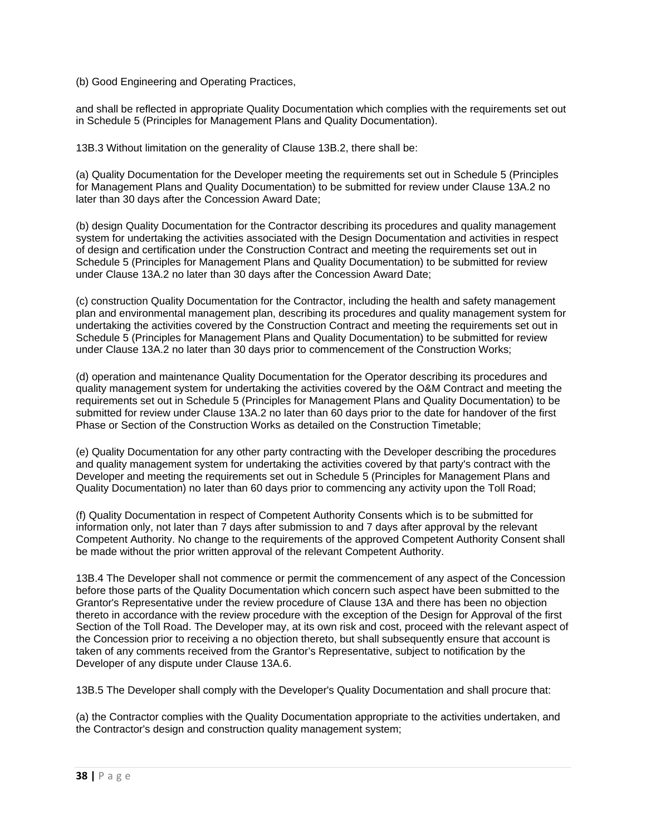(b) Good Engineering and Operating Practices,

and shall be reflected in appropriate Quality Documentation which complies with the requirements set out in Schedule 5 (Principles for Management Plans and Quality Documentation).

13B.3 Without limitation on the generality of Clause 13B.2, there shall be:

(a) Quality Documentation for the Developer meeting the requirements set out in Schedule 5 (Principles for Management Plans and Quality Documentation) to be submitted for review under Clause 13A.2 no later than 30 days after the Concession Award Date;

(b) design Quality Documentation for the Contractor describing its procedures and quality management system for undertaking the activities associated with the Design Documentation and activities in respect of design and certification under the Construction Contract and meeting the requirements set out in Schedule 5 (Principles for Management Plans and Quality Documentation) to be submitted for review under Clause 13A.2 no later than 30 days after the Concession Award Date;

(c) construction Quality Documentation for the Contractor, including the health and safety management plan and environmental management plan, describing its procedures and quality management system for undertaking the activities covered by the Construction Contract and meeting the requirements set out in Schedule 5 (Principles for Management Plans and Quality Documentation) to be submitted for review under Clause 13A.2 no later than 30 days prior to commencement of the Construction Works;

(d) operation and maintenance Quality Documentation for the Operator describing its procedures and quality management system for undertaking the activities covered by the O&M Contract and meeting the requirements set out in Schedule 5 (Principles for Management Plans and Quality Documentation) to be submitted for review under Clause 13A.2 no later than 60 days prior to the date for handover of the first Phase or Section of the Construction Works as detailed on the Construction Timetable;

(e) Quality Documentation for any other party contracting with the Developer describing the procedures and quality management system for undertaking the activities covered by that party's contract with the Developer and meeting the requirements set out in Schedule 5 (Principles for Management Plans and Quality Documentation) no later than 60 days prior to commencing any activity upon the Toll Road;

(f) Quality Documentation in respect of Competent Authority Consents which is to be submitted for information only, not later than 7 days after submission to and 7 days after approval by the relevant Competent Authority. No change to the requirements of the approved Competent Authority Consent shall be made without the prior written approval of the relevant Competent Authority.

13B.4 The Developer shall not commence or permit the commencement of any aspect of the Concession before those parts of the Quality Documentation which concern such aspect have been submitted to the Grantor's Representative under the review procedure of Clause 13A and there has been no objection thereto in accordance with the review procedure with the exception of the Design for Approval of the first Section of the Toll Road. The Developer may, at its own risk and cost, proceed with the relevant aspect of the Concession prior to receiving a no objection thereto, but shall subsequently ensure that account is taken of any comments received from the Grantor's Representative, subject to notification by the Developer of any dispute under Clause 13A.6.

13B.5 The Developer shall comply with the Developer's Quality Documentation and shall procure that:

(a) the Contractor complies with the Quality Documentation appropriate to the activities undertaken, and the Contractor's design and construction quality management system;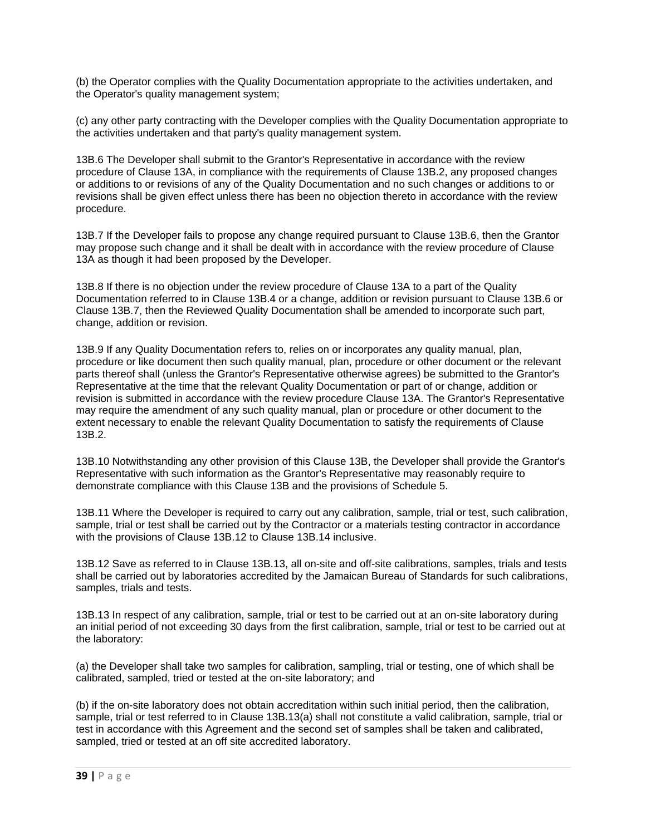(b) the Operator complies with the Quality Documentation appropriate to the activities undertaken, and the Operator's quality management system;

(c) any other party contracting with the Developer complies with the Quality Documentation appropriate to the activities undertaken and that party's quality management system.

13B.6 The Developer shall submit to the Grantor's Representative in accordance with the review procedure of Clause 13A, in compliance with the requirements of Clause 13B.2, any proposed changes or additions to or revisions of any of the Quality Documentation and no such changes or additions to or revisions shall be given effect unless there has been no objection thereto in accordance with the review procedure.

13B.7 If the Developer fails to propose any change required pursuant to Clause 13B.6, then the Grantor may propose such change and it shall be dealt with in accordance with the review procedure of Clause 13A as though it had been proposed by the Developer.

13B.8 If there is no objection under the review procedure of Clause 13A to a part of the Quality Documentation referred to in Clause 13B.4 or a change, addition or revision pursuant to Clause 13B.6 or Clause 13B.7, then the Reviewed Quality Documentation shall be amended to incorporate such part, change, addition or revision.

13B.9 If any Quality Documentation refers to, relies on or incorporates any quality manual, plan, procedure or like document then such quality manual, plan, procedure or other document or the relevant parts thereof shall (unless the Grantor's Representative otherwise agrees) be submitted to the Grantor's Representative at the time that the relevant Quality Documentation or part of or change, addition or revision is submitted in accordance with the review procedure Clause 13A. The Grantor's Representative may require the amendment of any such quality manual, plan or procedure or other document to the extent necessary to enable the relevant Quality Documentation to satisfy the requirements of Clause 13B.2.

13B.10 Notwithstanding any other provision of this Clause 13B, the Developer shall provide the Grantor's Representative with such information as the Grantor's Representative may reasonably require to demonstrate compliance with this Clause 13B and the provisions of Schedule 5.

13B.11 Where the Developer is required to carry out any calibration, sample, trial or test, such calibration, sample, trial or test shall be carried out by the Contractor or a materials testing contractor in accordance with the provisions of Clause 13B.12 to Clause 13B.14 inclusive.

13B.12 Save as referred to in Clause 13B.13, all on-site and off-site calibrations, samples, trials and tests shall be carried out by laboratories accredited by the Jamaican Bureau of Standards for such calibrations, samples, trials and tests.

13B.13 In respect of any calibration, sample, trial or test to be carried out at an on-site laboratory during an initial period of not exceeding 30 days from the first calibration, sample, trial or test to be carried out at the laboratory:

(a) the Developer shall take two samples for calibration, sampling, trial or testing, one of which shall be calibrated, sampled, tried or tested at the on-site laboratory; and

(b) if the on-site laboratory does not obtain accreditation within such initial period, then the calibration, sample, trial or test referred to in Clause 13B.13(a) shall not constitute a valid calibration, sample, trial or test in accordance with this Agreement and the second set of samples shall be taken and calibrated, sampled, tried or tested at an off site accredited laboratory.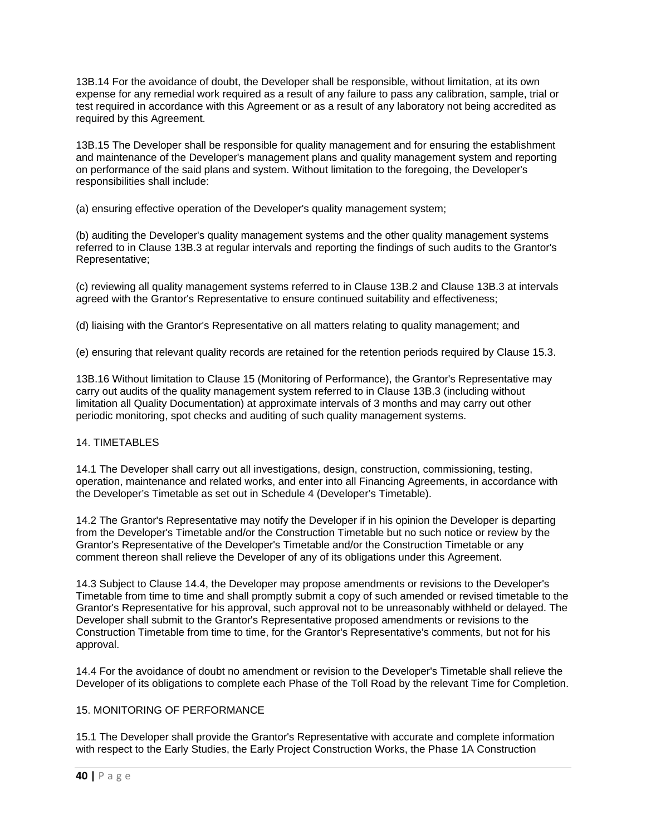13B.14 For the avoidance of doubt, the Developer shall be responsible, without limitation, at its own expense for any remedial work required as a result of any failure to pass any calibration, sample, trial or test required in accordance with this Agreement or as a result of any laboratory not being accredited as required by this Agreement.

13B.15 The Developer shall be responsible for quality management and for ensuring the establishment and maintenance of the Developer's management plans and quality management system and reporting on performance of the said plans and system. Without limitation to the foregoing, the Developer's responsibilities shall include:

(a) ensuring effective operation of the Developer's quality management system;

(b) auditing the Developer's quality management systems and the other quality management systems referred to in Clause 13B.3 at regular intervals and reporting the findings of such audits to the Grantor's Representative;

(c) reviewing all quality management systems referred to in Clause 13B.2 and Clause 13B.3 at intervals agreed with the Grantor's Representative to ensure continued suitability and effectiveness;

(d) liaising with the Grantor's Representative on all matters relating to quality management; and

(e) ensuring that relevant quality records are retained for the retention periods required by Clause 15.3.

13B.16 Without limitation to Clause 15 (Monitoring of Performance), the Grantor's Representative may carry out audits of the quality management system referred to in Clause 13B.3 (including without limitation all Quality Documentation) at approximate intervals of 3 months and may carry out other periodic monitoring, spot checks and auditing of such quality management systems.

## 14. TIMETABLES

14.1 The Developer shall carry out all investigations, design, construction, commissioning, testing, operation, maintenance and related works, and enter into all Financing Agreements, in accordance with the Developer's Timetable as set out in Schedule 4 (Developer's Timetable).

14.2 The Grantor's Representative may notify the Developer if in his opinion the Developer is departing from the Developer's Timetable and/or the Construction Timetable but no such notice or review by the Grantor's Representative of the Developer's Timetable and/or the Construction Timetable or any comment thereon shall relieve the Developer of any of its obligations under this Agreement.

14.3 Subject to Clause 14.4, the Developer may propose amendments or revisions to the Developer's Timetable from time to time and shall promptly submit a copy of such amended or revised timetable to the Grantor's Representative for his approval, such approval not to be unreasonably withheld or delayed. The Developer shall submit to the Grantor's Representative proposed amendments or revisions to the Construction Timetable from time to time, for the Grantor's Representative's comments, but not for his approval.

14.4 For the avoidance of doubt no amendment or revision to the Developer's Timetable shall relieve the Developer of its obligations to complete each Phase of the Toll Road by the relevant Time for Completion.

## 15. MONITORING OF PERFORMANCE

15.1 The Developer shall provide the Grantor's Representative with accurate and complete information with respect to the Early Studies, the Early Project Construction Works, the Phase 1A Construction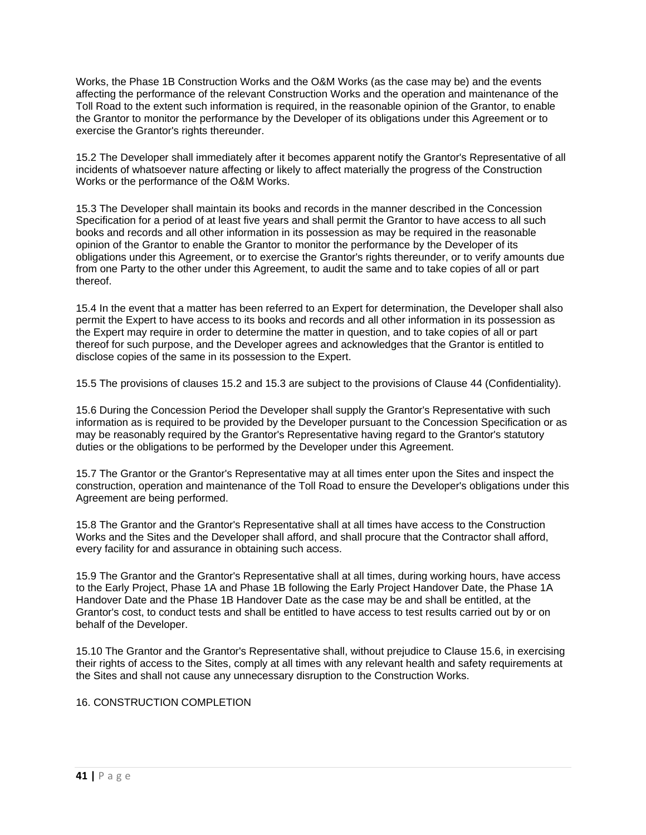Works, the Phase 1B Construction Works and the O&M Works (as the case may be) and the events affecting the performance of the relevant Construction Works and the operation and maintenance of the Toll Road to the extent such information is required, in the reasonable opinion of the Grantor, to enable the Grantor to monitor the performance by the Developer of its obligations under this Agreement or to exercise the Grantor's rights thereunder.

15.2 The Developer shall immediately after it becomes apparent notify the Grantor's Representative of all incidents of whatsoever nature affecting or likely to affect materially the progress of the Construction Works or the performance of the O&M Works.

15.3 The Developer shall maintain its books and records in the manner described in the Concession Specification for a period of at least five years and shall permit the Grantor to have access to all such books and records and all other information in its possession as may be required in the reasonable opinion of the Grantor to enable the Grantor to monitor the performance by the Developer of its obligations under this Agreement, or to exercise the Grantor's rights thereunder, or to verify amounts due from one Party to the other under this Agreement, to audit the same and to take copies of all or part thereof.

15.4 In the event that a matter has been referred to an Expert for determination, the Developer shall also permit the Expert to have access to its books and records and all other information in its possession as the Expert may require in order to determine the matter in question, and to take copies of all or part thereof for such purpose, and the Developer agrees and acknowledges that the Grantor is entitled to disclose copies of the same in its possession to the Expert.

15.5 The provisions of clauses 15.2 and 15.3 are subject to the provisions of Clause 44 (Confidentiality).

15.6 During the Concession Period the Developer shall supply the Grantor's Representative with such information as is required to be provided by the Developer pursuant to the Concession Specification or as may be reasonably required by the Grantor's Representative having regard to the Grantor's statutory duties or the obligations to be performed by the Developer under this Agreement.

15.7 The Grantor or the Grantor's Representative may at all times enter upon the Sites and inspect the construction, operation and maintenance of the Toll Road to ensure the Developer's obligations under this Agreement are being performed.

15.8 The Grantor and the Grantor's Representative shall at all times have access to the Construction Works and the Sites and the Developer shall afford, and shall procure that the Contractor shall afford, every facility for and assurance in obtaining such access.

15.9 The Grantor and the Grantor's Representative shall at all times, during working hours, have access to the Early Project, Phase 1A and Phase 1B following the Early Project Handover Date, the Phase 1A Handover Date and the Phase 1B Handover Date as the case may be and shall be entitled, at the Grantor's cost, to conduct tests and shall be entitled to have access to test results carried out by or on behalf of the Developer.

15.10 The Grantor and the Grantor's Representative shall, without prejudice to Clause 15.6, in exercising their rights of access to the Sites, comply at all times with any relevant health and safety requirements at the Sites and shall not cause any unnecessary disruption to the Construction Works.

## 16. CONSTRUCTION COMPLETION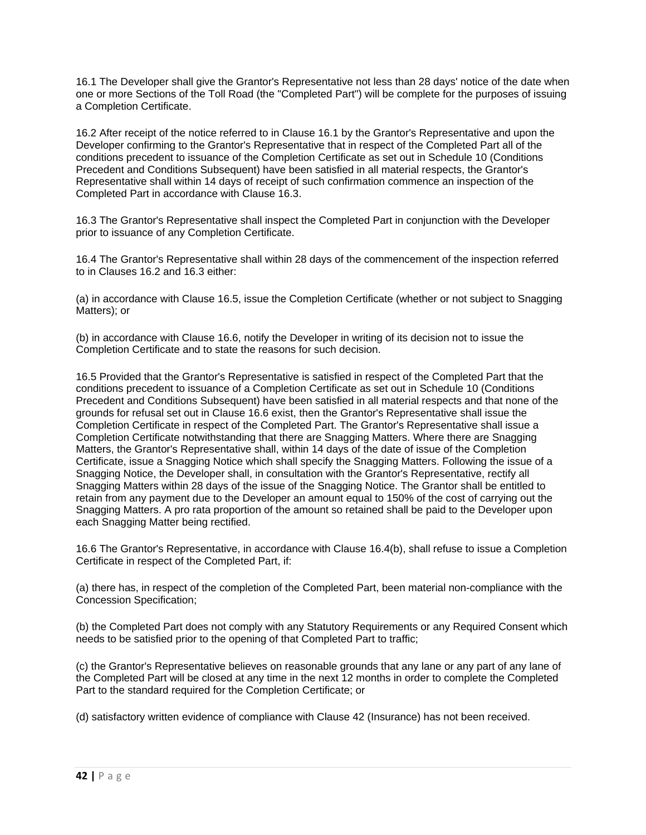16.1 The Developer shall give the Grantor's Representative not less than 28 days' notice of the date when one or more Sections of the Toll Road (the "Completed Part") will be complete for the purposes of issuing a Completion Certificate.

16.2 After receipt of the notice referred to in Clause 16.1 by the Grantor's Representative and upon the Developer confirming to the Grantor's Representative that in respect of the Completed Part all of the conditions precedent to issuance of the Completion Certificate as set out in Schedule 10 (Conditions Precedent and Conditions Subsequent) have been satisfied in all material respects, the Grantor's Representative shall within 14 days of receipt of such confirmation commence an inspection of the Completed Part in accordance with Clause 16.3.

16.3 The Grantor's Representative shall inspect the Completed Part in conjunction with the Developer prior to issuance of any Completion Certificate.

16.4 The Grantor's Representative shall within 28 days of the commencement of the inspection referred to in Clauses 16.2 and 16.3 either:

(a) in accordance with Clause 16.5, issue the Completion Certificate (whether or not subject to Snagging Matters); or

(b) in accordance with Clause 16.6, notify the Developer in writing of its decision not to issue the Completion Certificate and to state the reasons for such decision.

16.5 Provided that the Grantor's Representative is satisfied in respect of the Completed Part that the conditions precedent to issuance of a Completion Certificate as set out in Schedule 10 (Conditions Precedent and Conditions Subsequent) have been satisfied in all material respects and that none of the grounds for refusal set out in Clause 16.6 exist, then the Grantor's Representative shall issue the Completion Certificate in respect of the Completed Part. The Grantor's Representative shall issue a Completion Certificate notwithstanding that there are Snagging Matters. Where there are Snagging Matters, the Grantor's Representative shall, within 14 days of the date of issue of the Completion Certificate, issue a Snagging Notice which shall specify the Snagging Matters. Following the issue of a Snagging Notice, the Developer shall, in consultation with the Grantor's Representative, rectify all Snagging Matters within 28 days of the issue of the Snagging Notice. The Grantor shall be entitled to retain from any payment due to the Developer an amount equal to 150% of the cost of carrying out the Snagging Matters. A pro rata proportion of the amount so retained shall be paid to the Developer upon each Snagging Matter being rectified.

16.6 The Grantor's Representative, in accordance with Clause 16.4(b), shall refuse to issue a Completion Certificate in respect of the Completed Part, if:

(a) there has, in respect of the completion of the Completed Part, been material non-compliance with the Concession Specification;

(b) the Completed Part does not comply with any Statutory Requirements or any Required Consent which needs to be satisfied prior to the opening of that Completed Part to traffic;

(c) the Grantor's Representative believes on reasonable grounds that any lane or any part of any lane of the Completed Part will be closed at any time in the next 12 months in order to complete the Completed Part to the standard required for the Completion Certificate; or

(d) satisfactory written evidence of compliance with Clause 42 (Insurance) has not been received.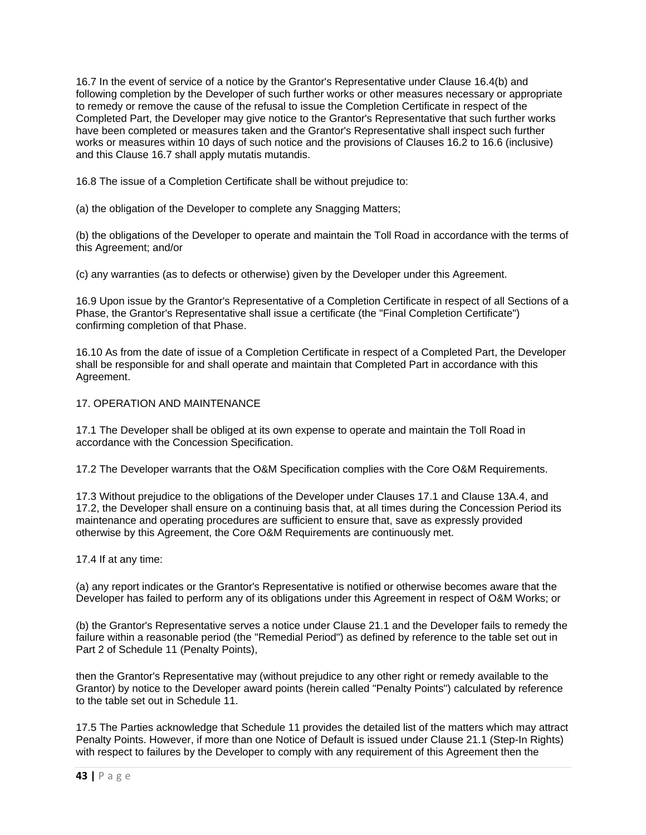16.7 In the event of service of a notice by the Grantor's Representative under Clause 16.4(b) and following completion by the Developer of such further works or other measures necessary or appropriate to remedy or remove the cause of the refusal to issue the Completion Certificate in respect of the Completed Part, the Developer may give notice to the Grantor's Representative that such further works have been completed or measures taken and the Grantor's Representative shall inspect such further works or measures within 10 days of such notice and the provisions of Clauses 16.2 to 16.6 (inclusive) and this Clause 16.7 shall apply mutatis mutandis.

16.8 The issue of a Completion Certificate shall be without prejudice to:

(a) the obligation of the Developer to complete any Snagging Matters;

(b) the obligations of the Developer to operate and maintain the Toll Road in accordance with the terms of this Agreement; and/or

(c) any warranties (as to defects or otherwise) given by the Developer under this Agreement.

16.9 Upon issue by the Grantor's Representative of a Completion Certificate in respect of all Sections of a Phase, the Grantor's Representative shall issue a certificate (the "Final Completion Certificate") confirming completion of that Phase.

16.10 As from the date of issue of a Completion Certificate in respect of a Completed Part, the Developer shall be responsible for and shall operate and maintain that Completed Part in accordance with this Agreement.

### 17. OPERATION AND MAINTENANCE

17.1 The Developer shall be obliged at its own expense to operate and maintain the Toll Road in accordance with the Concession Specification.

17.2 The Developer warrants that the O&M Specification complies with the Core O&M Requirements.

17.3 Without prejudice to the obligations of the Developer under Clauses 17.1 and Clause 13A.4, and 17.2, the Developer shall ensure on a continuing basis that, at all times during the Concession Period its maintenance and operating procedures are sufficient to ensure that, save as expressly provided otherwise by this Agreement, the Core O&M Requirements are continuously met.

#### 17.4 If at any time:

(a) any report indicates or the Grantor's Representative is notified or otherwise becomes aware that the Developer has failed to perform any of its obligations under this Agreement in respect of O&M Works; or

(b) the Grantor's Representative serves a notice under Clause 21.1 and the Developer fails to remedy the failure within a reasonable period (the "Remedial Period") as defined by reference to the table set out in Part 2 of Schedule 11 (Penalty Points),

then the Grantor's Representative may (without prejudice to any other right or remedy available to the Grantor) by notice to the Developer award points (herein called "Penalty Points") calculated by reference to the table set out in Schedule 11.

17.5 The Parties acknowledge that Schedule 11 provides the detailed list of the matters which may attract Penalty Points. However, if more than one Notice of Default is issued under Clause 21.1 (Step-In Rights) with respect to failures by the Developer to comply with any requirement of this Agreement then the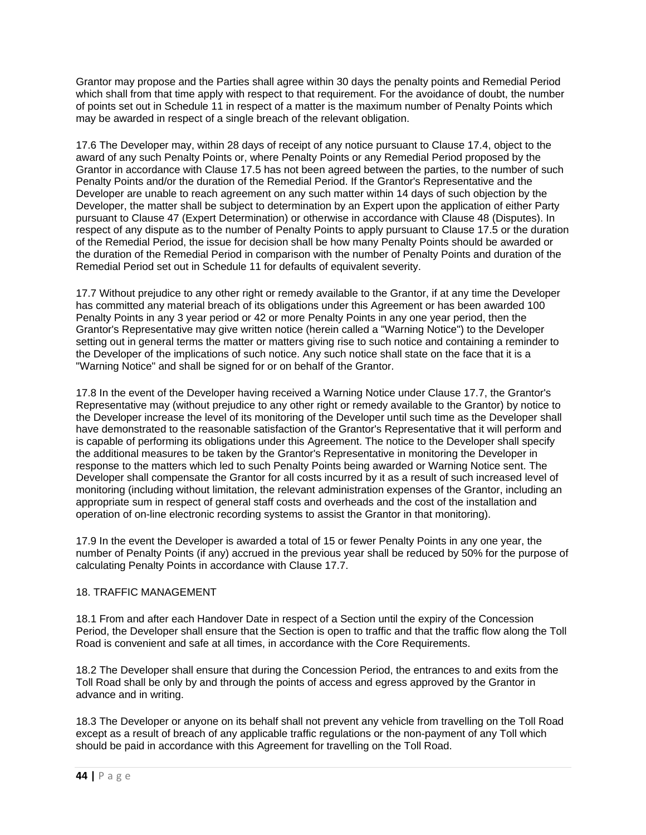Grantor may propose and the Parties shall agree within 30 days the penalty points and Remedial Period which shall from that time apply with respect to that requirement. For the avoidance of doubt, the number of points set out in Schedule 11 in respect of a matter is the maximum number of Penalty Points which may be awarded in respect of a single breach of the relevant obligation.

17.6 The Developer may, within 28 days of receipt of any notice pursuant to Clause 17.4, object to the award of any such Penalty Points or, where Penalty Points or any Remedial Period proposed by the Grantor in accordance with Clause 17.5 has not been agreed between the parties, to the number of such Penalty Points and/or the duration of the Remedial Period. If the Grantor's Representative and the Developer are unable to reach agreement on any such matter within 14 days of such objection by the Developer, the matter shall be subject to determination by an Expert upon the application of either Party pursuant to Clause 47 (Expert Determination) or otherwise in accordance with Clause 48 (Disputes). In respect of any dispute as to the number of Penalty Points to apply pursuant to Clause 17.5 or the duration of the Remedial Period, the issue for decision shall be how many Penalty Points should be awarded or the duration of the Remedial Period in comparison with the number of Penalty Points and duration of the Remedial Period set out in Schedule 11 for defaults of equivalent severity.

17.7 Without prejudice to any other right or remedy available to the Grantor, if at any time the Developer has committed any material breach of its obligations under this Agreement or has been awarded 100 Penalty Points in any 3 year period or 42 or more Penalty Points in any one year period, then the Grantor's Representative may give written notice (herein called a "Warning Notice") to the Developer setting out in general terms the matter or matters giving rise to such notice and containing a reminder to the Developer of the implications of such notice. Any such notice shall state on the face that it is a "Warning Notice" and shall be signed for or on behalf of the Grantor.

17.8 In the event of the Developer having received a Warning Notice under Clause 17.7, the Grantor's Representative may (without prejudice to any other right or remedy available to the Grantor) by notice to the Developer increase the level of its monitoring of the Developer until such time as the Developer shall have demonstrated to the reasonable satisfaction of the Grantor's Representative that it will perform and is capable of performing its obligations under this Agreement. The notice to the Developer shall specify the additional measures to be taken by the Grantor's Representative in monitoring the Developer in response to the matters which led to such Penalty Points being awarded or Warning Notice sent. The Developer shall compensate the Grantor for all costs incurred by it as a result of such increased level of monitoring (including without limitation, the relevant administration expenses of the Grantor, including an appropriate sum in respect of general staff costs and overheads and the cost of the installation and operation of on-line electronic recording systems to assist the Grantor in that monitoring).

17.9 In the event the Developer is awarded a total of 15 or fewer Penalty Points in any one year, the number of Penalty Points (if any) accrued in the previous year shall be reduced by 50% for the purpose of calculating Penalty Points in accordance with Clause 17.7.

## 18. TRAFFIC MANAGEMENT

18.1 From and after each Handover Date in respect of a Section until the expiry of the Concession Period, the Developer shall ensure that the Section is open to traffic and that the traffic flow along the Toll Road is convenient and safe at all times, in accordance with the Core Requirements.

18.2 The Developer shall ensure that during the Concession Period, the entrances to and exits from the Toll Road shall be only by and through the points of access and egress approved by the Grantor in advance and in writing.

18.3 The Developer or anyone on its behalf shall not prevent any vehicle from travelling on the Toll Road except as a result of breach of any applicable traffic regulations or the non-payment of any Toll which should be paid in accordance with this Agreement for travelling on the Toll Road.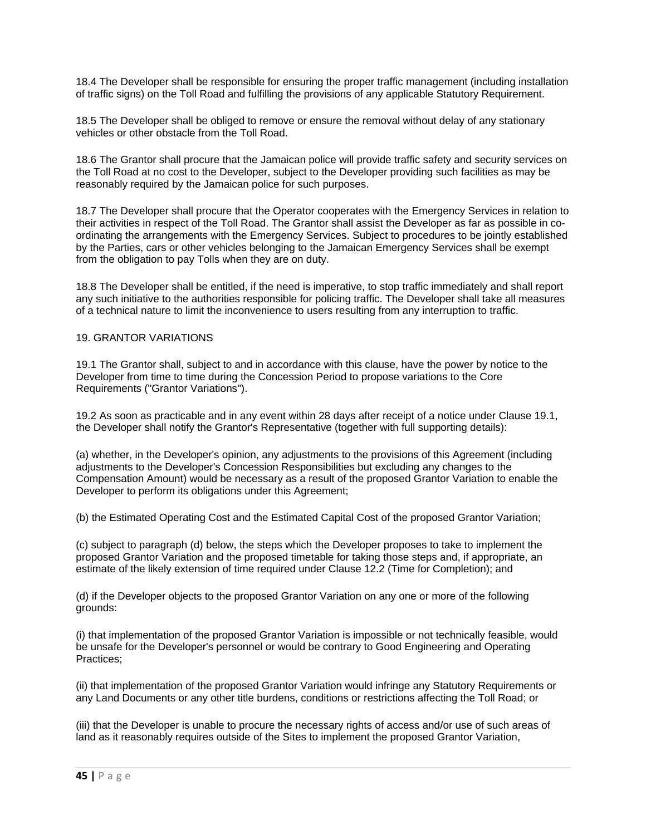18.4 The Developer shall be responsible for ensuring the proper traffic management (including installation of traffic signs) on the Toll Road and fulfilling the provisions of any applicable Statutory Requirement.

18.5 The Developer shall be obliged to remove or ensure the removal without delay of any stationary vehicles or other obstacle from the Toll Road.

18.6 The Grantor shall procure that the Jamaican police will provide traffic safety and security services on the Toll Road at no cost to the Developer, subject to the Developer providing such facilities as may be reasonably required by the Jamaican police for such purposes.

18.7 The Developer shall procure that the Operator cooperates with the Emergency Services in relation to their activities in respect of the Toll Road. The Grantor shall assist the Developer as far as possible in coordinating the arrangements with the Emergency Services. Subject to procedures to be jointly established by the Parties, cars or other vehicles belonging to the Jamaican Emergency Services shall be exempt from the obligation to pay Tolls when they are on duty.

18.8 The Developer shall be entitled, if the need is imperative, to stop traffic immediately and shall report any such initiative to the authorities responsible for policing traffic. The Developer shall take all measures of a technical nature to limit the inconvenience to users resulting from any interruption to traffic.

### 19. GRANTOR VARIATIONS

19.1 The Grantor shall, subject to and in accordance with this clause, have the power by notice to the Developer from time to time during the Concession Period to propose variations to the Core Requirements ("Grantor Variations").

19.2 As soon as practicable and in any event within 28 days after receipt of a notice under Clause 19.1, the Developer shall notify the Grantor's Representative (together with full supporting details):

(a) whether, in the Developer's opinion, any adjustments to the provisions of this Agreement (including adjustments to the Developer's Concession Responsibilities but excluding any changes to the Compensation Amount) would be necessary as a result of the proposed Grantor Variation to enable the Developer to perform its obligations under this Agreement;

(b) the Estimated Operating Cost and the Estimated Capital Cost of the proposed Grantor Variation;

(c) subject to paragraph (d) below, the steps which the Developer proposes to take to implement the proposed Grantor Variation and the proposed timetable for taking those steps and, if appropriate, an estimate of the likely extension of time required under Clause 12.2 (Time for Completion); and

(d) if the Developer objects to the proposed Grantor Variation on any one or more of the following grounds:

(i) that implementation of the proposed Grantor Variation is impossible or not technically feasible, would be unsafe for the Developer's personnel or would be contrary to Good Engineering and Operating Practices;

(ii) that implementation of the proposed Grantor Variation would infringe any Statutory Requirements or any Land Documents or any other title burdens, conditions or restrictions affecting the Toll Road; or

(iii) that the Developer is unable to procure the necessary rights of access and/or use of such areas of land as it reasonably requires outside of the Sites to implement the proposed Grantor Variation,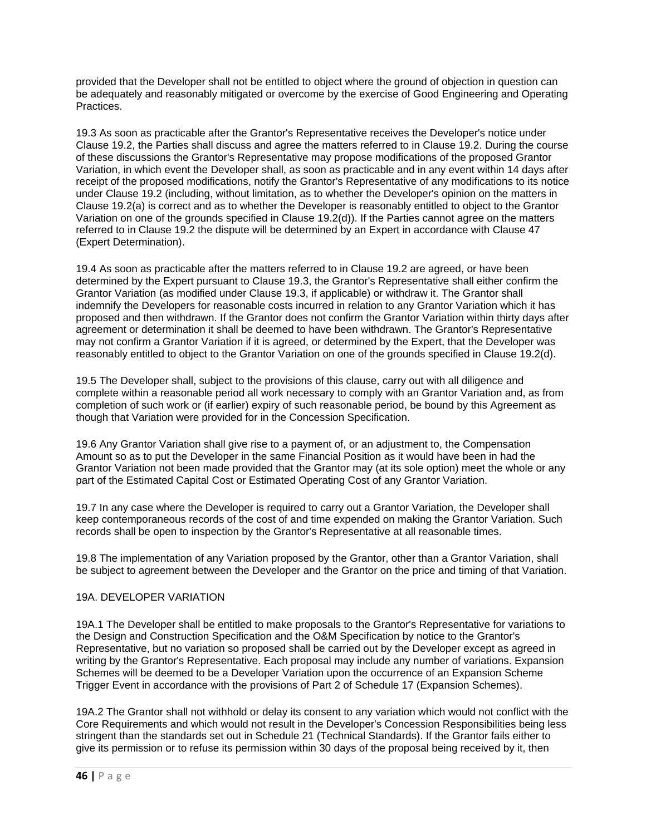provided that the Developer shall not be entitled to object where the ground of objection in question can be adequately and reasonably mitigated or overcome by the exercise of Good Engineering and Operating Practices.

19.3 As soon as practicable after the Grantor's Representative receives the Developer's notice under Clause 19.2, the Parties shall discuss and agree the matters referred to in Clause 19.2. During the course of these discussions the Grantor's Representative may propose modifications of the proposed Grantor Variation, in which event the Developer shall, as soon as practicable and in any event within 14 days after receipt of the proposed modifications, notify the Grantor's Representative of any modifications to its notice under Clause 19.2 (including, without limitation, as to whether the Developer's opinion on the matters in Clause 19.2(a) is correct and as to whether the Developer is reasonably entitled to object to the Grantor Variation on one of the grounds specified in Clause 19.2(d)). If the Parties cannot agree on the matters referred to in Clause 19.2 the dispute will be determined by an Expert in accordance with Clause 47 (Expert Determination).

19.4 As soon as practicable after the matters referred to in Clause 19.2 are agreed, or have been determined by the Expert pursuant to Clause 19.3, the Grantor's Representative shall either confirm the Grantor Variation (as modified under Clause 19.3, if applicable) or withdraw it. The Grantor shall indemnify the Developers for reasonable costs incurred in relation to any Grantor Variation which it has proposed and then withdrawn. If the Grantor does not confirm the Grantor Variation within thirty days after agreement or determination it shall be deemed to have been withdrawn. The Grantor's Representative may not confirm a Grantor Variation if it is agreed, or determined by the Expert, that the Developer was reasonably entitled to object to the Grantor Variation on one of the grounds specified in Clause 19.2(d).

19.5 The Developer shall, subject to the provisions of this clause, carry out with all diligence and complete within a reasonable period all work necessary to comply with an Grantor Variation and, as from completion of such work or (if earlier) expiry of such reasonable period, be bound by this Agreement as though that Variation were provided for in the Concession Specification.

19.6 Any Grantor Variation shall give rise to a payment of, or an adjustment to, the Compensation Amount so as to put the Developer in the same Financial Position as it would have been in had the Grantor Variation not been made provided that the Grantor may (at its sole option) meet the whole or any part of the Estimated Capital Cost or Estimated Operating Cost of any Grantor Variation.

19.7 In any case where the Developer is required to carry out a Grantor Variation, the Developer shall keep contemporaneous records of the cost of and time expended on making the Grantor Variation. Such records shall be open to inspection by the Grantor's Representative at all reasonable times.

19.8 The implementation of any Variation proposed by the Grantor, other than a Grantor Variation, shall be subject to agreement between the Developer and the Grantor on the price and timing of that Variation.

## 19A. DEVELOPER VARIATION

19A.1 The Developer shall be entitled to make proposals to the Grantor's Representative for variations to the Design and Construction Specification and the O&M Specification by notice to the Grantor's Representative, but no variation so proposed shall be carried out by the Developer except as agreed in writing by the Grantor's Representative. Each proposal may include any number of variations. Expansion Schemes will be deemed to be a Developer Variation upon the occurrence of an Expansion Scheme Trigger Event in accordance with the provisions of Part 2 of Schedule 17 (Expansion Schemes).

19A.2 The Grantor shall not withhold or delay its consent to any variation which would not conflict with the Core Requirements and which would not result in the Developer's Concession Responsibilities being less stringent than the standards set out in Schedule 21 (Technical Standards). If the Grantor fails either to give its permission or to refuse its permission within 30 days of the proposal being received by it, then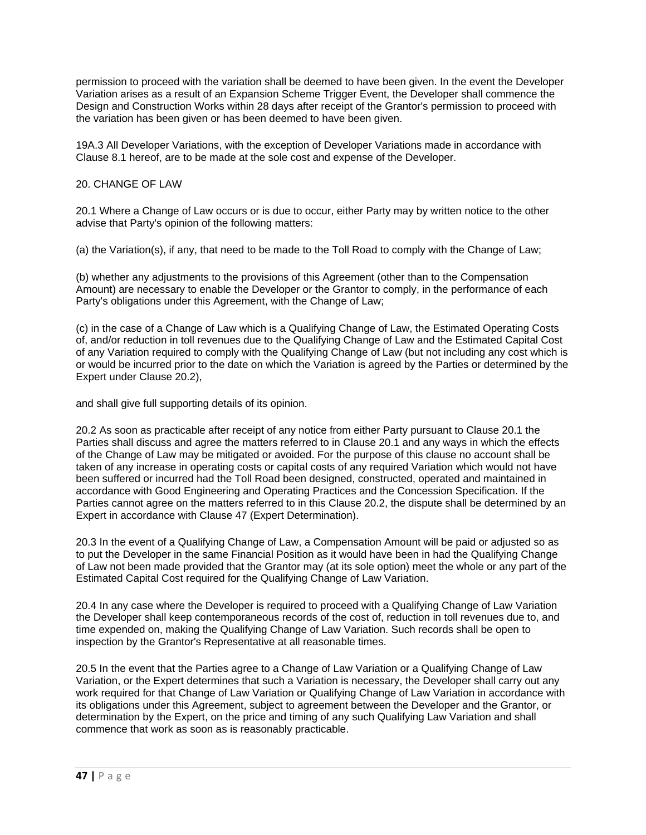permission to proceed with the variation shall be deemed to have been given. In the event the Developer Variation arises as a result of an Expansion Scheme Trigger Event, the Developer shall commence the Design and Construction Works within 28 days after receipt of the Grantor's permission to proceed with the variation has been given or has been deemed to have been given.

19A.3 All Developer Variations, with the exception of Developer Variations made in accordance with Clause 8.1 hereof, are to be made at the sole cost and expense of the Developer.

## 20. CHANGE OF LAW

20.1 Where a Change of Law occurs or is due to occur, either Party may by written notice to the other advise that Party's opinion of the following matters:

(a) the Variation(s), if any, that need to be made to the Toll Road to comply with the Change of Law;

(b) whether any adjustments to the provisions of this Agreement (other than to the Compensation Amount) are necessary to enable the Developer or the Grantor to comply, in the performance of each Party's obligations under this Agreement, with the Change of Law;

(c) in the case of a Change of Law which is a Qualifying Change of Law, the Estimated Operating Costs of, and/or reduction in toll revenues due to the Qualifying Change of Law and the Estimated Capital Cost of any Variation required to comply with the Qualifying Change of Law (but not including any cost which is or would be incurred prior to the date on which the Variation is agreed by the Parties or determined by the Expert under Clause 20.2),

and shall give full supporting details of its opinion.

20.2 As soon as practicable after receipt of any notice from either Party pursuant to Clause 20.1 the Parties shall discuss and agree the matters referred to in Clause 20.1 and any ways in which the effects of the Change of Law may be mitigated or avoided. For the purpose of this clause no account shall be taken of any increase in operating costs or capital costs of any required Variation which would not have been suffered or incurred had the Toll Road been designed, constructed, operated and maintained in accordance with Good Engineering and Operating Practices and the Concession Specification. If the Parties cannot agree on the matters referred to in this Clause 20.2, the dispute shall be determined by an Expert in accordance with Clause 47 (Expert Determination).

20.3 In the event of a Qualifying Change of Law, a Compensation Amount will be paid or adjusted so as to put the Developer in the same Financial Position as it would have been in had the Qualifying Change of Law not been made provided that the Grantor may (at its sole option) meet the whole or any part of the Estimated Capital Cost required for the Qualifying Change of Law Variation.

20.4 In any case where the Developer is required to proceed with a Qualifying Change of Law Variation the Developer shall keep contemporaneous records of the cost of, reduction in toll revenues due to, and time expended on, making the Qualifying Change of Law Variation. Such records shall be open to inspection by the Grantor's Representative at all reasonable times.

20.5 In the event that the Parties agree to a Change of Law Variation or a Qualifying Change of Law Variation, or the Expert determines that such a Variation is necessary, the Developer shall carry out any work required for that Change of Law Variation or Qualifying Change of Law Variation in accordance with its obligations under this Agreement, subject to agreement between the Developer and the Grantor, or determination by the Expert, on the price and timing of any such Qualifying Law Variation and shall commence that work as soon as is reasonably practicable.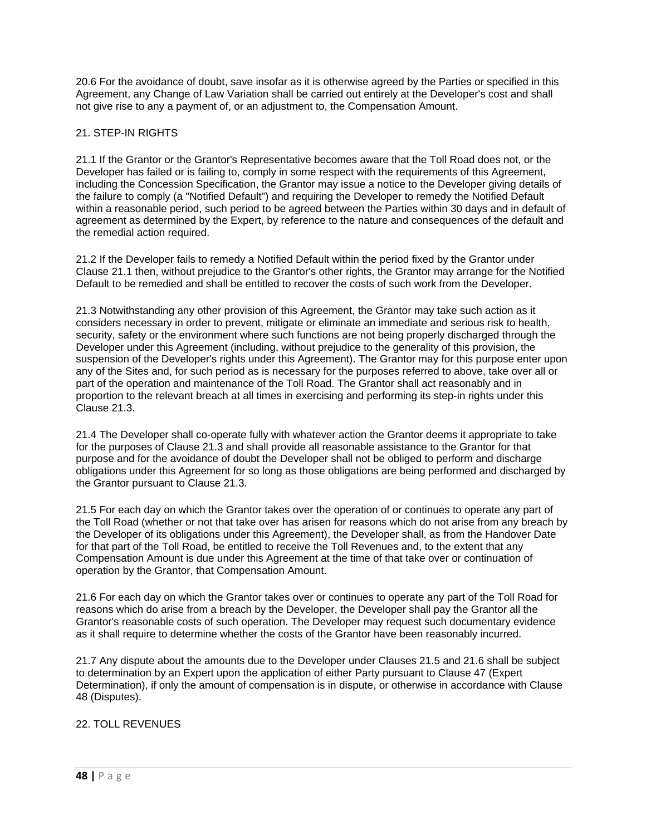20.6 For the avoidance of doubt, save insofar as it is otherwise agreed by the Parties or specified in this Agreement, any Change of Law Variation shall be carried out entirely at the Developer's cost and shall not give rise to any a payment of, or an adjustment to, the Compensation Amount.

## 21. STEP-IN RIGHTS

21.1 If the Grantor or the Grantor's Representative becomes aware that the Toll Road does not, or the Developer has failed or is failing to, comply in some respect with the requirements of this Agreement, including the Concession Specification, the Grantor may issue a notice to the Developer giving details of the failure to comply (a "Notified Default") and requiring the Developer to remedy the Notified Default within a reasonable period, such period to be agreed between the Parties within 30 days and in default of agreement as determined by the Expert, by reference to the nature and consequences of the default and the remedial action required.

21.2 If the Developer fails to remedy a Notified Default within the period fixed by the Grantor under Clause 21.1 then, without prejudice to the Grantor's other rights, the Grantor may arrange for the Notified Default to be remedied and shall be entitled to recover the costs of such work from the Developer.

21.3 Notwithstanding any other provision of this Agreement, the Grantor may take such action as it considers necessary in order to prevent, mitigate or eliminate an immediate and serious risk to health, security, safety or the environment where such functions are not being properly discharged through the Developer under this Agreement (including, without prejudice to the generality of this provision, the suspension of the Developer's rights under this Agreement). The Grantor may for this purpose enter upon any of the Sites and, for such period as is necessary for the purposes referred to above, take over all or part of the operation and maintenance of the Toll Road. The Grantor shall act reasonably and in proportion to the relevant breach at all times in exercising and performing its step-in rights under this Clause 21.3.

21.4 The Developer shall co-operate fully with whatever action the Grantor deems it appropriate to take for the purposes of Clause 21.3 and shall provide all reasonable assistance to the Grantor for that purpose and for the avoidance of doubt the Developer shall not be obliged to perform and discharge obligations under this Agreement for so long as those obligations are being performed and discharged by the Grantor pursuant to Clause 21.3.

21.5 For each day on which the Grantor takes over the operation of or continues to operate any part of the Toll Road (whether or not that take over has arisen for reasons which do not arise from any breach by the Developer of its obligations under this Agreement), the Developer shall, as from the Handover Date for that part of the Toll Road, be entitled to receive the Toll Revenues and, to the extent that any Compensation Amount is due under this Agreement at the time of that take over or continuation of operation by the Grantor, that Compensation Amount.

21.6 For each day on which the Grantor takes over or continues to operate any part of the Toll Road for reasons which do arise from a breach by the Developer, the Developer shall pay the Grantor all the Grantor's reasonable costs of such operation. The Developer may request such documentary evidence as it shall require to determine whether the costs of the Grantor have been reasonably incurred.

21.7 Any dispute about the amounts due to the Developer under Clauses 21.5 and 21.6 shall be subject to determination by an Expert upon the application of either Party pursuant to Clause 47 (Expert Determination), if only the amount of compensation is in dispute, or otherwise in accordance with Clause 48 (Disputes).

## 22. TOLL REVENUES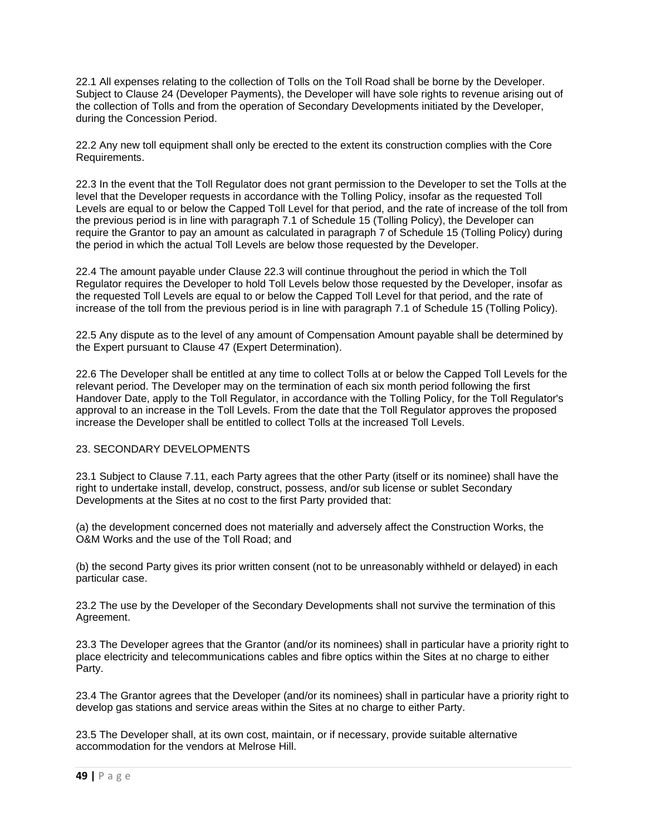22.1 All expenses relating to the collection of Tolls on the Toll Road shall be borne by the Developer. Subject to Clause 24 (Developer Payments), the Developer will have sole rights to revenue arising out of the collection of Tolls and from the operation of Secondary Developments initiated by the Developer, during the Concession Period.

22.2 Any new toll equipment shall only be erected to the extent its construction complies with the Core Requirements.

22.3 In the event that the Toll Regulator does not grant permission to the Developer to set the Tolls at the level that the Developer requests in accordance with the Tolling Policy, insofar as the requested Toll Levels are equal to or below the Capped Toll Level for that period, and the rate of increase of the toll from the previous period is in line with paragraph 7.1 of Schedule 15 (Tolling Policy), the Developer can require the Grantor to pay an amount as calculated in paragraph 7 of Schedule 15 (Tolling Policy) during the period in which the actual Toll Levels are below those requested by the Developer.

22.4 The amount payable under Clause 22.3 will continue throughout the period in which the Toll Regulator requires the Developer to hold Toll Levels below those requested by the Developer, insofar as the requested Toll Levels are equal to or below the Capped Toll Level for that period, and the rate of increase of the toll from the previous period is in line with paragraph 7.1 of Schedule 15 (Tolling Policy).

22.5 Any dispute as to the level of any amount of Compensation Amount payable shall be determined by the Expert pursuant to Clause 47 (Expert Determination).

22.6 The Developer shall be entitled at any time to collect Tolls at or below the Capped Toll Levels for the relevant period. The Developer may on the termination of each six month period following the first Handover Date, apply to the Toll Regulator, in accordance with the Tolling Policy, for the Toll Regulator's approval to an increase in the Toll Levels. From the date that the Toll Regulator approves the proposed increase the Developer shall be entitled to collect Tolls at the increased Toll Levels.

## 23. SECONDARY DEVELOPMENTS

23.1 Subject to Clause 7.11, each Party agrees that the other Party (itself or its nominee) shall have the right to undertake install, develop, construct, possess, and/or sub license or sublet Secondary Developments at the Sites at no cost to the first Party provided that:

(a) the development concerned does not materially and adversely affect the Construction Works, the O&M Works and the use of the Toll Road; and

(b) the second Party gives its prior written consent (not to be unreasonably withheld or delayed) in each particular case.

23.2 The use by the Developer of the Secondary Developments shall not survive the termination of this Agreement.

23.3 The Developer agrees that the Grantor (and/or its nominees) shall in particular have a priority right to place electricity and telecommunications cables and fibre optics within the Sites at no charge to either Party.

23.4 The Grantor agrees that the Developer (and/or its nominees) shall in particular have a priority right to develop gas stations and service areas within the Sites at no charge to either Party.

23.5 The Developer shall, at its own cost, maintain, or if necessary, provide suitable alternative accommodation for the vendors at Melrose Hill.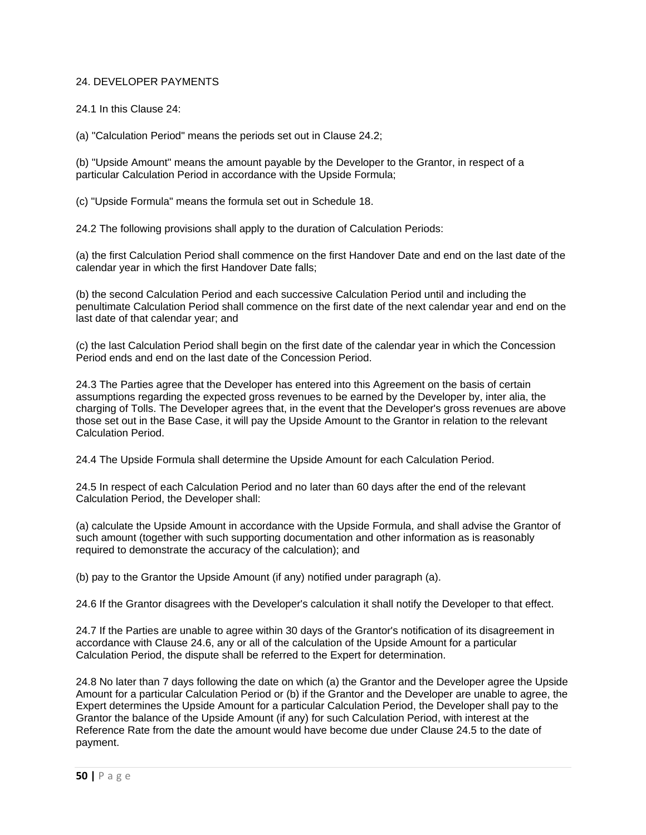## 24. DEVELOPER PAYMENTS

24.1 In this Clause 24:

(a) "Calculation Period" means the periods set out in Clause 24.2;

(b) "Upside Amount" means the amount payable by the Developer to the Grantor, in respect of a particular Calculation Period in accordance with the Upside Formula;

(c) "Upside Formula" means the formula set out in Schedule 18.

24.2 The following provisions shall apply to the duration of Calculation Periods:

(a) the first Calculation Period shall commence on the first Handover Date and end on the last date of the calendar year in which the first Handover Date falls;

(b) the second Calculation Period and each successive Calculation Period until and including the penultimate Calculation Period shall commence on the first date of the next calendar year and end on the last date of that calendar year; and

(c) the last Calculation Period shall begin on the first date of the calendar year in which the Concession Period ends and end on the last date of the Concession Period.

24.3 The Parties agree that the Developer has entered into this Agreement on the basis of certain assumptions regarding the expected gross revenues to be earned by the Developer by, inter alia, the charging of Tolls. The Developer agrees that, in the event that the Developer's gross revenues are above those set out in the Base Case, it will pay the Upside Amount to the Grantor in relation to the relevant Calculation Period.

24.4 The Upside Formula shall determine the Upside Amount for each Calculation Period.

24.5 In respect of each Calculation Period and no later than 60 days after the end of the relevant Calculation Period, the Developer shall:

(a) calculate the Upside Amount in accordance with the Upside Formula, and shall advise the Grantor of such amount (together with such supporting documentation and other information as is reasonably required to demonstrate the accuracy of the calculation); and

(b) pay to the Grantor the Upside Amount (if any) notified under paragraph (a).

24.6 If the Grantor disagrees with the Developer's calculation it shall notify the Developer to that effect.

24.7 If the Parties are unable to agree within 30 days of the Grantor's notification of its disagreement in accordance with Clause 24.6, any or all of the calculation of the Upside Amount for a particular Calculation Period, the dispute shall be referred to the Expert for determination.

24.8 No later than 7 days following the date on which (a) the Grantor and the Developer agree the Upside Amount for a particular Calculation Period or (b) if the Grantor and the Developer are unable to agree, the Expert determines the Upside Amount for a particular Calculation Period, the Developer shall pay to the Grantor the balance of the Upside Amount (if any) for such Calculation Period, with interest at the Reference Rate from the date the amount would have become due under Clause 24.5 to the date of payment.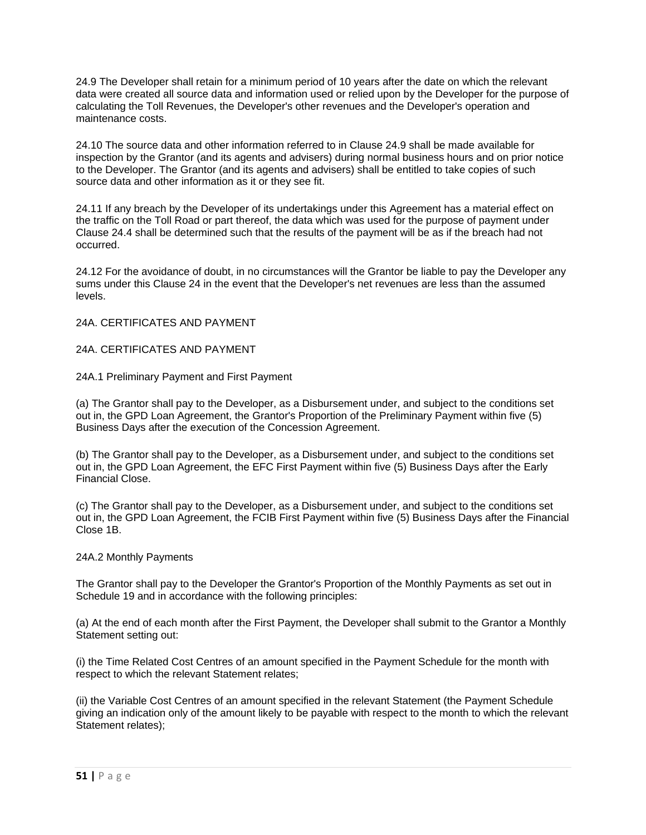24.9 The Developer shall retain for a minimum period of 10 years after the date on which the relevant data were created all source data and information used or relied upon by the Developer for the purpose of calculating the Toll Revenues, the Developer's other revenues and the Developer's operation and maintenance costs.

24.10 The source data and other information referred to in Clause 24.9 shall be made available for inspection by the Grantor (and its agents and advisers) during normal business hours and on prior notice to the Developer. The Grantor (and its agents and advisers) shall be entitled to take copies of such source data and other information as it or they see fit.

24.11 If any breach by the Developer of its undertakings under this Agreement has a material effect on the traffic on the Toll Road or part thereof, the data which was used for the purpose of payment under Clause 24.4 shall be determined such that the results of the payment will be as if the breach had not occurred.

24.12 For the avoidance of doubt, in no circumstances will the Grantor be liable to pay the Developer any sums under this Clause 24 in the event that the Developer's net revenues are less than the assumed levels.

### 24A. CERTIFICATES AND PAYMENT

## 24A. CERTIFICATES AND PAYMENT

### 24A.1 Preliminary Payment and First Payment

(a) The Grantor shall pay to the Developer, as a Disbursement under, and subject to the conditions set out in, the GPD Loan Agreement, the Grantor's Proportion of the Preliminary Payment within five (5) Business Days after the execution of the Concession Agreement.

(b) The Grantor shall pay to the Developer, as a Disbursement under, and subject to the conditions set out in, the GPD Loan Agreement, the EFC First Payment within five (5) Business Days after the Early Financial Close.

(c) The Grantor shall pay to the Developer, as a Disbursement under, and subject to the conditions set out in, the GPD Loan Agreement, the FCIB First Payment within five (5) Business Days after the Financial Close 1B.

#### 24A.2 Monthly Payments

The Grantor shall pay to the Developer the Grantor's Proportion of the Monthly Payments as set out in Schedule 19 and in accordance with the following principles:

(a) At the end of each month after the First Payment, the Developer shall submit to the Grantor a Monthly Statement setting out:

(i) the Time Related Cost Centres of an amount specified in the Payment Schedule for the month with respect to which the relevant Statement relates;

(ii) the Variable Cost Centres of an amount specified in the relevant Statement (the Payment Schedule giving an indication only of the amount likely to be payable with respect to the month to which the relevant Statement relates);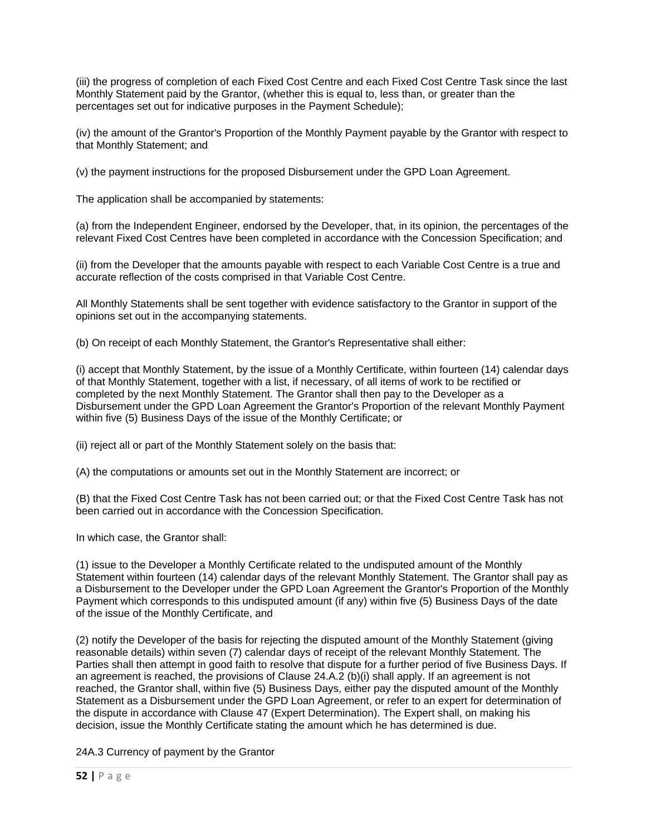(iii) the progress of completion of each Fixed Cost Centre and each Fixed Cost Centre Task since the last Monthly Statement paid by the Grantor, (whether this is equal to, less than, or greater than the percentages set out for indicative purposes in the Payment Schedule);

(iv) the amount of the Grantor's Proportion of the Monthly Payment payable by the Grantor with respect to that Monthly Statement; and

(v) the payment instructions for the proposed Disbursement under the GPD Loan Agreement.

The application shall be accompanied by statements:

(a) from the Independent Engineer, endorsed by the Developer, that, in its opinion, the percentages of the relevant Fixed Cost Centres have been completed in accordance with the Concession Specification; and

(ii) from the Developer that the amounts payable with respect to each Variable Cost Centre is a true and accurate reflection of the costs comprised in that Variable Cost Centre.

All Monthly Statements shall be sent together with evidence satisfactory to the Grantor in support of the opinions set out in the accompanying statements.

(b) On receipt of each Monthly Statement, the Grantor's Representative shall either:

(i) accept that Monthly Statement, by the issue of a Monthly Certificate, within fourteen (14) calendar days of that Monthly Statement, together with a list, if necessary, of all items of work to be rectified or completed by the next Monthly Statement. The Grantor shall then pay to the Developer as a Disbursement under the GPD Loan Agreement the Grantor's Proportion of the relevant Monthly Payment within five (5) Business Days of the issue of the Monthly Certificate; or

(ii) reject all or part of the Monthly Statement solely on the basis that:

(A) the computations or amounts set out in the Monthly Statement are incorrect; or

(B) that the Fixed Cost Centre Task has not been carried out; or that the Fixed Cost Centre Task has not been carried out in accordance with the Concession Specification.

In which case, the Grantor shall:

(1) issue to the Developer a Monthly Certificate related to the undisputed amount of the Monthly Statement within fourteen (14) calendar days of the relevant Monthly Statement. The Grantor shall pay as a Disbursement to the Developer under the GPD Loan Agreement the Grantor's Proportion of the Monthly Payment which corresponds to this undisputed amount (if any) within five (5) Business Days of the date of the issue of the Monthly Certificate, and

(2) notify the Developer of the basis for rejecting the disputed amount of the Monthly Statement (giving reasonable details) within seven (7) calendar days of receipt of the relevant Monthly Statement. The Parties shall then attempt in good faith to resolve that dispute for a further period of five Business Days. If an agreement is reached, the provisions of Clause 24.A.2 (b)(i) shall apply. If an agreement is not reached, the Grantor shall, within five (5) Business Days, either pay the disputed amount of the Monthly Statement as a Disbursement under the GPD Loan Agreement, or refer to an expert for determination of the dispute in accordance with Clause 47 (Expert Determination). The Expert shall, on making his decision, issue the Monthly Certificate stating the amount which he has determined is due.

24A.3 Currency of payment by the Grantor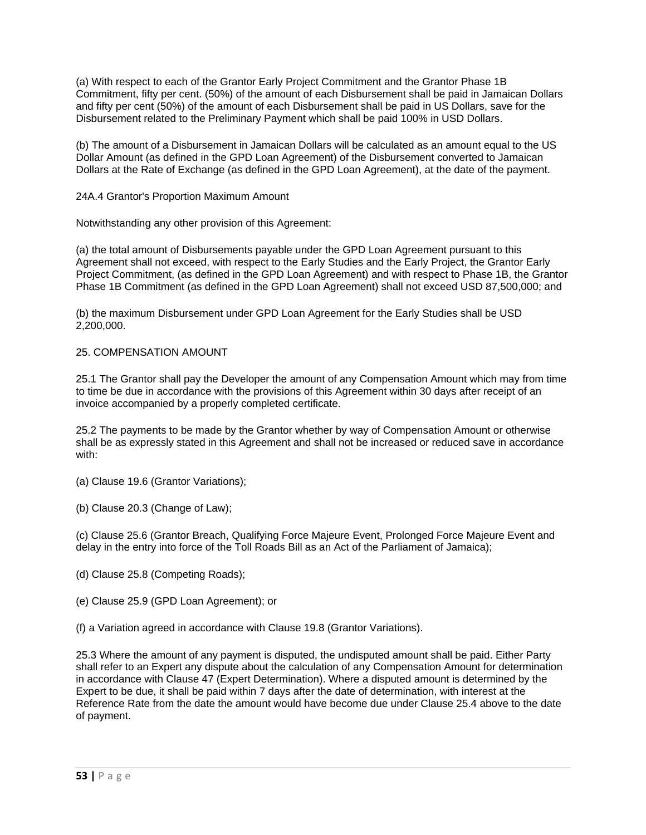(a) With respect to each of the Grantor Early Project Commitment and the Grantor Phase 1B Commitment, fifty per cent. (50%) of the amount of each Disbursement shall be paid in Jamaican Dollars and fifty per cent (50%) of the amount of each Disbursement shall be paid in US Dollars, save for the Disbursement related to the Preliminary Payment which shall be paid 100% in USD Dollars.

(b) The amount of a Disbursement in Jamaican Dollars will be calculated as an amount equal to the US Dollar Amount (as defined in the GPD Loan Agreement) of the Disbursement converted to Jamaican Dollars at the Rate of Exchange (as defined in the GPD Loan Agreement), at the date of the payment.

### 24A.4 Grantor's Proportion Maximum Amount

Notwithstanding any other provision of this Agreement:

(a) the total amount of Disbursements payable under the GPD Loan Agreement pursuant to this Agreement shall not exceed, with respect to the Early Studies and the Early Project, the Grantor Early Project Commitment, (as defined in the GPD Loan Agreement) and with respect to Phase 1B, the Grantor Phase 1B Commitment (as defined in the GPD Loan Agreement) shall not exceed USD 87,500,000; and

(b) the maximum Disbursement under GPD Loan Agreement for the Early Studies shall be USD 2,200,000.

#### 25. COMPENSATION AMOUNT

25.1 The Grantor shall pay the Developer the amount of any Compensation Amount which may from time to time be due in accordance with the provisions of this Agreement within 30 days after receipt of an invoice accompanied by a properly completed certificate.

25.2 The payments to be made by the Grantor whether by way of Compensation Amount or otherwise shall be as expressly stated in this Agreement and shall not be increased or reduced save in accordance with:

- (a) Clause 19.6 (Grantor Variations);
- (b) Clause 20.3 (Change of Law);

(c) Clause 25.6 (Grantor Breach, Qualifying Force Majeure Event, Prolonged Force Majeure Event and delay in the entry into force of the Toll Roads Bill as an Act of the Parliament of Jamaica);

- (d) Clause 25.8 (Competing Roads);
- (e) Clause 25.9 (GPD Loan Agreement); or
- (f) a Variation agreed in accordance with Clause 19.8 (Grantor Variations).

25.3 Where the amount of any payment is disputed, the undisputed amount shall be paid. Either Party shall refer to an Expert any dispute about the calculation of any Compensation Amount for determination in accordance with Clause 47 (Expert Determination). Where a disputed amount is determined by the Expert to be due, it shall be paid within 7 days after the date of determination, with interest at the Reference Rate from the date the amount would have become due under Clause 25.4 above to the date of payment.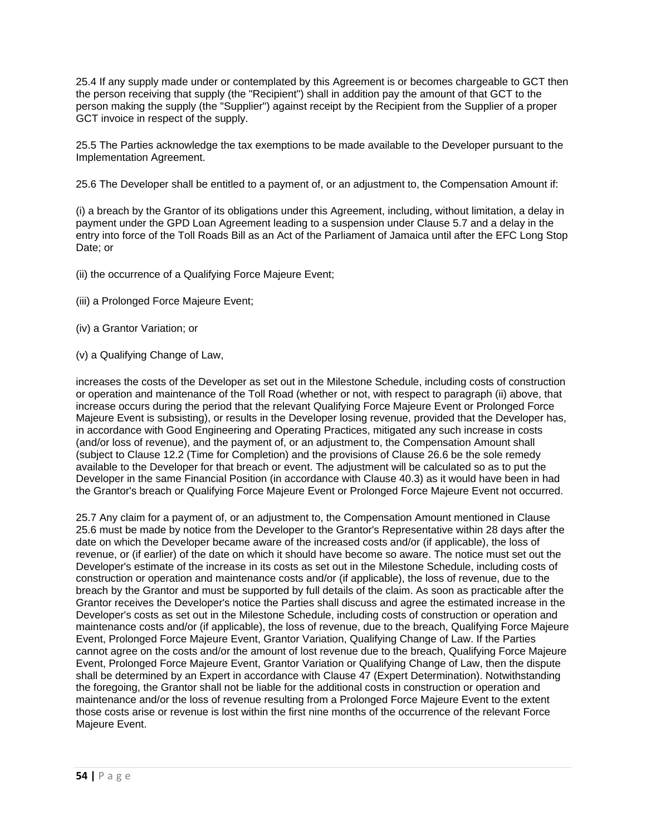25.4 If any supply made under or contemplated by this Agreement is or becomes chargeable to GCT then the person receiving that supply (the "Recipient") shall in addition pay the amount of that GCT to the person making the supply (the "Supplier") against receipt by the Recipient from the Supplier of a proper GCT invoice in respect of the supply.

25.5 The Parties acknowledge the tax exemptions to be made available to the Developer pursuant to the Implementation Agreement.

25.6 The Developer shall be entitled to a payment of, or an adjustment to, the Compensation Amount if:

(i) a breach by the Grantor of its obligations under this Agreement, including, without limitation, a delay in payment under the GPD Loan Agreement leading to a suspension under Clause 5.7 and a delay in the entry into force of the Toll Roads Bill as an Act of the Parliament of Jamaica until after the EFC Long Stop Date; or

- (ii) the occurrence of a Qualifying Force Majeure Event;
- (iii) a Prolonged Force Majeure Event;
- (iv) a Grantor Variation; or
- (v) a Qualifying Change of Law,

increases the costs of the Developer as set out in the Milestone Schedule, including costs of construction or operation and maintenance of the Toll Road (whether or not, with respect to paragraph (ii) above, that increase occurs during the period that the relevant Qualifying Force Majeure Event or Prolonged Force Majeure Event is subsisting), or results in the Developer losing revenue, provided that the Developer has, in accordance with Good Engineering and Operating Practices, mitigated any such increase in costs (and/or loss of revenue), and the payment of, or an adjustment to, the Compensation Amount shall (subject to Clause 12.2 (Time for Completion) and the provisions of Clause 26.6 be the sole remedy available to the Developer for that breach or event. The adjustment will be calculated so as to put the Developer in the same Financial Position (in accordance with Clause 40.3) as it would have been in had the Grantor's breach or Qualifying Force Majeure Event or Prolonged Force Majeure Event not occurred.

25.7 Any claim for a payment of, or an adjustment to, the Compensation Amount mentioned in Clause 25.6 must be made by notice from the Developer to the Grantor's Representative within 28 days after the date on which the Developer became aware of the increased costs and/or (if applicable), the loss of revenue, or (if earlier) of the date on which it should have become so aware. The notice must set out the Developer's estimate of the increase in its costs as set out in the Milestone Schedule, including costs of construction or operation and maintenance costs and/or (if applicable), the loss of revenue, due to the breach by the Grantor and must be supported by full details of the claim. As soon as practicable after the Grantor receives the Developer's notice the Parties shall discuss and agree the estimated increase in the Developer's costs as set out in the Milestone Schedule, including costs of construction or operation and maintenance costs and/or (if applicable), the loss of revenue, due to the breach, Qualifying Force Majeure Event, Prolonged Force Majeure Event, Grantor Variation, Qualifying Change of Law. If the Parties cannot agree on the costs and/or the amount of lost revenue due to the breach, Qualifying Force Majeure Event, Prolonged Force Majeure Event, Grantor Variation or Qualifying Change of Law, then the dispute shall be determined by an Expert in accordance with Clause 47 (Expert Determination). Notwithstanding the foregoing, the Grantor shall not be liable for the additional costs in construction or operation and maintenance and/or the loss of revenue resulting from a Prolonged Force Majeure Event to the extent those costs arise or revenue is lost within the first nine months of the occurrence of the relevant Force Majeure Event.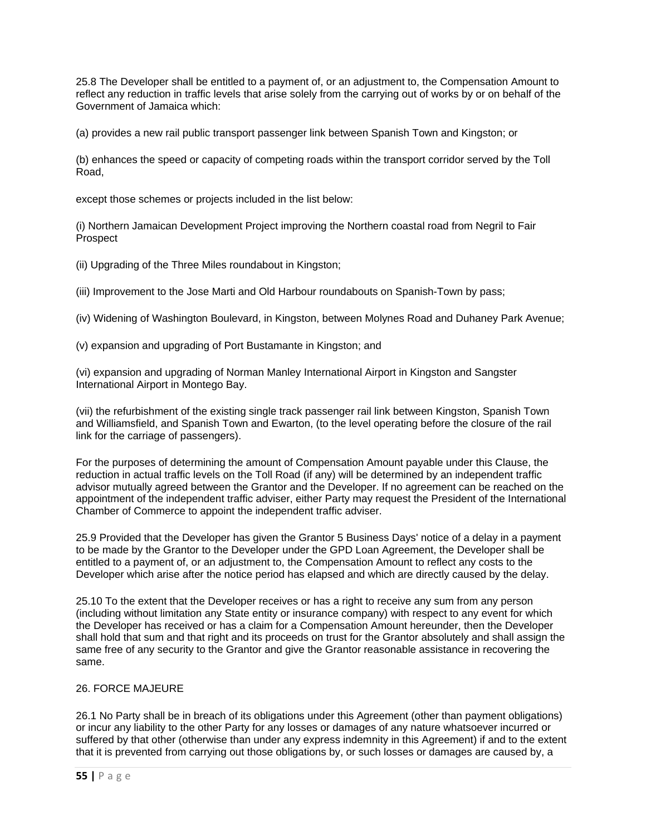25.8 The Developer shall be entitled to a payment of, or an adjustment to, the Compensation Amount to reflect any reduction in traffic levels that arise solely from the carrying out of works by or on behalf of the Government of Jamaica which:

(a) provides a new rail public transport passenger link between Spanish Town and Kingston; or

(b) enhances the speed or capacity of competing roads within the transport corridor served by the Toll Road,

except those schemes or projects included in the list below:

(i) Northern Jamaican Development Project improving the Northern coastal road from Negril to Fair Prospect

(ii) Upgrading of the Three Miles roundabout in Kingston;

(iii) Improvement to the Jose Marti and Old Harbour roundabouts on Spanish-Town by pass;

(iv) Widening of Washington Boulevard, in Kingston, between Molynes Road and Duhaney Park Avenue;

(v) expansion and upgrading of Port Bustamante in Kingston; and

(vi) expansion and upgrading of Norman Manley International Airport in Kingston and Sangster International Airport in Montego Bay.

(vii) the refurbishment of the existing single track passenger rail link between Kingston, Spanish Town and Williamsfield, and Spanish Town and Ewarton, (to the level operating before the closure of the rail link for the carriage of passengers).

For the purposes of determining the amount of Compensation Amount payable under this Clause, the reduction in actual traffic levels on the Toll Road (if any) will be determined by an independent traffic advisor mutually agreed between the Grantor and the Developer. If no agreement can be reached on the appointment of the independent traffic adviser, either Party may request the President of the International Chamber of Commerce to appoint the independent traffic adviser.

25.9 Provided that the Developer has given the Grantor 5 Business Days' notice of a delay in a payment to be made by the Grantor to the Developer under the GPD Loan Agreement, the Developer shall be entitled to a payment of, or an adjustment to, the Compensation Amount to reflect any costs to the Developer which arise after the notice period has elapsed and which are directly caused by the delay.

25.10 To the extent that the Developer receives or has a right to receive any sum from any person (including without limitation any State entity or insurance company) with respect to any event for which the Developer has received or has a claim for a Compensation Amount hereunder, then the Developer shall hold that sum and that right and its proceeds on trust for the Grantor absolutely and shall assign the same free of any security to the Grantor and give the Grantor reasonable assistance in recovering the same.

#### 26. FORCE MAJEURE

26.1 No Party shall be in breach of its obligations under this Agreement (other than payment obligations) or incur any liability to the other Party for any losses or damages of any nature whatsoever incurred or suffered by that other (otherwise than under any express indemnity in this Agreement) if and to the extent that it is prevented from carrying out those obligations by, or such losses or damages are caused by, a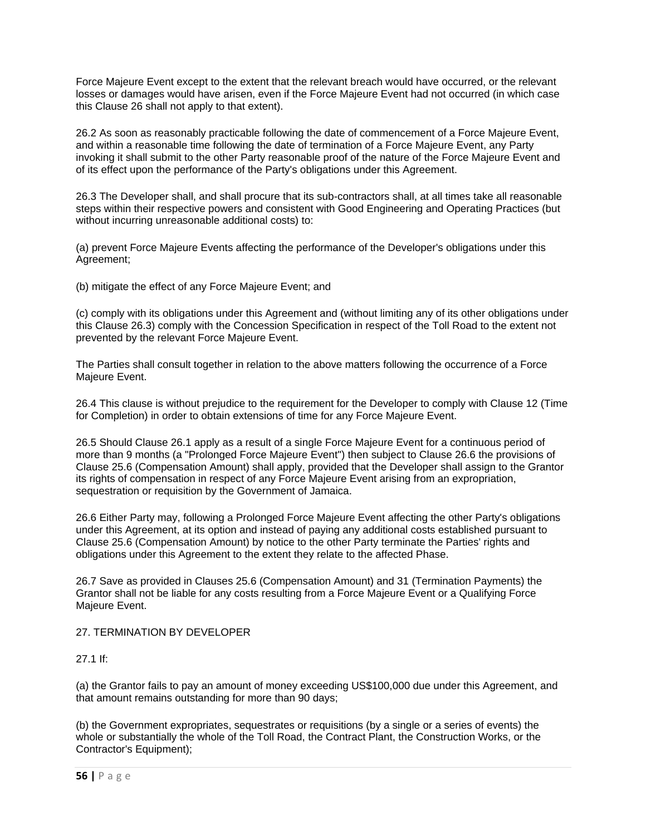Force Majeure Event except to the extent that the relevant breach would have occurred, or the relevant losses or damages would have arisen, even if the Force Majeure Event had not occurred (in which case this Clause 26 shall not apply to that extent).

26.2 As soon as reasonably practicable following the date of commencement of a Force Majeure Event, and within a reasonable time following the date of termination of a Force Majeure Event, any Party invoking it shall submit to the other Party reasonable proof of the nature of the Force Majeure Event and of its effect upon the performance of the Party's obligations under this Agreement.

26.3 The Developer shall, and shall procure that its sub-contractors shall, at all times take all reasonable steps within their respective powers and consistent with Good Engineering and Operating Practices (but without incurring unreasonable additional costs) to:

(a) prevent Force Majeure Events affecting the performance of the Developer's obligations under this Agreement;

(b) mitigate the effect of any Force Majeure Event; and

(c) comply with its obligations under this Agreement and (without limiting any of its other obligations under this Clause 26.3) comply with the Concession Specification in respect of the Toll Road to the extent not prevented by the relevant Force Majeure Event.

The Parties shall consult together in relation to the above matters following the occurrence of a Force Majeure Event.

26.4 This clause is without prejudice to the requirement for the Developer to comply with Clause 12 (Time for Completion) in order to obtain extensions of time for any Force Majeure Event.

26.5 Should Clause 26.1 apply as a result of a single Force Majeure Event for a continuous period of more than 9 months (a "Prolonged Force Majeure Event") then subject to Clause 26.6 the provisions of Clause 25.6 (Compensation Amount) shall apply, provided that the Developer shall assign to the Grantor its rights of compensation in respect of any Force Majeure Event arising from an expropriation, sequestration or requisition by the Government of Jamaica.

26.6 Either Party may, following a Prolonged Force Majeure Event affecting the other Party's obligations under this Agreement, at its option and instead of paying any additional costs established pursuant to Clause 25.6 (Compensation Amount) by notice to the other Party terminate the Parties' rights and obligations under this Agreement to the extent they relate to the affected Phase.

26.7 Save as provided in Clauses 25.6 (Compensation Amount) and 31 (Termination Payments) the Grantor shall not be liable for any costs resulting from a Force Majeure Event or a Qualifying Force Majeure Event.

## 27. TERMINATION BY DEVELOPER

#### 27.1 If:

(a) the Grantor fails to pay an amount of money exceeding US\$100,000 due under this Agreement, and that amount remains outstanding for more than 90 days;

(b) the Government expropriates, sequestrates or requisitions (by a single or a series of events) the whole or substantially the whole of the Toll Road, the Contract Plant, the Construction Works, or the Contractor's Equipment);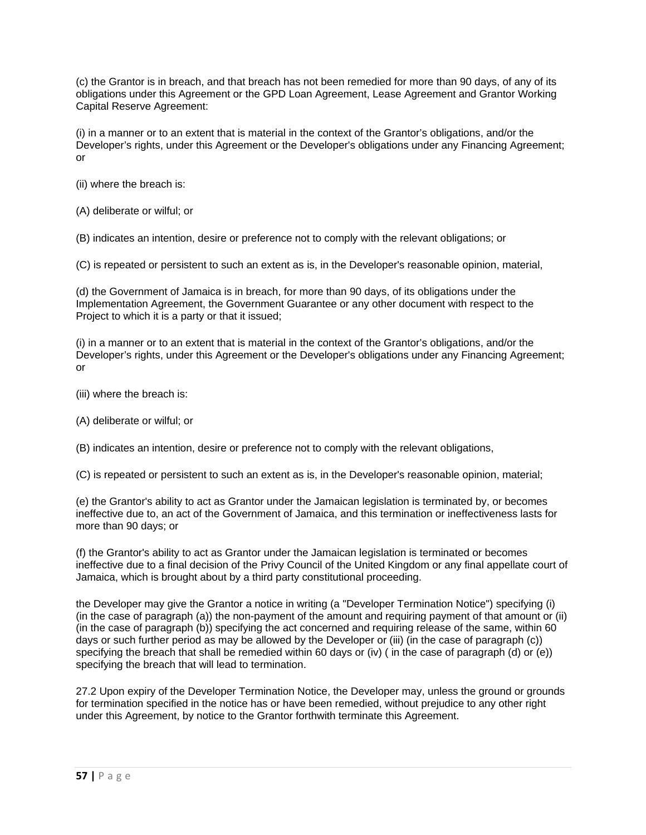(c) the Grantor is in breach, and that breach has not been remedied for more than 90 days, of any of its obligations under this Agreement or the GPD Loan Agreement, Lease Agreement and Grantor Working Capital Reserve Agreement:

(i) in a manner or to an extent that is material in the context of the Grantor's obligations, and/or the Developer's rights, under this Agreement or the Developer's obligations under any Financing Agreement; or

- (ii) where the breach is:
- (A) deliberate or wilful; or

(B) indicates an intention, desire or preference not to comply with the relevant obligations; or

(C) is repeated or persistent to such an extent as is, in the Developer's reasonable opinion, material,

(d) the Government of Jamaica is in breach, for more than 90 days, of its obligations under the Implementation Agreement, the Government Guarantee or any other document with respect to the Project to which it is a party or that it issued;

(i) in a manner or to an extent that is material in the context of the Grantor's obligations, and/or the Developer's rights, under this Agreement or the Developer's obligations under any Financing Agreement; or

- (iii) where the breach is:
- (A) deliberate or wilful; or
- (B) indicates an intention, desire or preference not to comply with the relevant obligations,
- (C) is repeated or persistent to such an extent as is, in the Developer's reasonable opinion, material;

(e) the Grantor's ability to act as Grantor under the Jamaican legislation is terminated by, or becomes ineffective due to, an act of the Government of Jamaica, and this termination or ineffectiveness lasts for more than 90 days; or

(f) the Grantor's ability to act as Grantor under the Jamaican legislation is terminated or becomes ineffective due to a final decision of the Privy Council of the United Kingdom or any final appellate court of Jamaica, which is brought about by a third party constitutional proceeding.

the Developer may give the Grantor a notice in writing (a "Developer Termination Notice") specifying (i) (in the case of paragraph (a)) the non-payment of the amount and requiring payment of that amount or (ii) (in the case of paragraph (b)) specifying the act concerned and requiring release of the same, within 60 days or such further period as may be allowed by the Developer or (iii) (in the case of paragraph (c)) specifying the breach that shall be remedied within 60 days or (iv) ( in the case of paragraph (d) or (e)) specifying the breach that will lead to termination.

27.2 Upon expiry of the Developer Termination Notice, the Developer may, unless the ground or grounds for termination specified in the notice has or have been remedied, without prejudice to any other right under this Agreement, by notice to the Grantor forthwith terminate this Agreement.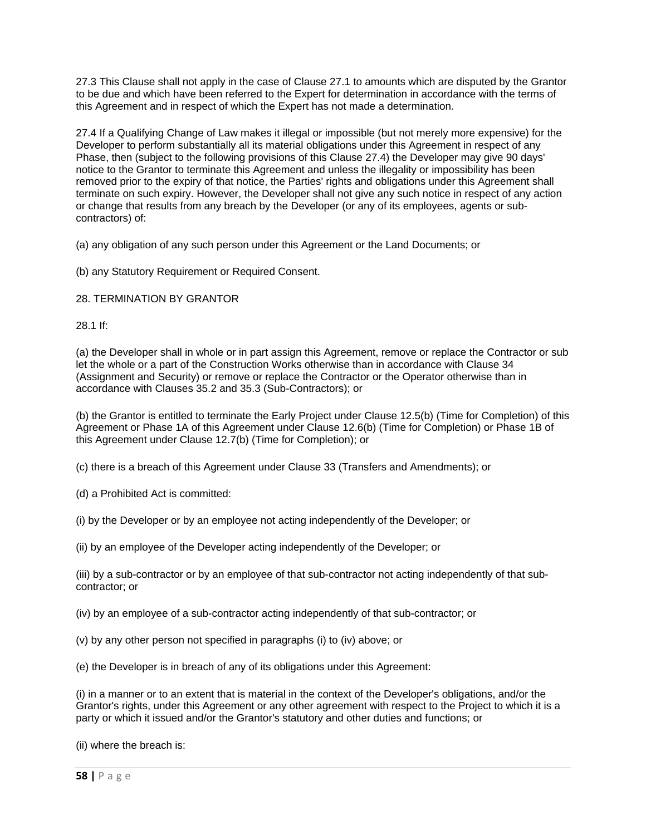27.3 This Clause shall not apply in the case of Clause 27.1 to amounts which are disputed by the Grantor to be due and which have been referred to the Expert for determination in accordance with the terms of this Agreement and in respect of which the Expert has not made a determination.

27.4 If a Qualifying Change of Law makes it illegal or impossible (but not merely more expensive) for the Developer to perform substantially all its material obligations under this Agreement in respect of any Phase, then (subject to the following provisions of this Clause 27.4) the Developer may give 90 days' notice to the Grantor to terminate this Agreement and unless the illegality or impossibility has been removed prior to the expiry of that notice, the Parties' rights and obligations under this Agreement shall terminate on such expiry. However, the Developer shall not give any such notice in respect of any action or change that results from any breach by the Developer (or any of its employees, agents or subcontractors) of:

(a) any obligation of any such person under this Agreement or the Land Documents; or

(b) any Statutory Requirement or Required Consent.

### 28. TERMINATION BY GRANTOR

28.1 If:

(a) the Developer shall in whole or in part assign this Agreement, remove or replace the Contractor or sub let the whole or a part of the Construction Works otherwise than in accordance with Clause 34 (Assignment and Security) or remove or replace the Contractor or the Operator otherwise than in accordance with Clauses 35.2 and 35.3 (Sub-Contractors); or

(b) the Grantor is entitled to terminate the Early Project under Clause 12.5(b) (Time for Completion) of this Agreement or Phase 1A of this Agreement under Clause 12.6(b) (Time for Completion) or Phase 1B of this Agreement under Clause 12.7(b) (Time for Completion); or

(c) there is a breach of this Agreement under Clause 33 (Transfers and Amendments); or

(d) a Prohibited Act is committed:

(i) by the Developer or by an employee not acting independently of the Developer; or

(ii) by an employee of the Developer acting independently of the Developer; or

(iii) by a sub-contractor or by an employee of that sub-contractor not acting independently of that subcontractor; or

(iv) by an employee of a sub-contractor acting independently of that sub-contractor; or

(v) by any other person not specified in paragraphs (i) to (iv) above; or

(e) the Developer is in breach of any of its obligations under this Agreement:

(i) in a manner or to an extent that is material in the context of the Developer's obligations, and/or the Grantor's rights, under this Agreement or any other agreement with respect to the Project to which it is a party or which it issued and/or the Grantor's statutory and other duties and functions; or

(ii) where the breach is: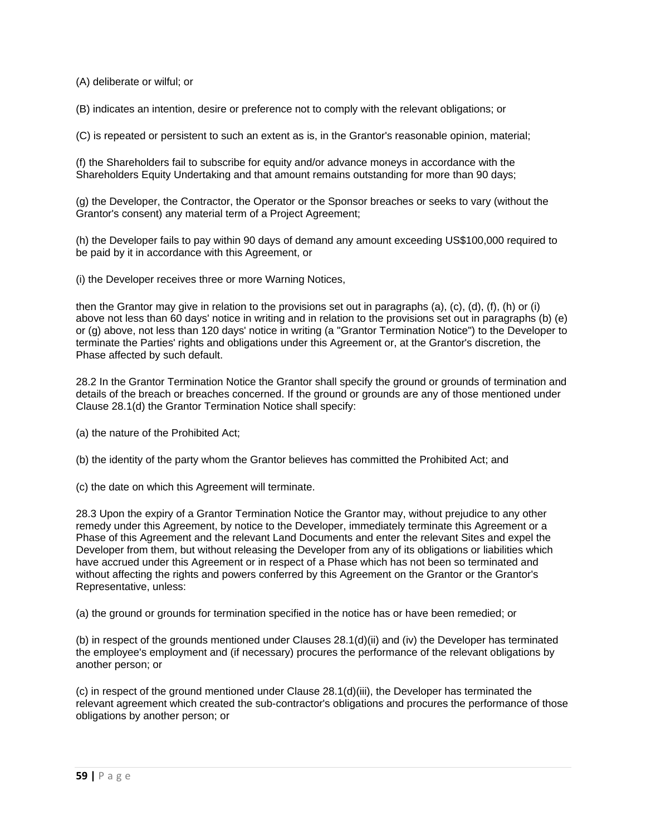(A) deliberate or wilful; or

(B) indicates an intention, desire or preference not to comply with the relevant obligations; or

(C) is repeated or persistent to such an extent as is, in the Grantor's reasonable opinion, material;

(f) the Shareholders fail to subscribe for equity and/or advance moneys in accordance with the Shareholders Equity Undertaking and that amount remains outstanding for more than 90 days;

(g) the Developer, the Contractor, the Operator or the Sponsor breaches or seeks to vary (without the Grantor's consent) any material term of a Project Agreement;

(h) the Developer fails to pay within 90 days of demand any amount exceeding US\$100,000 required to be paid by it in accordance with this Agreement, or

(i) the Developer receives three or more Warning Notices,

then the Grantor may give in relation to the provisions set out in paragraphs (a), (c), (d), (f), (h) or (i) above not less than 60 days' notice in writing and in relation to the provisions set out in paragraphs (b) (e) or (g) above, not less than 120 days' notice in writing (a "Grantor Termination Notice") to the Developer to terminate the Parties' rights and obligations under this Agreement or, at the Grantor's discretion, the Phase affected by such default.

28.2 In the Grantor Termination Notice the Grantor shall specify the ground or grounds of termination and details of the breach or breaches concerned. If the ground or grounds are any of those mentioned under Clause 28.1(d) the Grantor Termination Notice shall specify:

(a) the nature of the Prohibited Act;

(b) the identity of the party whom the Grantor believes has committed the Prohibited Act; and

(c) the date on which this Agreement will terminate.

28.3 Upon the expiry of a Grantor Termination Notice the Grantor may, without prejudice to any other remedy under this Agreement, by notice to the Developer, immediately terminate this Agreement or a Phase of this Agreement and the relevant Land Documents and enter the relevant Sites and expel the Developer from them, but without releasing the Developer from any of its obligations or liabilities which have accrued under this Agreement or in respect of a Phase which has not been so terminated and without affecting the rights and powers conferred by this Agreement on the Grantor or the Grantor's Representative, unless:

(a) the ground or grounds for termination specified in the notice has or have been remedied; or

(b) in respect of the grounds mentioned under Clauses 28.1(d)(ii) and (iv) the Developer has terminated the employee's employment and (if necessary) procures the performance of the relevant obligations by another person; or

(c) in respect of the ground mentioned under Clause 28.1(d)(iii), the Developer has terminated the relevant agreement which created the sub-contractor's obligations and procures the performance of those obligations by another person; or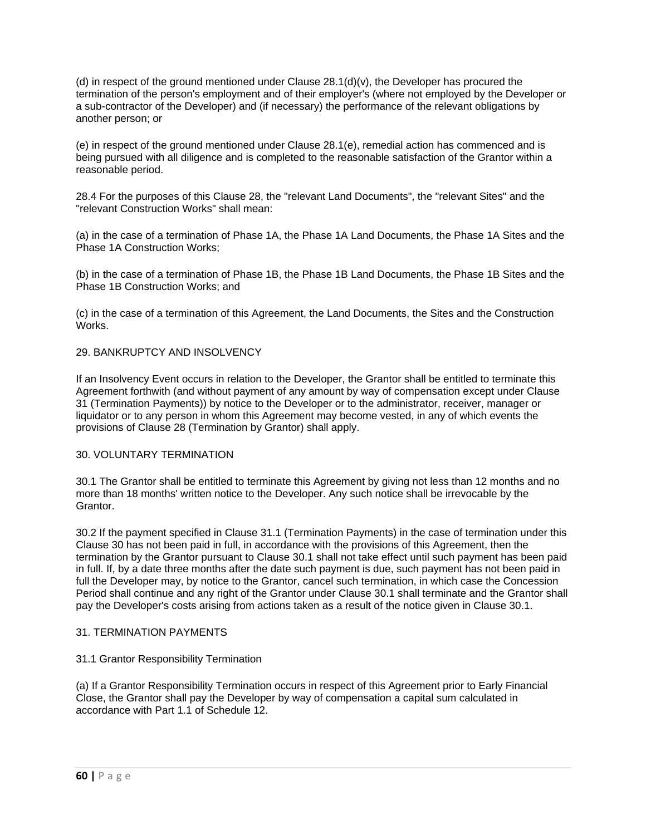(d) in respect of the ground mentioned under Clause  $28.1(d)(v)$ , the Developer has procured the termination of the person's employment and of their employer's (where not employed by the Developer or a sub-contractor of the Developer) and (if necessary) the performance of the relevant obligations by another person; or

(e) in respect of the ground mentioned under Clause 28.1(e), remedial action has commenced and is being pursued with all diligence and is completed to the reasonable satisfaction of the Grantor within a reasonable period.

28.4 For the purposes of this Clause 28, the "relevant Land Documents", the "relevant Sites" and the "relevant Construction Works" shall mean:

(a) in the case of a termination of Phase 1A, the Phase 1A Land Documents, the Phase 1A Sites and the Phase 1A Construction Works;

(b) in the case of a termination of Phase 1B, the Phase 1B Land Documents, the Phase 1B Sites and the Phase 1B Construction Works; and

(c) in the case of a termination of this Agreement, the Land Documents, the Sites and the Construction Works.

#### 29. BANKRUPTCY AND INSOLVENCY

If an Insolvency Event occurs in relation to the Developer, the Grantor shall be entitled to terminate this Agreement forthwith (and without payment of any amount by way of compensation except under Clause 31 (Termination Payments)) by notice to the Developer or to the administrator, receiver, manager or liquidator or to any person in whom this Agreement may become vested, in any of which events the provisions of Clause 28 (Termination by Grantor) shall apply.

#### 30. VOLUNTARY TERMINATION

30.1 The Grantor shall be entitled to terminate this Agreement by giving not less than 12 months and no more than 18 months' written notice to the Developer. Any such notice shall be irrevocable by the Grantor.

30.2 If the payment specified in Clause 31.1 (Termination Payments) in the case of termination under this Clause 30 has not been paid in full, in accordance with the provisions of this Agreement, then the termination by the Grantor pursuant to Clause 30.1 shall not take effect until such payment has been paid in full. If, by a date three months after the date such payment is due, such payment has not been paid in full the Developer may, by notice to the Grantor, cancel such termination, in which case the Concession Period shall continue and any right of the Grantor under Clause 30.1 shall terminate and the Grantor shall pay the Developer's costs arising from actions taken as a result of the notice given in Clause 30.1.

#### 31. TERMINATION PAYMENTS

#### 31.1 Grantor Responsibility Termination

(a) If a Grantor Responsibility Termination occurs in respect of this Agreement prior to Early Financial Close, the Grantor shall pay the Developer by way of compensation a capital sum calculated in accordance with Part 1.1 of Schedule 12.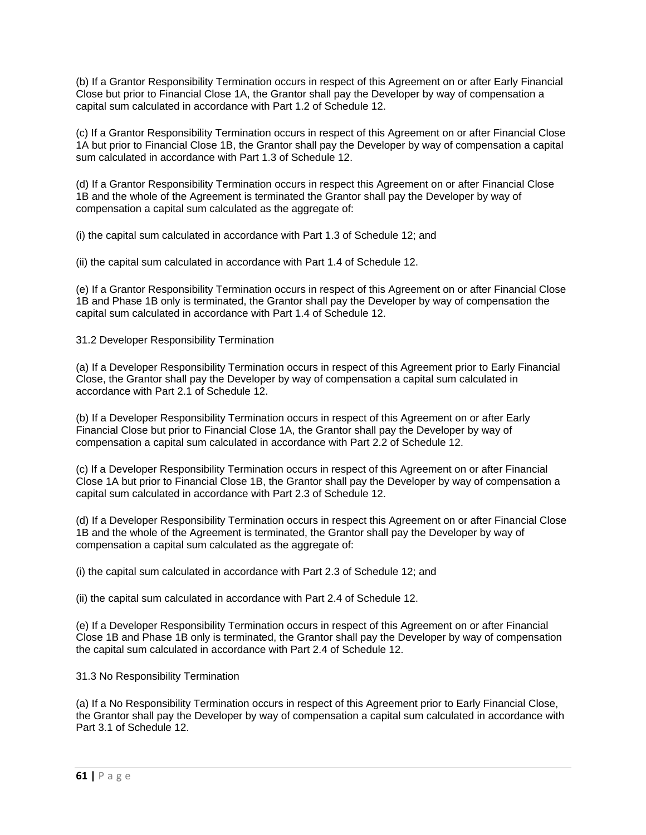(b) If a Grantor Responsibility Termination occurs in respect of this Agreement on or after Early Financial Close but prior to Financial Close 1A, the Grantor shall pay the Developer by way of compensation a capital sum calculated in accordance with Part 1.2 of Schedule 12.

(c) If a Grantor Responsibility Termination occurs in respect of this Agreement on or after Financial Close 1A but prior to Financial Close 1B, the Grantor shall pay the Developer by way of compensation a capital sum calculated in accordance with Part 1.3 of Schedule 12.

(d) If a Grantor Responsibility Termination occurs in respect this Agreement on or after Financial Close 1B and the whole of the Agreement is terminated the Grantor shall pay the Developer by way of compensation a capital sum calculated as the aggregate of:

(i) the capital sum calculated in accordance with Part 1.3 of Schedule 12; and

(ii) the capital sum calculated in accordance with Part 1.4 of Schedule 12.

(e) If a Grantor Responsibility Termination occurs in respect of this Agreement on or after Financial Close 1B and Phase 1B only is terminated, the Grantor shall pay the Developer by way of compensation the capital sum calculated in accordance with Part 1.4 of Schedule 12.

### 31.2 Developer Responsibility Termination

(a) If a Developer Responsibility Termination occurs in respect of this Agreement prior to Early Financial Close, the Grantor shall pay the Developer by way of compensation a capital sum calculated in accordance with Part 2.1 of Schedule 12.

(b) If a Developer Responsibility Termination occurs in respect of this Agreement on or after Early Financial Close but prior to Financial Close 1A, the Grantor shall pay the Developer by way of compensation a capital sum calculated in accordance with Part 2.2 of Schedule 12.

(c) If a Developer Responsibility Termination occurs in respect of this Agreement on or after Financial Close 1A but prior to Financial Close 1B, the Grantor shall pay the Developer by way of compensation a capital sum calculated in accordance with Part 2.3 of Schedule 12.

(d) If a Developer Responsibility Termination occurs in respect this Agreement on or after Financial Close 1B and the whole of the Agreement is terminated, the Grantor shall pay the Developer by way of compensation a capital sum calculated as the aggregate of:

(i) the capital sum calculated in accordance with Part 2.3 of Schedule 12; and

(ii) the capital sum calculated in accordance with Part 2.4 of Schedule 12.

(e) If a Developer Responsibility Termination occurs in respect of this Agreement on or after Financial Close 1B and Phase 1B only is terminated, the Grantor shall pay the Developer by way of compensation the capital sum calculated in accordance with Part 2.4 of Schedule 12.

31.3 No Responsibility Termination

(a) If a No Responsibility Termination occurs in respect of this Agreement prior to Early Financial Close, the Grantor shall pay the Developer by way of compensation a capital sum calculated in accordance with Part 3.1 of Schedule 12.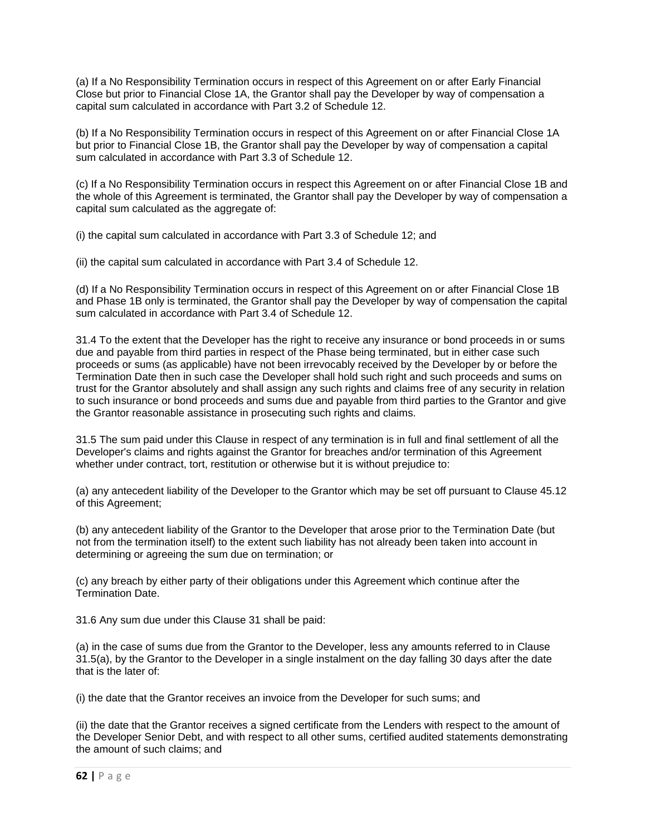(a) If a No Responsibility Termination occurs in respect of this Agreement on or after Early Financial Close but prior to Financial Close 1A, the Grantor shall pay the Developer by way of compensation a capital sum calculated in accordance with Part 3.2 of Schedule 12.

(b) If a No Responsibility Termination occurs in respect of this Agreement on or after Financial Close 1A but prior to Financial Close 1B, the Grantor shall pay the Developer by way of compensation a capital sum calculated in accordance with Part 3.3 of Schedule 12.

(c) If a No Responsibility Termination occurs in respect this Agreement on or after Financial Close 1B and the whole of this Agreement is terminated, the Grantor shall pay the Developer by way of compensation a capital sum calculated as the aggregate of:

(i) the capital sum calculated in accordance with Part 3.3 of Schedule 12; and

(ii) the capital sum calculated in accordance with Part 3.4 of Schedule 12.

(d) If a No Responsibility Termination occurs in respect of this Agreement on or after Financial Close 1B and Phase 1B only is terminated, the Grantor shall pay the Developer by way of compensation the capital sum calculated in accordance with Part 3.4 of Schedule 12.

31.4 To the extent that the Developer has the right to receive any insurance or bond proceeds in or sums due and payable from third parties in respect of the Phase being terminated, but in either case such proceeds or sums (as applicable) have not been irrevocably received by the Developer by or before the Termination Date then in such case the Developer shall hold such right and such proceeds and sums on trust for the Grantor absolutely and shall assign any such rights and claims free of any security in relation to such insurance or bond proceeds and sums due and payable from third parties to the Grantor and give the Grantor reasonable assistance in prosecuting such rights and claims.

31.5 The sum paid under this Clause in respect of any termination is in full and final settlement of all the Developer's claims and rights against the Grantor for breaches and/or termination of this Agreement whether under contract, tort, restitution or otherwise but it is without prejudice to:

(a) any antecedent liability of the Developer to the Grantor which may be set off pursuant to Clause 45.12 of this Agreement;

(b) any antecedent liability of the Grantor to the Developer that arose prior to the Termination Date (but not from the termination itself) to the extent such liability has not already been taken into account in determining or agreeing the sum due on termination; or

(c) any breach by either party of their obligations under this Agreement which continue after the Termination Date.

31.6 Any sum due under this Clause 31 shall be paid:

(a) in the case of sums due from the Grantor to the Developer, less any amounts referred to in Clause 31.5(a), by the Grantor to the Developer in a single instalment on the day falling 30 days after the date that is the later of:

(i) the date that the Grantor receives an invoice from the Developer for such sums; and

(ii) the date that the Grantor receives a signed certificate from the Lenders with respect to the amount of the Developer Senior Debt, and with respect to all other sums, certified audited statements demonstrating the amount of such claims; and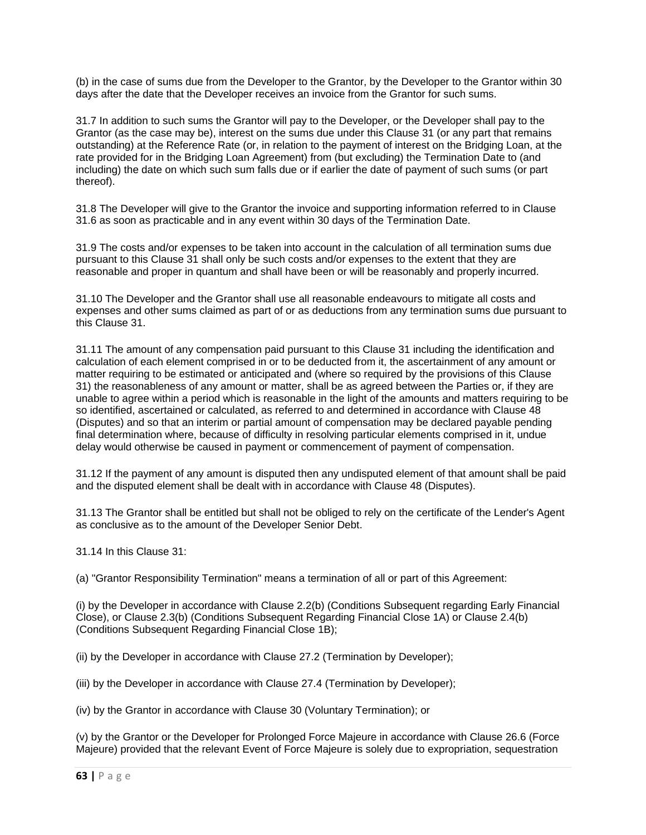(b) in the case of sums due from the Developer to the Grantor, by the Developer to the Grantor within 30 days after the date that the Developer receives an invoice from the Grantor for such sums.

31.7 In addition to such sums the Grantor will pay to the Developer, or the Developer shall pay to the Grantor (as the case may be), interest on the sums due under this Clause 31 (or any part that remains outstanding) at the Reference Rate (or, in relation to the payment of interest on the Bridging Loan, at the rate provided for in the Bridging Loan Agreement) from (but excluding) the Termination Date to (and including) the date on which such sum falls due or if earlier the date of payment of such sums (or part thereof).

31.8 The Developer will give to the Grantor the invoice and supporting information referred to in Clause 31.6 as soon as practicable and in any event within 30 days of the Termination Date.

31.9 The costs and/or expenses to be taken into account in the calculation of all termination sums due pursuant to this Clause 31 shall only be such costs and/or expenses to the extent that they are reasonable and proper in quantum and shall have been or will be reasonably and properly incurred.

31.10 The Developer and the Grantor shall use all reasonable endeavours to mitigate all costs and expenses and other sums claimed as part of or as deductions from any termination sums due pursuant to this Clause 31.

31.11 The amount of any compensation paid pursuant to this Clause 31 including the identification and calculation of each element comprised in or to be deducted from it, the ascertainment of any amount or matter requiring to be estimated or anticipated and (where so required by the provisions of this Clause 31) the reasonableness of any amount or matter, shall be as agreed between the Parties or, if they are unable to agree within a period which is reasonable in the light of the amounts and matters requiring to be so identified, ascertained or calculated, as referred to and determined in accordance with Clause 48 (Disputes) and so that an interim or partial amount of compensation may be declared payable pending final determination where, because of difficulty in resolving particular elements comprised in it, undue delay would otherwise be caused in payment or commencement of payment of compensation.

31.12 If the payment of any amount is disputed then any undisputed element of that amount shall be paid and the disputed element shall be dealt with in accordance with Clause 48 (Disputes).

31.13 The Grantor shall be entitled but shall not be obliged to rely on the certificate of the Lender's Agent as conclusive as to the amount of the Developer Senior Debt.

31.14 In this Clause 31:

(a) "Grantor Responsibility Termination" means a termination of all or part of this Agreement:

(i) by the Developer in accordance with Clause 2.2(b) (Conditions Subsequent regarding Early Financial Close), or Clause 2.3(b) (Conditions Subsequent Regarding Financial Close 1A) or Clause 2.4(b) (Conditions Subsequent Regarding Financial Close 1B);

(ii) by the Developer in accordance with Clause 27.2 (Termination by Developer);

(iii) by the Developer in accordance with Clause 27.4 (Termination by Developer);

(iv) by the Grantor in accordance with Clause 30 (Voluntary Termination); or

(v) by the Grantor or the Developer for Prolonged Force Majeure in accordance with Clause 26.6 (Force Majeure) provided that the relevant Event of Force Majeure is solely due to expropriation, sequestration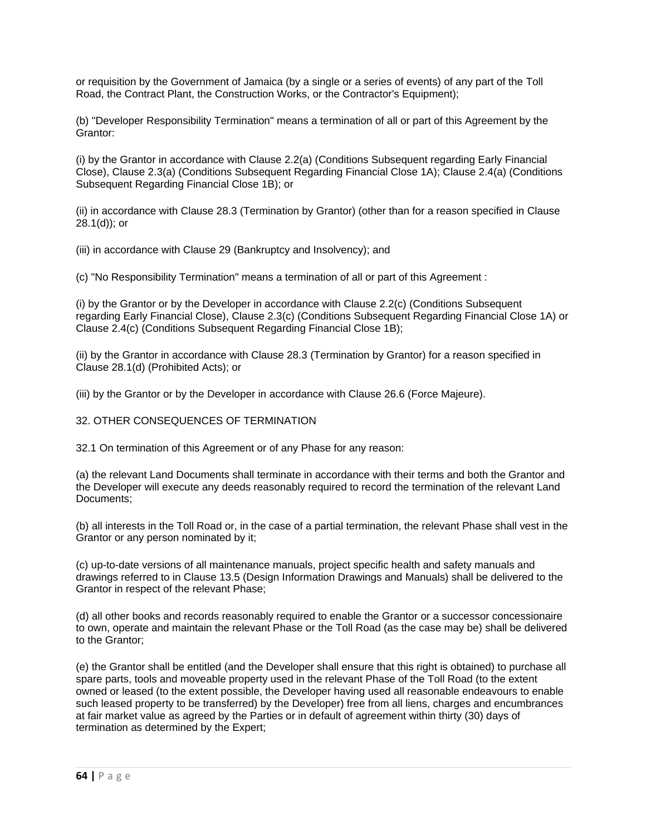or requisition by the Government of Jamaica (by a single or a series of events) of any part of the Toll Road, the Contract Plant, the Construction Works, or the Contractor's Equipment);

(b) "Developer Responsibility Termination" means a termination of all or part of this Agreement by the Grantor:

(i) by the Grantor in accordance with Clause 2.2(a) (Conditions Subsequent regarding Early Financial Close), Clause 2.3(a) (Conditions Subsequent Regarding Financial Close 1A); Clause 2.4(a) (Conditions Subsequent Regarding Financial Close 1B); or

(ii) in accordance with Clause 28.3 (Termination by Grantor) (other than for a reason specified in Clause 28.1(d)); or

(iii) in accordance with Clause 29 (Bankruptcy and Insolvency); and

(c) "No Responsibility Termination" means a termination of all or part of this Agreement :

(i) by the Grantor or by the Developer in accordance with Clause 2.2(c) (Conditions Subsequent regarding Early Financial Close), Clause 2.3(c) (Conditions Subsequent Regarding Financial Close 1A) or Clause 2.4(c) (Conditions Subsequent Regarding Financial Close 1B);

(ii) by the Grantor in accordance with Clause 28.3 (Termination by Grantor) for a reason specified in Clause 28.1(d) (Prohibited Acts); or

(iii) by the Grantor or by the Developer in accordance with Clause 26.6 (Force Majeure).

### 32. OTHER CONSEQUENCES OF TERMINATION

32.1 On termination of this Agreement or of any Phase for any reason:

(a) the relevant Land Documents shall terminate in accordance with their terms and both the Grantor and the Developer will execute any deeds reasonably required to record the termination of the relevant Land Documents;

(b) all interests in the Toll Road or, in the case of a partial termination, the relevant Phase shall vest in the Grantor or any person nominated by it;

(c) up-to-date versions of all maintenance manuals, project specific health and safety manuals and drawings referred to in Clause 13.5 (Design Information Drawings and Manuals) shall be delivered to the Grantor in respect of the relevant Phase;

(d) all other books and records reasonably required to enable the Grantor or a successor concessionaire to own, operate and maintain the relevant Phase or the Toll Road (as the case may be) shall be delivered to the Grantor;

(e) the Grantor shall be entitled (and the Developer shall ensure that this right is obtained) to purchase all spare parts, tools and moveable property used in the relevant Phase of the Toll Road (to the extent owned or leased (to the extent possible, the Developer having used all reasonable endeavours to enable such leased property to be transferred) by the Developer) free from all liens, charges and encumbrances at fair market value as agreed by the Parties or in default of agreement within thirty (30) days of termination as determined by the Expert;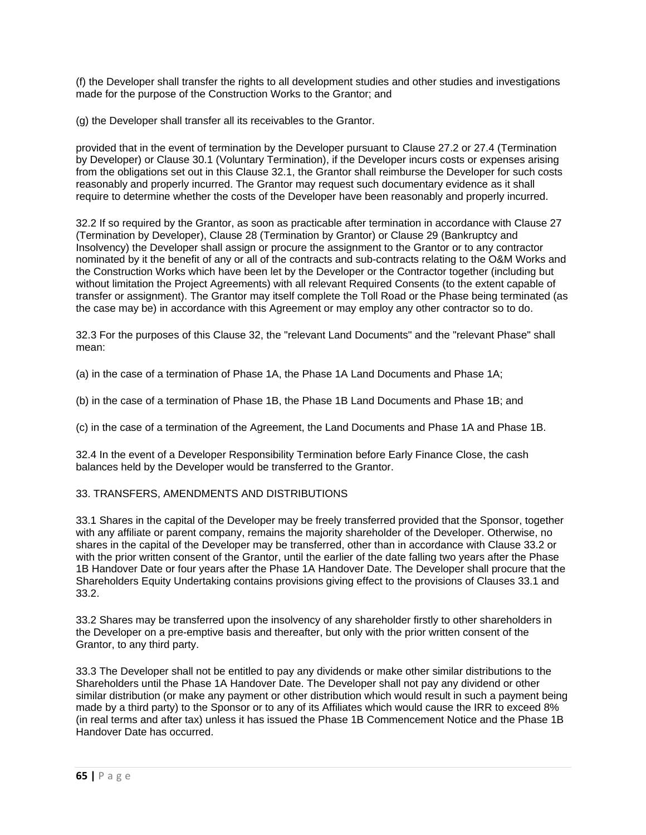(f) the Developer shall transfer the rights to all development studies and other studies and investigations made for the purpose of the Construction Works to the Grantor; and

(g) the Developer shall transfer all its receivables to the Grantor.

provided that in the event of termination by the Developer pursuant to Clause 27.2 or 27.4 (Termination by Developer) or Clause 30.1 (Voluntary Termination), if the Developer incurs costs or expenses arising from the obligations set out in this Clause 32.1, the Grantor shall reimburse the Developer for such costs reasonably and properly incurred. The Grantor may request such documentary evidence as it shall require to determine whether the costs of the Developer have been reasonably and properly incurred.

32.2 If so required by the Grantor, as soon as practicable after termination in accordance with Clause 27 (Termination by Developer), Clause 28 (Termination by Grantor) or Clause 29 (Bankruptcy and Insolvency) the Developer shall assign or procure the assignment to the Grantor or to any contractor nominated by it the benefit of any or all of the contracts and sub-contracts relating to the O&M Works and the Construction Works which have been let by the Developer or the Contractor together (including but without limitation the Project Agreements) with all relevant Required Consents (to the extent capable of transfer or assignment). The Grantor may itself complete the Toll Road or the Phase being terminated (as the case may be) in accordance with this Agreement or may employ any other contractor so to do.

32.3 For the purposes of this Clause 32, the "relevant Land Documents" and the "relevant Phase" shall mean:

(a) in the case of a termination of Phase 1A, the Phase 1A Land Documents and Phase 1A;

(b) in the case of a termination of Phase 1B, the Phase 1B Land Documents and Phase 1B; and

(c) in the case of a termination of the Agreement, the Land Documents and Phase 1A and Phase 1B.

32.4 In the event of a Developer Responsibility Termination before Early Finance Close, the cash balances held by the Developer would be transferred to the Grantor.

## 33. TRANSFERS, AMENDMENTS AND DISTRIBUTIONS

33.1 Shares in the capital of the Developer may be freely transferred provided that the Sponsor, together with any affiliate or parent company, remains the majority shareholder of the Developer. Otherwise, no shares in the capital of the Developer may be transferred, other than in accordance with Clause 33.2 or with the prior written consent of the Grantor, until the earlier of the date falling two years after the Phase 1B Handover Date or four years after the Phase 1A Handover Date. The Developer shall procure that the Shareholders Equity Undertaking contains provisions giving effect to the provisions of Clauses 33.1 and 33.2.

33.2 Shares may be transferred upon the insolvency of any shareholder firstly to other shareholders in the Developer on a pre-emptive basis and thereafter, but only with the prior written consent of the Grantor, to any third party.

33.3 The Developer shall not be entitled to pay any dividends or make other similar distributions to the Shareholders until the Phase 1A Handover Date. The Developer shall not pay any dividend or other similar distribution (or make any payment or other distribution which would result in such a payment being made by a third party) to the Sponsor or to any of its Affiliates which would cause the IRR to exceed 8% (in real terms and after tax) unless it has issued the Phase 1B Commencement Notice and the Phase 1B Handover Date has occurred.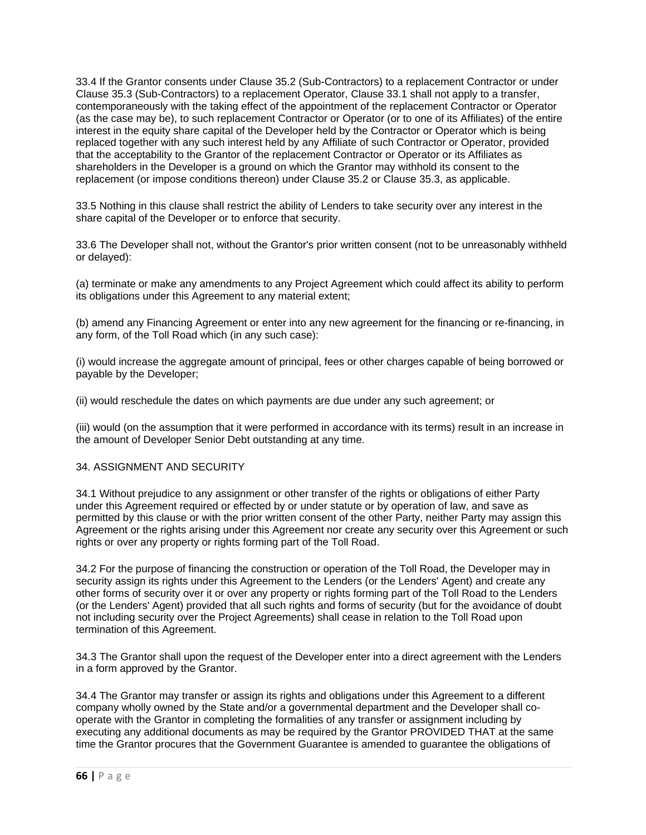33.4 If the Grantor consents under Clause 35.2 (Sub-Contractors) to a replacement Contractor or under Clause 35.3 (Sub-Contractors) to a replacement Operator, Clause 33.1 shall not apply to a transfer, contemporaneously with the taking effect of the appointment of the replacement Contractor or Operator (as the case may be), to such replacement Contractor or Operator (or to one of its Affiliates) of the entire interest in the equity share capital of the Developer held by the Contractor or Operator which is being replaced together with any such interest held by any Affiliate of such Contractor or Operator, provided that the acceptability to the Grantor of the replacement Contractor or Operator or its Affiliates as shareholders in the Developer is a ground on which the Grantor may withhold its consent to the replacement (or impose conditions thereon) under Clause 35.2 or Clause 35.3, as applicable.

33.5 Nothing in this clause shall restrict the ability of Lenders to take security over any interest in the share capital of the Developer or to enforce that security.

33.6 The Developer shall not, without the Grantor's prior written consent (not to be unreasonably withheld or delayed):

(a) terminate or make any amendments to any Project Agreement which could affect its ability to perform its obligations under this Agreement to any material extent;

(b) amend any Financing Agreement or enter into any new agreement for the financing or re-financing, in any form, of the Toll Road which (in any such case):

(i) would increase the aggregate amount of principal, fees or other charges capable of being borrowed or payable by the Developer;

(ii) would reschedule the dates on which payments are due under any such agreement; or

(iii) would (on the assumption that it were performed in accordance with its terms) result in an increase in the amount of Developer Senior Debt outstanding at any time.

## 34. ASSIGNMENT AND SECURITY

34.1 Without prejudice to any assignment or other transfer of the rights or obligations of either Party under this Agreement required or effected by or under statute or by operation of law, and save as permitted by this clause or with the prior written consent of the other Party, neither Party may assign this Agreement or the rights arising under this Agreement nor create any security over this Agreement or such rights or over any property or rights forming part of the Toll Road.

34.2 For the purpose of financing the construction or operation of the Toll Road, the Developer may in security assign its rights under this Agreement to the Lenders (or the Lenders' Agent) and create any other forms of security over it or over any property or rights forming part of the Toll Road to the Lenders (or the Lenders' Agent) provided that all such rights and forms of security (but for the avoidance of doubt not including security over the Project Agreements) shall cease in relation to the Toll Road upon termination of this Agreement.

34.3 The Grantor shall upon the request of the Developer enter into a direct agreement with the Lenders in a form approved by the Grantor.

34.4 The Grantor may transfer or assign its rights and obligations under this Agreement to a different company wholly owned by the State and/or a governmental department and the Developer shall cooperate with the Grantor in completing the formalities of any transfer or assignment including by executing any additional documents as may be required by the Grantor PROVIDED THAT at the same time the Grantor procures that the Government Guarantee is amended to guarantee the obligations of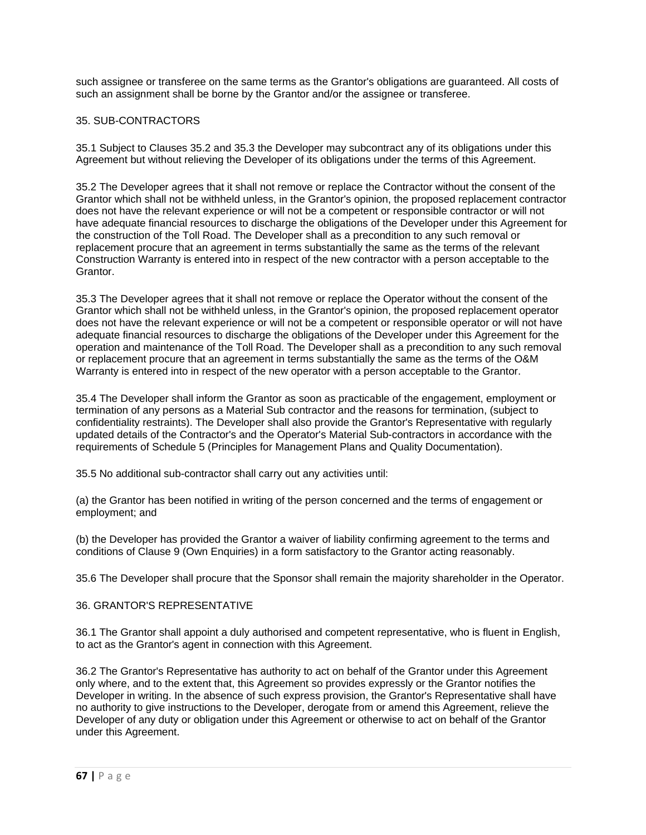such assignee or transferee on the same terms as the Grantor's obligations are guaranteed. All costs of such an assignment shall be borne by the Grantor and/or the assignee or transferee.

# 35. SUB-CONTRACTORS

35.1 Subject to Clauses 35.2 and 35.3 the Developer may subcontract any of its obligations under this Agreement but without relieving the Developer of its obligations under the terms of this Agreement.

35.2 The Developer agrees that it shall not remove or replace the Contractor without the consent of the Grantor which shall not be withheld unless, in the Grantor's opinion, the proposed replacement contractor does not have the relevant experience or will not be a competent or responsible contractor or will not have adequate financial resources to discharge the obligations of the Developer under this Agreement for the construction of the Toll Road. The Developer shall as a precondition to any such removal or replacement procure that an agreement in terms substantially the same as the terms of the relevant Construction Warranty is entered into in respect of the new contractor with a person acceptable to the Grantor.

35.3 The Developer agrees that it shall not remove or replace the Operator without the consent of the Grantor which shall not be withheld unless, in the Grantor's opinion, the proposed replacement operator does not have the relevant experience or will not be a competent or responsible operator or will not have adequate financial resources to discharge the obligations of the Developer under this Agreement for the operation and maintenance of the Toll Road. The Developer shall as a precondition to any such removal or replacement procure that an agreement in terms substantially the same as the terms of the O&M Warranty is entered into in respect of the new operator with a person acceptable to the Grantor.

35.4 The Developer shall inform the Grantor as soon as practicable of the engagement, employment or termination of any persons as a Material Sub contractor and the reasons for termination, (subject to confidentiality restraints). The Developer shall also provide the Grantor's Representative with regularly updated details of the Contractor's and the Operator's Material Sub-contractors in accordance with the requirements of Schedule 5 (Principles for Management Plans and Quality Documentation).

35.5 No additional sub-contractor shall carry out any activities until:

(a) the Grantor has been notified in writing of the person concerned and the terms of engagement or employment; and

(b) the Developer has provided the Grantor a waiver of liability confirming agreement to the terms and conditions of Clause 9 (Own Enquiries) in a form satisfactory to the Grantor acting reasonably.

35.6 The Developer shall procure that the Sponsor shall remain the majority shareholder in the Operator.

## 36. GRANTOR'S REPRESENTATIVE

36.1 The Grantor shall appoint a duly authorised and competent representative, who is fluent in English, to act as the Grantor's agent in connection with this Agreement.

36.2 The Grantor's Representative has authority to act on behalf of the Grantor under this Agreement only where, and to the extent that, this Agreement so provides expressly or the Grantor notifies the Developer in writing. In the absence of such express provision, the Grantor's Representative shall have no authority to give instructions to the Developer, derogate from or amend this Agreement, relieve the Developer of any duty or obligation under this Agreement or otherwise to act on behalf of the Grantor under this Agreement.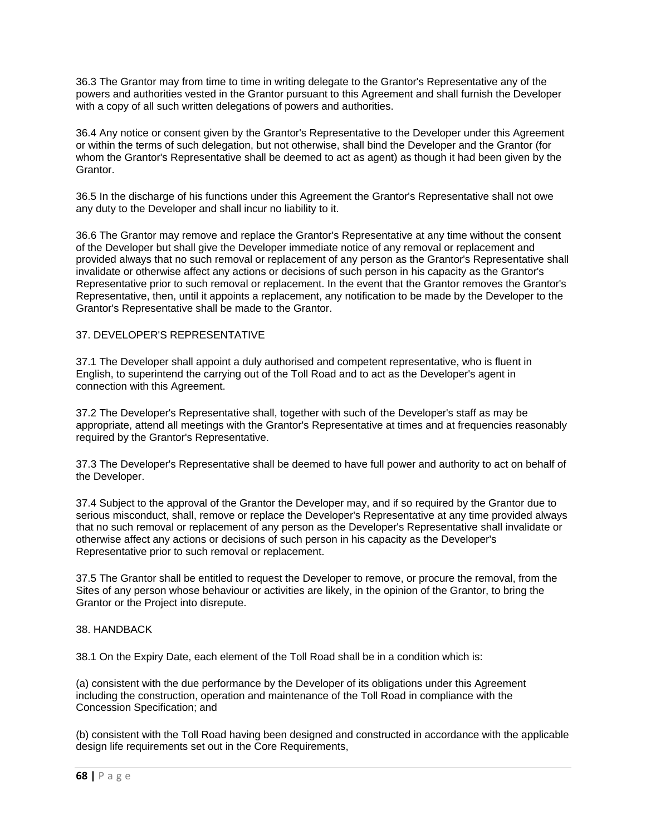36.3 The Grantor may from time to time in writing delegate to the Grantor's Representative any of the powers and authorities vested in the Grantor pursuant to this Agreement and shall furnish the Developer with a copy of all such written delegations of powers and authorities.

36.4 Any notice or consent given by the Grantor's Representative to the Developer under this Agreement or within the terms of such delegation, but not otherwise, shall bind the Developer and the Grantor (for whom the Grantor's Representative shall be deemed to act as agent) as though it had been given by the Grantor.

36.5 In the discharge of his functions under this Agreement the Grantor's Representative shall not owe any duty to the Developer and shall incur no liability to it.

36.6 The Grantor may remove and replace the Grantor's Representative at any time without the consent of the Developer but shall give the Developer immediate notice of any removal or replacement and provided always that no such removal or replacement of any person as the Grantor's Representative shall invalidate or otherwise affect any actions or decisions of such person in his capacity as the Grantor's Representative prior to such removal or replacement. In the event that the Grantor removes the Grantor's Representative, then, until it appoints a replacement, any notification to be made by the Developer to the Grantor's Representative shall be made to the Grantor.

### 37. DEVELOPER'S REPRESENTATIVE

37.1 The Developer shall appoint a duly authorised and competent representative, who is fluent in English, to superintend the carrying out of the Toll Road and to act as the Developer's agent in connection with this Agreement.

37.2 The Developer's Representative shall, together with such of the Developer's staff as may be appropriate, attend all meetings with the Grantor's Representative at times and at frequencies reasonably required by the Grantor's Representative.

37.3 The Developer's Representative shall be deemed to have full power and authority to act on behalf of the Developer.

37.4 Subject to the approval of the Grantor the Developer may, and if so required by the Grantor due to serious misconduct, shall, remove or replace the Developer's Representative at any time provided always that no such removal or replacement of any person as the Developer's Representative shall invalidate or otherwise affect any actions or decisions of such person in his capacity as the Developer's Representative prior to such removal or replacement.

37.5 The Grantor shall be entitled to request the Developer to remove, or procure the removal, from the Sites of any person whose behaviour or activities are likely, in the opinion of the Grantor, to bring the Grantor or the Project into disrepute.

#### 38. HANDBACK

38.1 On the Expiry Date, each element of the Toll Road shall be in a condition which is:

(a) consistent with the due performance by the Developer of its obligations under this Agreement including the construction, operation and maintenance of the Toll Road in compliance with the Concession Specification; and

(b) consistent with the Toll Road having been designed and constructed in accordance with the applicable design life requirements set out in the Core Requirements,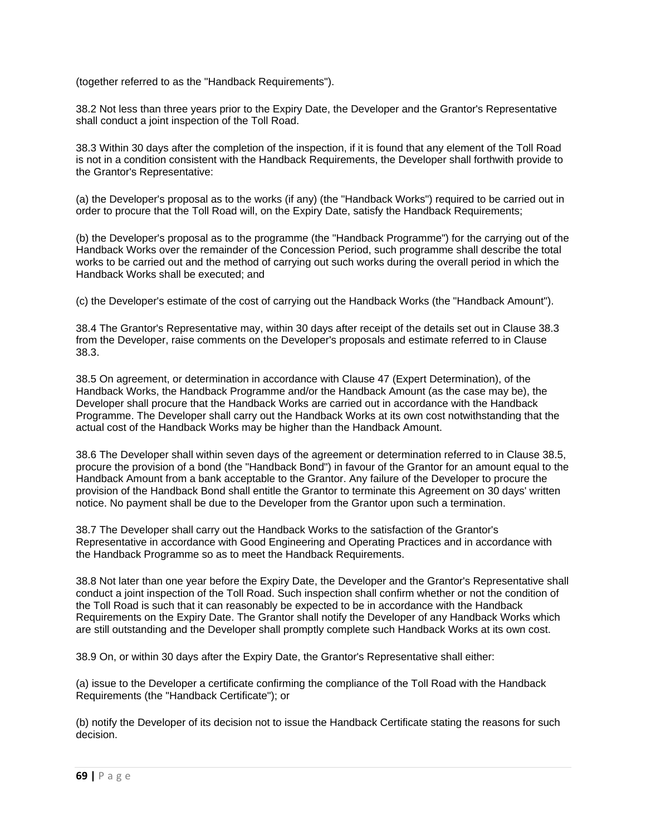(together referred to as the "Handback Requirements").

38.2 Not less than three years prior to the Expiry Date, the Developer and the Grantor's Representative shall conduct a joint inspection of the Toll Road.

38.3 Within 30 days after the completion of the inspection, if it is found that any element of the Toll Road is not in a condition consistent with the Handback Requirements, the Developer shall forthwith provide to the Grantor's Representative:

(a) the Developer's proposal as to the works (if any) (the "Handback Works") required to be carried out in order to procure that the Toll Road will, on the Expiry Date, satisfy the Handback Requirements;

(b) the Developer's proposal as to the programme (the "Handback Programme") for the carrying out of the Handback Works over the remainder of the Concession Period, such programme shall describe the total works to be carried out and the method of carrying out such works during the overall period in which the Handback Works shall be executed; and

(c) the Developer's estimate of the cost of carrying out the Handback Works (the "Handback Amount").

38.4 The Grantor's Representative may, within 30 days after receipt of the details set out in Clause 38.3 from the Developer, raise comments on the Developer's proposals and estimate referred to in Clause 38.3.

38.5 On agreement, or determination in accordance with Clause 47 (Expert Determination), of the Handback Works, the Handback Programme and/or the Handback Amount (as the case may be), the Developer shall procure that the Handback Works are carried out in accordance with the Handback Programme. The Developer shall carry out the Handback Works at its own cost notwithstanding that the actual cost of the Handback Works may be higher than the Handback Amount.

38.6 The Developer shall within seven days of the agreement or determination referred to in Clause 38.5, procure the provision of a bond (the "Handback Bond") in favour of the Grantor for an amount equal to the Handback Amount from a bank acceptable to the Grantor. Any failure of the Developer to procure the provision of the Handback Bond shall entitle the Grantor to terminate this Agreement on 30 days' written notice. No payment shall be due to the Developer from the Grantor upon such a termination.

38.7 The Developer shall carry out the Handback Works to the satisfaction of the Grantor's Representative in accordance with Good Engineering and Operating Practices and in accordance with the Handback Programme so as to meet the Handback Requirements.

38.8 Not later than one year before the Expiry Date, the Developer and the Grantor's Representative shall conduct a joint inspection of the Toll Road. Such inspection shall confirm whether or not the condition of the Toll Road is such that it can reasonably be expected to be in accordance with the Handback Requirements on the Expiry Date. The Grantor shall notify the Developer of any Handback Works which are still outstanding and the Developer shall promptly complete such Handback Works at its own cost.

38.9 On, or within 30 days after the Expiry Date, the Grantor's Representative shall either:

(a) issue to the Developer a certificate confirming the compliance of the Toll Road with the Handback Requirements (the "Handback Certificate"); or

(b) notify the Developer of its decision not to issue the Handback Certificate stating the reasons for such decision.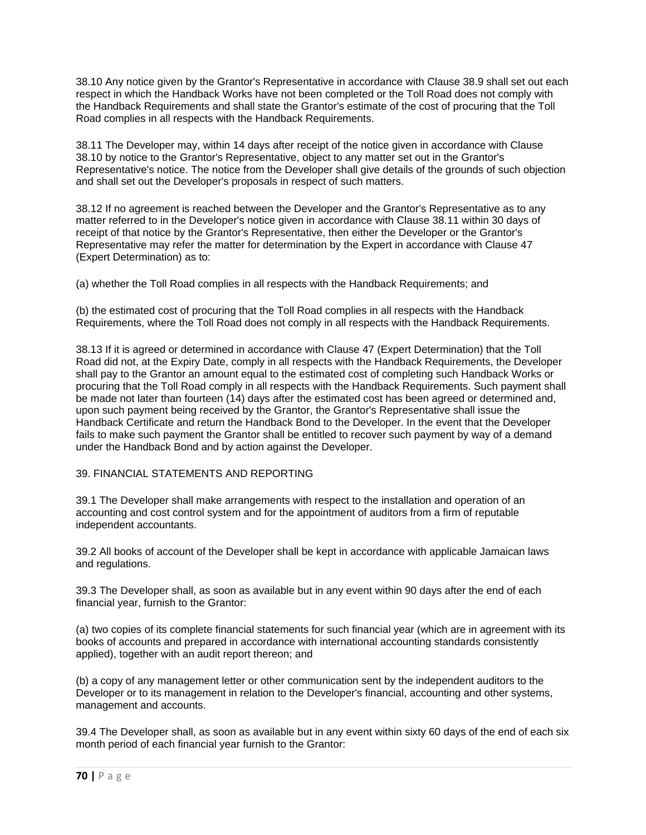38.10 Any notice given by the Grantor's Representative in accordance with Clause 38.9 shall set out each respect in which the Handback Works have not been completed or the Toll Road does not comply with the Handback Requirements and shall state the Grantor's estimate of the cost of procuring that the Toll Road complies in all respects with the Handback Requirements.

38.11 The Developer may, within 14 days after receipt of the notice given in accordance with Clause 38.10 by notice to the Grantor's Representative, object to any matter set out in the Grantor's Representative's notice. The notice from the Developer shall give details of the grounds of such objection and shall set out the Developer's proposals in respect of such matters.

38.12 If no agreement is reached between the Developer and the Grantor's Representative as to any matter referred to in the Developer's notice given in accordance with Clause 38.11 within 30 days of receipt of that notice by the Grantor's Representative, then either the Developer or the Grantor's Representative may refer the matter for determination by the Expert in accordance with Clause 47 (Expert Determination) as to:

(a) whether the Toll Road complies in all respects with the Handback Requirements; and

(b) the estimated cost of procuring that the Toll Road complies in all respects with the Handback Requirements, where the Toll Road does not comply in all respects with the Handback Requirements.

38.13 If it is agreed or determined in accordance with Clause 47 (Expert Determination) that the Toll Road did not, at the Expiry Date, comply in all respects with the Handback Requirements, the Developer shall pay to the Grantor an amount equal to the estimated cost of completing such Handback Works or procuring that the Toll Road comply in all respects with the Handback Requirements. Such payment shall be made not later than fourteen (14) days after the estimated cost has been agreed or determined and, upon such payment being received by the Grantor, the Grantor's Representative shall issue the Handback Certificate and return the Handback Bond to the Developer. In the event that the Developer fails to make such payment the Grantor shall be entitled to recover such payment by way of a demand under the Handback Bond and by action against the Developer.

#### 39. FINANCIAL STATEMENTS AND REPORTING

39.1 The Developer shall make arrangements with respect to the installation and operation of an accounting and cost control system and for the appointment of auditors from a firm of reputable independent accountants.

39.2 All books of account of the Developer shall be kept in accordance with applicable Jamaican laws and regulations.

39.3 The Developer shall, as soon as available but in any event within 90 days after the end of each financial year, furnish to the Grantor:

(a) two copies of its complete financial statements for such financial year (which are in agreement with its books of accounts and prepared in accordance with international accounting standards consistently applied), together with an audit report thereon; and

(b) a copy of any management letter or other communication sent by the independent auditors to the Developer or to its management in relation to the Developer's financial, accounting and other systems, management and accounts.

39.4 The Developer shall, as soon as available but in any event within sixty 60 days of the end of each six month period of each financial year furnish to the Grantor: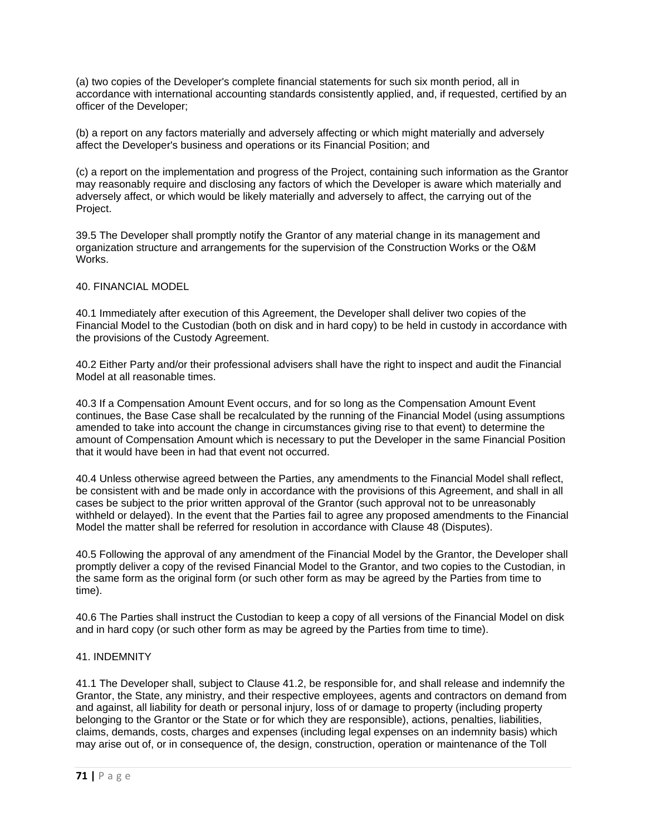(a) two copies of the Developer's complete financial statements for such six month period, all in accordance with international accounting standards consistently applied, and, if requested, certified by an officer of the Developer;

(b) a report on any factors materially and adversely affecting or which might materially and adversely affect the Developer's business and operations or its Financial Position; and

(c) a report on the implementation and progress of the Project, containing such information as the Grantor may reasonably require and disclosing any factors of which the Developer is aware which materially and adversely affect, or which would be likely materially and adversely to affect, the carrying out of the Project.

39.5 The Developer shall promptly notify the Grantor of any material change in its management and organization structure and arrangements for the supervision of the Construction Works or the O&M Works.

### 40. FINANCIAL MODEL

40.1 Immediately after execution of this Agreement, the Developer shall deliver two copies of the Financial Model to the Custodian (both on disk and in hard copy) to be held in custody in accordance with the provisions of the Custody Agreement.

40.2 Either Party and/or their professional advisers shall have the right to inspect and audit the Financial Model at all reasonable times.

40.3 If a Compensation Amount Event occurs, and for so long as the Compensation Amount Event continues, the Base Case shall be recalculated by the running of the Financial Model (using assumptions amended to take into account the change in circumstances giving rise to that event) to determine the amount of Compensation Amount which is necessary to put the Developer in the same Financial Position that it would have been in had that event not occurred.

40.4 Unless otherwise agreed between the Parties, any amendments to the Financial Model shall reflect, be consistent with and be made only in accordance with the provisions of this Agreement, and shall in all cases be subject to the prior written approval of the Grantor (such approval not to be unreasonably withheld or delayed). In the event that the Parties fail to agree any proposed amendments to the Financial Model the matter shall be referred for resolution in accordance with Clause 48 (Disputes).

40.5 Following the approval of any amendment of the Financial Model by the Grantor, the Developer shall promptly deliver a copy of the revised Financial Model to the Grantor, and two copies to the Custodian, in the same form as the original form (or such other form as may be agreed by the Parties from time to time).

40.6 The Parties shall instruct the Custodian to keep a copy of all versions of the Financial Model on disk and in hard copy (or such other form as may be agreed by the Parties from time to time).

#### 41. INDEMNITY

41.1 The Developer shall, subject to Clause 41.2, be responsible for, and shall release and indemnify the Grantor, the State, any ministry, and their respective employees, agents and contractors on demand from and against, all liability for death or personal injury, loss of or damage to property (including property belonging to the Grantor or the State or for which they are responsible), actions, penalties, liabilities, claims, demands, costs, charges and expenses (including legal expenses on an indemnity basis) which may arise out of, or in consequence of, the design, construction, operation or maintenance of the Toll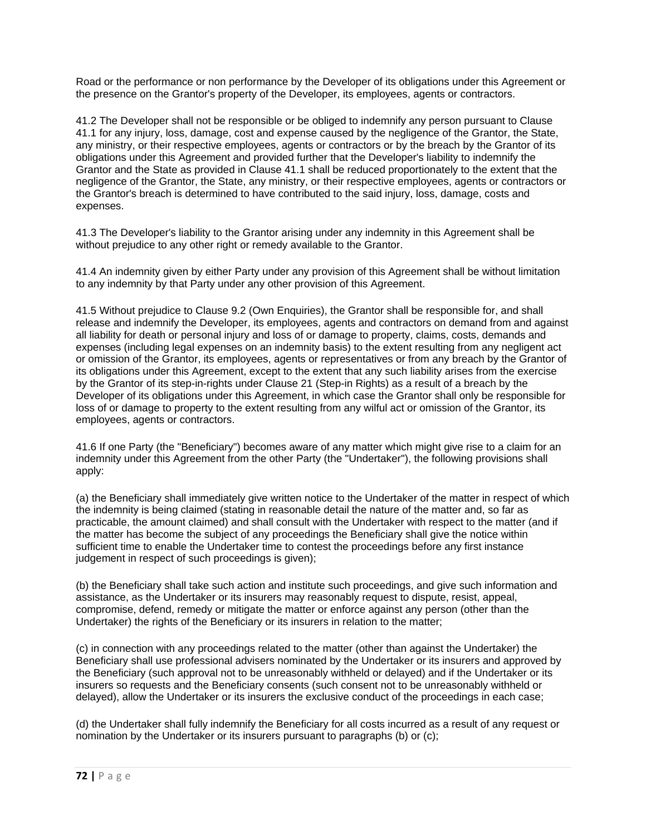Road or the performance or non performance by the Developer of its obligations under this Agreement or the presence on the Grantor's property of the Developer, its employees, agents or contractors.

41.2 The Developer shall not be responsible or be obliged to indemnify any person pursuant to Clause 41.1 for any injury, loss, damage, cost and expense caused by the negligence of the Grantor, the State, any ministry, or their respective employees, agents or contractors or by the breach by the Grantor of its obligations under this Agreement and provided further that the Developer's liability to indemnify the Grantor and the State as provided in Clause 41.1 shall be reduced proportionately to the extent that the negligence of the Grantor, the State, any ministry, or their respective employees, agents or contractors or the Grantor's breach is determined to have contributed to the said injury, loss, damage, costs and expenses.

41.3 The Developer's liability to the Grantor arising under any indemnity in this Agreement shall be without prejudice to any other right or remedy available to the Grantor.

41.4 An indemnity given by either Party under any provision of this Agreement shall be without limitation to any indemnity by that Party under any other provision of this Agreement.

41.5 Without prejudice to Clause 9.2 (Own Enquiries), the Grantor shall be responsible for, and shall release and indemnify the Developer, its employees, agents and contractors on demand from and against all liability for death or personal injury and loss of or damage to property, claims, costs, demands and expenses (including legal expenses on an indemnity basis) to the extent resulting from any negligent act or omission of the Grantor, its employees, agents or representatives or from any breach by the Grantor of its obligations under this Agreement, except to the extent that any such liability arises from the exercise by the Grantor of its step-in-rights under Clause 21 (Step-in Rights) as a result of a breach by the Developer of its obligations under this Agreement, in which case the Grantor shall only be responsible for loss of or damage to property to the extent resulting from any wilful act or omission of the Grantor, its employees, agents or contractors.

41.6 If one Party (the "Beneficiary") becomes aware of any matter which might give rise to a claim for an indemnity under this Agreement from the other Party (the "Undertaker"), the following provisions shall apply:

(a) the Beneficiary shall immediately give written notice to the Undertaker of the matter in respect of which the indemnity is being claimed (stating in reasonable detail the nature of the matter and, so far as practicable, the amount claimed) and shall consult with the Undertaker with respect to the matter (and if the matter has become the subject of any proceedings the Beneficiary shall give the notice within sufficient time to enable the Undertaker time to contest the proceedings before any first instance judgement in respect of such proceedings is given);

(b) the Beneficiary shall take such action and institute such proceedings, and give such information and assistance, as the Undertaker or its insurers may reasonably request to dispute, resist, appeal, compromise, defend, remedy or mitigate the matter or enforce against any person (other than the Undertaker) the rights of the Beneficiary or its insurers in relation to the matter;

(c) in connection with any proceedings related to the matter (other than against the Undertaker) the Beneficiary shall use professional advisers nominated by the Undertaker or its insurers and approved by the Beneficiary (such approval not to be unreasonably withheld or delayed) and if the Undertaker or its insurers so requests and the Beneficiary consents (such consent not to be unreasonably withheld or delayed), allow the Undertaker or its insurers the exclusive conduct of the proceedings in each case;

(d) the Undertaker shall fully indemnify the Beneficiary for all costs incurred as a result of any request or nomination by the Undertaker or its insurers pursuant to paragraphs (b) or (c);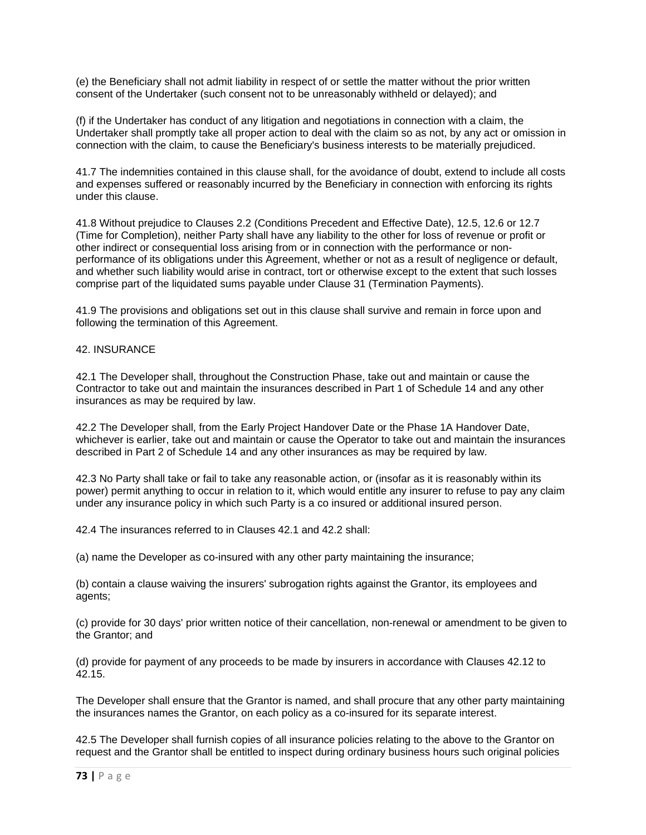(e) the Beneficiary shall not admit liability in respect of or settle the matter without the prior written consent of the Undertaker (such consent not to be unreasonably withheld or delayed); and

(f) if the Undertaker has conduct of any litigation and negotiations in connection with a claim, the Undertaker shall promptly take all proper action to deal with the claim so as not, by any act or omission in connection with the claim, to cause the Beneficiary's business interests to be materially prejudiced.

41.7 The indemnities contained in this clause shall, for the avoidance of doubt, extend to include all costs and expenses suffered or reasonably incurred by the Beneficiary in connection with enforcing its rights under this clause.

41.8 Without prejudice to Clauses 2.2 (Conditions Precedent and Effective Date), 12.5, 12.6 or 12.7 (Time for Completion), neither Party shall have any liability to the other for loss of revenue or profit or other indirect or consequential loss arising from or in connection with the performance or nonperformance of its obligations under this Agreement, whether or not as a result of negligence or default, and whether such liability would arise in contract, tort or otherwise except to the extent that such losses comprise part of the liquidated sums payable under Clause 31 (Termination Payments).

41.9 The provisions and obligations set out in this clause shall survive and remain in force upon and following the termination of this Agreement.

### 42. INSURANCE

42.1 The Developer shall, throughout the Construction Phase, take out and maintain or cause the Contractor to take out and maintain the insurances described in Part 1 of Schedule 14 and any other insurances as may be required by law.

42.2 The Developer shall, from the Early Project Handover Date or the Phase 1A Handover Date, whichever is earlier, take out and maintain or cause the Operator to take out and maintain the insurances described in Part 2 of Schedule 14 and any other insurances as may be required by law.

42.3 No Party shall take or fail to take any reasonable action, or (insofar as it is reasonably within its power) permit anything to occur in relation to it, which would entitle any insurer to refuse to pay any claim under any insurance policy in which such Party is a co insured or additional insured person.

42.4 The insurances referred to in Clauses 42.1 and 42.2 shall:

(a) name the Developer as co-insured with any other party maintaining the insurance;

(b) contain a clause waiving the insurers' subrogation rights against the Grantor, its employees and agents;

(c) provide for 30 days' prior written notice of their cancellation, non-renewal or amendment to be given to the Grantor; and

(d) provide for payment of any proceeds to be made by insurers in accordance with Clauses 42.12 to 42.15.

The Developer shall ensure that the Grantor is named, and shall procure that any other party maintaining the insurances names the Grantor, on each policy as a co-insured for its separate interest.

42.5 The Developer shall furnish copies of all insurance policies relating to the above to the Grantor on request and the Grantor shall be entitled to inspect during ordinary business hours such original policies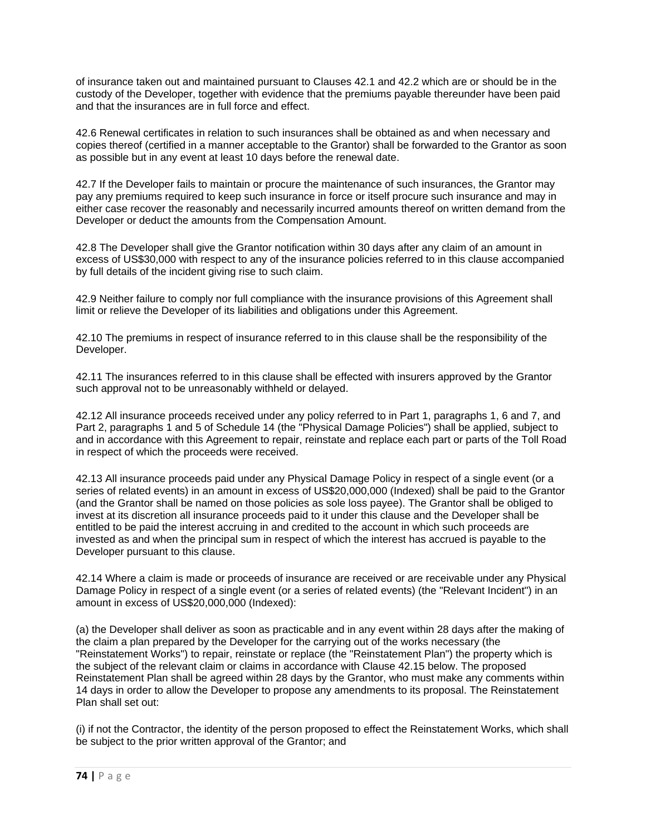of insurance taken out and maintained pursuant to Clauses 42.1 and 42.2 which are or should be in the custody of the Developer, together with evidence that the premiums payable thereunder have been paid and that the insurances are in full force and effect.

42.6 Renewal certificates in relation to such insurances shall be obtained as and when necessary and copies thereof (certified in a manner acceptable to the Grantor) shall be forwarded to the Grantor as soon as possible but in any event at least 10 days before the renewal date.

42.7 If the Developer fails to maintain or procure the maintenance of such insurances, the Grantor may pay any premiums required to keep such insurance in force or itself procure such insurance and may in either case recover the reasonably and necessarily incurred amounts thereof on written demand from the Developer or deduct the amounts from the Compensation Amount.

42.8 The Developer shall give the Grantor notification within 30 days after any claim of an amount in excess of US\$30,000 with respect to any of the insurance policies referred to in this clause accompanied by full details of the incident giving rise to such claim.

42.9 Neither failure to comply nor full compliance with the insurance provisions of this Agreement shall limit or relieve the Developer of its liabilities and obligations under this Agreement.

42.10 The premiums in respect of insurance referred to in this clause shall be the responsibility of the Developer.

42.11 The insurances referred to in this clause shall be effected with insurers approved by the Grantor such approval not to be unreasonably withheld or delayed.

42.12 All insurance proceeds received under any policy referred to in Part 1, paragraphs 1, 6 and 7, and Part 2, paragraphs 1 and 5 of Schedule 14 (the "Physical Damage Policies") shall be applied, subject to and in accordance with this Agreement to repair, reinstate and replace each part or parts of the Toll Road in respect of which the proceeds were received.

42.13 All insurance proceeds paid under any Physical Damage Policy in respect of a single event (or a series of related events) in an amount in excess of US\$20,000,000 (Indexed) shall be paid to the Grantor (and the Grantor shall be named on those policies as sole loss payee). The Grantor shall be obliged to invest at its discretion all insurance proceeds paid to it under this clause and the Developer shall be entitled to be paid the interest accruing in and credited to the account in which such proceeds are invested as and when the principal sum in respect of which the interest has accrued is payable to the Developer pursuant to this clause.

42.14 Where a claim is made or proceeds of insurance are received or are receivable under any Physical Damage Policy in respect of a single event (or a series of related events) (the "Relevant Incident") in an amount in excess of US\$20,000,000 (Indexed):

(a) the Developer shall deliver as soon as practicable and in any event within 28 days after the making of the claim a plan prepared by the Developer for the carrying out of the works necessary (the "Reinstatement Works") to repair, reinstate or replace (the "Reinstatement Plan") the property which is the subject of the relevant claim or claims in accordance with Clause 42.15 below. The proposed Reinstatement Plan shall be agreed within 28 days by the Grantor, who must make any comments within 14 days in order to allow the Developer to propose any amendments to its proposal. The Reinstatement Plan shall set out:

(i) if not the Contractor, the identity of the person proposed to effect the Reinstatement Works, which shall be subject to the prior written approval of the Grantor; and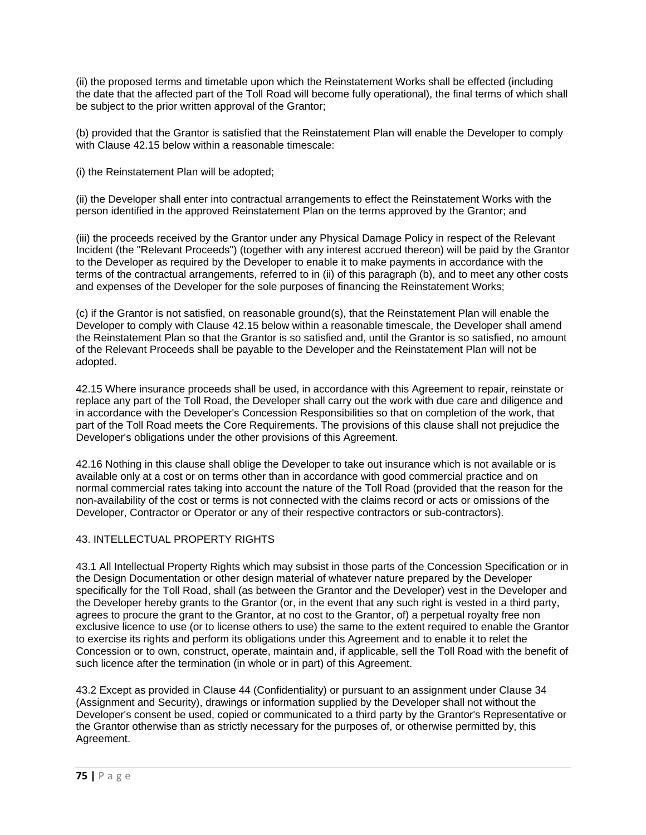(ii) the proposed terms and timetable upon which the Reinstatement Works shall be effected (including the date that the affected part of the Toll Road will become fully operational), the final terms of which shall be subject to the prior written approval of the Grantor;

(b) provided that the Grantor is satisfied that the Reinstatement Plan will enable the Developer to comply with Clause 42.15 below within a reasonable timescale:

(i) the Reinstatement Plan will be adopted;

(ii) the Developer shall enter into contractual arrangements to effect the Reinstatement Works with the person identified in the approved Reinstatement Plan on the terms approved by the Grantor; and

(iii) the proceeds received by the Grantor under any Physical Damage Policy in respect of the Relevant Incident (the "Relevant Proceeds") (together with any interest accrued thereon) will be paid by the Grantor to the Developer as required by the Developer to enable it to make payments in accordance with the terms of the contractual arrangements, referred to in (ii) of this paragraph (b), and to meet any other costs and expenses of the Developer for the sole purposes of financing the Reinstatement Works;

(c) if the Grantor is not satisfied, on reasonable ground(s), that the Reinstatement Plan will enable the Developer to comply with Clause 42.15 below within a reasonable timescale, the Developer shall amend the Reinstatement Plan so that the Grantor is so satisfied and, until the Grantor is so satisfied, no amount of the Relevant Proceeds shall be payable to the Developer and the Reinstatement Plan will not be adopted.

42.15 Where insurance proceeds shall be used, in accordance with this Agreement to repair, reinstate or replace any part of the Toll Road, the Developer shall carry out the work with due care and diligence and in accordance with the Developer's Concession Responsibilities so that on completion of the work, that part of the Toll Road meets the Core Requirements. The provisions of this clause shall not prejudice the Developer's obligations under the other provisions of this Agreement.

42.16 Nothing in this clause shall oblige the Developer to take out insurance which is not available or is available only at a cost or on terms other than in accordance with good commercial practice and on normal commercial rates taking into account the nature of the Toll Road (provided that the reason for the non-availability of the cost or terms is not connected with the claims record or acts or omissions of the Developer, Contractor or Operator or any of their respective contractors or sub-contractors).

# 43. INTELLECTUAL PROPERTY RIGHTS

43.1 All Intellectual Property Rights which may subsist in those parts of the Concession Specification or in the Design Documentation or other design material of whatever nature prepared by the Developer specifically for the Toll Road, shall (as between the Grantor and the Developer) vest in the Developer and the Developer hereby grants to the Grantor (or, in the event that any such right is vested in a third party, agrees to procure the grant to the Grantor, at no cost to the Grantor, of) a perpetual royalty free non exclusive licence to use (or to license others to use) the same to the extent required to enable the Grantor to exercise its rights and perform its obligations under this Agreement and to enable it to relet the Concession or to own, construct, operate, maintain and, if applicable, sell the Toll Road with the benefit of such licence after the termination (in whole or in part) of this Agreement.

43.2 Except as provided in Clause 44 (Confidentiality) or pursuant to an assignment under Clause 34 (Assignment and Security), drawings or information supplied by the Developer shall not without the Developer's consent be used, copied or communicated to a third party by the Grantor's Representative or the Grantor otherwise than as strictly necessary for the purposes of, or otherwise permitted by, this Agreement.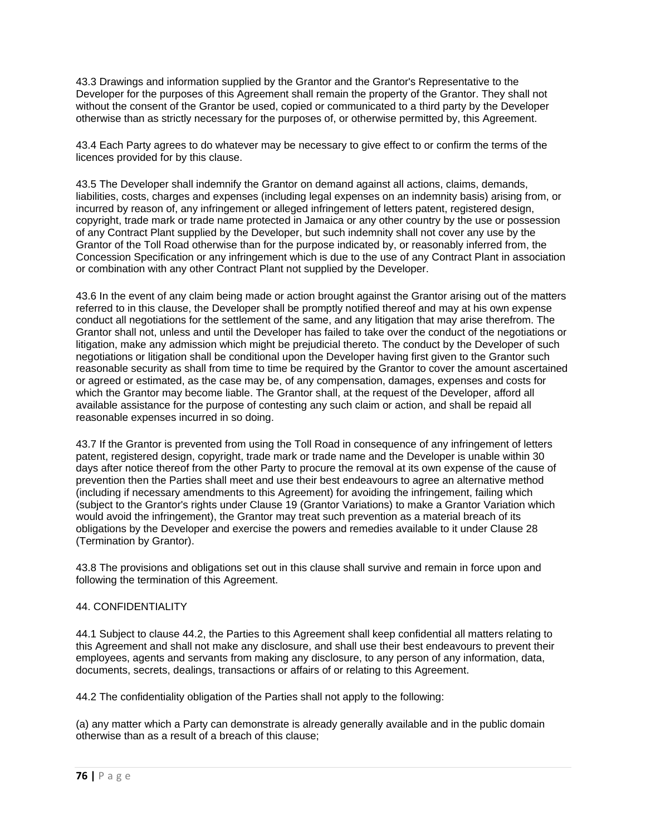43.3 Drawings and information supplied by the Grantor and the Grantor's Representative to the Developer for the purposes of this Agreement shall remain the property of the Grantor. They shall not without the consent of the Grantor be used, copied or communicated to a third party by the Developer otherwise than as strictly necessary for the purposes of, or otherwise permitted by, this Agreement.

43.4 Each Party agrees to do whatever may be necessary to give effect to or confirm the terms of the licences provided for by this clause.

43.5 The Developer shall indemnify the Grantor on demand against all actions, claims, demands, liabilities, costs, charges and expenses (including legal expenses on an indemnity basis) arising from, or incurred by reason of, any infringement or alleged infringement of letters patent, registered design, copyright, trade mark or trade name protected in Jamaica or any other country by the use or possession of any Contract Plant supplied by the Developer, but such indemnity shall not cover any use by the Grantor of the Toll Road otherwise than for the purpose indicated by, or reasonably inferred from, the Concession Specification or any infringement which is due to the use of any Contract Plant in association or combination with any other Contract Plant not supplied by the Developer.

43.6 In the event of any claim being made or action brought against the Grantor arising out of the matters referred to in this clause, the Developer shall be promptly notified thereof and may at his own expense conduct all negotiations for the settlement of the same, and any litigation that may arise therefrom. The Grantor shall not, unless and until the Developer has failed to take over the conduct of the negotiations or litigation, make any admission which might be prejudicial thereto. The conduct by the Developer of such negotiations or litigation shall be conditional upon the Developer having first given to the Grantor such reasonable security as shall from time to time be required by the Grantor to cover the amount ascertained or agreed or estimated, as the case may be, of any compensation, damages, expenses and costs for which the Grantor may become liable. The Grantor shall, at the request of the Developer, afford all available assistance for the purpose of contesting any such claim or action, and shall be repaid all reasonable expenses incurred in so doing.

43.7 If the Grantor is prevented from using the Toll Road in consequence of any infringement of letters patent, registered design, copyright, trade mark or trade name and the Developer is unable within 30 days after notice thereof from the other Party to procure the removal at its own expense of the cause of prevention then the Parties shall meet and use their best endeavours to agree an alternative method (including if necessary amendments to this Agreement) for avoiding the infringement, failing which (subject to the Grantor's rights under Clause 19 (Grantor Variations) to make a Grantor Variation which would avoid the infringement), the Grantor may treat such prevention as a material breach of its obligations by the Developer and exercise the powers and remedies available to it under Clause 28 (Termination by Grantor).

43.8 The provisions and obligations set out in this clause shall survive and remain in force upon and following the termination of this Agreement.

# 44. CONFIDENTIALITY

44.1 Subject to clause 44.2, the Parties to this Agreement shall keep confidential all matters relating to this Agreement and shall not make any disclosure, and shall use their best endeavours to prevent their employees, agents and servants from making any disclosure, to any person of any information, data, documents, secrets, dealings, transactions or affairs of or relating to this Agreement.

44.2 The confidentiality obligation of the Parties shall not apply to the following:

(a) any matter which a Party can demonstrate is already generally available and in the public domain otherwise than as a result of a breach of this clause;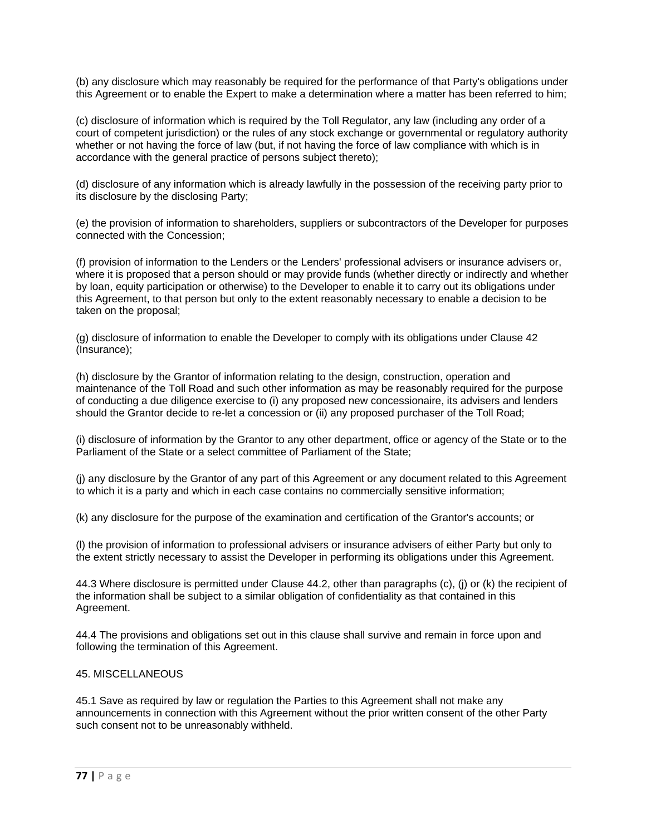(b) any disclosure which may reasonably be required for the performance of that Party's obligations under this Agreement or to enable the Expert to make a determination where a matter has been referred to him;

(c) disclosure of information which is required by the Toll Regulator, any law (including any order of a court of competent jurisdiction) or the rules of any stock exchange or governmental or regulatory authority whether or not having the force of law (but, if not having the force of law compliance with which is in accordance with the general practice of persons subject thereto);

(d) disclosure of any information which is already lawfully in the possession of the receiving party prior to its disclosure by the disclosing Party;

(e) the provision of information to shareholders, suppliers or subcontractors of the Developer for purposes connected with the Concession;

(f) provision of information to the Lenders or the Lenders' professional advisers or insurance advisers or, where it is proposed that a person should or may provide funds (whether directly or indirectly and whether by loan, equity participation or otherwise) to the Developer to enable it to carry out its obligations under this Agreement, to that person but only to the extent reasonably necessary to enable a decision to be taken on the proposal;

(g) disclosure of information to enable the Developer to comply with its obligations under Clause 42 (Insurance);

(h) disclosure by the Grantor of information relating to the design, construction, operation and maintenance of the Toll Road and such other information as may be reasonably required for the purpose of conducting a due diligence exercise to (i) any proposed new concessionaire, its advisers and lenders should the Grantor decide to re-let a concession or (ii) any proposed purchaser of the Toll Road;

(i) disclosure of information by the Grantor to any other department, office or agency of the State or to the Parliament of the State or a select committee of Parliament of the State;

(j) any disclosure by the Grantor of any part of this Agreement or any document related to this Agreement to which it is a party and which in each case contains no commercially sensitive information;

(k) any disclosure for the purpose of the examination and certification of the Grantor's accounts; or

(l) the provision of information to professional advisers or insurance advisers of either Party but only to the extent strictly necessary to assist the Developer in performing its obligations under this Agreement.

44.3 Where disclosure is permitted under Clause 44.2, other than paragraphs (c), (j) or (k) the recipient of the information shall be subject to a similar obligation of confidentiality as that contained in this Agreement.

44.4 The provisions and obligations set out in this clause shall survive and remain in force upon and following the termination of this Agreement.

### 45. MISCELLANEOUS

45.1 Save as required by law or regulation the Parties to this Agreement shall not make any announcements in connection with this Agreement without the prior written consent of the other Party such consent not to be unreasonably withheld.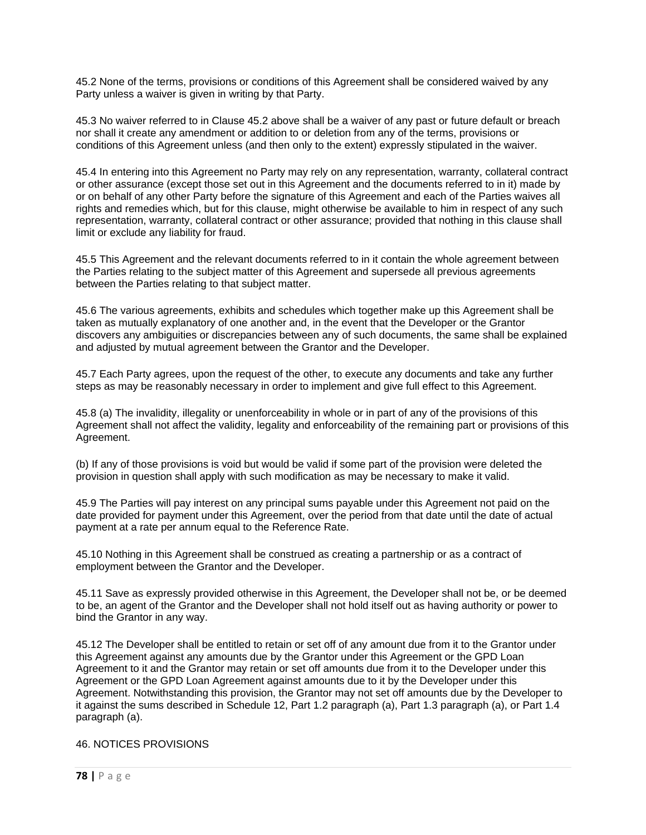45.2 None of the terms, provisions or conditions of this Agreement shall be considered waived by any Party unless a waiver is given in writing by that Party.

45.3 No waiver referred to in Clause 45.2 above shall be a waiver of any past or future default or breach nor shall it create any amendment or addition to or deletion from any of the terms, provisions or conditions of this Agreement unless (and then only to the extent) expressly stipulated in the waiver.

45.4 In entering into this Agreement no Party may rely on any representation, warranty, collateral contract or other assurance (except those set out in this Agreement and the documents referred to in it) made by or on behalf of any other Party before the signature of this Agreement and each of the Parties waives all rights and remedies which, but for this clause, might otherwise be available to him in respect of any such representation, warranty, collateral contract or other assurance; provided that nothing in this clause shall limit or exclude any liability for fraud.

45.5 This Agreement and the relevant documents referred to in it contain the whole agreement between the Parties relating to the subject matter of this Agreement and supersede all previous agreements between the Parties relating to that subject matter.

45.6 The various agreements, exhibits and schedules which together make up this Agreement shall be taken as mutually explanatory of one another and, in the event that the Developer or the Grantor discovers any ambiguities or discrepancies between any of such documents, the same shall be explained and adjusted by mutual agreement between the Grantor and the Developer.

45.7 Each Party agrees, upon the request of the other, to execute any documents and take any further steps as may be reasonably necessary in order to implement and give full effect to this Agreement.

45.8 (a) The invalidity, illegality or unenforceability in whole or in part of any of the provisions of this Agreement shall not affect the validity, legality and enforceability of the remaining part or provisions of this Agreement.

(b) If any of those provisions is void but would be valid if some part of the provision were deleted the provision in question shall apply with such modification as may be necessary to make it valid.

45.9 The Parties will pay interest on any principal sums payable under this Agreement not paid on the date provided for payment under this Agreement, over the period from that date until the date of actual payment at a rate per annum equal to the Reference Rate.

45.10 Nothing in this Agreement shall be construed as creating a partnership or as a contract of employment between the Grantor and the Developer.

45.11 Save as expressly provided otherwise in this Agreement, the Developer shall not be, or be deemed to be, an agent of the Grantor and the Developer shall not hold itself out as having authority or power to bind the Grantor in any way.

45.12 The Developer shall be entitled to retain or set off of any amount due from it to the Grantor under this Agreement against any amounts due by the Grantor under this Agreement or the GPD Loan Agreement to it and the Grantor may retain or set off amounts due from it to the Developer under this Agreement or the GPD Loan Agreement against amounts due to it by the Developer under this Agreement. Notwithstanding this provision, the Grantor may not set off amounts due by the Developer to it against the sums described in Schedule 12, Part 1.2 paragraph (a), Part 1.3 paragraph (a), or Part 1.4 paragraph (a).

### 46. NOTICES PROVISIONS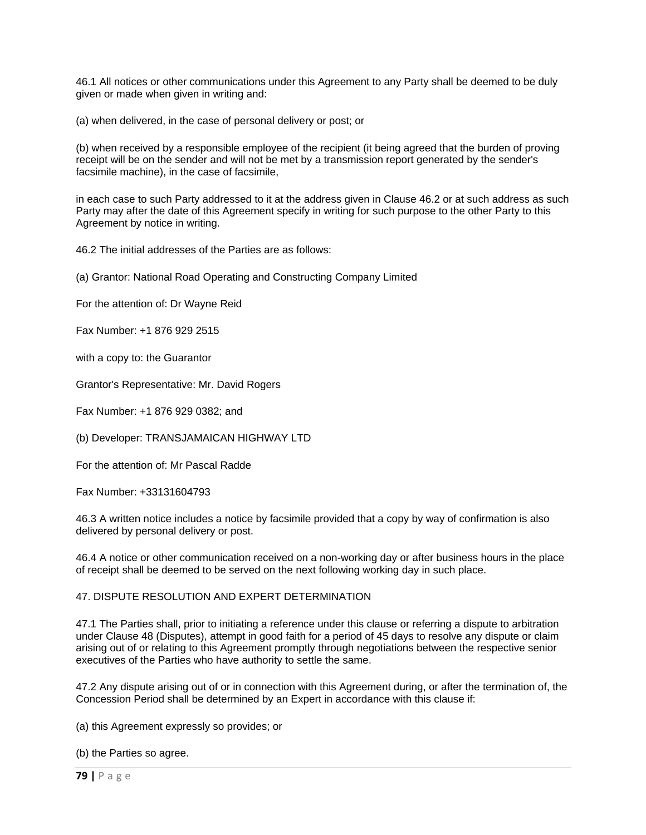46.1 All notices or other communications under this Agreement to any Party shall be deemed to be duly given or made when given in writing and:

(a) when delivered, in the case of personal delivery or post; or

(b) when received by a responsible employee of the recipient (it being agreed that the burden of proving receipt will be on the sender and will not be met by a transmission report generated by the sender's facsimile machine), in the case of facsimile,

in each case to such Party addressed to it at the address given in Clause 46.2 or at such address as such Party may after the date of this Agreement specify in writing for such purpose to the other Party to this Agreement by notice in writing.

46.2 The initial addresses of the Parties are as follows:

(a) Grantor: National Road Operating and Constructing Company Limited

For the attention of: Dr Wayne Reid

Fax Number: +1 876 929 2515

with a copy to: the Guarantor

Grantor's Representative: Mr. David Rogers

Fax Number: +1 876 929 0382; and

(b) Developer: TRANSJAMAICAN HIGHWAY LTD

For the attention of: Mr Pascal Radde

Fax Number: +33131604793

46.3 A written notice includes a notice by facsimile provided that a copy by way of confirmation is also delivered by personal delivery or post.

46.4 A notice or other communication received on a non-working day or after business hours in the place of receipt shall be deemed to be served on the next following working day in such place.

### 47. DISPUTE RESOLUTION AND EXPERT DETERMINATION

47.1 The Parties shall, prior to initiating a reference under this clause or referring a dispute to arbitration under Clause 48 (Disputes), attempt in good faith for a period of 45 days to resolve any dispute or claim arising out of or relating to this Agreement promptly through negotiations between the respective senior executives of the Parties who have authority to settle the same.

47.2 Any dispute arising out of or in connection with this Agreement during, or after the termination of, the Concession Period shall be determined by an Expert in accordance with this clause if:

(a) this Agreement expressly so provides; or

(b) the Parties so agree.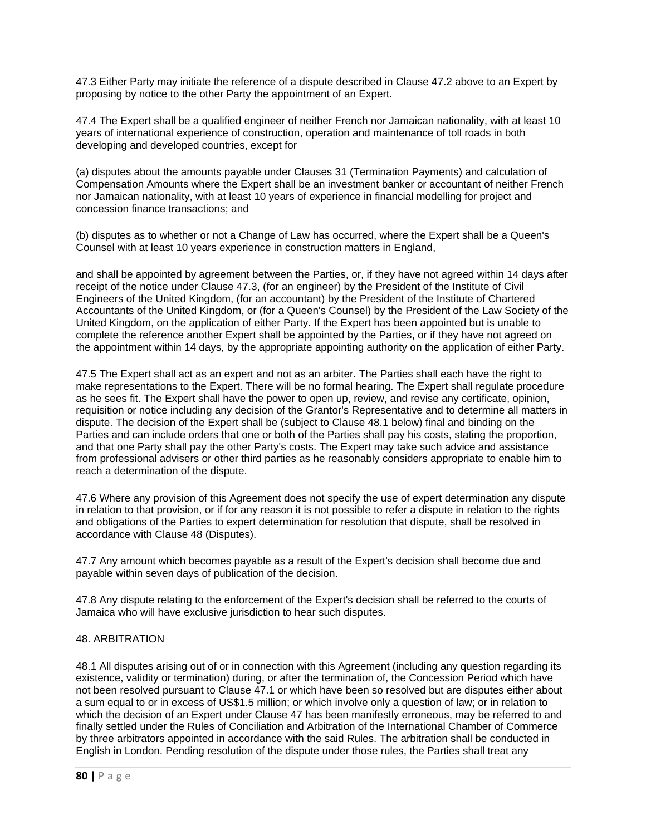47.3 Either Party may initiate the reference of a dispute described in Clause 47.2 above to an Expert by proposing by notice to the other Party the appointment of an Expert.

47.4 The Expert shall be a qualified engineer of neither French nor Jamaican nationality, with at least 10 years of international experience of construction, operation and maintenance of toll roads in both developing and developed countries, except for

(a) disputes about the amounts payable under Clauses 31 (Termination Payments) and calculation of Compensation Amounts where the Expert shall be an investment banker or accountant of neither French nor Jamaican nationality, with at least 10 years of experience in financial modelling for project and concession finance transactions; and

(b) disputes as to whether or not a Change of Law has occurred, where the Expert shall be a Queen's Counsel with at least 10 years experience in construction matters in England,

and shall be appointed by agreement between the Parties, or, if they have not agreed within 14 days after receipt of the notice under Clause 47.3, (for an engineer) by the President of the Institute of Civil Engineers of the United Kingdom, (for an accountant) by the President of the Institute of Chartered Accountants of the United Kingdom, or (for a Queen's Counsel) by the President of the Law Society of the United Kingdom, on the application of either Party. If the Expert has been appointed but is unable to complete the reference another Expert shall be appointed by the Parties, or if they have not agreed on the appointment within 14 days, by the appropriate appointing authority on the application of either Party.

47.5 The Expert shall act as an expert and not as an arbiter. The Parties shall each have the right to make representations to the Expert. There will be no formal hearing. The Expert shall regulate procedure as he sees fit. The Expert shall have the power to open up, review, and revise any certificate, opinion, requisition or notice including any decision of the Grantor's Representative and to determine all matters in dispute. The decision of the Expert shall be (subject to Clause 48.1 below) final and binding on the Parties and can include orders that one or both of the Parties shall pay his costs, stating the proportion, and that one Party shall pay the other Party's costs. The Expert may take such advice and assistance from professional advisers or other third parties as he reasonably considers appropriate to enable him to reach a determination of the dispute.

47.6 Where any provision of this Agreement does not specify the use of expert determination any dispute in relation to that provision, or if for any reason it is not possible to refer a dispute in relation to the rights and obligations of the Parties to expert determination for resolution that dispute, shall be resolved in accordance with Clause 48 (Disputes).

47.7 Any amount which becomes payable as a result of the Expert's decision shall become due and payable within seven days of publication of the decision.

47.8 Any dispute relating to the enforcement of the Expert's decision shall be referred to the courts of Jamaica who will have exclusive jurisdiction to hear such disputes.

### 48. ARBITRATION

48.1 All disputes arising out of or in connection with this Agreement (including any question regarding its existence, validity or termination) during, or after the termination of, the Concession Period which have not been resolved pursuant to Clause 47.1 or which have been so resolved but are disputes either about a sum equal to or in excess of US\$1.5 million; or which involve only a question of law; or in relation to which the decision of an Expert under Clause 47 has been manifestly erroneous, may be referred to and finally settled under the Rules of Conciliation and Arbitration of the International Chamber of Commerce by three arbitrators appointed in accordance with the said Rules. The arbitration shall be conducted in English in London. Pending resolution of the dispute under those rules, the Parties shall treat any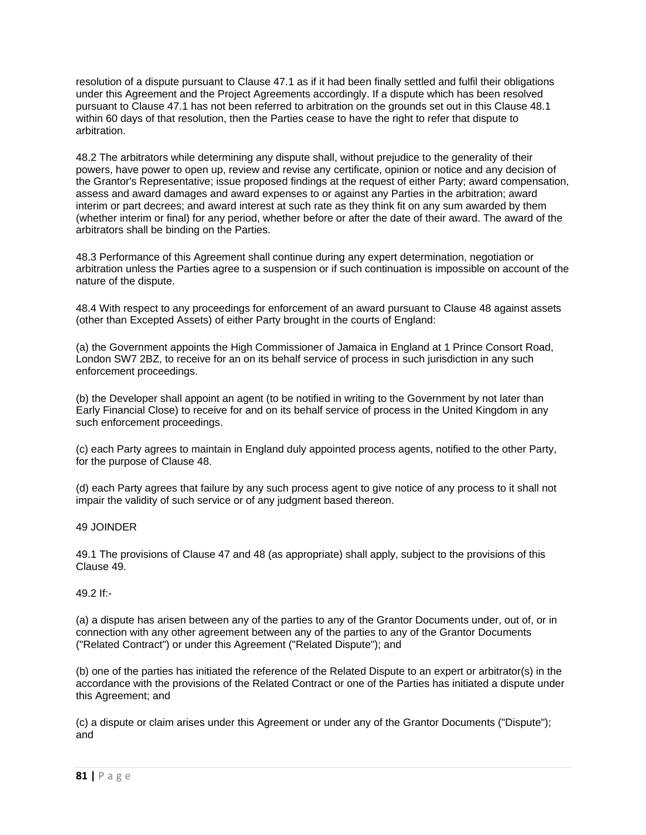resolution of a dispute pursuant to Clause 47.1 as if it had been finally settled and fulfil their obligations under this Agreement and the Project Agreements accordingly. If a dispute which has been resolved pursuant to Clause 47.1 has not been referred to arbitration on the grounds set out in this Clause 48.1 within 60 days of that resolution, then the Parties cease to have the right to refer that dispute to arbitration.

48.2 The arbitrators while determining any dispute shall, without prejudice to the generality of their powers, have power to open up, review and revise any certificate, opinion or notice and any decision of the Grantor's Representative; issue proposed findings at the request of either Party; award compensation, assess and award damages and award expenses to or against any Parties in the arbitration; award interim or part decrees; and award interest at such rate as they think fit on any sum awarded by them (whether interim or final) for any period, whether before or after the date of their award. The award of the arbitrators shall be binding on the Parties.

48.3 Performance of this Agreement shall continue during any expert determination, negotiation or arbitration unless the Parties agree to a suspension or if such continuation is impossible on account of the nature of the dispute.

48.4 With respect to any proceedings for enforcement of an award pursuant to Clause 48 against assets (other than Excepted Assets) of either Party brought in the courts of England:

(a) the Government appoints the High Commissioner of Jamaica in England at 1 Prince Consort Road, London SW7 2BZ, to receive for an on its behalf service of process in such jurisdiction in any such enforcement proceedings.

(b) the Developer shall appoint an agent (to be notified in writing to the Government by not later than Early Financial Close) to receive for and on its behalf service of process in the United Kingdom in any such enforcement proceedings.

(c) each Party agrees to maintain in England duly appointed process agents, notified to the other Party, for the purpose of Clause 48.

(d) each Party agrees that failure by any such process agent to give notice of any process to it shall not impair the validity of such service or of any judgment based thereon.

## 49 JOINDER

49.1 The provisions of Clause 47 and 48 (as appropriate) shall apply, subject to the provisions of this Clause 49.

### 49.2 If:-

(a) a dispute has arisen between any of the parties to any of the Grantor Documents under, out of, or in connection with any other agreement between any of the parties to any of the Grantor Documents ("Related Contract") or under this Agreement ("Related Dispute"); and

(b) one of the parties has initiated the reference of the Related Dispute to an expert or arbitrator(s) in the accordance with the provisions of the Related Contract or one of the Parties has initiated a dispute under this Agreement; and

(c) a dispute or claim arises under this Agreement or under any of the Grantor Documents ("Dispute"); and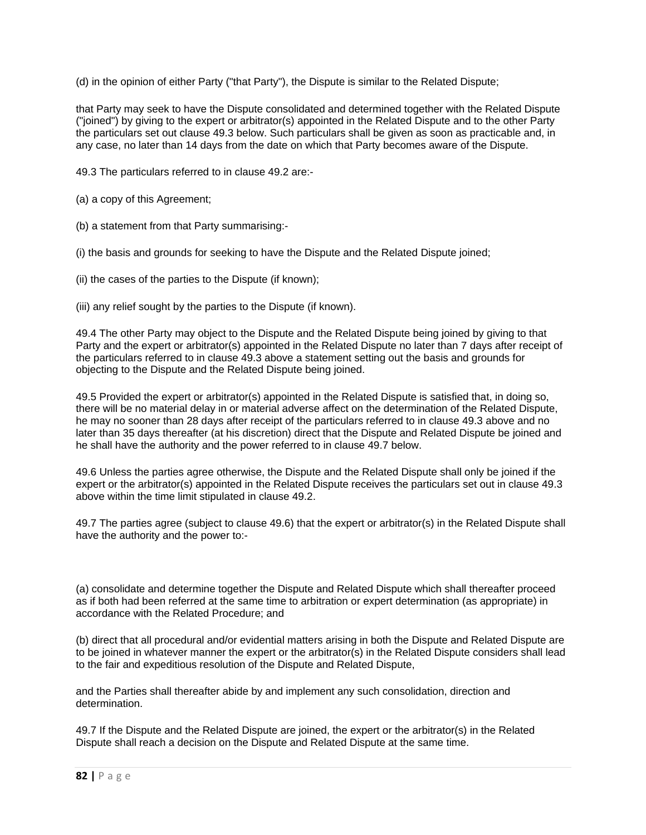(d) in the opinion of either Party ("that Party"), the Dispute is similar to the Related Dispute;

that Party may seek to have the Dispute consolidated and determined together with the Related Dispute ("joined") by giving to the expert or arbitrator(s) appointed in the Related Dispute and to the other Party the particulars set out clause 49.3 below. Such particulars shall be given as soon as practicable and, in any case, no later than 14 days from the date on which that Party becomes aware of the Dispute.

49.3 The particulars referred to in clause 49.2 are:-

(a) a copy of this Agreement;

(b) a statement from that Party summarising:-

(i) the basis and grounds for seeking to have the Dispute and the Related Dispute joined;

(ii) the cases of the parties to the Dispute (if known);

(iii) any relief sought by the parties to the Dispute (if known).

49.4 The other Party may object to the Dispute and the Related Dispute being joined by giving to that Party and the expert or arbitrator(s) appointed in the Related Dispute no later than 7 days after receipt of the particulars referred to in clause 49.3 above a statement setting out the basis and grounds for objecting to the Dispute and the Related Dispute being joined.

49.5 Provided the expert or arbitrator(s) appointed in the Related Dispute is satisfied that, in doing so, there will be no material delay in or material adverse affect on the determination of the Related Dispute, he may no sooner than 28 days after receipt of the particulars referred to in clause 49.3 above and no later than 35 days thereafter (at his discretion) direct that the Dispute and Related Dispute be joined and he shall have the authority and the power referred to in clause 49.7 below.

49.6 Unless the parties agree otherwise, the Dispute and the Related Dispute shall only be joined if the expert or the arbitrator(s) appointed in the Related Dispute receives the particulars set out in clause 49.3 above within the time limit stipulated in clause 49.2.

49.7 The parties agree (subject to clause 49.6) that the expert or arbitrator(s) in the Related Dispute shall have the authority and the power to:-

(a) consolidate and determine together the Dispute and Related Dispute which shall thereafter proceed as if both had been referred at the same time to arbitration or expert determination (as appropriate) in accordance with the Related Procedure; and

(b) direct that all procedural and/or evidential matters arising in both the Dispute and Related Dispute are to be joined in whatever manner the expert or the arbitrator(s) in the Related Dispute considers shall lead to the fair and expeditious resolution of the Dispute and Related Dispute,

and the Parties shall thereafter abide by and implement any such consolidation, direction and determination.

49.7 If the Dispute and the Related Dispute are joined, the expert or the arbitrator(s) in the Related Dispute shall reach a decision on the Dispute and Related Dispute at the same time.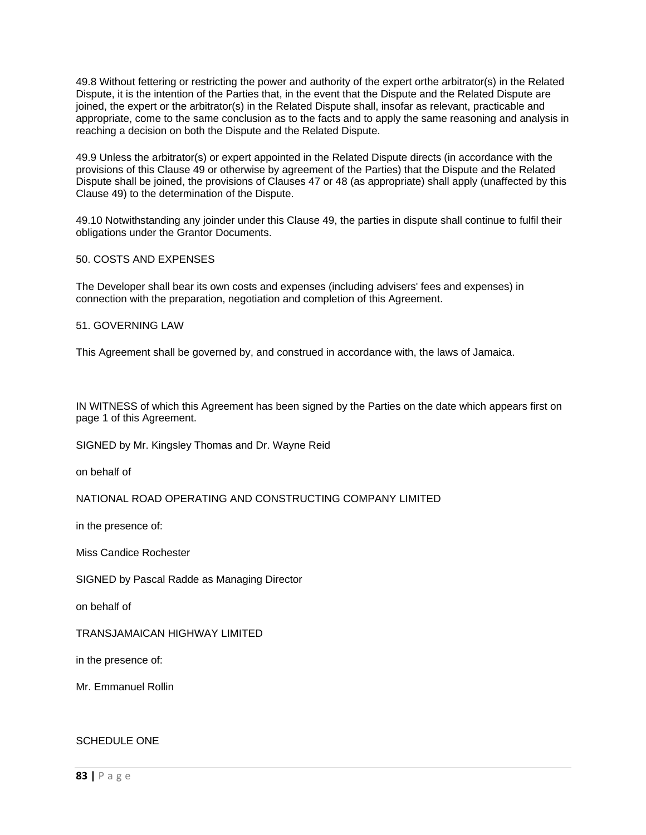49.8 Without fettering or restricting the power and authority of the expert orthe arbitrator(s) in the Related Dispute, it is the intention of the Parties that, in the event that the Dispute and the Related Dispute are joined, the expert or the arbitrator(s) in the Related Dispute shall, insofar as relevant, practicable and appropriate, come to the same conclusion as to the facts and to apply the same reasoning and analysis in reaching a decision on both the Dispute and the Related Dispute.

49.9 Unless the arbitrator(s) or expert appointed in the Related Dispute directs (in accordance with the provisions of this Clause 49 or otherwise by agreement of the Parties) that the Dispute and the Related Dispute shall be joined, the provisions of Clauses 47 or 48 (as appropriate) shall apply (unaffected by this Clause 49) to the determination of the Dispute.

49.10 Notwithstanding any joinder under this Clause 49, the parties in dispute shall continue to fulfil their obligations under the Grantor Documents.

### 50. COSTS AND EXPENSES

The Developer shall bear its own costs and expenses (including advisers' fees and expenses) in connection with the preparation, negotiation and completion of this Agreement.

### 51. GOVERNING LAW

This Agreement shall be governed by, and construed in accordance with, the laws of Jamaica.

IN WITNESS of which this Agreement has been signed by the Parties on the date which appears first on page 1 of this Agreement.

SIGNED by Mr. Kingsley Thomas and Dr. Wayne Reid

on behalf of

NATIONAL ROAD OPERATING AND CONSTRUCTING COMPANY LIMITED

in the presence of:

Miss Candice Rochester

SIGNED by Pascal Radde as Managing Director

on behalf of

TRANSJAMAICAN HIGHWAY LIMITED

in the presence of:

Mr. Emmanuel Rollin

#### SCHEDULE ONE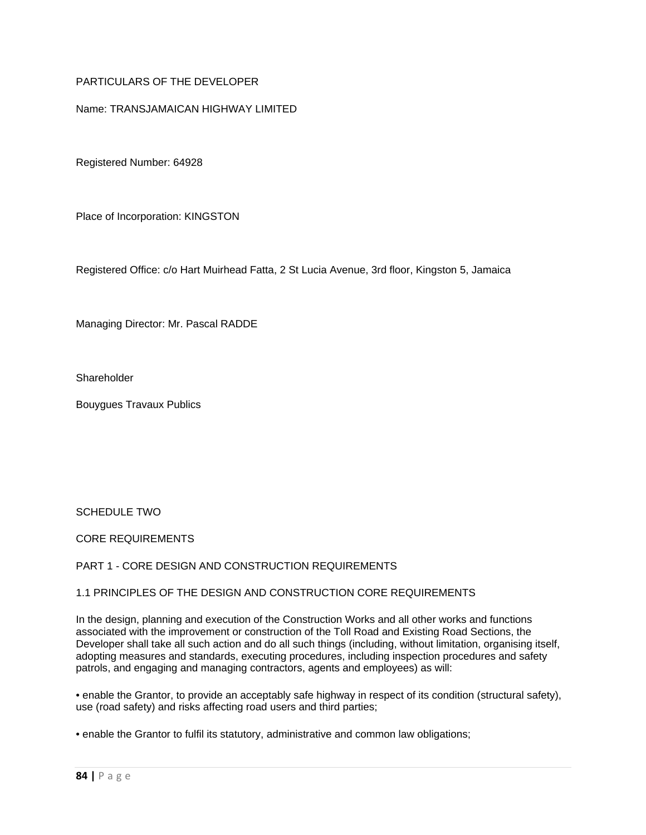# PARTICULARS OF THE DEVELOPER

### Name: TRANSJAMAICAN HIGHWAY LIMITED

Registered Number: 64928

Place of Incorporation: KINGSTON

Registered Office: c/o Hart Muirhead Fatta, 2 St Lucia Avenue, 3rd floor, Kingston 5, Jamaica

Managing Director: Mr. Pascal RADDE

**Shareholder** 

Bouygues Travaux Publics

SCHEDULE TWO

CORE REQUIREMENTS

### PART 1 - CORE DESIGN AND CONSTRUCTION REQUIREMENTS

### 1.1 PRINCIPLES OF THE DESIGN AND CONSTRUCTION CORE REQUIREMENTS

In the design, planning and execution of the Construction Works and all other works and functions associated with the improvement or construction of the Toll Road and Existing Road Sections, the Developer shall take all such action and do all such things (including, without limitation, organising itself, adopting measures and standards, executing procedures, including inspection procedures and safety patrols, and engaging and managing contractors, agents and employees) as will:

• enable the Grantor, to provide an acceptably safe highway in respect of its condition (structural safety), use (road safety) and risks affecting road users and third parties;

• enable the Grantor to fulfil its statutory, administrative and common law obligations;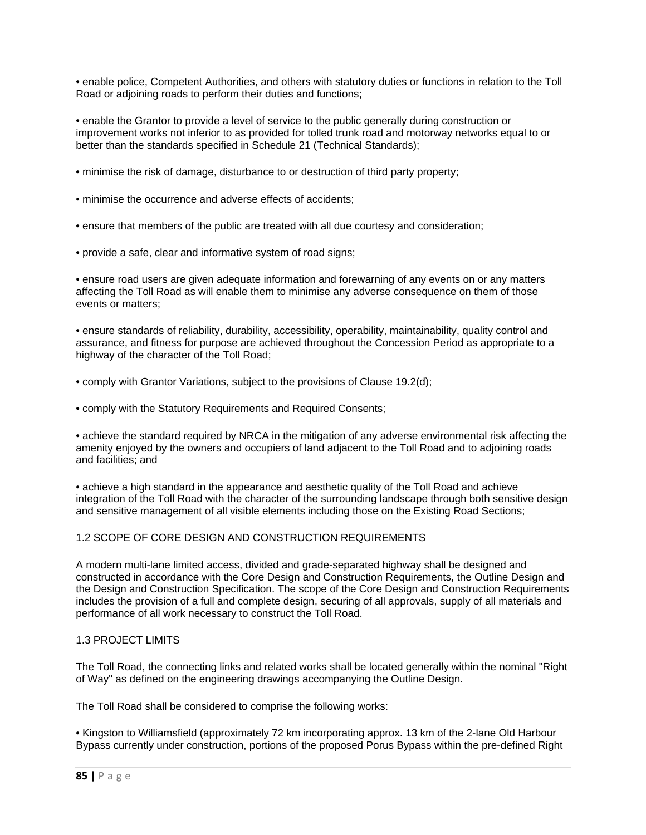• enable police, Competent Authorities, and others with statutory duties or functions in relation to the Toll Road or adjoining roads to perform their duties and functions;

• enable the Grantor to provide a level of service to the public generally during construction or improvement works not inferior to as provided for tolled trunk road and motorway networks equal to or better than the standards specified in Schedule 21 (Technical Standards);

- minimise the risk of damage, disturbance to or destruction of third party property;
- minimise the occurrence and adverse effects of accidents;
- ensure that members of the public are treated with all due courtesy and consideration;
- provide a safe, clear and informative system of road signs;

• ensure road users are given adequate information and forewarning of any events on or any matters affecting the Toll Road as will enable them to minimise any adverse consequence on them of those events or matters;

• ensure standards of reliability, durability, accessibility, operability, maintainability, quality control and assurance, and fitness for purpose are achieved throughout the Concession Period as appropriate to a highway of the character of the Toll Road;

• comply with Grantor Variations, subject to the provisions of Clause 19.2(d);

• comply with the Statutory Requirements and Required Consents;

• achieve the standard required by NRCA in the mitigation of any adverse environmental risk affecting the amenity enjoyed by the owners and occupiers of land adjacent to the Toll Road and to adjoining roads and facilities; and

• achieve a high standard in the appearance and aesthetic quality of the Toll Road and achieve integration of the Toll Road with the character of the surrounding landscape through both sensitive design and sensitive management of all visible elements including those on the Existing Road Sections;

# 1.2 SCOPE OF CORE DESIGN AND CONSTRUCTION REQUIREMENTS

A modern multi-lane limited access, divided and grade-separated highway shall be designed and constructed in accordance with the Core Design and Construction Requirements, the Outline Design and the Design and Construction Specification. The scope of the Core Design and Construction Requirements includes the provision of a full and complete design, securing of all approvals, supply of all materials and performance of all work necessary to construct the Toll Road.

# 1.3 PROJECT LIMITS

The Toll Road, the connecting links and related works shall be located generally within the nominal "Right of Way" as defined on the engineering drawings accompanying the Outline Design.

The Toll Road shall be considered to comprise the following works:

• Kingston to Williamsfield (approximately 72 km incorporating approx. 13 km of the 2-lane Old Harbour Bypass currently under construction, portions of the proposed Porus Bypass within the pre-defined Right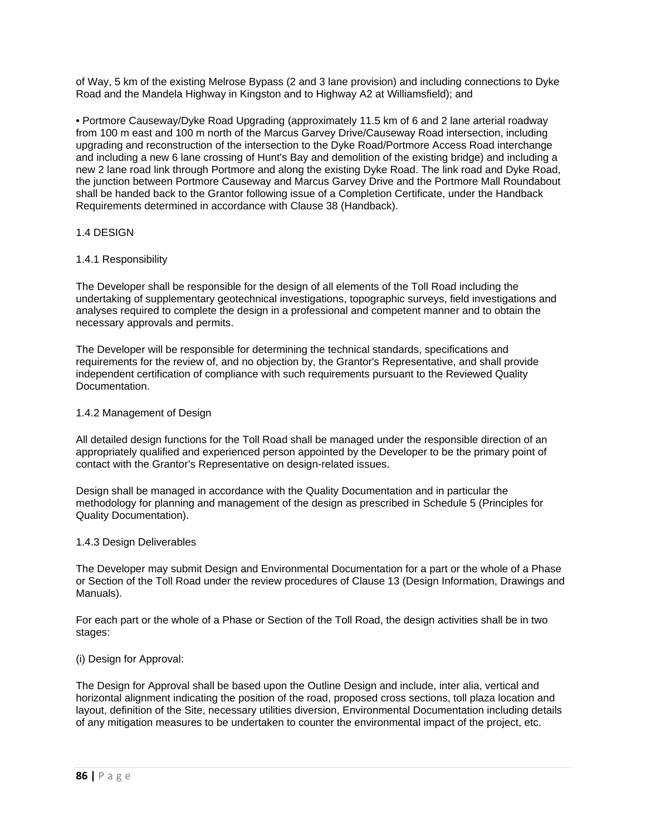of Way, 5 km of the existing Melrose Bypass (2 and 3 lane provision) and including connections to Dyke Road and the Mandela Highway in Kingston and to Highway A2 at Williamsfield); and

• Portmore Causeway/Dyke Road Upgrading (approximately 11.5 km of 6 and 2 lane arterial roadway from 100 m east and 100 m north of the Marcus Garvey Drive/Causeway Road intersection, including upgrading and reconstruction of the intersection to the Dyke Road/Portmore Access Road interchange and including a new 6 lane crossing of Hunt's Bay and demolition of the existing bridge) and including a new 2 lane road link through Portmore and along the existing Dyke Road. The link road and Dyke Road, the junction between Portmore Causeway and Marcus Garvey Drive and the Portmore Mall Roundabout shall be handed back to the Grantor following issue of a Completion Certificate, under the Handback Requirements determined in accordance with Clause 38 (Handback).

# 1.4 DESIGN

## 1.4.1 Responsibility

The Developer shall be responsible for the design of all elements of the Toll Road including the undertaking of supplementary geotechnical investigations, topographic surveys, field investigations and analyses required to complete the design in a professional and competent manner and to obtain the necessary approvals and permits.

The Developer will be responsible for determining the technical standards, specifications and requirements for the review of, and no objection by, the Grantor's Representative, and shall provide independent certification of compliance with such requirements pursuant to the Reviewed Quality Documentation.

### 1.4.2 Management of Design

All detailed design functions for the Toll Road shall be managed under the responsible direction of an appropriately qualified and experienced person appointed by the Developer to be the primary point of contact with the Grantor's Representative on design-related issues.

Design shall be managed in accordance with the Quality Documentation and in particular the methodology for planning and management of the design as prescribed in Schedule 5 (Principles for Quality Documentation).

### 1.4.3 Design Deliverables

The Developer may submit Design and Environmental Documentation for a part or the whole of a Phase or Section of the Toll Road under the review procedures of Clause 13 (Design Information, Drawings and Manuals).

For each part or the whole of a Phase or Section of the Toll Road, the design activities shall be in two stages:

### (i) Design for Approval:

The Design for Approval shall be based upon the Outline Design and include, inter alia, vertical and horizontal alignment indicating the position of the road, proposed cross sections, toll plaza location and layout, definition of the Site, necessary utilities diversion, Environmental Documentation including details of any mitigation measures to be undertaken to counter the environmental impact of the project, etc.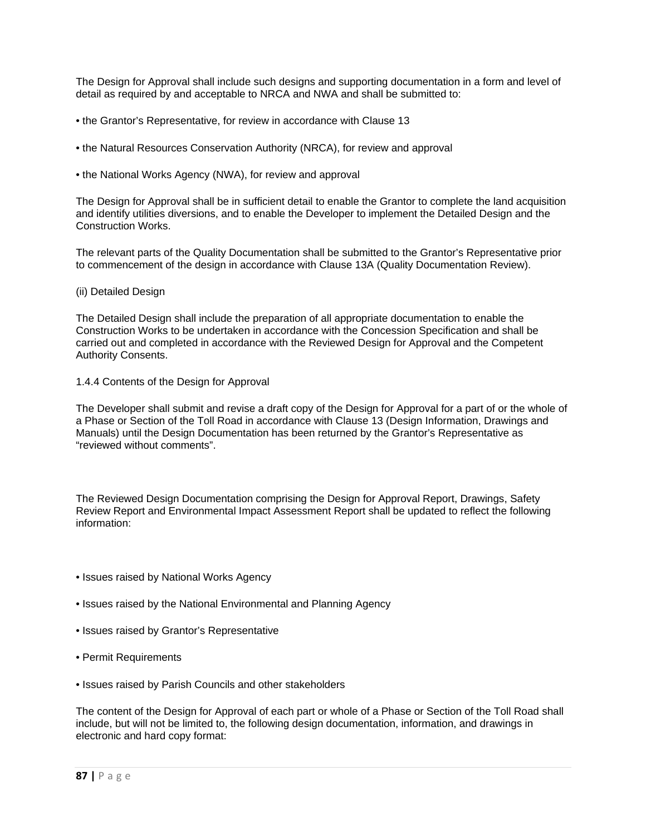The Design for Approval shall include such designs and supporting documentation in a form and level of detail as required by and acceptable to NRCA and NWA and shall be submitted to:

- the Grantor's Representative, for review in accordance with Clause 13
- the Natural Resources Conservation Authority (NRCA), for review and approval
- the National Works Agency (NWA), for review and approval

The Design for Approval shall be in sufficient detail to enable the Grantor to complete the land acquisition and identify utilities diversions, and to enable the Developer to implement the Detailed Design and the Construction Works.

The relevant parts of the Quality Documentation shall be submitted to the Grantor's Representative prior to commencement of the design in accordance with Clause 13A (Quality Documentation Review).

### (ii) Detailed Design

The Detailed Design shall include the preparation of all appropriate documentation to enable the Construction Works to be undertaken in accordance with the Concession Specification and shall be carried out and completed in accordance with the Reviewed Design for Approval and the Competent Authority Consents.

#### 1.4.4 Contents of the Design for Approval

The Developer shall submit and revise a draft copy of the Design for Approval for a part of or the whole of a Phase or Section of the Toll Road in accordance with Clause 13 (Design Information, Drawings and Manuals) until the Design Documentation has been returned by the Grantor's Representative as "reviewed without comments".

The Reviewed Design Documentation comprising the Design for Approval Report, Drawings, Safety Review Report and Environmental Impact Assessment Report shall be updated to reflect the following information:

- Issues raised by National Works Agency
- Issues raised by the National Environmental and Planning Agency
- Issues raised by Grantor's Representative
- Permit Requirements
- Issues raised by Parish Councils and other stakeholders

The content of the Design for Approval of each part or whole of a Phase or Section of the Toll Road shall include, but will not be limited to, the following design documentation, information, and drawings in electronic and hard copy format: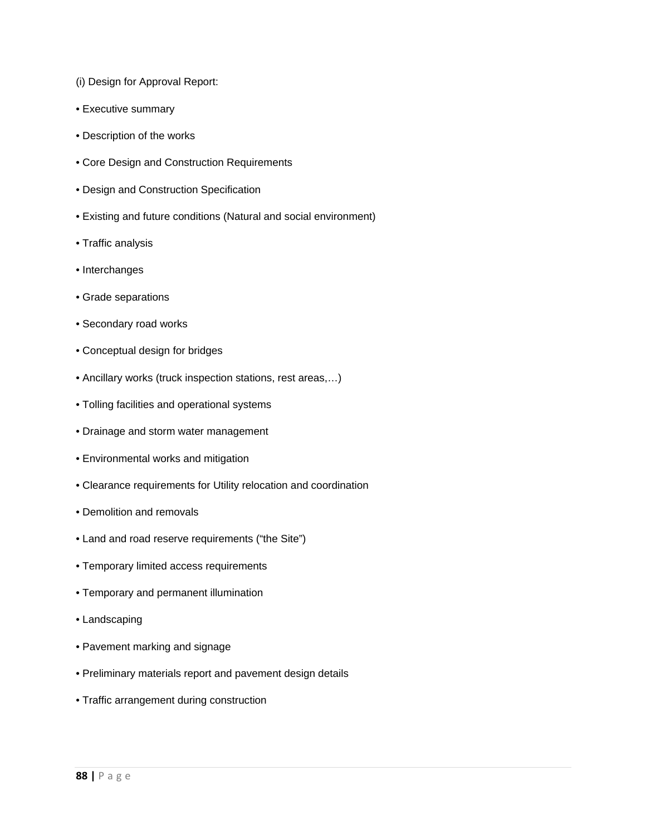- (i) Design for Approval Report:
- Executive summary
- Description of the works
- Core Design and Construction Requirements
- Design and Construction Specification
- Existing and future conditions (Natural and social environment)
- Traffic analysis
- Interchanges
- Grade separations
- Secondary road works
- Conceptual design for bridges
- Ancillary works (truck inspection stations, rest areas,…)
- Tolling facilities and operational systems
- Drainage and storm water management
- Environmental works and mitigation
- Clearance requirements for Utility relocation and coordination
- Demolition and removals
- Land and road reserve requirements ("the Site")
- Temporary limited access requirements
- Temporary and permanent illumination
- Landscaping
- Pavement marking and signage
- Preliminary materials report and pavement design details
- Traffic arrangement during construction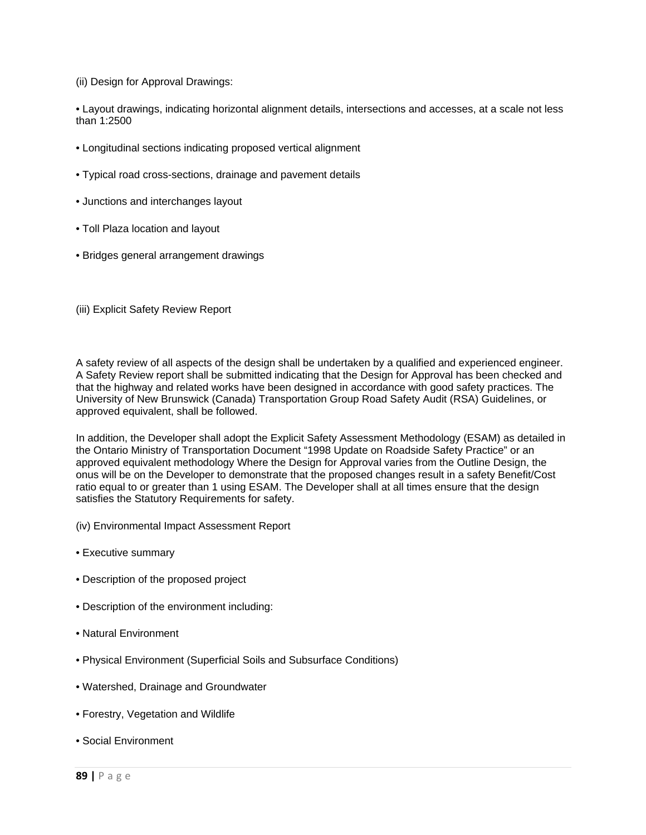(ii) Design for Approval Drawings:

• Layout drawings, indicating horizontal alignment details, intersections and accesses, at a scale not less than 1:2500

- Longitudinal sections indicating proposed vertical alignment
- Typical road cross-sections, drainage and pavement details
- Junctions and interchanges layout
- Toll Plaza location and layout
- Bridges general arrangement drawings
- (iii) Explicit Safety Review Report

A safety review of all aspects of the design shall be undertaken by a qualified and experienced engineer. A Safety Review report shall be submitted indicating that the Design for Approval has been checked and that the highway and related works have been designed in accordance with good safety practices. The University of New Brunswick (Canada) Transportation Group Road Safety Audit (RSA) Guidelines, or approved equivalent, shall be followed.

In addition, the Developer shall adopt the Explicit Safety Assessment Methodology (ESAM) as detailed in the Ontario Ministry of Transportation Document "1998 Update on Roadside Safety Practice" or an approved equivalent methodology Where the Design for Approval varies from the Outline Design, the onus will be on the Developer to demonstrate that the proposed changes result in a safety Benefit/Cost ratio equal to or greater than 1 using ESAM. The Developer shall at all times ensure that the design satisfies the Statutory Requirements for safety.

- (iv) Environmental Impact Assessment Report
- Executive summary
- Description of the proposed project
- Description of the environment including:
- Natural Environment
- Physical Environment (Superficial Soils and Subsurface Conditions)
- Watershed, Drainage and Groundwater
- Forestry, Vegetation and Wildlife
- Social Environment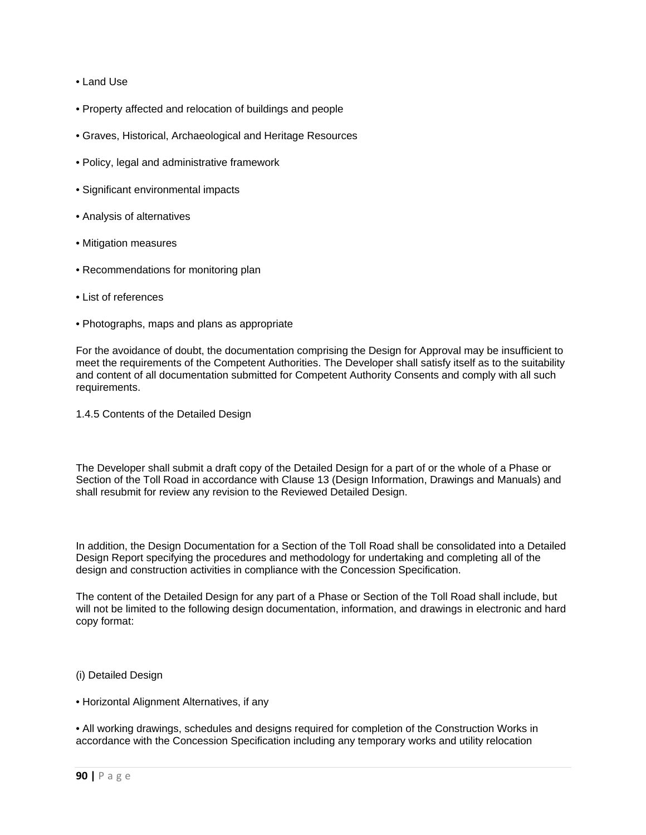- Land Use
- Property affected and relocation of buildings and people
- Graves, Historical, Archaeological and Heritage Resources
- Policy, legal and administrative framework
- Significant environmental impacts
- Analysis of alternatives
- Mitigation measures
- Recommendations for monitoring plan
- List of references
- Photographs, maps and plans as appropriate

For the avoidance of doubt, the documentation comprising the Design for Approval may be insufficient to meet the requirements of the Competent Authorities. The Developer shall satisfy itself as to the suitability and content of all documentation submitted for Competent Authority Consents and comply with all such requirements.

1.4.5 Contents of the Detailed Design

The Developer shall submit a draft copy of the Detailed Design for a part of or the whole of a Phase or Section of the Toll Road in accordance with Clause 13 (Design Information, Drawings and Manuals) and shall resubmit for review any revision to the Reviewed Detailed Design.

In addition, the Design Documentation for a Section of the Toll Road shall be consolidated into a Detailed Design Report specifying the procedures and methodology for undertaking and completing all of the design and construction activities in compliance with the Concession Specification.

The content of the Detailed Design for any part of a Phase or Section of the Toll Road shall include, but will not be limited to the following design documentation, information, and drawings in electronic and hard copy format:

- (i) Detailed Design
- Horizontal Alignment Alternatives, if any

• All working drawings, schedules and designs required for completion of the Construction Works in accordance with the Concession Specification including any temporary works and utility relocation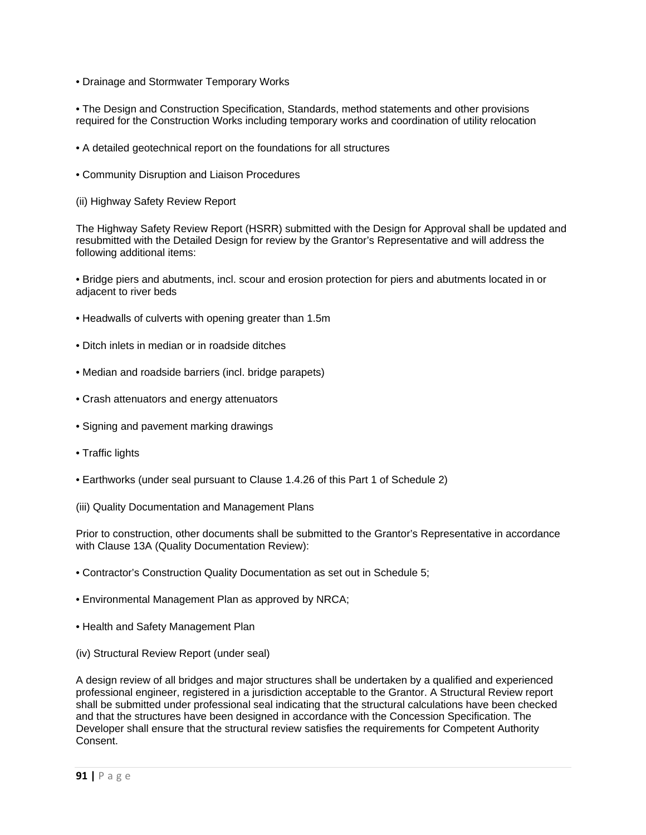• Drainage and Stormwater Temporary Works

• The Design and Construction Specification, Standards, method statements and other provisions required for the Construction Works including temporary works and coordination of utility relocation

- A detailed geotechnical report on the foundations for all structures
- Community Disruption and Liaison Procedures
- (ii) Highway Safety Review Report

The Highway Safety Review Report (HSRR) submitted with the Design for Approval shall be updated and resubmitted with the Detailed Design for review by the Grantor's Representative and will address the following additional items:

• Bridge piers and abutments, incl. scour and erosion protection for piers and abutments located in or adjacent to river beds

- Headwalls of culverts with opening greater than 1.5m
- Ditch inlets in median or in roadside ditches
- Median and roadside barriers (incl. bridge parapets)
- Crash attenuators and energy attenuators
- Signing and pavement marking drawings
- Traffic lights
- Earthworks (under seal pursuant to Clause 1.4.26 of this Part 1 of Schedule 2)
- (iii) Quality Documentation and Management Plans

Prior to construction, other documents shall be submitted to the Grantor's Representative in accordance with Clause 13A (Quality Documentation Review):

- Contractor's Construction Quality Documentation as set out in Schedule 5;
- Environmental Management Plan as approved by NRCA;
- Health and Safety Management Plan
- (iv) Structural Review Report (under seal)

A design review of all bridges and major structures shall be undertaken by a qualified and experienced professional engineer, registered in a jurisdiction acceptable to the Grantor. A Structural Review report shall be submitted under professional seal indicating that the structural calculations have been checked and that the structures have been designed in accordance with the Concession Specification. The Developer shall ensure that the structural review satisfies the requirements for Competent Authority Consent.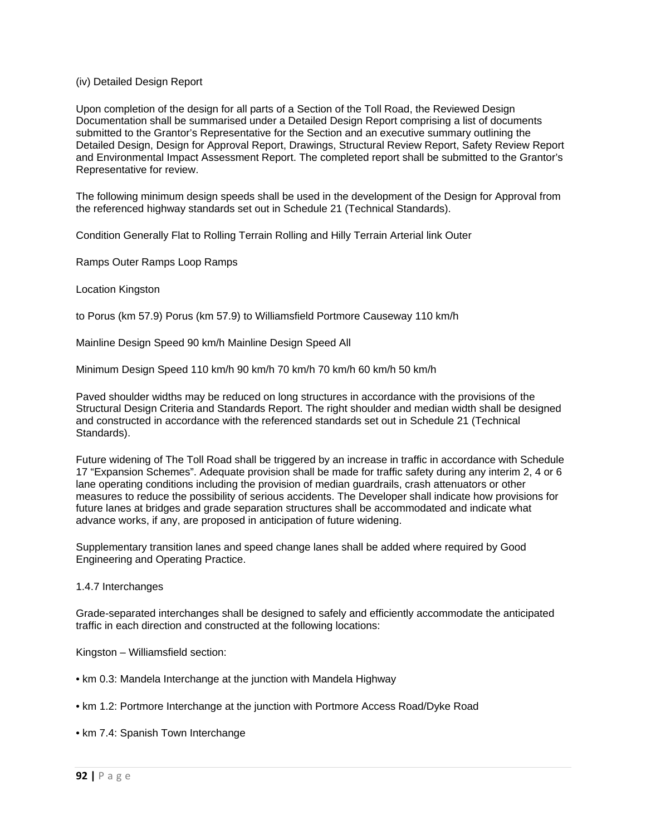### (iv) Detailed Design Report

Upon completion of the design for all parts of a Section of the Toll Road, the Reviewed Design Documentation shall be summarised under a Detailed Design Report comprising a list of documents submitted to the Grantor's Representative for the Section and an executive summary outlining the Detailed Design, Design for Approval Report, Drawings, Structural Review Report, Safety Review Report and Environmental Impact Assessment Report. The completed report shall be submitted to the Grantor's Representative for review.

The following minimum design speeds shall be used in the development of the Design for Approval from the referenced highway standards set out in Schedule 21 (Technical Standards).

Condition Generally Flat to Rolling Terrain Rolling and Hilly Terrain Arterial link Outer

Ramps Outer Ramps Loop Ramps

Location Kingston

to Porus (km 57.9) Porus (km 57.9) to Williamsfield Portmore Causeway 110 km/h

Mainline Design Speed 90 km/h Mainline Design Speed All

Minimum Design Speed 110 km/h 90 km/h 70 km/h 70 km/h 60 km/h 50 km/h

Paved shoulder widths may be reduced on long structures in accordance with the provisions of the Structural Design Criteria and Standards Report. The right shoulder and median width shall be designed and constructed in accordance with the referenced standards set out in Schedule 21 (Technical Standards).

Future widening of The Toll Road shall be triggered by an increase in traffic in accordance with Schedule 17 "Expansion Schemes". Adequate provision shall be made for traffic safety during any interim 2, 4 or 6 lane operating conditions including the provision of median guardrails, crash attenuators or other measures to reduce the possibility of serious accidents. The Developer shall indicate how provisions for future lanes at bridges and grade separation structures shall be accommodated and indicate what advance works, if any, are proposed in anticipation of future widening.

Supplementary transition lanes and speed change lanes shall be added where required by Good Engineering and Operating Practice.

#### 1.4.7 Interchanges

Grade-separated interchanges shall be designed to safely and efficiently accommodate the anticipated traffic in each direction and constructed at the following locations:

Kingston – Williamsfield section:

- km 0.3: Mandela Interchange at the junction with Mandela Highway
- km 1.2: Portmore Interchange at the junction with Portmore Access Road/Dyke Road

• km 7.4: Spanish Town Interchange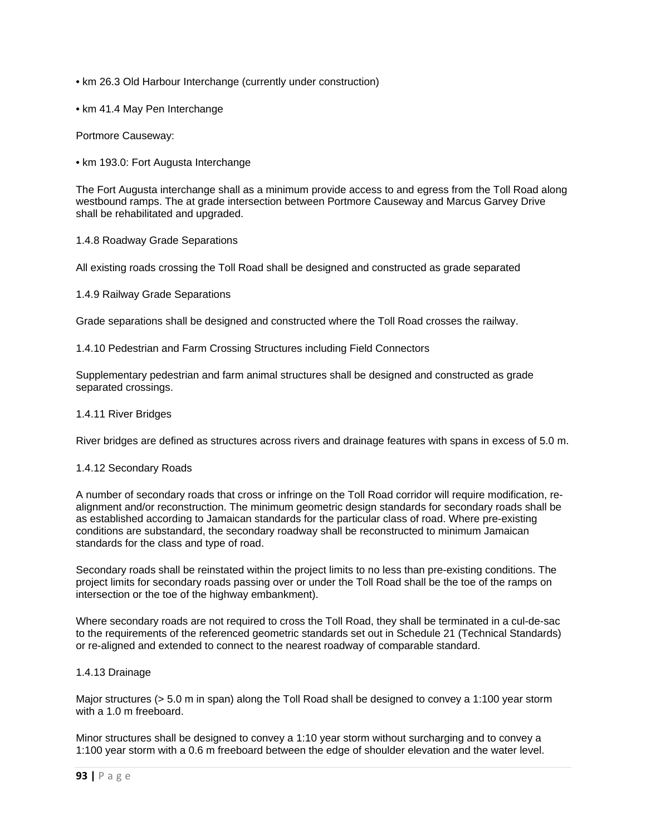- km 26.3 Old Harbour Interchange (currently under construction)
- km 41.4 May Pen Interchange

Portmore Causeway:

• km 193.0: Fort Augusta Interchange

The Fort Augusta interchange shall as a minimum provide access to and egress from the Toll Road along westbound ramps. The at grade intersection between Portmore Causeway and Marcus Garvey Drive shall be rehabilitated and upgraded.

### 1.4.8 Roadway Grade Separations

All existing roads crossing the Toll Road shall be designed and constructed as grade separated

1.4.9 Railway Grade Separations

Grade separations shall be designed and constructed where the Toll Road crosses the railway.

1.4.10 Pedestrian and Farm Crossing Structures including Field Connectors

Supplementary pedestrian and farm animal structures shall be designed and constructed as grade separated crossings.

### 1.4.11 River Bridges

River bridges are defined as structures across rivers and drainage features with spans in excess of 5.0 m.

### 1.4.12 Secondary Roads

A number of secondary roads that cross or infringe on the Toll Road corridor will require modification, realignment and/or reconstruction. The minimum geometric design standards for secondary roads shall be as established according to Jamaican standards for the particular class of road. Where pre-existing conditions are substandard, the secondary roadway shall be reconstructed to minimum Jamaican standards for the class and type of road.

Secondary roads shall be reinstated within the project limits to no less than pre-existing conditions. The project limits for secondary roads passing over or under the Toll Road shall be the toe of the ramps on intersection or the toe of the highway embankment).

Where secondary roads are not required to cross the Toll Road, they shall be terminated in a cul-de-sac to the requirements of the referenced geometric standards set out in Schedule 21 (Technical Standards) or re-aligned and extended to connect to the nearest roadway of comparable standard.

### 1.4.13 Drainage

Major structures (> 5.0 m in span) along the Toll Road shall be designed to convey a 1:100 year storm with a 1.0 m freeboard.

Minor structures shall be designed to convey a 1:10 year storm without surcharging and to convey a 1:100 year storm with a 0.6 m freeboard between the edge of shoulder elevation and the water level.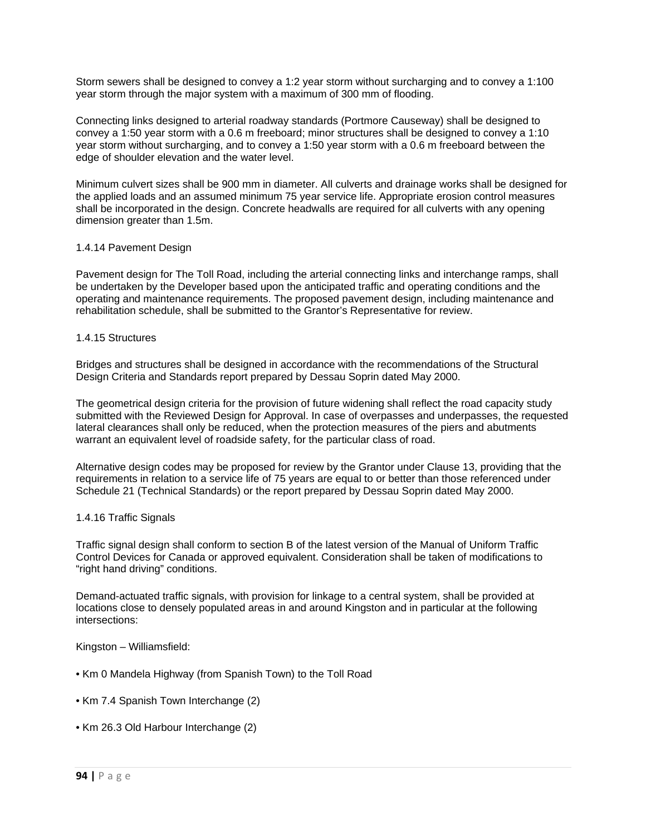Storm sewers shall be designed to convey a 1:2 year storm without surcharging and to convey a 1:100 year storm through the major system with a maximum of 300 mm of flooding.

Connecting links designed to arterial roadway standards (Portmore Causeway) shall be designed to convey a 1:50 year storm with a 0.6 m freeboard; minor structures shall be designed to convey a 1:10 year storm without surcharging, and to convey a 1:50 year storm with a 0.6 m freeboard between the edge of shoulder elevation and the water level.

Minimum culvert sizes shall be 900 mm in diameter. All culverts and drainage works shall be designed for the applied loads and an assumed minimum 75 year service life. Appropriate erosion control measures shall be incorporated in the design. Concrete headwalls are required for all culverts with any opening dimension greater than 1.5m.

### 1.4.14 Pavement Design

Pavement design for The Toll Road, including the arterial connecting links and interchange ramps, shall be undertaken by the Developer based upon the anticipated traffic and operating conditions and the operating and maintenance requirements. The proposed pavement design, including maintenance and rehabilitation schedule, shall be submitted to the Grantor's Representative for review.

## 1.4.15 Structures

Bridges and structures shall be designed in accordance with the recommendations of the Structural Design Criteria and Standards report prepared by Dessau Soprin dated May 2000.

The geometrical design criteria for the provision of future widening shall reflect the road capacity study submitted with the Reviewed Design for Approval. In case of overpasses and underpasses, the requested lateral clearances shall only be reduced, when the protection measures of the piers and abutments warrant an equivalent level of roadside safety, for the particular class of road.

Alternative design codes may be proposed for review by the Grantor under Clause 13, providing that the requirements in relation to a service life of 75 years are equal to or better than those referenced under Schedule 21 (Technical Standards) or the report prepared by Dessau Soprin dated May 2000.

### 1.4.16 Traffic Signals

Traffic signal design shall conform to section B of the latest version of the Manual of Uniform Traffic Control Devices for Canada or approved equivalent. Consideration shall be taken of modifications to "right hand driving" conditions.

Demand-actuated traffic signals, with provision for linkage to a central system, shall be provided at locations close to densely populated areas in and around Kingston and in particular at the following intersections:

Kingston – Williamsfield:

- Km 0 Mandela Highway (from Spanish Town) to the Toll Road
- Km 7.4 Spanish Town Interchange (2)
- Km 26.3 Old Harbour Interchange (2)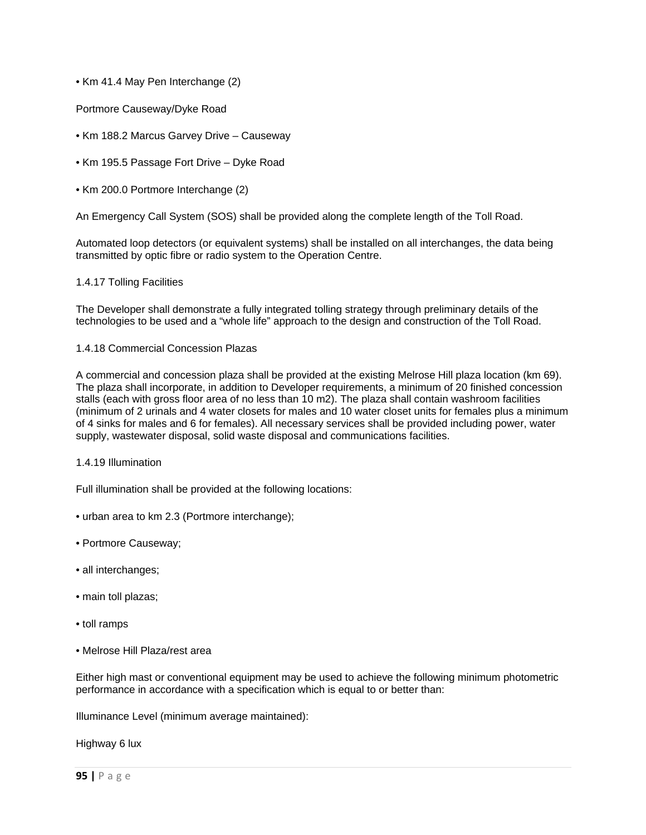# • Km 41.4 May Pen Interchange (2)

Portmore Causeway/Dyke Road

- Km 188.2 Marcus Garvey Drive Causeway
- Km 195.5 Passage Fort Drive Dyke Road
- Km 200.0 Portmore Interchange (2)

An Emergency Call System (SOS) shall be provided along the complete length of the Toll Road.

Automated loop detectors (or equivalent systems) shall be installed on all interchanges, the data being transmitted by optic fibre or radio system to the Operation Centre.

#### 1.4.17 Tolling Facilities

The Developer shall demonstrate a fully integrated tolling strategy through preliminary details of the technologies to be used and a "whole life" approach to the design and construction of the Toll Road.

1.4.18 Commercial Concession Plazas

A commercial and concession plaza shall be provided at the existing Melrose Hill plaza location (km 69). The plaza shall incorporate, in addition to Developer requirements, a minimum of 20 finished concession stalls (each with gross floor area of no less than 10 m2). The plaza shall contain washroom facilities (minimum of 2 urinals and 4 water closets for males and 10 water closet units for females plus a minimum of 4 sinks for males and 6 for females). All necessary services shall be provided including power, water supply, wastewater disposal, solid waste disposal and communications facilities.

### 1.4.19 Illumination

Full illumination shall be provided at the following locations:

- urban area to km 2.3 (Portmore interchange);
- Portmore Causeway;
- all interchanges;
- main toll plazas;
- toll ramps
- Melrose Hill Plaza/rest area

Either high mast or conventional equipment may be used to achieve the following minimum photometric performance in accordance with a specification which is equal to or better than:

Illuminance Level (minimum average maintained):

Highway 6 lux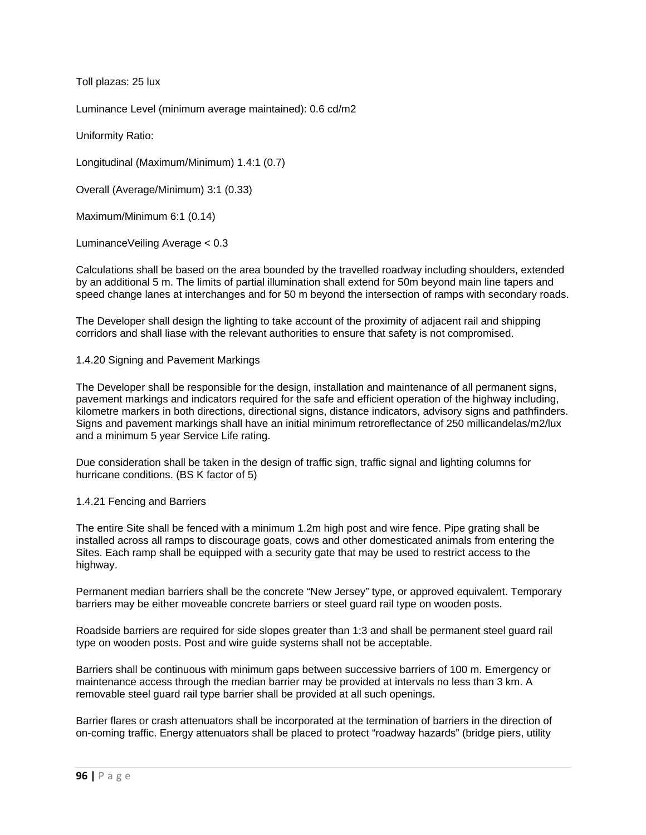Toll plazas: 25 lux

Luminance Level (minimum average maintained): 0.6 cd/m2

Uniformity Ratio:

Longitudinal (Maximum/Minimum) 1.4:1 (0.7)

Overall (Average/Minimum) 3:1 (0.33)

Maximum/Minimum 6:1 (0.14)

LuminanceVeiling Average < 0.3

Calculations shall be based on the area bounded by the travelled roadway including shoulders, extended by an additional 5 m. The limits of partial illumination shall extend for 50m beyond main line tapers and speed change lanes at interchanges and for 50 m beyond the intersection of ramps with secondary roads.

The Developer shall design the lighting to take account of the proximity of adjacent rail and shipping corridors and shall liase with the relevant authorities to ensure that safety is not compromised.

1.4.20 Signing and Pavement Markings

The Developer shall be responsible for the design, installation and maintenance of all permanent signs, pavement markings and indicators required for the safe and efficient operation of the highway including, kilometre markers in both directions, directional signs, distance indicators, advisory signs and pathfinders. Signs and pavement markings shall have an initial minimum retroreflectance of 250 millicandelas/m2/lux and a minimum 5 year Service Life rating.

Due consideration shall be taken in the design of traffic sign, traffic signal and lighting columns for hurricane conditions. (BS K factor of 5)

1.4.21 Fencing and Barriers

The entire Site shall be fenced with a minimum 1.2m high post and wire fence. Pipe grating shall be installed across all ramps to discourage goats, cows and other domesticated animals from entering the Sites. Each ramp shall be equipped with a security gate that may be used to restrict access to the highway.

Permanent median barriers shall be the concrete "New Jersey" type, or approved equivalent. Temporary barriers may be either moveable concrete barriers or steel guard rail type on wooden posts.

Roadside barriers are required for side slopes greater than 1:3 and shall be permanent steel guard rail type on wooden posts. Post and wire guide systems shall not be acceptable.

Barriers shall be continuous with minimum gaps between successive barriers of 100 m. Emergency or maintenance access through the median barrier may be provided at intervals no less than 3 km. A removable steel guard rail type barrier shall be provided at all such openings.

Barrier flares or crash attenuators shall be incorporated at the termination of barriers in the direction of on-coming traffic. Energy attenuators shall be placed to protect "roadway hazards" (bridge piers, utility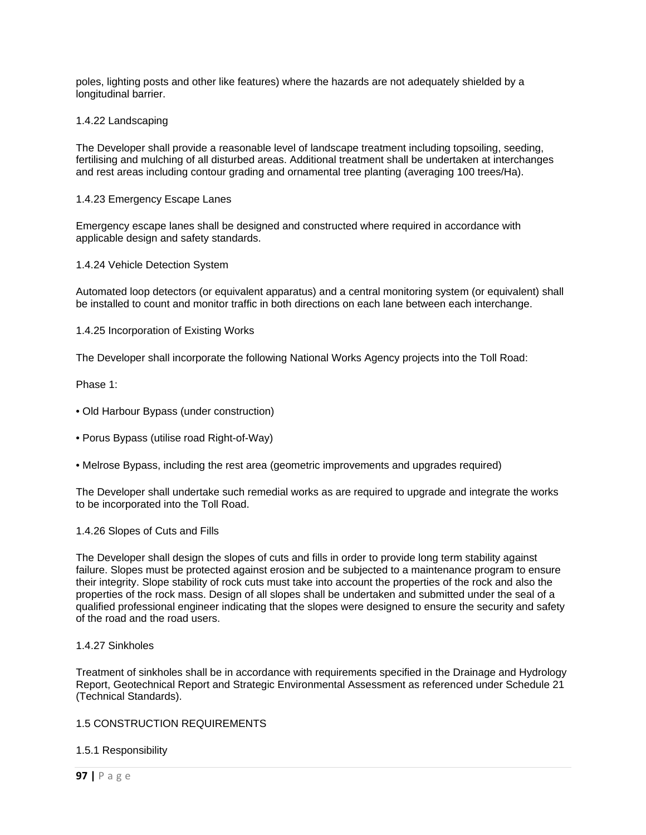poles, lighting posts and other like features) where the hazards are not adequately shielded by a longitudinal barrier.

### 1.4.22 Landscaping

The Developer shall provide a reasonable level of landscape treatment including topsoiling, seeding, fertilising and mulching of all disturbed areas. Additional treatment shall be undertaken at interchanges and rest areas including contour grading and ornamental tree planting (averaging 100 trees/Ha).

### 1.4.23 Emergency Escape Lanes

Emergency escape lanes shall be designed and constructed where required in accordance with applicable design and safety standards.

1.4.24 Vehicle Detection System

Automated loop detectors (or equivalent apparatus) and a central monitoring system (or equivalent) shall be installed to count and monitor traffic in both directions on each lane between each interchange.

1.4.25 Incorporation of Existing Works

The Developer shall incorporate the following National Works Agency projects into the Toll Road:

Phase 1:

- Old Harbour Bypass (under construction)
- Porus Bypass (utilise road Right-of-Way)
- Melrose Bypass, including the rest area (geometric improvements and upgrades required)

The Developer shall undertake such remedial works as are required to upgrade and integrate the works to be incorporated into the Toll Road.

### 1.4.26 Slopes of Cuts and Fills

The Developer shall design the slopes of cuts and fills in order to provide long term stability against failure. Slopes must be protected against erosion and be subjected to a maintenance program to ensure their integrity. Slope stability of rock cuts must take into account the properties of the rock and also the properties of the rock mass. Design of all slopes shall be undertaken and submitted under the seal of a qualified professional engineer indicating that the slopes were designed to ensure the security and safety of the road and the road users.

### 1.4.27 Sinkholes

Treatment of sinkholes shall be in accordance with requirements specified in the Drainage and Hydrology Report, Geotechnical Report and Strategic Environmental Assessment as referenced under Schedule 21 (Technical Standards).

### 1.5 CONSTRUCTION REQUIREMENTS

### 1.5.1 Responsibility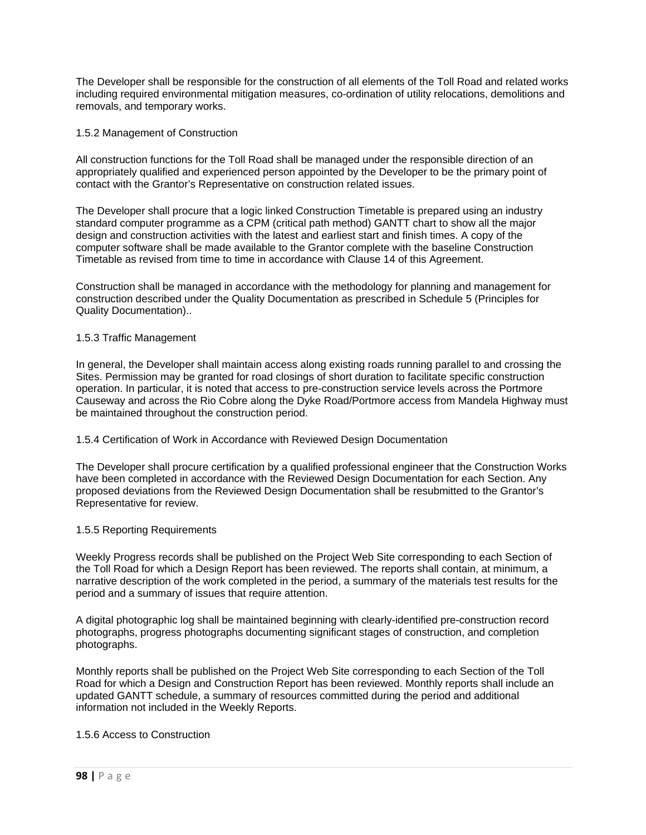The Developer shall be responsible for the construction of all elements of the Toll Road and related works including required environmental mitigation measures, co-ordination of utility relocations, demolitions and removals, and temporary works.

## 1.5.2 Management of Construction

All construction functions for the Toll Road shall be managed under the responsible direction of an appropriately qualified and experienced person appointed by the Developer to be the primary point of contact with the Grantor's Representative on construction related issues.

The Developer shall procure that a logic linked Construction Timetable is prepared using an industry standard computer programme as a CPM (critical path method) GANTT chart to show all the major design and construction activities with the latest and earliest start and finish times. A copy of the computer software shall be made available to the Grantor complete with the baseline Construction Timetable as revised from time to time in accordance with Clause 14 of this Agreement.

Construction shall be managed in accordance with the methodology for planning and management for construction described under the Quality Documentation as prescribed in Schedule 5 (Principles for Quality Documentation)..

### 1.5.3 Traffic Management

In general, the Developer shall maintain access along existing roads running parallel to and crossing the Sites. Permission may be granted for road closings of short duration to facilitate specific construction operation. In particular, it is noted that access to pre-construction service levels across the Portmore Causeway and across the Rio Cobre along the Dyke Road/Portmore access from Mandela Highway must be maintained throughout the construction period.

### 1.5.4 Certification of Work in Accordance with Reviewed Design Documentation

The Developer shall procure certification by a qualified professional engineer that the Construction Works have been completed in accordance with the Reviewed Design Documentation for each Section. Any proposed deviations from the Reviewed Design Documentation shall be resubmitted to the Grantor's Representative for review.

### 1.5.5 Reporting Requirements

Weekly Progress records shall be published on the Project Web Site corresponding to each Section of the Toll Road for which a Design Report has been reviewed. The reports shall contain, at minimum, a narrative description of the work completed in the period, a summary of the materials test results for the period and a summary of issues that require attention.

A digital photographic log shall be maintained beginning with clearly-identified pre-construction record photographs, progress photographs documenting significant stages of construction, and completion photographs.

Monthly reports shall be published on the Project Web Site corresponding to each Section of the Toll Road for which a Design and Construction Report has been reviewed. Monthly reports shall include an updated GANTT schedule, a summary of resources committed during the period and additional information not included in the Weekly Reports.

### 1.5.6 Access to Construction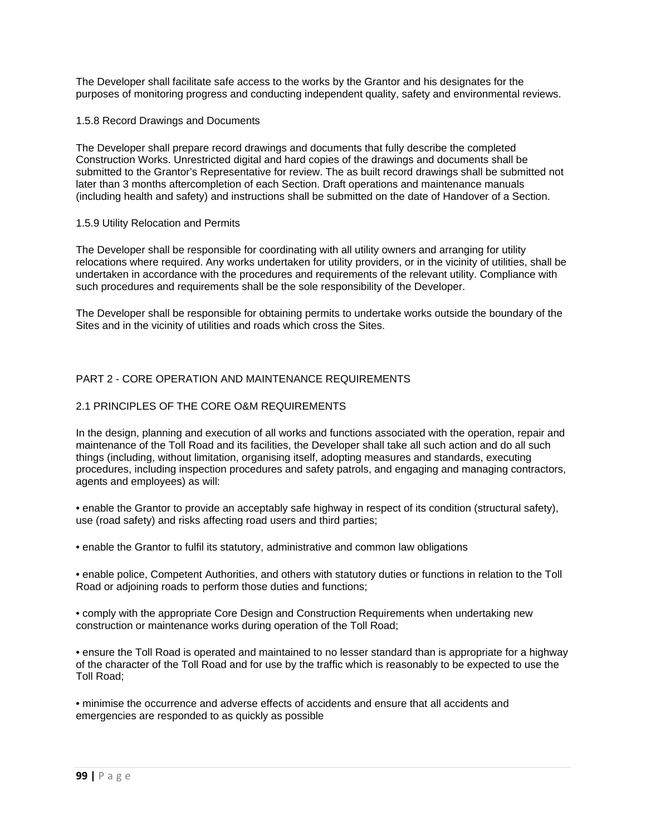The Developer shall facilitate safe access to the works by the Grantor and his designates for the purposes of monitoring progress and conducting independent quality, safety and environmental reviews.

### 1.5.8 Record Drawings and Documents

The Developer shall prepare record drawings and documents that fully describe the completed Construction Works. Unrestricted digital and hard copies of the drawings and documents shall be submitted to the Grantor's Representative for review. The as built record drawings shall be submitted not later than 3 months aftercompletion of each Section. Draft operations and maintenance manuals (including health and safety) and instructions shall be submitted on the date of Handover of a Section.

## 1.5.9 Utility Relocation and Permits

The Developer shall be responsible for coordinating with all utility owners and arranging for utility relocations where required. Any works undertaken for utility providers, or in the vicinity of utilities, shall be undertaken in accordance with the procedures and requirements of the relevant utility. Compliance with such procedures and requirements shall be the sole responsibility of the Developer.

The Developer shall be responsible for obtaining permits to undertake works outside the boundary of the Sites and in the vicinity of utilities and roads which cross the Sites.

# PART 2 - CORE OPERATION AND MAINTENANCE REQUIREMENTS

# 2.1 PRINCIPLES OF THE CORE O&M REQUIREMENTS

In the design, planning and execution of all works and functions associated with the operation, repair and maintenance of the Toll Road and its facilities, the Developer shall take all such action and do all such things (including, without limitation, organising itself, adopting measures and standards, executing procedures, including inspection procedures and safety patrols, and engaging and managing contractors, agents and employees) as will:

• enable the Grantor to provide an acceptably safe highway in respect of its condition (structural safety), use (road safety) and risks affecting road users and third parties;

• enable the Grantor to fulfil its statutory, administrative and common law obligations

• enable police, Competent Authorities, and others with statutory duties or functions in relation to the Toll Road or adjoining roads to perform those duties and functions;

• comply with the appropriate Core Design and Construction Requirements when undertaking new construction or maintenance works during operation of the Toll Road;

• ensure the Toll Road is operated and maintained to no lesser standard than is appropriate for a highway of the character of the Toll Road and for use by the traffic which is reasonably to be expected to use the Toll Road;

• minimise the occurrence and adverse effects of accidents and ensure that all accidents and emergencies are responded to as quickly as possible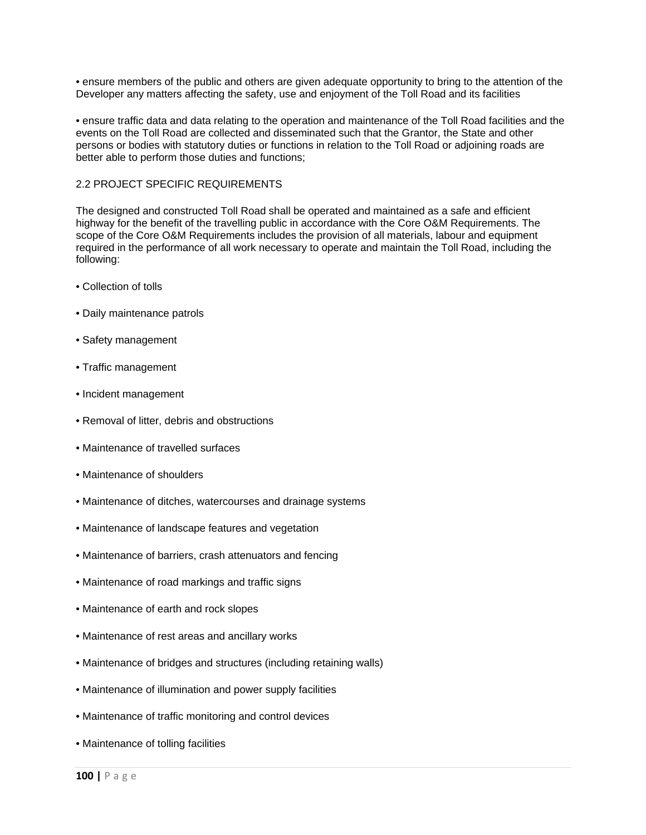• ensure members of the public and others are given adequate opportunity to bring to the attention of the Developer any matters affecting the safety, use and enjoyment of the Toll Road and its facilities

• ensure traffic data and data relating to the operation and maintenance of the Toll Road facilities and the events on the Toll Road are collected and disseminated such that the Grantor, the State and other persons or bodies with statutory duties or functions in relation to the Toll Road or adjoining roads are better able to perform those duties and functions;

### 2.2 PROJECT SPECIFIC REQUIREMENTS

The designed and constructed Toll Road shall be operated and maintained as a safe and efficient highway for the benefit of the travelling public in accordance with the Core O&M Requirements. The scope of the Core O&M Requirements includes the provision of all materials, labour and equipment required in the performance of all work necessary to operate and maintain the Toll Road, including the following:

- Collection of tolls
- Daily maintenance patrols
- Safety management
- Traffic management
- Incident management
- Removal of litter, debris and obstructions
- Maintenance of travelled surfaces
- Maintenance of shoulders
- Maintenance of ditches, watercourses and drainage systems
- Maintenance of landscape features and vegetation
- Maintenance of barriers, crash attenuators and fencing
- Maintenance of road markings and traffic signs
- Maintenance of earth and rock slopes
- Maintenance of rest areas and ancillary works
- Maintenance of bridges and structures (including retaining walls)
- Maintenance of illumination and power supply facilities
- Maintenance of traffic monitoring and control devices
- Maintenance of tolling facilities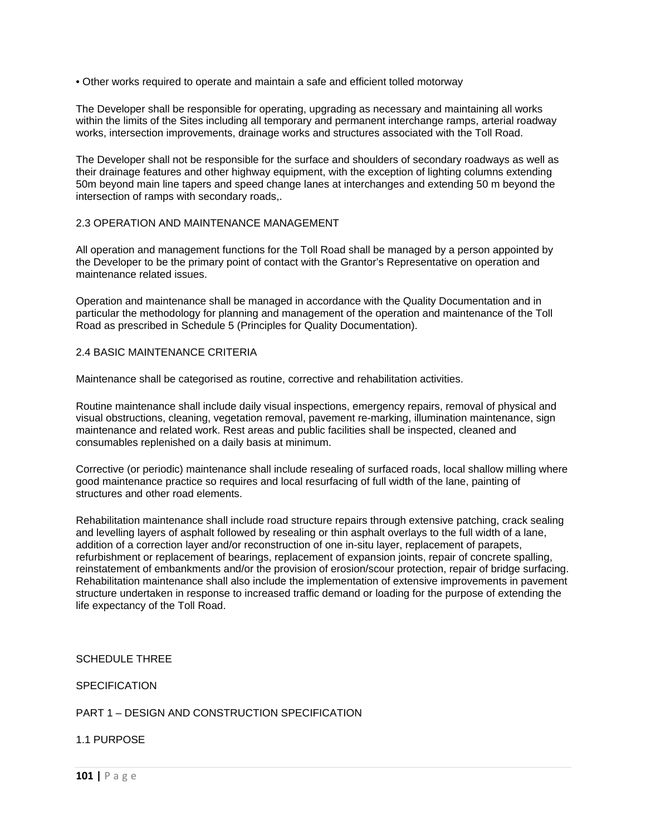• Other works required to operate and maintain a safe and efficient tolled motorway

The Developer shall be responsible for operating, upgrading as necessary and maintaining all works within the limits of the Sites including all temporary and permanent interchange ramps, arterial roadway works, intersection improvements, drainage works and structures associated with the Toll Road.

The Developer shall not be responsible for the surface and shoulders of secondary roadways as well as their drainage features and other highway equipment, with the exception of lighting columns extending 50m beyond main line tapers and speed change lanes at interchanges and extending 50 m beyond the intersection of ramps with secondary roads,.

## 2.3 OPERATION AND MAINTENANCE MANAGEMENT

All operation and management functions for the Toll Road shall be managed by a person appointed by the Developer to be the primary point of contact with the Grantor's Representative on operation and maintenance related issues.

Operation and maintenance shall be managed in accordance with the Quality Documentation and in particular the methodology for planning and management of the operation and maintenance of the Toll Road as prescribed in Schedule 5 (Principles for Quality Documentation).

### 2.4 BASIC MAINTENANCE CRITERIA

Maintenance shall be categorised as routine, corrective and rehabilitation activities.

Routine maintenance shall include daily visual inspections, emergency repairs, removal of physical and visual obstructions, cleaning, vegetation removal, pavement re-marking, illumination maintenance, sign maintenance and related work. Rest areas and public facilities shall be inspected, cleaned and consumables replenished on a daily basis at minimum.

Corrective (or periodic) maintenance shall include resealing of surfaced roads, local shallow milling where good maintenance practice so requires and local resurfacing of full width of the lane, painting of structures and other road elements.

Rehabilitation maintenance shall include road structure repairs through extensive patching, crack sealing and levelling layers of asphalt followed by resealing or thin asphalt overlays to the full width of a lane, addition of a correction layer and/or reconstruction of one in-situ layer, replacement of parapets, refurbishment or replacement of bearings, replacement of expansion joints, repair of concrete spalling, reinstatement of embankments and/or the provision of erosion/scour protection, repair of bridge surfacing. Rehabilitation maintenance shall also include the implementation of extensive improvements in pavement structure undertaken in response to increased traffic demand or loading for the purpose of extending the life expectancy of the Toll Road.

SCHEDULE THREE

**SPECIFICATION** 

# PART 1 – DESIGN AND CONSTRUCTION SPECIFICATION

1.1 PURPOSE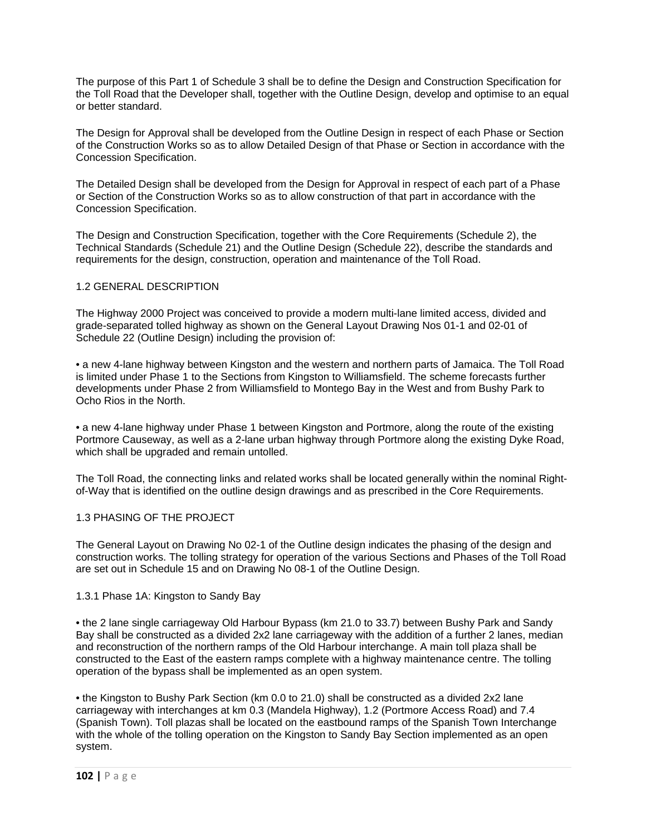The purpose of this Part 1 of Schedule 3 shall be to define the Design and Construction Specification for the Toll Road that the Developer shall, together with the Outline Design, develop and optimise to an equal or better standard.

The Design for Approval shall be developed from the Outline Design in respect of each Phase or Section of the Construction Works so as to allow Detailed Design of that Phase or Section in accordance with the Concession Specification.

The Detailed Design shall be developed from the Design for Approval in respect of each part of a Phase or Section of the Construction Works so as to allow construction of that part in accordance with the Concession Specification.

The Design and Construction Specification, together with the Core Requirements (Schedule 2), the Technical Standards (Schedule 21) and the Outline Design (Schedule 22), describe the standards and requirements for the design, construction, operation and maintenance of the Toll Road.

## 1.2 GENERAL DESCRIPTION

The Highway 2000 Project was conceived to provide a modern multi-lane limited access, divided and grade-separated tolled highway as shown on the General Layout Drawing Nos 01-1 and 02-01 of Schedule 22 (Outline Design) including the provision of:

• a new 4-lane highway between Kingston and the western and northern parts of Jamaica. The Toll Road is limited under Phase 1 to the Sections from Kingston to Williamsfield. The scheme forecasts further developments under Phase 2 from Williamsfield to Montego Bay in the West and from Bushy Park to Ocho Rios in the North.

• a new 4-lane highway under Phase 1 between Kingston and Portmore, along the route of the existing Portmore Causeway, as well as a 2-lane urban highway through Portmore along the existing Dyke Road, which shall be upgraded and remain untolled.

The Toll Road, the connecting links and related works shall be located generally within the nominal Rightof-Way that is identified on the outline design drawings and as prescribed in the Core Requirements.

### 1.3 PHASING OF THE PROJECT

The General Layout on Drawing No 02-1 of the Outline design indicates the phasing of the design and construction works. The tolling strategy for operation of the various Sections and Phases of the Toll Road are set out in Schedule 15 and on Drawing No 08-1 of the Outline Design.

### 1.3.1 Phase 1A: Kingston to Sandy Bay

• the 2 lane single carriageway Old Harbour Bypass (km 21.0 to 33.7) between Bushy Park and Sandy Bay shall be constructed as a divided 2x2 lane carriageway with the addition of a further 2 lanes, median and reconstruction of the northern ramps of the Old Harbour interchange. A main toll plaza shall be constructed to the East of the eastern ramps complete with a highway maintenance centre. The tolling operation of the bypass shall be implemented as an open system.

• the Kingston to Bushy Park Section (km 0.0 to 21.0) shall be constructed as a divided 2x2 lane carriageway with interchanges at km 0.3 (Mandela Highway), 1.2 (Portmore Access Road) and 7.4 (Spanish Town). Toll plazas shall be located on the eastbound ramps of the Spanish Town Interchange with the whole of the tolling operation on the Kingston to Sandy Bay Section implemented as an open system.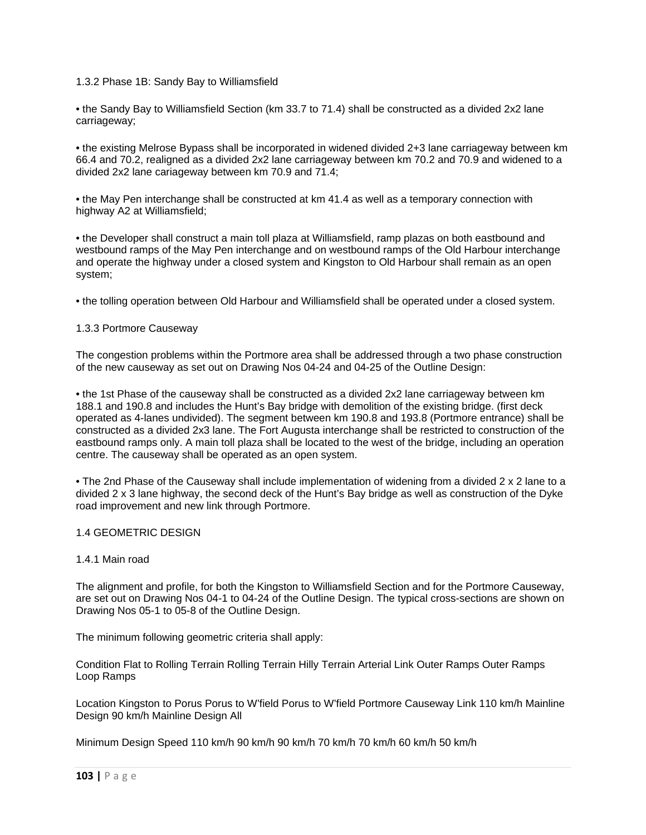## 1.3.2 Phase 1B: Sandy Bay to Williamsfield

• the Sandy Bay to Williamsfield Section (km 33.7 to 71.4) shall be constructed as a divided 2x2 lane carriageway;

• the existing Melrose Bypass shall be incorporated in widened divided 2+3 lane carriageway between km 66.4 and 70.2, realigned as a divided 2x2 lane carriageway between km 70.2 and 70.9 and widened to a divided 2x2 lane cariageway between km 70.9 and 71.4;

• the May Pen interchange shall be constructed at km 41.4 as well as a temporary connection with highway A2 at Williamsfield;

• the Developer shall construct a main toll plaza at Williamsfield, ramp plazas on both eastbound and westbound ramps of the May Pen interchange and on westbound ramps of the Old Harbour interchange and operate the highway under a closed system and Kingston to Old Harbour shall remain as an open system;

• the tolling operation between Old Harbour and Williamsfield shall be operated under a closed system.

### 1.3.3 Portmore Causeway

The congestion problems within the Portmore area shall be addressed through a two phase construction of the new causeway as set out on Drawing Nos 04-24 and 04-25 of the Outline Design:

• the 1st Phase of the causeway shall be constructed as a divided 2x2 lane carriageway between km 188.1 and 190.8 and includes the Hunt's Bay bridge with demolition of the existing bridge. (first deck operated as 4-lanes undivided). The segment between km 190.8 and 193.8 (Portmore entrance) shall be constructed as a divided 2x3 lane. The Fort Augusta interchange shall be restricted to construction of the eastbound ramps only. A main toll plaza shall be located to the west of the bridge, including an operation centre. The causeway shall be operated as an open system.

• The 2nd Phase of the Causeway shall include implementation of widening from a divided 2 x 2 lane to a divided 2 x 3 lane highway, the second deck of the Hunt's Bay bridge as well as construction of the Dyke road improvement and new link through Portmore.

### 1.4 GEOMETRIC DESIGN

### 1.4.1 Main road

The alignment and profile, for both the Kingston to Williamsfield Section and for the Portmore Causeway, are set out on Drawing Nos 04-1 to 04-24 of the Outline Design. The typical cross-sections are shown on Drawing Nos 05-1 to 05-8 of the Outline Design.

The minimum following geometric criteria shall apply:

Condition Flat to Rolling Terrain Rolling Terrain Hilly Terrain Arterial Link Outer Ramps Outer Ramps Loop Ramps

Location Kingston to Porus Porus to W'field Porus to W'field Portmore Causeway Link 110 km/h Mainline Design 90 km/h Mainline Design All

Minimum Design Speed 110 km/h 90 km/h 90 km/h 70 km/h 70 km/h 60 km/h 50 km/h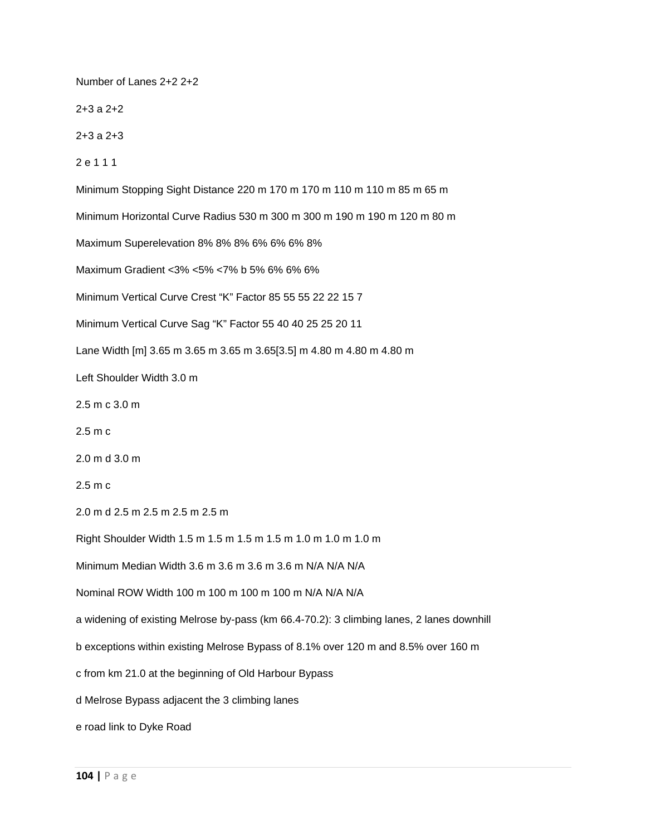Number of Lanes 2+2 2+2 2+3 a 2+2 2+3 a 2+3 2 e 1 1 1 Minimum Stopping Sight Distance 220 m 170 m 170 m 110 m 110 m 85 m 65 m Minimum Horizontal Curve Radius 530 m 300 m 300 m 190 m 190 m 120 m 80 m Maximum Superelevation 8% 8% 8% 6% 6% 6% 8% Maximum Gradient <3% <5% <7% b 5% 6% 6% 6% Minimum Vertical Curve Crest "K" Factor 85 55 55 22 22 15 7 Minimum Vertical Curve Sag "K" Factor 55 40 40 25 25 20 11 Lane Width [m] 3.65 m 3.65 m 3.65 m 3.65[3.5] m 4.80 m 4.80 m 4.80 m Left Shoulder Width 3.0 m 2.5 m c 3.0 m 2.5 m c 2.0 m d 3.0 m 2.5 m c 2.0 m d 2.5 m 2.5 m 2.5 m 2.5 m Right Shoulder Width 1.5 m 1.5 m 1.5 m 1.5 m 1.0 m 1.0 m 1.0 m Minimum Median Width 3.6 m 3.6 m 3.6 m 3.6 m N/A N/A N/A Nominal ROW Width 100 m 100 m 100 m 100 m N/A N/A N/A a widening of existing Melrose by-pass (km 66.4-70.2): 3 climbing lanes, 2 lanes downhill b exceptions within existing Melrose Bypass of 8.1% over 120 m and 8.5% over 160 m c from km 21.0 at the beginning of Old Harbour Bypass d Melrose Bypass adjacent the 3 climbing lanes e road link to Dyke Road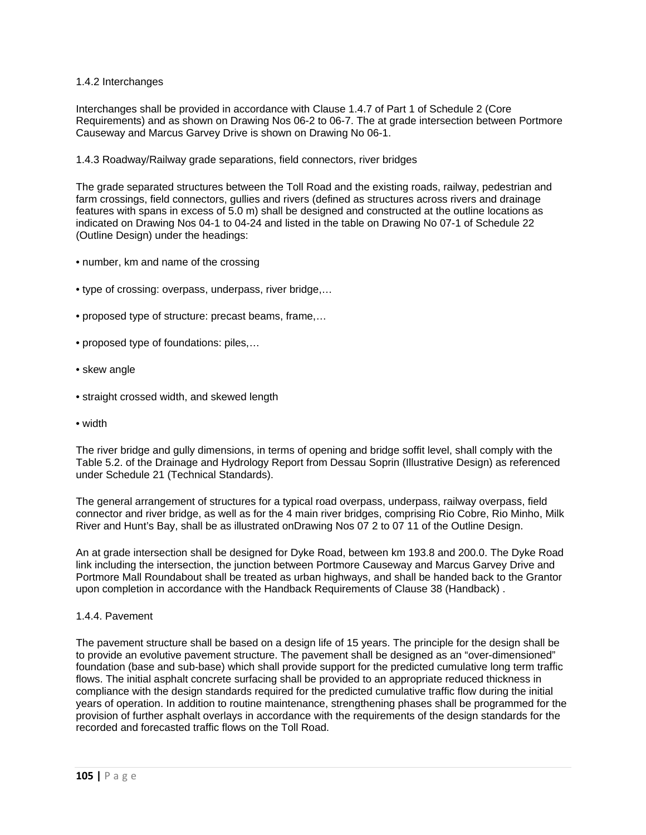## 1.4.2 Interchanges

Interchanges shall be provided in accordance with Clause 1.4.7 of Part 1 of Schedule 2 (Core Requirements) and as shown on Drawing Nos 06-2 to 06-7. The at grade intersection between Portmore Causeway and Marcus Garvey Drive is shown on Drawing No 06-1.

### 1.4.3 Roadway/Railway grade separations, field connectors, river bridges

The grade separated structures between the Toll Road and the existing roads, railway, pedestrian and farm crossings, field connectors, gullies and rivers (defined as structures across rivers and drainage features with spans in excess of 5.0 m) shall be designed and constructed at the outline locations as indicated on Drawing Nos 04-1 to 04-24 and listed in the table on Drawing No 07-1 of Schedule 22 (Outline Design) under the headings:

- number, km and name of the crossing
- type of crossing: overpass, underpass, river bridge,…
- proposed type of structure: precast beams, frame,…
- proposed type of foundations: piles,…
- skew angle
- straight crossed width, and skewed length
- width

The river bridge and gully dimensions, in terms of opening and bridge soffit level, shall comply with the Table 5.2. of the Drainage and Hydrology Report from Dessau Soprin (Illustrative Design) as referenced under Schedule 21 (Technical Standards).

The general arrangement of structures for a typical road overpass, underpass, railway overpass, field connector and river bridge, as well as for the 4 main river bridges, comprising Rio Cobre, Rio Minho, Milk River and Hunt's Bay, shall be as illustrated onDrawing Nos 07 2 to 07 11 of the Outline Design.

An at grade intersection shall be designed for Dyke Road, between km 193.8 and 200.0. The Dyke Road link including the intersection, the junction between Portmore Causeway and Marcus Garvey Drive and Portmore Mall Roundabout shall be treated as urban highways, and shall be handed back to the Grantor upon completion in accordance with the Handback Requirements of Clause 38 (Handback) .

1.4.4. Pavement

The pavement structure shall be based on a design life of 15 years. The principle for the design shall be to provide an evolutive pavement structure. The pavement shall be designed as an "over-dimensioned" foundation (base and sub-base) which shall provide support for the predicted cumulative long term traffic flows. The initial asphalt concrete surfacing shall be provided to an appropriate reduced thickness in compliance with the design standards required for the predicted cumulative traffic flow during the initial years of operation. In addition to routine maintenance, strengthening phases shall be programmed for the provision of further asphalt overlays in accordance with the requirements of the design standards for the recorded and forecasted traffic flows on the Toll Road.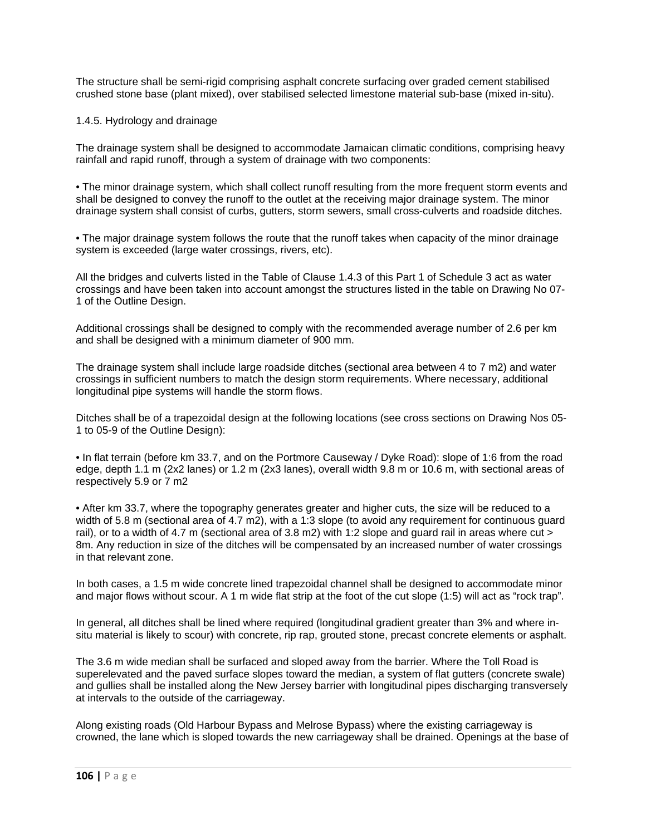The structure shall be semi-rigid comprising asphalt concrete surfacing over graded cement stabilised crushed stone base (plant mixed), over stabilised selected limestone material sub-base (mixed in-situ).

## 1.4.5. Hydrology and drainage

The drainage system shall be designed to accommodate Jamaican climatic conditions, comprising heavy rainfall and rapid runoff, through a system of drainage with two components:

• The minor drainage system, which shall collect runoff resulting from the more frequent storm events and shall be designed to convey the runoff to the outlet at the receiving major drainage system. The minor drainage system shall consist of curbs, gutters, storm sewers, small cross-culverts and roadside ditches.

• The major drainage system follows the route that the runoff takes when capacity of the minor drainage system is exceeded (large water crossings, rivers, etc).

All the bridges and culverts listed in the Table of Clause 1.4.3 of this Part 1 of Schedule 3 act as water crossings and have been taken into account amongst the structures listed in the table on Drawing No 07- 1 of the Outline Design.

Additional crossings shall be designed to comply with the recommended average number of 2.6 per km and shall be designed with a minimum diameter of 900 mm.

The drainage system shall include large roadside ditches (sectional area between 4 to 7 m2) and water crossings in sufficient numbers to match the design storm requirements. Where necessary, additional longitudinal pipe systems will handle the storm flows.

Ditches shall be of a trapezoidal design at the following locations (see cross sections on Drawing Nos 05- 1 to 05-9 of the Outline Design):

• In flat terrain (before km 33.7, and on the Portmore Causeway / Dyke Road): slope of 1:6 from the road edge, depth 1.1 m (2x2 lanes) or 1.2 m (2x3 lanes), overall width 9.8 m or 10.6 m, with sectional areas of respectively 5.9 or 7 m2

• After km 33.7, where the topography generates greater and higher cuts, the size will be reduced to a width of 5.8 m (sectional area of 4.7 m2), with a 1:3 slope (to avoid any requirement for continuous guard rail), or to a width of 4.7 m (sectional area of 3.8 m2) with 1:2 slope and guard rail in areas where cut > 8m. Any reduction in size of the ditches will be compensated by an increased number of water crossings in that relevant zone.

In both cases, a 1.5 m wide concrete lined trapezoidal channel shall be designed to accommodate minor and major flows without scour. A 1 m wide flat strip at the foot of the cut slope (1:5) will act as "rock trap".

In general, all ditches shall be lined where required (longitudinal gradient greater than 3% and where insitu material is likely to scour) with concrete, rip rap, grouted stone, precast concrete elements or asphalt.

The 3.6 m wide median shall be surfaced and sloped away from the barrier. Where the Toll Road is superelevated and the paved surface slopes toward the median, a system of flat gutters (concrete swale) and gullies shall be installed along the New Jersey barrier with longitudinal pipes discharging transversely at intervals to the outside of the carriageway.

Along existing roads (Old Harbour Bypass and Melrose Bypass) where the existing carriageway is crowned, the lane which is sloped towards the new carriageway shall be drained. Openings at the base of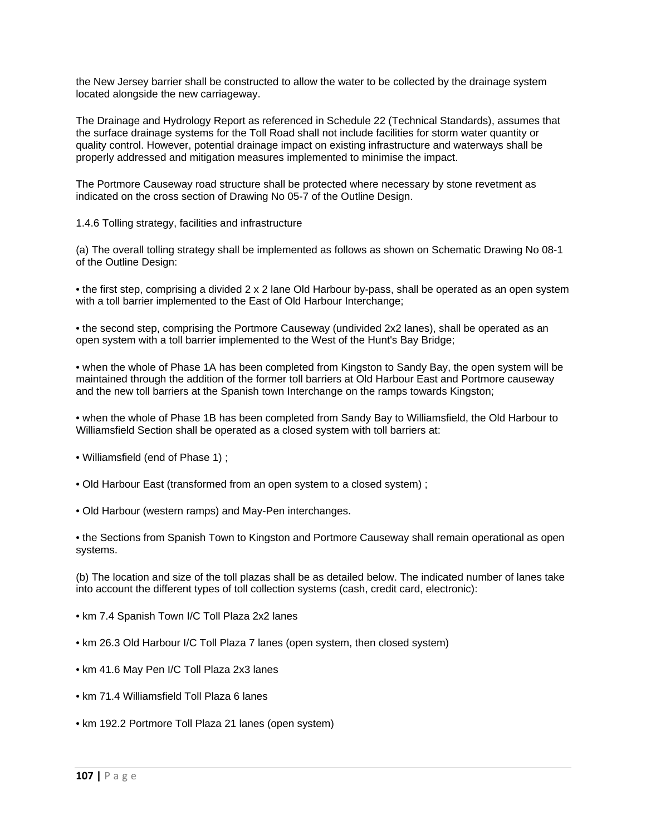the New Jersey barrier shall be constructed to allow the water to be collected by the drainage system located alongside the new carriageway.

The Drainage and Hydrology Report as referenced in Schedule 22 (Technical Standards), assumes that the surface drainage systems for the Toll Road shall not include facilities for storm water quantity or quality control. However, potential drainage impact on existing infrastructure and waterways shall be properly addressed and mitigation measures implemented to minimise the impact.

The Portmore Causeway road structure shall be protected where necessary by stone revetment as indicated on the cross section of Drawing No 05-7 of the Outline Design.

1.4.6 Tolling strategy, facilities and infrastructure

(a) The overall tolling strategy shall be implemented as follows as shown on Schematic Drawing No 08-1 of the Outline Design:

• the first step, comprising a divided 2 x 2 lane Old Harbour by-pass, shall be operated as an open system with a toll barrier implemented to the East of Old Harbour Interchange;

• the second step, comprising the Portmore Causeway (undivided 2x2 lanes), shall be operated as an open system with a toll barrier implemented to the West of the Hunt's Bay Bridge;

• when the whole of Phase 1A has been completed from Kingston to Sandy Bay, the open system will be maintained through the addition of the former toll barriers at Old Harbour East and Portmore causeway and the new toll barriers at the Spanish town Interchange on the ramps towards Kingston;

• when the whole of Phase 1B has been completed from Sandy Bay to Williamsfield, the Old Harbour to Williamsfield Section shall be operated as a closed system with toll barriers at:

- Williamsfield (end of Phase 1) ;
- Old Harbour East (transformed from an open system to a closed system) ;
- Old Harbour (western ramps) and May-Pen interchanges.

• the Sections from Spanish Town to Kingston and Portmore Causeway shall remain operational as open systems.

(b) The location and size of the toll plazas shall be as detailed below. The indicated number of lanes take into account the different types of toll collection systems (cash, credit card, electronic):

- km 7.4 Spanish Town I/C Toll Plaza 2x2 lanes
- km 26.3 Old Harbour I/C Toll Plaza 7 lanes (open system, then closed system)
- km 41.6 May Pen I/C Toll Plaza 2x3 lanes
- km 71.4 Williamsfield Toll Plaza 6 lanes
- km 192.2 Portmore Toll Plaza 21 lanes (open system)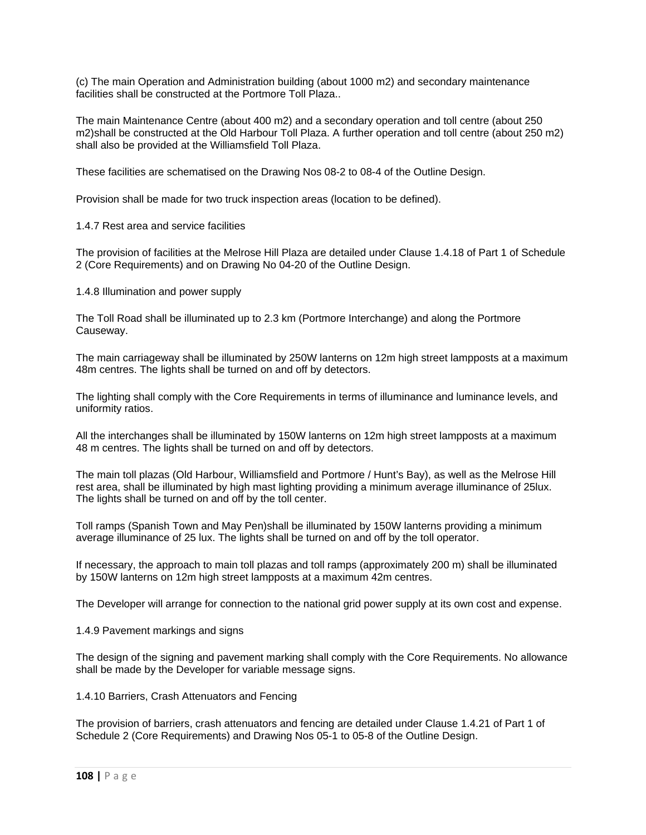(c) The main Operation and Administration building (about 1000 m2) and secondary maintenance facilities shall be constructed at the Portmore Toll Plaza..

The main Maintenance Centre (about 400 m2) and a secondary operation and toll centre (about 250 m2)shall be constructed at the Old Harbour Toll Plaza. A further operation and toll centre (about 250 m2) shall also be provided at the Williamsfield Toll Plaza.

These facilities are schematised on the Drawing Nos 08-2 to 08-4 of the Outline Design.

Provision shall be made for two truck inspection areas (location to be defined).

1.4.7 Rest area and service facilities

The provision of facilities at the Melrose Hill Plaza are detailed under Clause 1.4.18 of Part 1 of Schedule 2 (Core Requirements) and on Drawing No 04-20 of the Outline Design.

1.4.8 Illumination and power supply

The Toll Road shall be illuminated up to 2.3 km (Portmore Interchange) and along the Portmore Causeway.

The main carriageway shall be illuminated by 250W lanterns on 12m high street lampposts at a maximum 48m centres. The lights shall be turned on and off by detectors.

The lighting shall comply with the Core Requirements in terms of illuminance and luminance levels, and uniformity ratios.

All the interchanges shall be illuminated by 150W lanterns on 12m high street lampposts at a maximum 48 m centres. The lights shall be turned on and off by detectors.

The main toll plazas (Old Harbour, Williamsfield and Portmore / Hunt's Bay), as well as the Melrose Hill rest area, shall be illuminated by high mast lighting providing a minimum average illuminance of 25lux. The lights shall be turned on and off by the toll center.

Toll ramps (Spanish Town and May Pen)shall be illuminated by 150W lanterns providing a minimum average illuminance of 25 lux. The lights shall be turned on and off by the toll operator.

If necessary, the approach to main toll plazas and toll ramps (approximately 200 m) shall be illuminated by 150W lanterns on 12m high street lampposts at a maximum 42m centres.

The Developer will arrange for connection to the national grid power supply at its own cost and expense.

1.4.9 Pavement markings and signs

The design of the signing and pavement marking shall comply with the Core Requirements. No allowance shall be made by the Developer for variable message signs.

1.4.10 Barriers, Crash Attenuators and Fencing

The provision of barriers, crash attenuators and fencing are detailed under Clause 1.4.21 of Part 1 of Schedule 2 (Core Requirements) and Drawing Nos 05-1 to 05-8 of the Outline Design.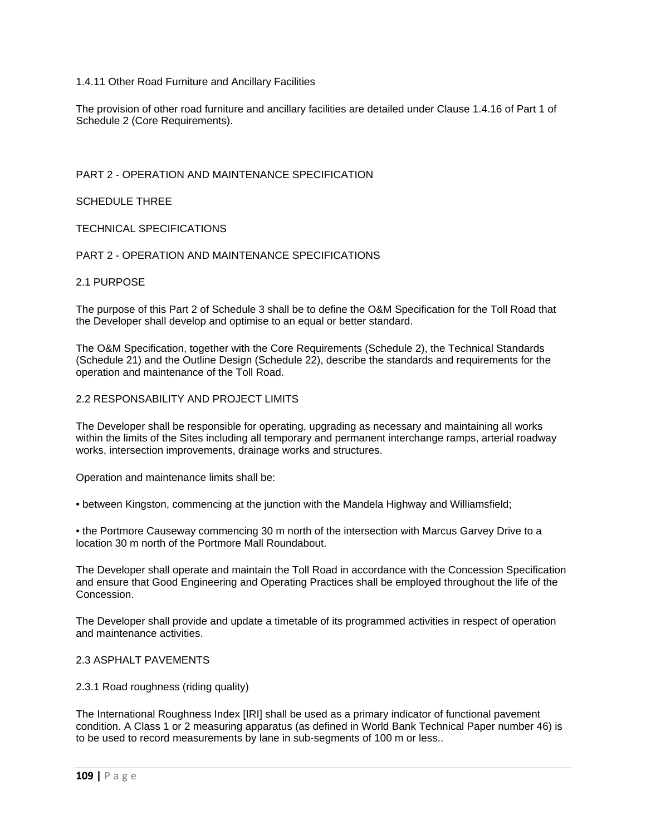# 1.4.11 Other Road Furniture and Ancillary Facilities

The provision of other road furniture and ancillary facilities are detailed under Clause 1.4.16 of Part 1 of Schedule 2 (Core Requirements).

# PART 2 - OPERATION AND MAINTENANCE SPECIFICATION

### SCHEDULE THREE

# TECHNICAL SPECIFICATIONS

# PART 2 - OPERATION AND MAINTENANCE SPECIFICATIONS

### 2.1 PURPOSE

The purpose of this Part 2 of Schedule 3 shall be to define the O&M Specification for the Toll Road that the Developer shall develop and optimise to an equal or better standard.

The O&M Specification, together with the Core Requirements (Schedule 2), the Technical Standards (Schedule 21) and the Outline Design (Schedule 22), describe the standards and requirements for the operation and maintenance of the Toll Road.

### 2.2 RESPONSABILITY AND PROJECT LIMITS

The Developer shall be responsible for operating, upgrading as necessary and maintaining all works within the limits of the Sites including all temporary and permanent interchange ramps, arterial roadway works, intersection improvements, drainage works and structures.

Operation and maintenance limits shall be:

• between Kingston, commencing at the junction with the Mandela Highway and Williamsfield;

• the Portmore Causeway commencing 30 m north of the intersection with Marcus Garvey Drive to a location 30 m north of the Portmore Mall Roundabout.

The Developer shall operate and maintain the Toll Road in accordance with the Concession Specification and ensure that Good Engineering and Operating Practices shall be employed throughout the life of the **Concession** 

The Developer shall provide and update a timetable of its programmed activities in respect of operation and maintenance activities.

# 2.3 ASPHALT PAVEMENTS

#### 2.3.1 Road roughness (riding quality)

The International Roughness Index [IRI] shall be used as a primary indicator of functional pavement condition. A Class 1 or 2 measuring apparatus (as defined in World Bank Technical Paper number 46) is to be used to record measurements by lane in sub-segments of 100 m or less..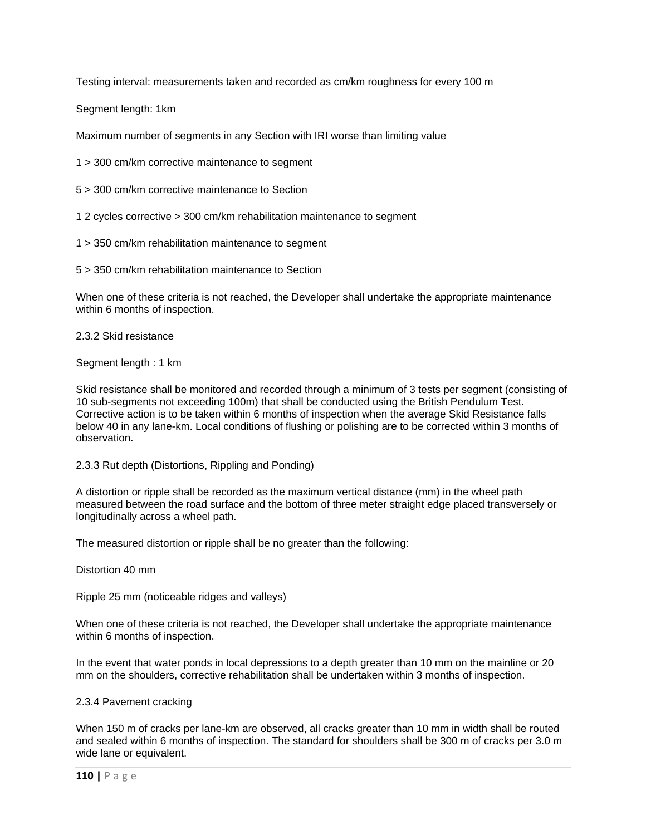Testing interval: measurements taken and recorded as cm/km roughness for every 100 m

Segment length: 1km

Maximum number of segments in any Section with IRI worse than limiting value

1 > 300 cm/km corrective maintenance to segment

5 > 300 cm/km corrective maintenance to Section

1 2 cycles corrective > 300 cm/km rehabilitation maintenance to segment

1 > 350 cm/km rehabilitation maintenance to segment

5 > 350 cm/km rehabilitation maintenance to Section

When one of these criteria is not reached, the Developer shall undertake the appropriate maintenance within 6 months of inspection.

2.3.2 Skid resistance

Segment length : 1 km

Skid resistance shall be monitored and recorded through a minimum of 3 tests per segment (consisting of 10 sub-segments not exceeding 100m) that shall be conducted using the British Pendulum Test. Corrective action is to be taken within 6 months of inspection when the average Skid Resistance falls below 40 in any lane-km. Local conditions of flushing or polishing are to be corrected within 3 months of observation.

2.3.3 Rut depth (Distortions, Rippling and Ponding)

A distortion or ripple shall be recorded as the maximum vertical distance (mm) in the wheel path measured between the road surface and the bottom of three meter straight edge placed transversely or longitudinally across a wheel path.

The measured distortion or ripple shall be no greater than the following:

Distortion 40 mm

Ripple 25 mm (noticeable ridges and valleys)

When one of these criteria is not reached, the Developer shall undertake the appropriate maintenance within 6 months of inspection.

In the event that water ponds in local depressions to a depth greater than 10 mm on the mainline or 20 mm on the shoulders, corrective rehabilitation shall be undertaken within 3 months of inspection.

#### 2.3.4 Pavement cracking

When 150 m of cracks per lane-km are observed, all cracks greater than 10 mm in width shall be routed and sealed within 6 months of inspection. The standard for shoulders shall be 300 m of cracks per 3.0 m wide lane or equivalent.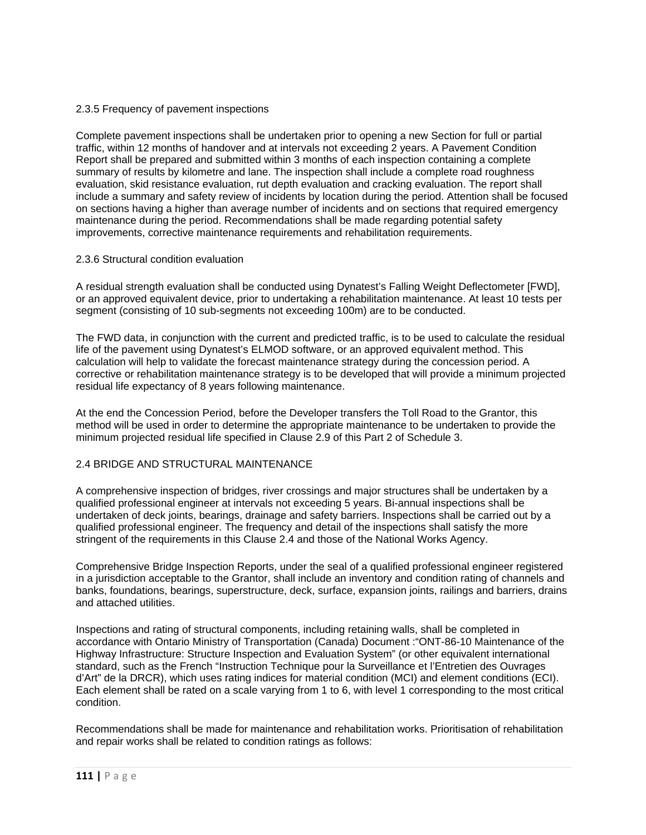### 2.3.5 Frequency of pavement inspections

Complete pavement inspections shall be undertaken prior to opening a new Section for full or partial traffic, within 12 months of handover and at intervals not exceeding 2 years. A Pavement Condition Report shall be prepared and submitted within 3 months of each inspection containing a complete summary of results by kilometre and lane. The inspection shall include a complete road roughness evaluation, skid resistance evaluation, rut depth evaluation and cracking evaluation. The report shall include a summary and safety review of incidents by location during the period. Attention shall be focused on sections having a higher than average number of incidents and on sections that required emergency maintenance during the period. Recommendations shall be made regarding potential safety improvements, corrective maintenance requirements and rehabilitation requirements.

# 2.3.6 Structural condition evaluation

A residual strength evaluation shall be conducted using Dynatest's Falling Weight Deflectometer [FWD], or an approved equivalent device, prior to undertaking a rehabilitation maintenance. At least 10 tests per segment (consisting of 10 sub-segments not exceeding 100m) are to be conducted.

The FWD data, in conjunction with the current and predicted traffic, is to be used to calculate the residual life of the pavement using Dynatest's ELMOD software, or an approved equivalent method. This calculation will help to validate the forecast maintenance strategy during the concession period. A corrective or rehabilitation maintenance strategy is to be developed that will provide a minimum projected residual life expectancy of 8 years following maintenance.

At the end the Concession Period, before the Developer transfers the Toll Road to the Grantor, this method will be used in order to determine the appropriate maintenance to be undertaken to provide the minimum projected residual life specified in Clause 2.9 of this Part 2 of Schedule 3.

# 2.4 BRIDGE AND STRUCTURAL MAINTENANCE

A comprehensive inspection of bridges, river crossings and major structures shall be undertaken by a qualified professional engineer at intervals not exceeding 5 years. Bi-annual inspections shall be undertaken of deck joints, bearings, drainage and safety barriers. Inspections shall be carried out by a qualified professional engineer. The frequency and detail of the inspections shall satisfy the more stringent of the requirements in this Clause 2.4 and those of the National Works Agency.

Comprehensive Bridge Inspection Reports, under the seal of a qualified professional engineer registered in a jurisdiction acceptable to the Grantor, shall include an inventory and condition rating of channels and banks, foundations, bearings, superstructure, deck, surface, expansion joints, railings and barriers, drains and attached utilities.

Inspections and rating of structural components, including retaining walls, shall be completed in accordance with Ontario Ministry of Transportation (Canada) Document :"ONT-86-10 Maintenance of the Highway Infrastructure: Structure Inspection and Evaluation System" (or other equivalent international standard, such as the French "Instruction Technique pour la Surveillance et l'Entretien des Ouvrages d'Art" de la DRCR), which uses rating indices for material condition (MCI) and element conditions (ECI). Each element shall be rated on a scale varying from 1 to 6, with level 1 corresponding to the most critical condition.

Recommendations shall be made for maintenance and rehabilitation works. Prioritisation of rehabilitation and repair works shall be related to condition ratings as follows: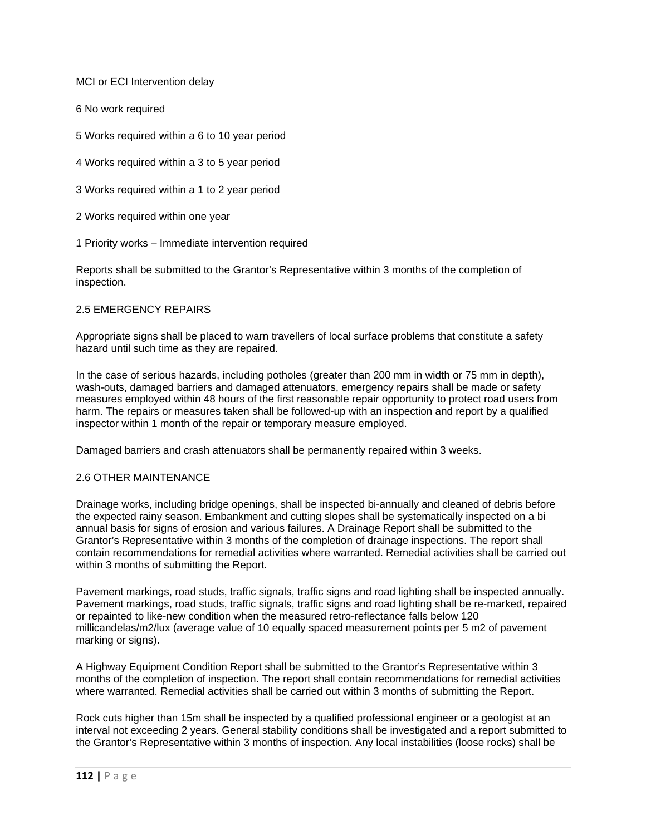MCI or ECI Intervention delay

6 No work required

5 Works required within a 6 to 10 year period

4 Works required within a 3 to 5 year period

3 Works required within a 1 to 2 year period

2 Works required within one year

1 Priority works – Immediate intervention required

Reports shall be submitted to the Grantor's Representative within 3 months of the completion of inspection.

# 2.5 EMERGENCY REPAIRS

Appropriate signs shall be placed to warn travellers of local surface problems that constitute a safety hazard until such time as they are repaired.

In the case of serious hazards, including potholes (greater than 200 mm in width or 75 mm in depth), wash-outs, damaged barriers and damaged attenuators, emergency repairs shall be made or safety measures employed within 48 hours of the first reasonable repair opportunity to protect road users from harm. The repairs or measures taken shall be followed-up with an inspection and report by a qualified inspector within 1 month of the repair or temporary measure employed.

Damaged barriers and crash attenuators shall be permanently repaired within 3 weeks.

# 2.6 OTHER MAINTENANCE

Drainage works, including bridge openings, shall be inspected bi-annually and cleaned of debris before the expected rainy season. Embankment and cutting slopes shall be systematically inspected on a bi annual basis for signs of erosion and various failures. A Drainage Report shall be submitted to the Grantor's Representative within 3 months of the completion of drainage inspections. The report shall contain recommendations for remedial activities where warranted. Remedial activities shall be carried out within 3 months of submitting the Report.

Pavement markings, road studs, traffic signals, traffic signs and road lighting shall be inspected annually. Pavement markings, road studs, traffic signals, traffic signs and road lighting shall be re-marked, repaired or repainted to like-new condition when the measured retro-reflectance falls below 120 millicandelas/m2/lux (average value of 10 equally spaced measurement points per 5 m2 of pavement marking or signs).

A Highway Equipment Condition Report shall be submitted to the Grantor's Representative within 3 months of the completion of inspection. The report shall contain recommendations for remedial activities where warranted. Remedial activities shall be carried out within 3 months of submitting the Report.

Rock cuts higher than 15m shall be inspected by a qualified professional engineer or a geologist at an interval not exceeding 2 years. General stability conditions shall be investigated and a report submitted to the Grantor's Representative within 3 months of inspection. Any local instabilities (loose rocks) shall be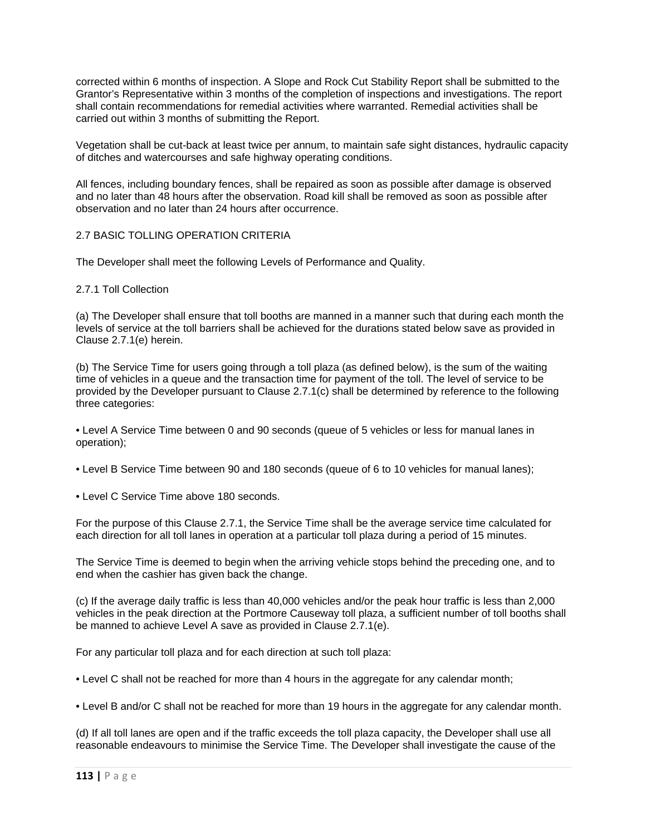corrected within 6 months of inspection. A Slope and Rock Cut Stability Report shall be submitted to the Grantor's Representative within 3 months of the completion of inspections and investigations. The report shall contain recommendations for remedial activities where warranted. Remedial activities shall be carried out within 3 months of submitting the Report.

Vegetation shall be cut-back at least twice per annum, to maintain safe sight distances, hydraulic capacity of ditches and watercourses and safe highway operating conditions.

All fences, including boundary fences, shall be repaired as soon as possible after damage is observed and no later than 48 hours after the observation. Road kill shall be removed as soon as possible after observation and no later than 24 hours after occurrence.

# 2.7 BASIC TOLLING OPERATION CRITERIA

The Developer shall meet the following Levels of Performance and Quality.

### 2.7.1 Toll Collection

(a) The Developer shall ensure that toll booths are manned in a manner such that during each month the levels of service at the toll barriers shall be achieved for the durations stated below save as provided in Clause 2.7.1(e) herein.

(b) The Service Time for users going through a toll plaza (as defined below), is the sum of the waiting time of vehicles in a queue and the transaction time for payment of the toll. The level of service to be provided by the Developer pursuant to Clause 2.7.1(c) shall be determined by reference to the following three categories:

• Level A Service Time between 0 and 90 seconds (queue of 5 vehicles or less for manual lanes in operation);

• Level B Service Time between 90 and 180 seconds (queue of 6 to 10 vehicles for manual lanes);

• Level C Service Time above 180 seconds.

For the purpose of this Clause 2.7.1, the Service Time shall be the average service time calculated for each direction for all toll lanes in operation at a particular toll plaza during a period of 15 minutes.

The Service Time is deemed to begin when the arriving vehicle stops behind the preceding one, and to end when the cashier has given back the change.

(c) If the average daily traffic is less than 40,000 vehicles and/or the peak hour traffic is less than 2,000 vehicles in the peak direction at the Portmore Causeway toll plaza, a sufficient number of toll booths shall be manned to achieve Level A save as provided in Clause 2.7.1(e).

For any particular toll plaza and for each direction at such toll plaza:

• Level C shall not be reached for more than 4 hours in the aggregate for any calendar month;

• Level B and/or C shall not be reached for more than 19 hours in the aggregate for any calendar month.

(d) If all toll lanes are open and if the traffic exceeds the toll plaza capacity, the Developer shall use all reasonable endeavours to minimise the Service Time. The Developer shall investigate the cause of the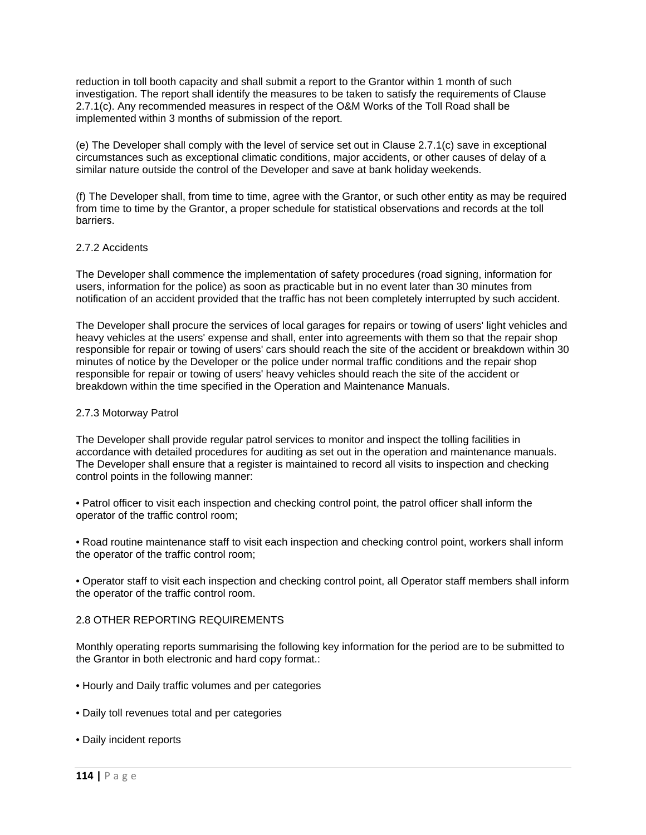reduction in toll booth capacity and shall submit a report to the Grantor within 1 month of such investigation. The report shall identify the measures to be taken to satisfy the requirements of Clause 2.7.1(c). Any recommended measures in respect of the O&M Works of the Toll Road shall be implemented within 3 months of submission of the report.

(e) The Developer shall comply with the level of service set out in Clause 2.7.1(c) save in exceptional circumstances such as exceptional climatic conditions, major accidents, or other causes of delay of a similar nature outside the control of the Developer and save at bank holiday weekends.

(f) The Developer shall, from time to time, agree with the Grantor, or such other entity as may be required from time to time by the Grantor, a proper schedule for statistical observations and records at the toll barriers.

### 2.7.2 Accidents

The Developer shall commence the implementation of safety procedures (road signing, information for users, information for the police) as soon as practicable but in no event later than 30 minutes from notification of an accident provided that the traffic has not been completely interrupted by such accident.

The Developer shall procure the services of local garages for repairs or towing of users' light vehicles and heavy vehicles at the users' expense and shall, enter into agreements with them so that the repair shop responsible for repair or towing of users' cars should reach the site of the accident or breakdown within 30 minutes of notice by the Developer or the police under normal traffic conditions and the repair shop responsible for repair or towing of users' heavy vehicles should reach the site of the accident or breakdown within the time specified in the Operation and Maintenance Manuals.

# 2.7.3 Motorway Patrol

The Developer shall provide regular patrol services to monitor and inspect the tolling facilities in accordance with detailed procedures for auditing as set out in the operation and maintenance manuals. The Developer shall ensure that a register is maintained to record all visits to inspection and checking control points in the following manner:

• Patrol officer to visit each inspection and checking control point, the patrol officer shall inform the operator of the traffic control room;

• Road routine maintenance staff to visit each inspection and checking control point, workers shall inform the operator of the traffic control room;

• Operator staff to visit each inspection and checking control point, all Operator staff members shall inform the operator of the traffic control room.

# 2.8 OTHER REPORTING REQUIREMENTS

Monthly operating reports summarising the following key information for the period are to be submitted to the Grantor in both electronic and hard copy format.:

- Hourly and Daily traffic volumes and per categories
- Daily toll revenues total and per categories
- Daily incident reports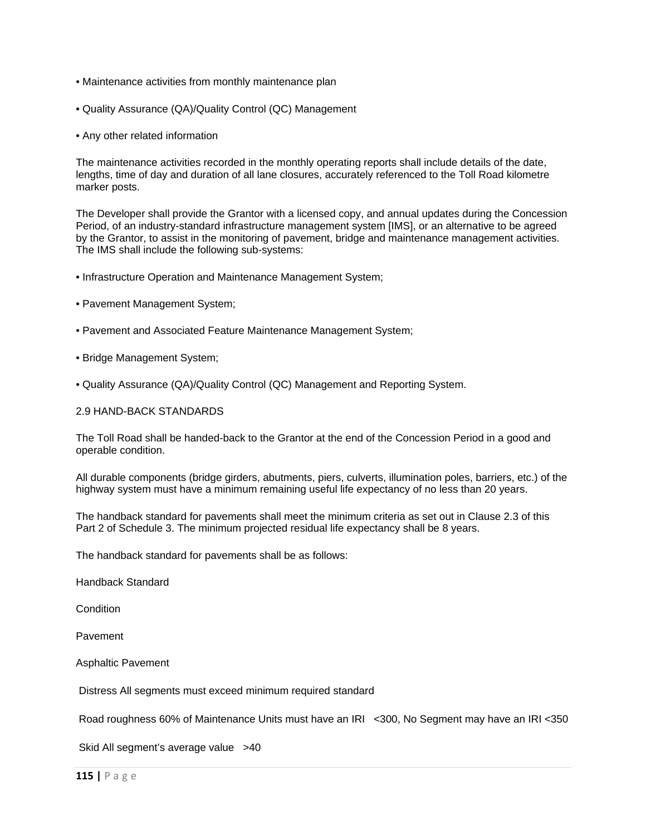- Maintenance activities from monthly maintenance plan
- Quality Assurance (QA)/Quality Control (QC) Management
- Any other related information

The maintenance activities recorded in the monthly operating reports shall include details of the date, lengths, time of day and duration of all lane closures, accurately referenced to the Toll Road kilometre marker posts.

The Developer shall provide the Grantor with a licensed copy, and annual updates during the Concession Period, of an industry-standard infrastructure management system [IMS], or an alternative to be agreed by the Grantor, to assist in the monitoring of pavement, bridge and maintenance management activities. The IMS shall include the following sub-systems:

- Infrastructure Operation and Maintenance Management System;
- Pavement Management System;
- Pavement and Associated Feature Maintenance Management System;
- Bridge Management System;
- Quality Assurance (QA)/Quality Control (QC) Management and Reporting System.

# 2.9 HAND-BACK STANDARDS

The Toll Road shall be handed-back to the Grantor at the end of the Concession Period in a good and operable condition.

All durable components (bridge girders, abutments, piers, culverts, illumination poles, barriers, etc.) of the highway system must have a minimum remaining useful life expectancy of no less than 20 years.

The handback standard for pavements shall meet the minimum criteria as set out in Clause 2.3 of this Part 2 of Schedule 3. The minimum projected residual life expectancy shall be 8 years.

The handback standard for pavements shall be as follows:

Handback Standard

**Condition** 

Pavement

Asphaltic Pavement

Distress All segments must exceed minimum required standard

Road roughness 60% of Maintenance Units must have an IRI <300, No Segment may have an IRI <350

Skid All segment's average value >40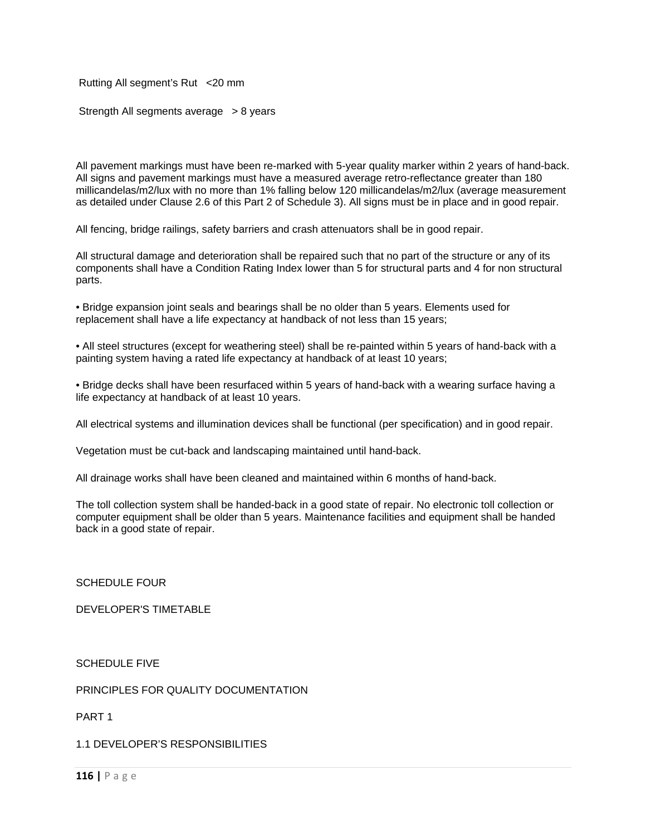Rutting All segment's Rut <20 mm

Strength All segments average > 8 years

All pavement markings must have been re-marked with 5-year quality marker within 2 years of hand-back. All signs and pavement markings must have a measured average retro-reflectance greater than 180 millicandelas/m2/lux with no more than 1% falling below 120 millicandelas/m2/lux (average measurement as detailed under Clause 2.6 of this Part 2 of Schedule 3). All signs must be in place and in good repair.

All fencing, bridge railings, safety barriers and crash attenuators shall be in good repair.

All structural damage and deterioration shall be repaired such that no part of the structure or any of its components shall have a Condition Rating Index lower than 5 for structural parts and 4 for non structural parts.

• Bridge expansion joint seals and bearings shall be no older than 5 years. Elements used for replacement shall have a life expectancy at handback of not less than 15 years;

• All steel structures (except for weathering steel) shall be re-painted within 5 years of hand-back with a painting system having a rated life expectancy at handback of at least 10 years;

• Bridge decks shall have been resurfaced within 5 years of hand-back with a wearing surface having a life expectancy at handback of at least 10 years.

All electrical systems and illumination devices shall be functional (per specification) and in good repair.

Vegetation must be cut-back and landscaping maintained until hand-back.

All drainage works shall have been cleaned and maintained within 6 months of hand-back.

The toll collection system shall be handed-back in a good state of repair. No electronic toll collection or computer equipment shall be older than 5 years. Maintenance facilities and equipment shall be handed back in a good state of repair.

SCHEDULE FOUR

DEVELOPER'S TIMETABLE

SCHEDULE FIVE

PRINCIPLES FOR QUALITY DOCUMENTATION

PART 1

1.1 DEVELOPER'S RESPONSIBILITIES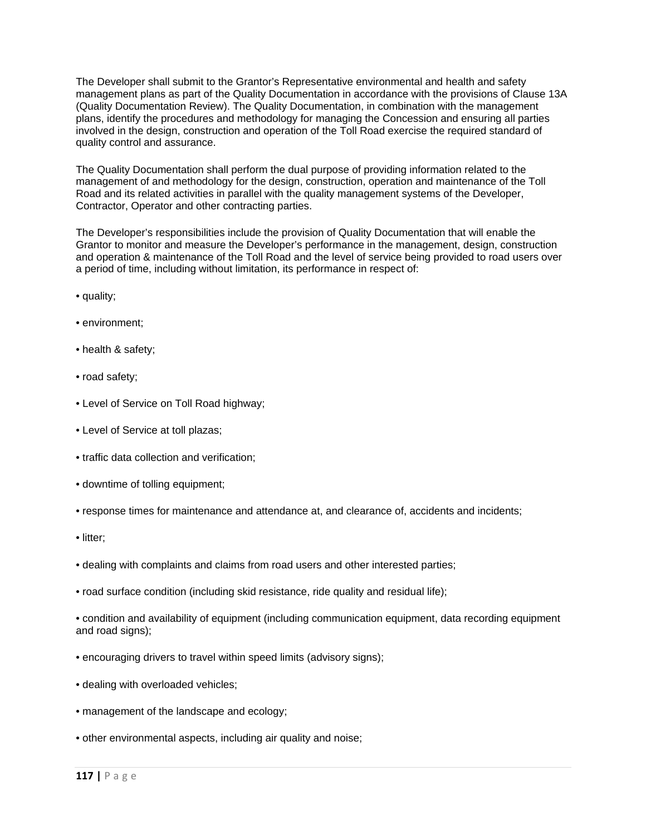The Developer shall submit to the Grantor's Representative environmental and health and safety management plans as part of the Quality Documentation in accordance with the provisions of Clause 13A (Quality Documentation Review). The Quality Documentation, in combination with the management plans, identify the procedures and methodology for managing the Concession and ensuring all parties involved in the design, construction and operation of the Toll Road exercise the required standard of quality control and assurance.

The Quality Documentation shall perform the dual purpose of providing information related to the management of and methodology for the design, construction, operation and maintenance of the Toll Road and its related activities in parallel with the quality management systems of the Developer, Contractor, Operator and other contracting parties.

The Developer's responsibilities include the provision of Quality Documentation that will enable the Grantor to monitor and measure the Developer's performance in the management, design, construction and operation & maintenance of the Toll Road and the level of service being provided to road users over a period of time, including without limitation, its performance in respect of:

- quality;
- environment;
- health & safety;
- road safety;
- Level of Service on Toll Road highway;
- Level of Service at toll plazas;
- traffic data collection and verification;
- downtime of tolling equipment;
- response times for maintenance and attendance at, and clearance of, accidents and incidents;
- litter;
- dealing with complaints and claims from road users and other interested parties;
- road surface condition (including skid resistance, ride quality and residual life);
- condition and availability of equipment (including communication equipment, data recording equipment and road signs);
- encouraging drivers to travel within speed limits (advisory signs);
- dealing with overloaded vehicles;
- management of the landscape and ecology;
- other environmental aspects, including air quality and noise;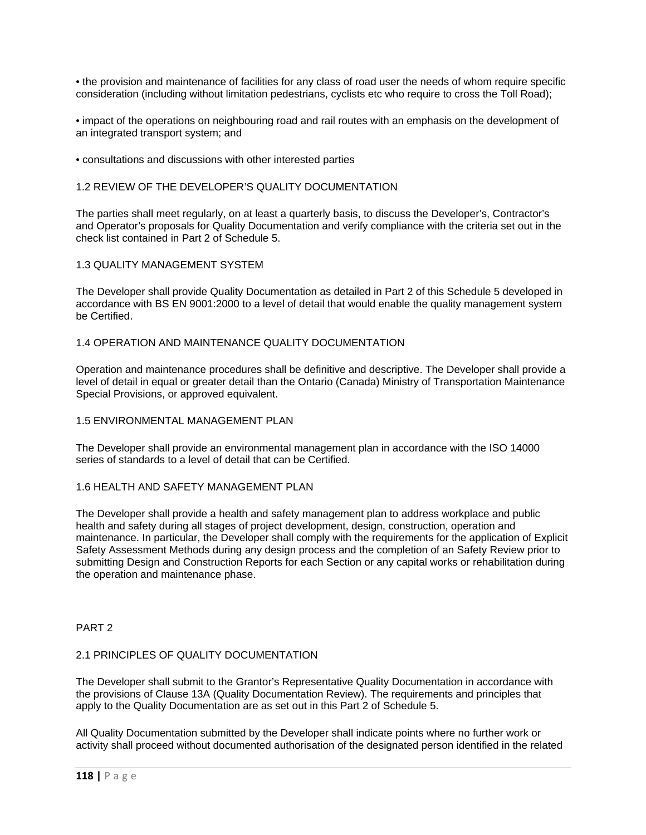• the provision and maintenance of facilities for any class of road user the needs of whom require specific consideration (including without limitation pedestrians, cyclists etc who require to cross the Toll Road);

• impact of the operations on neighbouring road and rail routes with an emphasis on the development of an integrated transport system; and

• consultations and discussions with other interested parties

# 1.2 REVIEW OF THE DEVELOPER'S QUALITY DOCUMENTATION

The parties shall meet regularly, on at least a quarterly basis, to discuss the Developer's, Contractor's and Operator's proposals for Quality Documentation and verify compliance with the criteria set out in the check list contained in Part 2 of Schedule 5.

# 1.3 QUALITY MANAGEMENT SYSTEM

The Developer shall provide Quality Documentation as detailed in Part 2 of this Schedule 5 developed in accordance with BS EN 9001:2000 to a level of detail that would enable the quality management system be Certified.

# 1.4 OPERATION AND MAINTENANCE QUALITY DOCUMENTATION

Operation and maintenance procedures shall be definitive and descriptive. The Developer shall provide a level of detail in equal or greater detail than the Ontario (Canada) Ministry of Transportation Maintenance Special Provisions, or approved equivalent.

### 1.5 ENVIRONMENTAL MANAGEMENT PLAN

The Developer shall provide an environmental management plan in accordance with the ISO 14000 series of standards to a level of detail that can be Certified.

# 1.6 HEALTH AND SAFETY MANAGEMENT PLAN

The Developer shall provide a health and safety management plan to address workplace and public health and safety during all stages of project development, design, construction, operation and maintenance. In particular, the Developer shall comply with the requirements for the application of Explicit Safety Assessment Methods during any design process and the completion of an Safety Review prior to submitting Design and Construction Reports for each Section or any capital works or rehabilitation during the operation and maintenance phase.

PART 2

# 2.1 PRINCIPLES OF QUALITY DOCUMENTATION

The Developer shall submit to the Grantor's Representative Quality Documentation in accordance with the provisions of Clause 13A (Quality Documentation Review). The requirements and principles that apply to the Quality Documentation are as set out in this Part 2 of Schedule 5.

All Quality Documentation submitted by the Developer shall indicate points where no further work or activity shall proceed without documented authorisation of the designated person identified in the related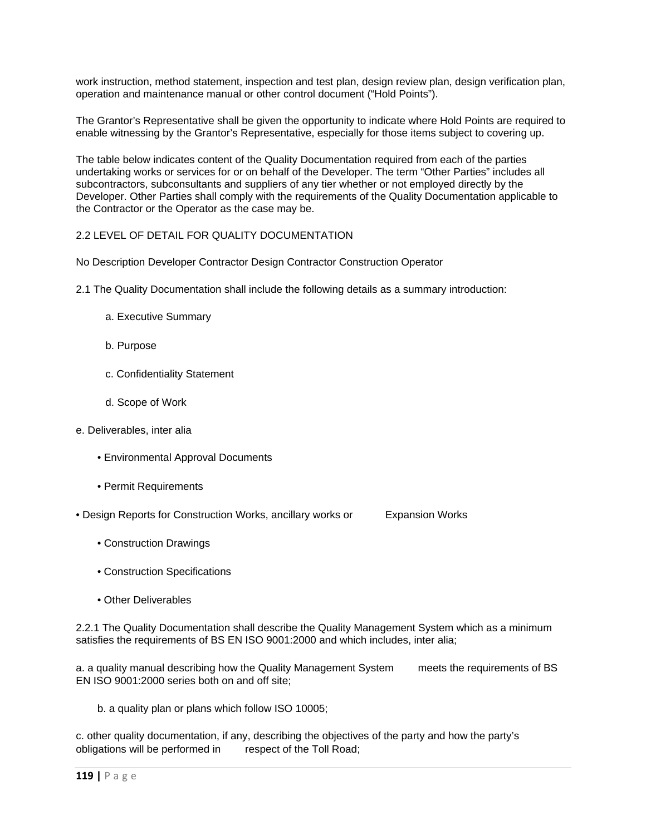work instruction, method statement, inspection and test plan, design review plan, design verification plan, operation and maintenance manual or other control document ("Hold Points").

The Grantor's Representative shall be given the opportunity to indicate where Hold Points are required to enable witnessing by the Grantor's Representative, especially for those items subject to covering up.

The table below indicates content of the Quality Documentation required from each of the parties undertaking works or services for or on behalf of the Developer. The term "Other Parties" includes all subcontractors, subconsultants and suppliers of any tier whether or not employed directly by the Developer. Other Parties shall comply with the requirements of the Quality Documentation applicable to the Contractor or the Operator as the case may be.

# 2.2 LEVEL OF DETAIL FOR QUALITY DOCUMENTATION

No Description Developer Contractor Design Contractor Construction Operator

- 2.1 The Quality Documentation shall include the following details as a summary introduction:
	- a. Executive Summary
	- b. Purpose
	- c. Confidentiality Statement
	- d. Scope of Work
- e. Deliverables, inter alia
	- Environmental Approval Documents
	- Permit Requirements
- Design Reports for Construction Works, ancillary works or Expansion Works
	- Construction Drawings
	- Construction Specifications
	- Other Deliverables

2.2.1 The Quality Documentation shall describe the Quality Management System which as a minimum satisfies the requirements of BS EN ISO 9001:2000 and which includes, inter alia;

a. a quality manual describing how the Quality Management System meets the requirements of BS EN ISO 9001:2000 series both on and off site;

b. a quality plan or plans which follow ISO 10005;

c. other quality documentation, if any, describing the objectives of the party and how the party's obligations will be performed in respect of the Toll Road;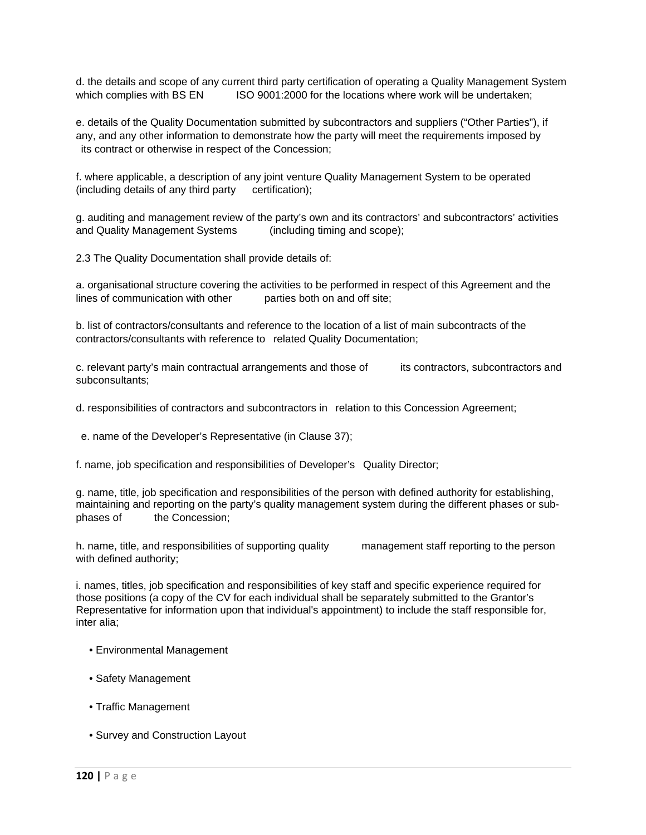d. the details and scope of any current third party certification of operating a Quality Management System which complies with BS EN ISO 9001:2000 for the locations where work will be undertaken:

e. details of the Quality Documentation submitted by subcontractors and suppliers ("Other Parties"), if any, and any other information to demonstrate how the party will meet the requirements imposed by its contract or otherwise in respect of the Concession;

f. where applicable, a description of any joint venture Quality Management System to be operated (including details of any third party certification);

g. auditing and management review of the party's own and its contractors' and subcontractors' activities and Quality Management Systems (including timing and scope);

2.3 The Quality Documentation shall provide details of:

a. organisational structure covering the activities to be performed in respect of this Agreement and the lines of communication with other parties both on and off site;

b. list of contractors/consultants and reference to the location of a list of main subcontracts of the contractors/consultants with reference to related Quality Documentation;

c. relevant party's main contractual arrangements and those of its contractors, subcontractors and subconsultants;

d. responsibilities of contractors and subcontractors in relation to this Concession Agreement;

e. name of the Developer's Representative (in Clause 37);

f. name, job specification and responsibilities of Developer's Quality Director;

g. name, title, job specification and responsibilities of the person with defined authority for establishing, maintaining and reporting on the party's quality management system during the different phases or subphases of the Concession;

h. name, title, and responsibilities of supporting quality management staff reporting to the person with defined authority;

i. names, titles, job specification and responsibilities of key staff and specific experience required for those positions (a copy of the CV for each individual shall be separately submitted to the Grantor's Representative for information upon that individual's appointment) to include the staff responsible for, inter alia;

- Environmental Management
- Safety Management
- Traffic Management
- Survey and Construction Layout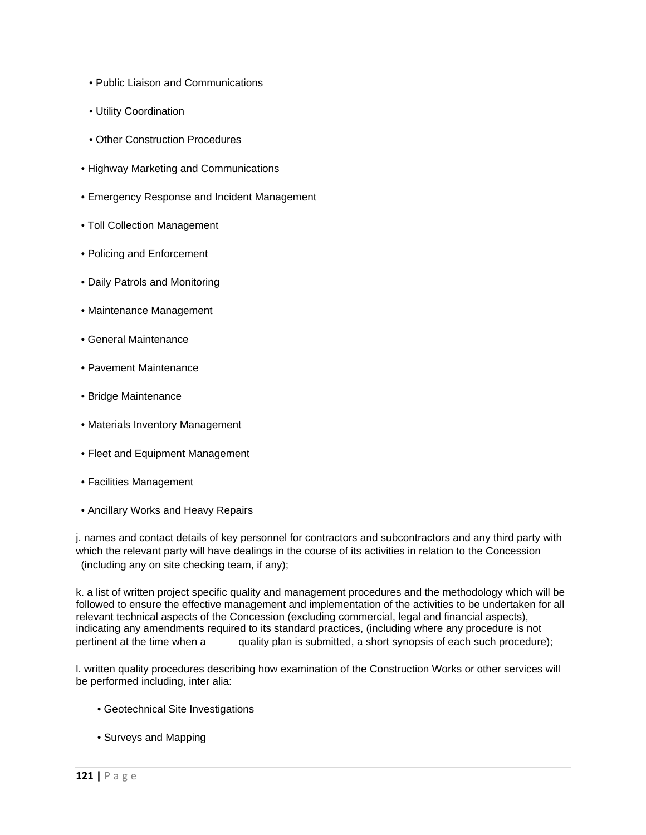- Public Liaison and Communications
- Utility Coordination
- Other Construction Procedures
- Highway Marketing and Communications
- Emergency Response and Incident Management
- Toll Collection Management
- Policing and Enforcement
- Daily Patrols and Monitoring
- Maintenance Management
- General Maintenance
- Pavement Maintenance
- Bridge Maintenance
- Materials Inventory Management
- Fleet and Equipment Management
- Facilities Management
- Ancillary Works and Heavy Repairs

j. names and contact details of key personnel for contractors and subcontractors and any third party with which the relevant party will have dealings in the course of its activities in relation to the Concession (including any on site checking team, if any);

k. a list of written project specific quality and management procedures and the methodology which will be followed to ensure the effective management and implementation of the activities to be undertaken for all relevant technical aspects of the Concession (excluding commercial, legal and financial aspects), indicating any amendments required to its standard practices, (including where any procedure is not pertinent at the time when a quality plan is submitted, a short synopsis of each such procedure);

l. written quality procedures describing how examination of the Construction Works or other services will be performed including, inter alia:

- Geotechnical Site Investigations
- Surveys and Mapping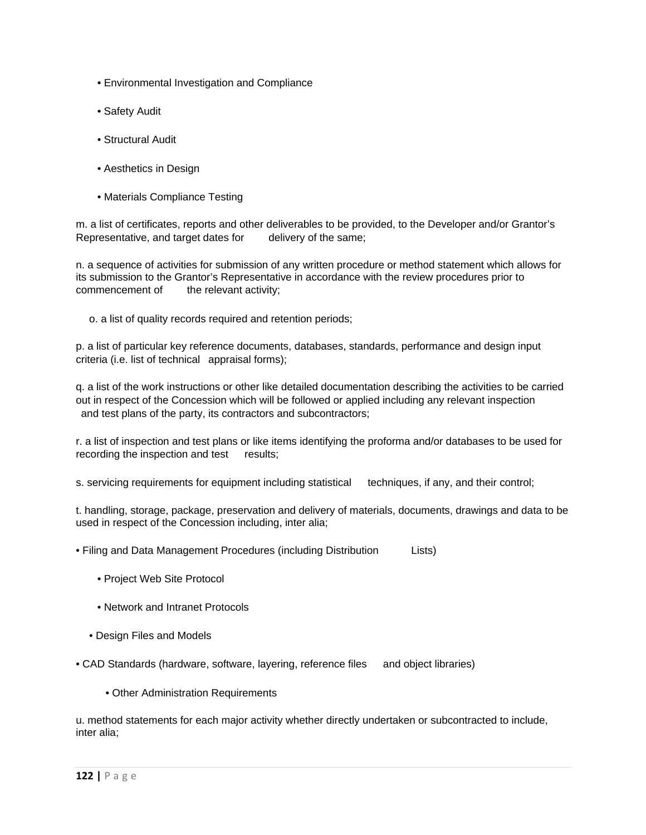- Environmental Investigation and Compliance
- Safety Audit
- Structural Audit
- Aesthetics in Design
- Materials Compliance Testing

m. a list of certificates, reports and other deliverables to be provided, to the Developer and/or Grantor's Representative, and target dates for delivery of the same;

n. a sequence of activities for submission of any written procedure or method statement which allows for its submission to the Grantor's Representative in accordance with the review procedures prior to commencement of the relevant activity;

o. a list of quality records required and retention periods;

p. a list of particular key reference documents, databases, standards, performance and design input criteria (i.e. list of technical appraisal forms);

q. a list of the work instructions or other like detailed documentation describing the activities to be carried out in respect of the Concession which will be followed or applied including any relevant inspection and test plans of the party, its contractors and subcontractors;

r. a list of inspection and test plans or like items identifying the proforma and/or databases to be used for recording the inspection and test results;

s. servicing requirements for equipment including statistical techniques, if any, and their control;

t. handling, storage, package, preservation and delivery of materials, documents, drawings and data to be used in respect of the Concession including, inter alia;

• Filing and Data Management Procedures (including Distribution Lists)

- Project Web Site Protocol
- Network and Intranet Protocols
- Design Files and Models

• CAD Standards (hardware, software, layering, reference files and object libraries)

• Other Administration Requirements

u. method statements for each major activity whether directly undertaken or subcontracted to include, inter alia;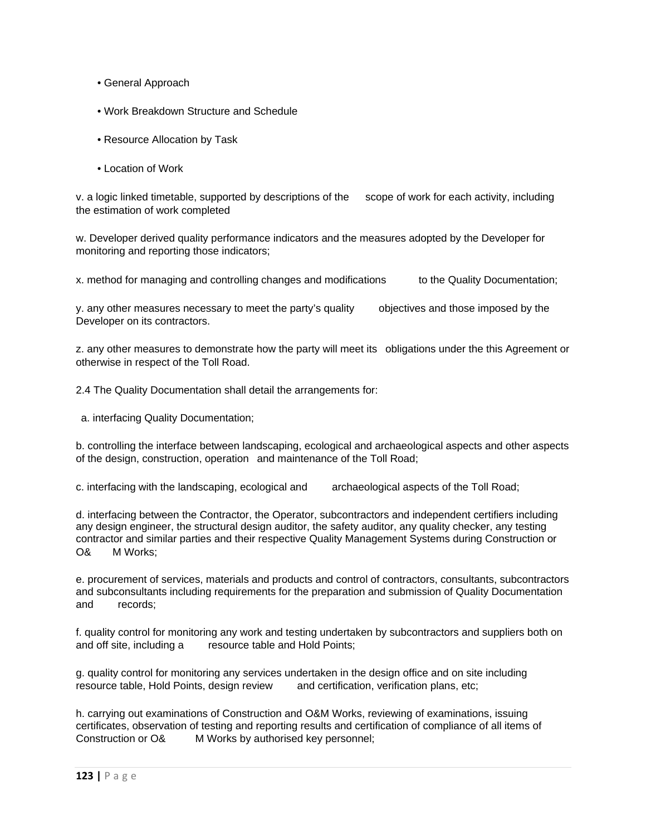- General Approach
- Work Breakdown Structure and Schedule
- Resource Allocation by Task
- Location of Work

v. a logic linked timetable, supported by descriptions of the scope of work for each activity, including the estimation of work completed

w. Developer derived quality performance indicators and the measures adopted by the Developer for monitoring and reporting those indicators;

x. method for managing and controlling changes and modifications to the Quality Documentation;

y. any other measures necessary to meet the party's quality objectives and those imposed by the Developer on its contractors.

z. any other measures to demonstrate how the party will meet its obligations under the this Agreement or otherwise in respect of the Toll Road.

2.4 The Quality Documentation shall detail the arrangements for:

a. interfacing Quality Documentation;

b. controlling the interface between landscaping, ecological and archaeological aspects and other aspects of the design, construction, operation and maintenance of the Toll Road;

c. interfacing with the landscaping, ecological and archaeological aspects of the Toll Road;

d. interfacing between the Contractor, the Operator, subcontractors and independent certifiers including any design engineer, the structural design auditor, the safety auditor, any quality checker, any testing contractor and similar parties and their respective Quality Management Systems during Construction or O& M Works;

e. procurement of services, materials and products and control of contractors, consultants, subcontractors and subconsultants including requirements for the preparation and submission of Quality Documentation and records;

f. quality control for monitoring any work and testing undertaken by subcontractors and suppliers both on and off site, including a resource table and Hold Points;

g. quality control for monitoring any services undertaken in the design office and on site including resource table, Hold Points, design review and certification, verification plans, etc;

h. carrying out examinations of Construction and O&M Works, reviewing of examinations, issuing certificates, observation of testing and reporting results and certification of compliance of all items of Construction or O& M Works by authorised key personnel;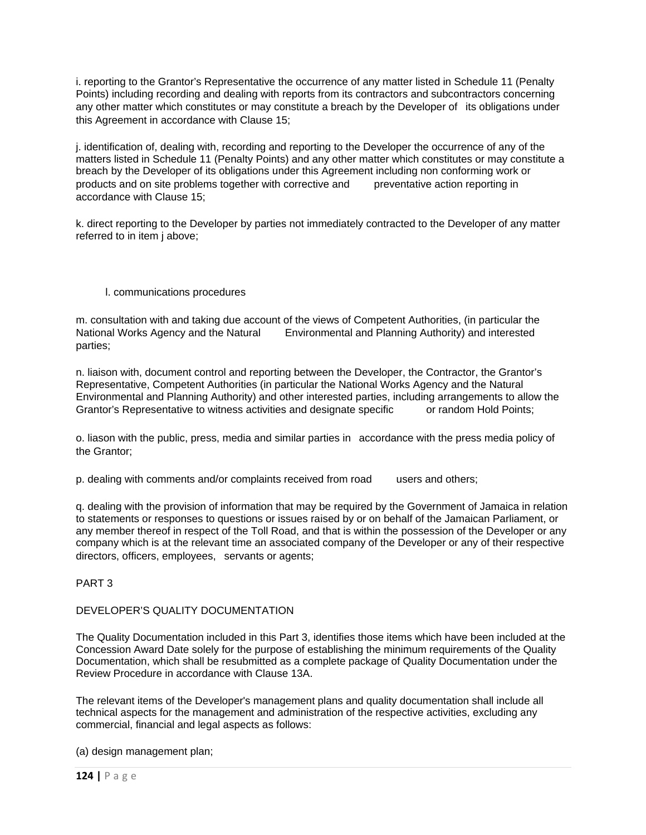i. reporting to the Grantor's Representative the occurrence of any matter listed in Schedule 11 (Penalty Points) including recording and dealing with reports from its contractors and subcontractors concerning any other matter which constitutes or may constitute a breach by the Developer of its obligations under this Agreement in accordance with Clause 15;

j. identification of, dealing with, recording and reporting to the Developer the occurrence of any of the matters listed in Schedule 11 (Penalty Points) and any other matter which constitutes or may constitute a breach by the Developer of its obligations under this Agreement including non conforming work or products and on site problems together with corrective and preventative action reporting in accordance with Clause 15;

k. direct reporting to the Developer by parties not immediately contracted to the Developer of any matter referred to in item j above;

# l. communications procedures

m. consultation with and taking due account of the views of Competent Authorities, (in particular the National Works Agency and the Natural Environmental and Planning Authority) and interested parties;

n. liaison with, document control and reporting between the Developer, the Contractor, the Grantor's Representative, Competent Authorities (in particular the National Works Agency and the Natural Environmental and Planning Authority) and other interested parties, including arrangements to allow the Grantor's Representative to witness activities and designate specific or random Hold Points;

o. liason with the public, press, media and similar parties in accordance with the press media policy of the Grantor;

p. dealing with comments and/or complaints received from road users and others;

q. dealing with the provision of information that may be required by the Government of Jamaica in relation to statements or responses to questions or issues raised by or on behalf of the Jamaican Parliament, or any member thereof in respect of the Toll Road, and that is within the possession of the Developer or any company which is at the relevant time an associated company of the Developer or any of their respective directors, officers, employees, servants or agents;

PART 3

# DEVELOPER'S QUALITY DOCUMENTATION

The Quality Documentation included in this Part 3, identifies those items which have been included at the Concession Award Date solely for the purpose of establishing the minimum requirements of the Quality Documentation, which shall be resubmitted as a complete package of Quality Documentation under the Review Procedure in accordance with Clause 13A.

The relevant items of the Developer's management plans and quality documentation shall include all technical aspects for the management and administration of the respective activities, excluding any commercial, financial and legal aspects as follows:

(a) design management plan;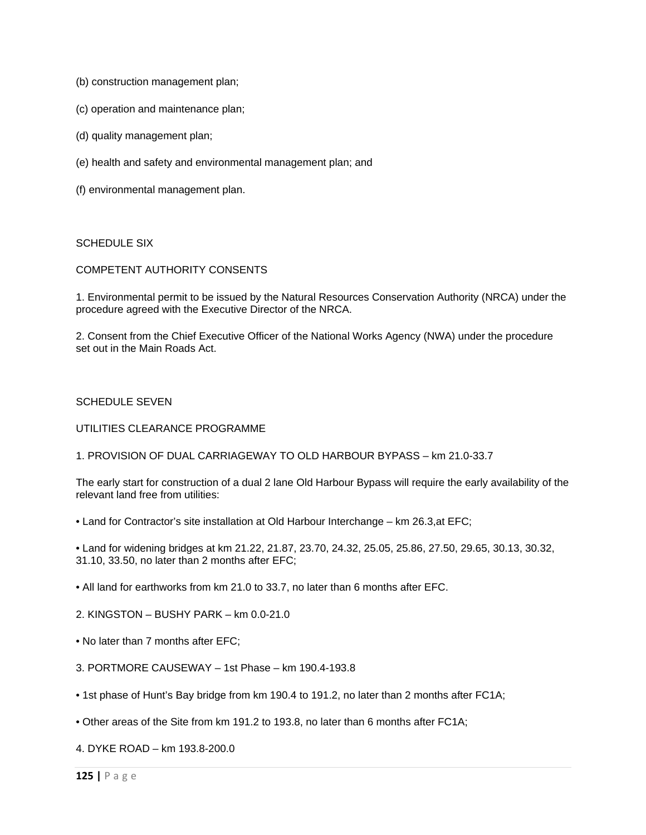- (b) construction management plan;
- (c) operation and maintenance plan;
- (d) quality management plan;
- (e) health and safety and environmental management plan; and
- (f) environmental management plan.

### SCHEDULE SIX

### COMPETENT AUTHORITY CONSENTS

1. Environmental permit to be issued by the Natural Resources Conservation Authority (NRCA) under the procedure agreed with the Executive Director of the NRCA.

2. Consent from the Chief Executive Officer of the National Works Agency (NWA) under the procedure set out in the Main Roads Act.

### SCHEDULE SEVEN

### UTILITIES CLEARANCE PROGRAMME

1. PROVISION OF DUAL CARRIAGEWAY TO OLD HARBOUR BYPASS – km 21.0-33.7

The early start for construction of a dual 2 lane Old Harbour Bypass will require the early availability of the relevant land free from utilities:

• Land for Contractor's site installation at Old Harbour Interchange – km 26.3,at EFC;

• Land for widening bridges at km 21.22, 21.87, 23.70, 24.32, 25.05, 25.86, 27.50, 29.65, 30.13, 30.32, 31.10, 33.50, no later than 2 months after EFC;

- All land for earthworks from km 21.0 to 33.7, no later than 6 months after EFC.
- 2. KINGSTON BUSHY PARK km 0.0-21.0
- No later than 7 months after EFC;
- 3. PORTMORE CAUSEWAY 1st Phase km 190.4-193.8
- 1st phase of Hunt's Bay bridge from km 190.4 to 191.2, no later than 2 months after FC1A;
- Other areas of the Site from km 191.2 to 193.8, no later than 6 months after FC1A;

4. DYKE ROAD – km 193.8-200.0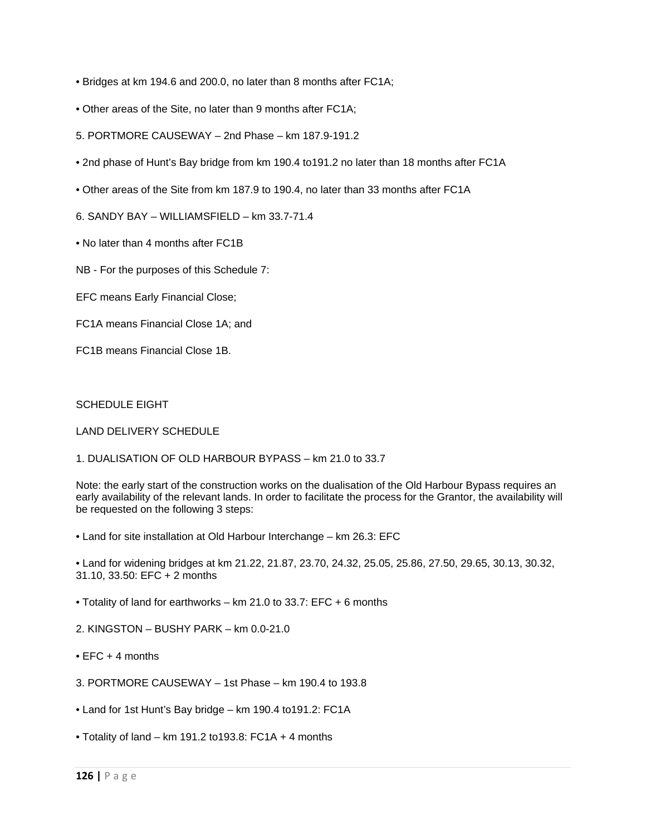- Bridges at km 194.6 and 200.0, no later than 8 months after FC1A;
- Other areas of the Site, no later than 9 months after FC1A;
- 5. PORTMORE CAUSEWAY 2nd Phase km 187.9-191.2
- 2nd phase of Hunt's Bay bridge from km 190.4 to191.2 no later than 18 months after FC1A
- Other areas of the Site from km 187.9 to 190.4, no later than 33 months after FC1A
- 6. SANDY BAY WILLIAMSFIELD km 33.7-71.4
- No later than 4 months after FC1B
- NB For the purposes of this Schedule 7:
- EFC means Early Financial Close;
- FC1A means Financial Close 1A; and
- FC1B means Financial Close 1B.

### SCHEDULE EIGHT

### LAND DELIVERY SCHEDULE

### 1. DUALISATION OF OLD HARBOUR BYPASS – km 21.0 to 33.7

Note: the early start of the construction works on the dualisation of the Old Harbour Bypass requires an early availability of the relevant lands. In order to facilitate the process for the Grantor, the availability will be requested on the following 3 steps:

- Land for site installation at Old Harbour Interchange km 26.3: EFC
- Land for widening bridges at km 21.22, 21.87, 23.70, 24.32, 25.05, 25.86, 27.50, 29.65, 30.13, 30.32, 31.10, 33.50: EFC + 2 months
- Totality of land for earthworks km 21.0 to 33.7: EFC + 6 months
- 2. KINGSTON BUSHY PARK km 0.0-21.0
- $\bullet$  FFC  $+$  4 months
- 3. PORTMORE CAUSEWAY 1st Phase km 190.4 to 193.8
- Land for 1st Hunt's Bay bridge km 190.4 to191.2: FC1A
- Totality of land km 191.2 to193.8: FC1A + 4 months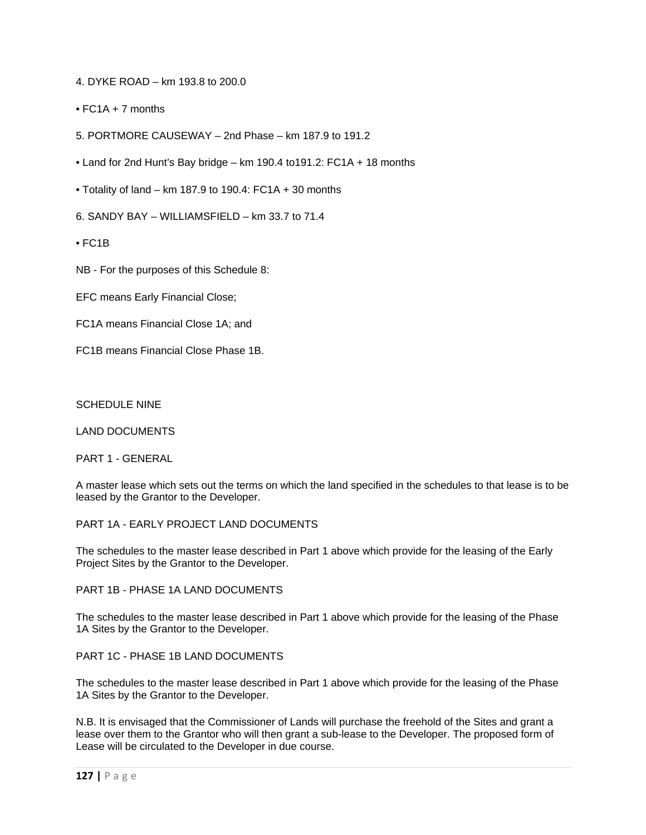- 4. DYKE ROAD km 193.8 to 200.0
- FC1A + 7 months
- 5. PORTMORE CAUSEWAY 2nd Phase km 187.9 to 191.2
- Land for 2nd Hunt's Bay bridge km 190.4 to191.2: FC1A + 18 months
- Totality of land km 187.9 to 190.4: FC1A + 30 months
- 6. SANDY BAY WILLIAMSFIELD km 33.7 to 71.4
- FC1B
- NB For the purposes of this Schedule 8:
- EFC means Early Financial Close;
- FC1A means Financial Close 1A; and
- FC1B means Financial Close Phase 1B.

### SCHEDULE NINE

LAND DOCUMENTS

PART 1 - GENERAL

A master lease which sets out the terms on which the land specified in the schedules to that lease is to be leased by the Grantor to the Developer.

PART 1A - EARLY PROJECT LAND DOCUMENTS

The schedules to the master lease described in Part 1 above which provide for the leasing of the Early Project Sites by the Grantor to the Developer.

PART 1B - PHASE 1A LAND DOCUMENTS

The schedules to the master lease described in Part 1 above which provide for the leasing of the Phase 1A Sites by the Grantor to the Developer.

PART 1C - PHASE 1B LAND DOCUMENTS

The schedules to the master lease described in Part 1 above which provide for the leasing of the Phase 1A Sites by the Grantor to the Developer.

N.B. It is envisaged that the Commissioner of Lands will purchase the freehold of the Sites and grant a lease over them to the Grantor who will then grant a sub-lease to the Developer. The proposed form of Lease will be circulated to the Developer in due course.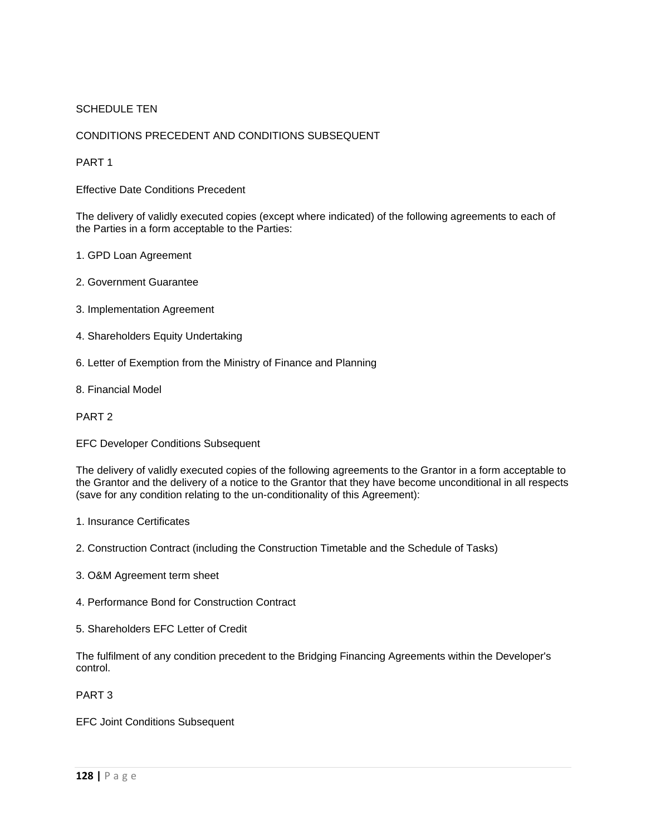# SCHEDULE TEN

# CONDITIONS PRECEDENT AND CONDITIONS SUBSEQUENT

# PART 1

Effective Date Conditions Precedent

The delivery of validly executed copies (except where indicated) of the following agreements to each of the Parties in a form acceptable to the Parties:

- 1. GPD Loan Agreement
- 2. Government Guarantee
- 3. Implementation Agreement
- 4. Shareholders Equity Undertaking
- 6. Letter of Exemption from the Ministry of Finance and Planning
- 8. Financial Model

### PART 2

EFC Developer Conditions Subsequent

The delivery of validly executed copies of the following agreements to the Grantor in a form acceptable to the Grantor and the delivery of a notice to the Grantor that they have become unconditional in all respects (save for any condition relating to the un-conditionality of this Agreement):

- 1. Insurance Certificates
- 2. Construction Contract (including the Construction Timetable and the Schedule of Tasks)
- 3. O&M Agreement term sheet
- 4. Performance Bond for Construction Contract
- 5. Shareholders EFC Letter of Credit

The fulfilment of any condition precedent to the Bridging Financing Agreements within the Developer's control.

PART 3

EFC Joint Conditions Subsequent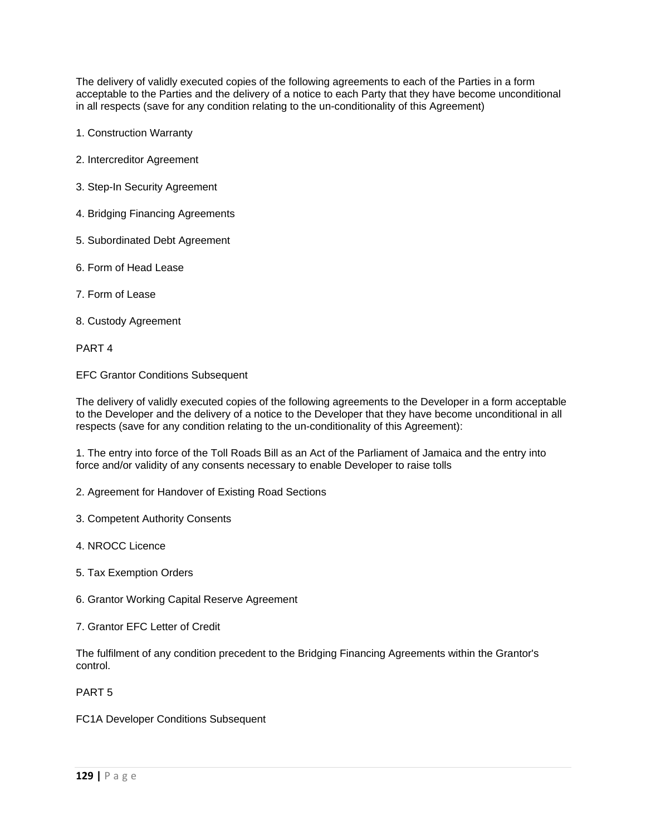The delivery of validly executed copies of the following agreements to each of the Parties in a form acceptable to the Parties and the delivery of a notice to each Party that they have become unconditional in all respects (save for any condition relating to the un-conditionality of this Agreement)

- 1. Construction Warranty
- 2. Intercreditor Agreement
- 3. Step-In Security Agreement
- 4. Bridging Financing Agreements
- 5. Subordinated Debt Agreement
- 6. Form of Head Lease
- 7. Form of Lease
- 8. Custody Agreement

PART 4

EFC Grantor Conditions Subsequent

The delivery of validly executed copies of the following agreements to the Developer in a form acceptable to the Developer and the delivery of a notice to the Developer that they have become unconditional in all respects (save for any condition relating to the un-conditionality of this Agreement):

1. The entry into force of the Toll Roads Bill as an Act of the Parliament of Jamaica and the entry into force and/or validity of any consents necessary to enable Developer to raise tolls

- 2. Agreement for Handover of Existing Road Sections
- 3. Competent Authority Consents
- 4. NROCC Licence
- 5. Tax Exemption Orders
- 6. Grantor Working Capital Reserve Agreement
- 7. Grantor EFC Letter of Credit

The fulfilment of any condition precedent to the Bridging Financing Agreements within the Grantor's control.

PART 5

FC1A Developer Conditions Subsequent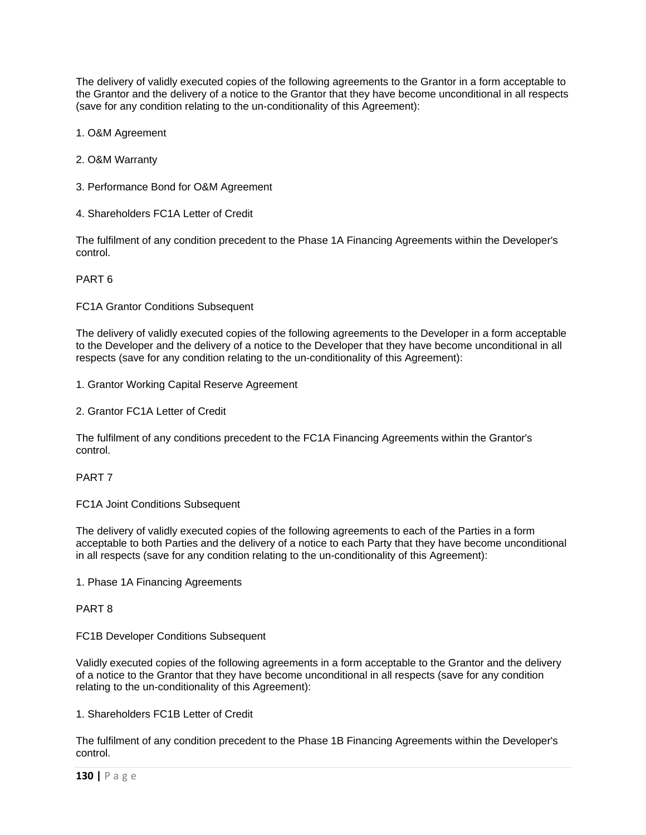The delivery of validly executed copies of the following agreements to the Grantor in a form acceptable to the Grantor and the delivery of a notice to the Grantor that they have become unconditional in all respects (save for any condition relating to the un-conditionality of this Agreement):

1. O&M Agreement

- 2. O&M Warranty
- 3. Performance Bond for O&M Agreement
- 4. Shareholders FC1A Letter of Credit

The fulfilment of any condition precedent to the Phase 1A Financing Agreements within the Developer's control.

PART 6

FC1A Grantor Conditions Subsequent

The delivery of validly executed copies of the following agreements to the Developer in a form acceptable to the Developer and the delivery of a notice to the Developer that they have become unconditional in all respects (save for any condition relating to the un-conditionality of this Agreement):

- 1. Grantor Working Capital Reserve Agreement
- 2. Grantor FC1A Letter of Credit

The fulfilment of any conditions precedent to the FC1A Financing Agreements within the Grantor's control.

# PART 7

FC1A Joint Conditions Subsequent

The delivery of validly executed copies of the following agreements to each of the Parties in a form acceptable to both Parties and the delivery of a notice to each Party that they have become unconditional in all respects (save for any condition relating to the un-conditionality of this Agreement):

1. Phase 1A Financing Agreements

PART 8

### FC1B Developer Conditions Subsequent

Validly executed copies of the following agreements in a form acceptable to the Grantor and the delivery of a notice to the Grantor that they have become unconditional in all respects (save for any condition relating to the un-conditionality of this Agreement):

# 1. Shareholders FC1B Letter of Credit

The fulfilment of any condition precedent to the Phase 1B Financing Agreements within the Developer's control.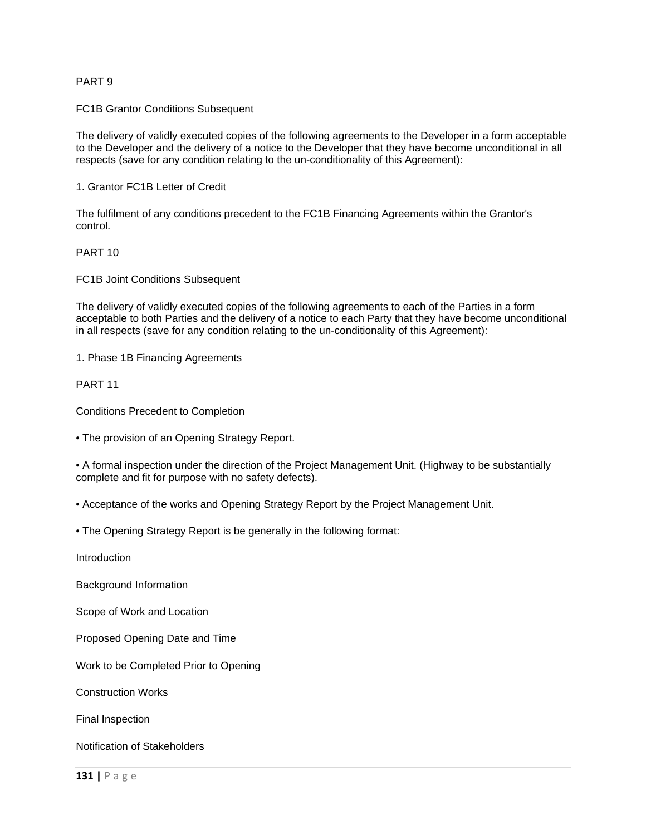### PART 9

FC1B Grantor Conditions Subsequent

The delivery of validly executed copies of the following agreements to the Developer in a form acceptable to the Developer and the delivery of a notice to the Developer that they have become unconditional in all respects (save for any condition relating to the un-conditionality of this Agreement):

1. Grantor FC1B Letter of Credit

The fulfilment of any conditions precedent to the FC1B Financing Agreements within the Grantor's control.

# PART 10

FC1B Joint Conditions Subsequent

The delivery of validly executed copies of the following agreements to each of the Parties in a form acceptable to both Parties and the delivery of a notice to each Party that they have become unconditional in all respects (save for any condition relating to the un-conditionality of this Agreement):

1. Phase 1B Financing Agreements

PART 11

Conditions Precedent to Completion

• The provision of an Opening Strategy Report.

• A formal inspection under the direction of the Project Management Unit. (Highway to be substantially complete and fit for purpose with no safety defects).

• Acceptance of the works and Opening Strategy Report by the Project Management Unit.

• The Opening Strategy Report is be generally in the following format:

Introduction

Background Information

Scope of Work and Location

Proposed Opening Date and Time

Work to be Completed Prior to Opening

Construction Works

Final Inspection

Notification of Stakeholders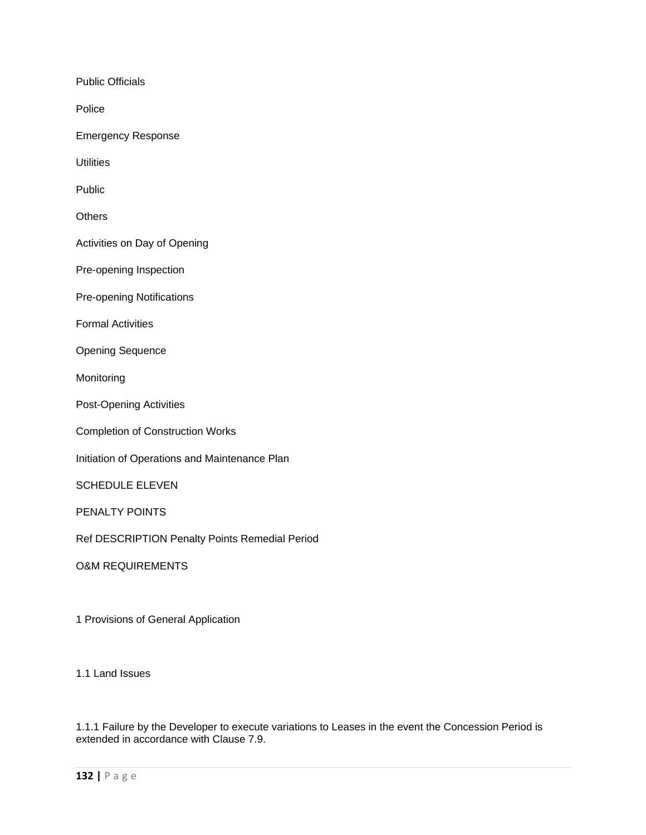Public Officials

Police

Emergency Response

**Utilities** 

Public

**Others** 

Activities on Day of Opening

Pre-opening Inspection

Pre-opening Notifications

Formal Activities

Opening Sequence

Monitoring

Post-Opening Activities

Completion of Construction Works

Initiation of Operations and Maintenance Plan

SCHEDULE ELEVEN

PENALTY POINTS

Ref DESCRIPTION Penalty Points Remedial Period

O&M REQUIREMENTS

1 Provisions of General Application

1.1 Land Issues

1.1.1 Failure by the Developer to execute variations to Leases in the event the Concession Period is extended in accordance with Clause 7.9.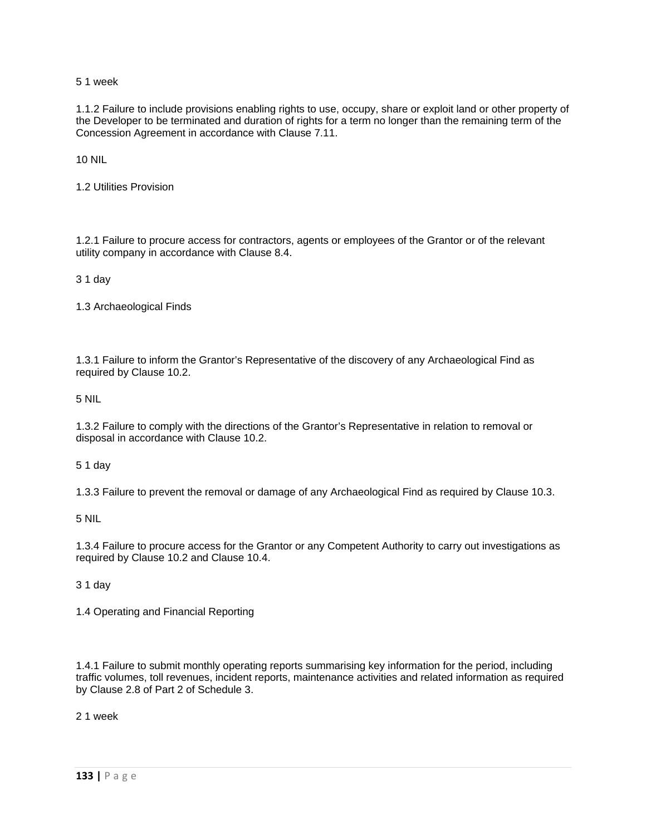5 1 week

1.1.2 Failure to include provisions enabling rights to use, occupy, share or exploit land or other property of the Developer to be terminated and duration of rights for a term no longer than the remaining term of the Concession Agreement in accordance with Clause 7.11.

10 NIL

1.2 Utilities Provision

1.2.1 Failure to procure access for contractors, agents or employees of the Grantor or of the relevant utility company in accordance with Clause 8.4.

3 1 day

1.3 Archaeological Finds

1.3.1 Failure to inform the Grantor's Representative of the discovery of any Archaeological Find as required by Clause 10.2.

5 NIL

1.3.2 Failure to comply with the directions of the Grantor's Representative in relation to removal or disposal in accordance with Clause 10.2.

5 1 day

1.3.3 Failure to prevent the removal or damage of any Archaeological Find as required by Clause 10.3.

5 NIL

1.3.4 Failure to procure access for the Grantor or any Competent Authority to carry out investigations as required by Clause 10.2 and Clause 10.4.

3 1 day

1.4 Operating and Financial Reporting

1.4.1 Failure to submit monthly operating reports summarising key information for the period, including traffic volumes, toll revenues, incident reports, maintenance activities and related information as required by Clause 2.8 of Part 2 of Schedule 3.

2 1 week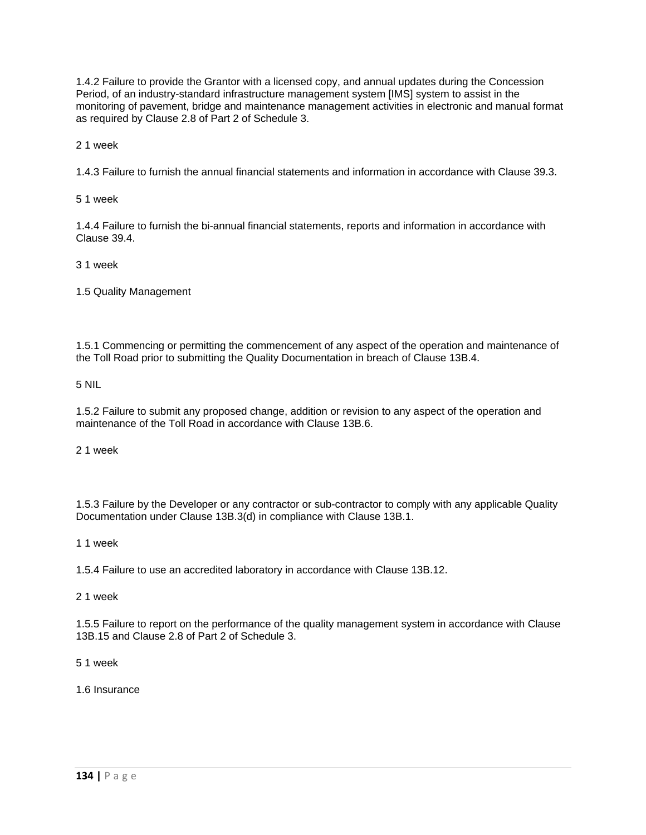1.4.2 Failure to provide the Grantor with a licensed copy, and annual updates during the Concession Period, of an industry-standard infrastructure management system [IMS] system to assist in the monitoring of pavement, bridge and maintenance management activities in electronic and manual format as required by Clause 2.8 of Part 2 of Schedule 3.

2 1 week

1.4.3 Failure to furnish the annual financial statements and information in accordance with Clause 39.3.

5 1 week

1.4.4 Failure to furnish the bi-annual financial statements, reports and information in accordance with Clause 39.4.

3 1 week

1.5 Quality Management

1.5.1 Commencing or permitting the commencement of any aspect of the operation and maintenance of the Toll Road prior to submitting the Quality Documentation in breach of Clause 13B.4.

5 NIL

1.5.2 Failure to submit any proposed change, addition or revision to any aspect of the operation and maintenance of the Toll Road in accordance with Clause 13B.6.

2 1 week

1.5.3 Failure by the Developer or any contractor or sub-contractor to comply with any applicable Quality Documentation under Clause 13B.3(d) in compliance with Clause 13B.1.

1 1 week

1.5.4 Failure to use an accredited laboratory in accordance with Clause 13B.12.

2 1 week

1.5.5 Failure to report on the performance of the quality management system in accordance with Clause 13B.15 and Clause 2.8 of Part 2 of Schedule 3.

5 1 week

1.6 Insurance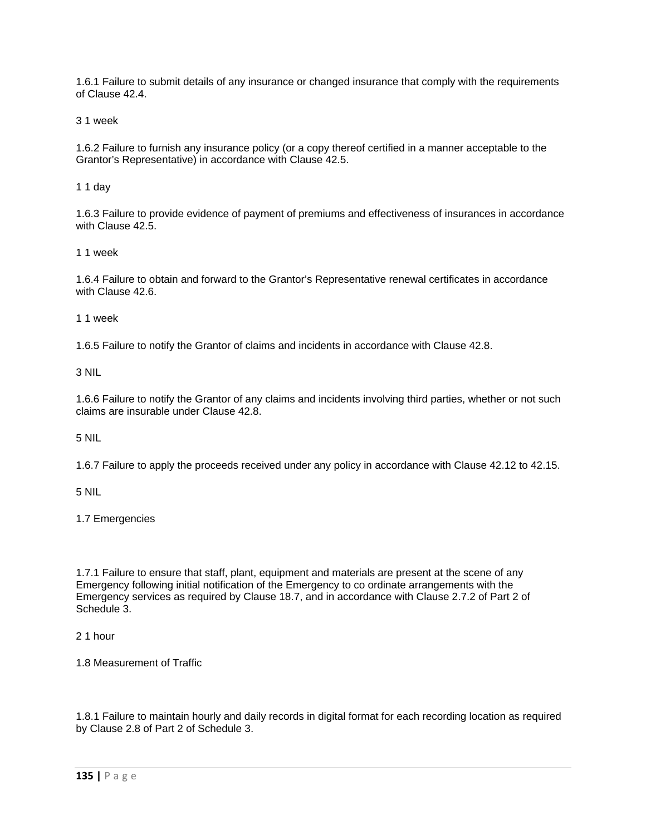1.6.1 Failure to submit details of any insurance or changed insurance that comply with the requirements of Clause 42.4.

3 1 week

1.6.2 Failure to furnish any insurance policy (or a copy thereof certified in a manner acceptable to the Grantor's Representative) in accordance with Clause 42.5.

1 1 day

1.6.3 Failure to provide evidence of payment of premiums and effectiveness of insurances in accordance with Clause 42.5.

1 1 week

1.6.4 Failure to obtain and forward to the Grantor's Representative renewal certificates in accordance with Clause 42.6.

1 1 week

1.6.5 Failure to notify the Grantor of claims and incidents in accordance with Clause 42.8.

3 NIL

1.6.6 Failure to notify the Grantor of any claims and incidents involving third parties, whether or not such claims are insurable under Clause 42.8.

5 NIL

1.6.7 Failure to apply the proceeds received under any policy in accordance with Clause 42.12 to 42.15.

5 NIL

1.7 Emergencies

1.7.1 Failure to ensure that staff, plant, equipment and materials are present at the scene of any Emergency following initial notification of the Emergency to co ordinate arrangements with the Emergency services as required by Clause 18.7, and in accordance with Clause 2.7.2 of Part 2 of Schedule 3.

2 1 hour

1.8 Measurement of Traffic

1.8.1 Failure to maintain hourly and daily records in digital format for each recording location as required by Clause 2.8 of Part 2 of Schedule 3.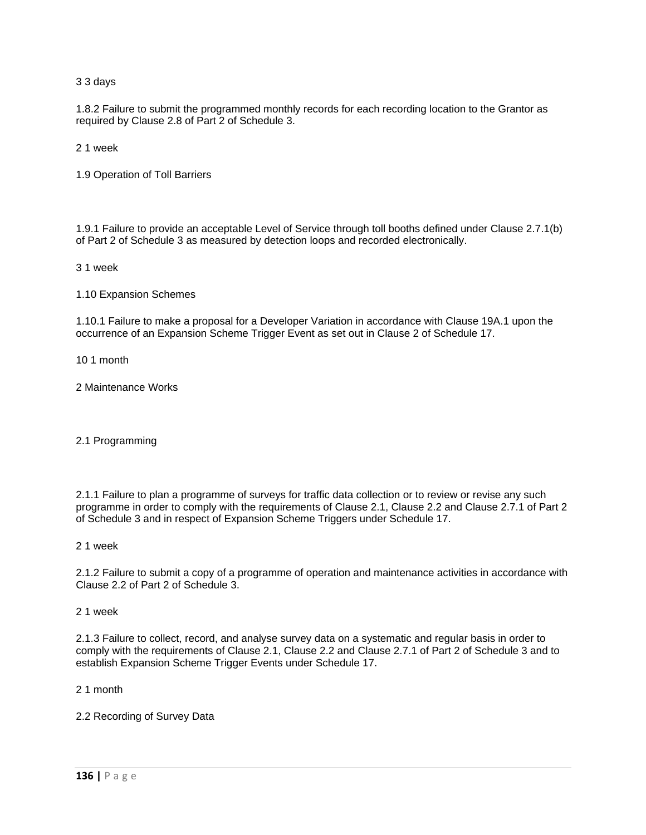3 3 days

1.8.2 Failure to submit the programmed monthly records for each recording location to the Grantor as required by Clause 2.8 of Part 2 of Schedule 3.

2 1 week

1.9 Operation of Toll Barriers

1.9.1 Failure to provide an acceptable Level of Service through toll booths defined under Clause 2.7.1(b) of Part 2 of Schedule 3 as measured by detection loops and recorded electronically.

3 1 week

1.10 Expansion Schemes

1.10.1 Failure to make a proposal for a Developer Variation in accordance with Clause 19A.1 upon the occurrence of an Expansion Scheme Trigger Event as set out in Clause 2 of Schedule 17.

10 1 month

2 Maintenance Works

2.1 Programming

2.1.1 Failure to plan a programme of surveys for traffic data collection or to review or revise any such programme in order to comply with the requirements of Clause 2.1, Clause 2.2 and Clause 2.7.1 of Part 2 of Schedule 3 and in respect of Expansion Scheme Triggers under Schedule 17.

2 1 week

2.1.2 Failure to submit a copy of a programme of operation and maintenance activities in accordance with Clause 2.2 of Part 2 of Schedule 3.

2 1 week

2.1.3 Failure to collect, record, and analyse survey data on a systematic and regular basis in order to comply with the requirements of Clause 2.1, Clause 2.2 and Clause 2.7.1 of Part 2 of Schedule 3 and to establish Expansion Scheme Trigger Events under Schedule 17.

2 1 month

2.2 Recording of Survey Data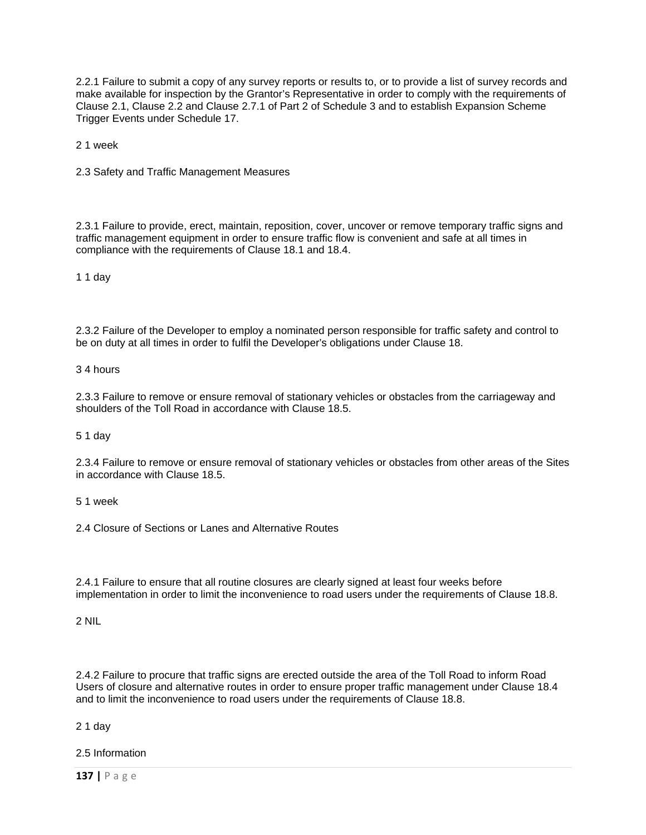2.2.1 Failure to submit a copy of any survey reports or results to, or to provide a list of survey records and make available for inspection by the Grantor's Representative in order to comply with the requirements of Clause 2.1, Clause 2.2 and Clause 2.7.1 of Part 2 of Schedule 3 and to establish Expansion Scheme Trigger Events under Schedule 17.

2 1 week

2.3 Safety and Traffic Management Measures

2.3.1 Failure to provide, erect, maintain, reposition, cover, uncover or remove temporary traffic signs and traffic management equipment in order to ensure traffic flow is convenient and safe at all times in compliance with the requirements of Clause 18.1 and 18.4.

1 1 day

2.3.2 Failure of the Developer to employ a nominated person responsible for traffic safety and control to be on duty at all times in order to fulfil the Developer's obligations under Clause 18.

3 4 hours

2.3.3 Failure to remove or ensure removal of stationary vehicles or obstacles from the carriageway and shoulders of the Toll Road in accordance with Clause 18.5.

5 1 day

2.3.4 Failure to remove or ensure removal of stationary vehicles or obstacles from other areas of the Sites in accordance with Clause 18.5.

5 1 week

2.4 Closure of Sections or Lanes and Alternative Routes

2.4.1 Failure to ensure that all routine closures are clearly signed at least four weeks before implementation in order to limit the inconvenience to road users under the requirements of Clause 18.8.

2 NIL

2.4.2 Failure to procure that traffic signs are erected outside the area of the Toll Road to inform Road Users of closure and alternative routes in order to ensure proper traffic management under Clause 18.4 and to limit the inconvenience to road users under the requirements of Clause 18.8.

2 1 day

2.5 Information

**137 |** Page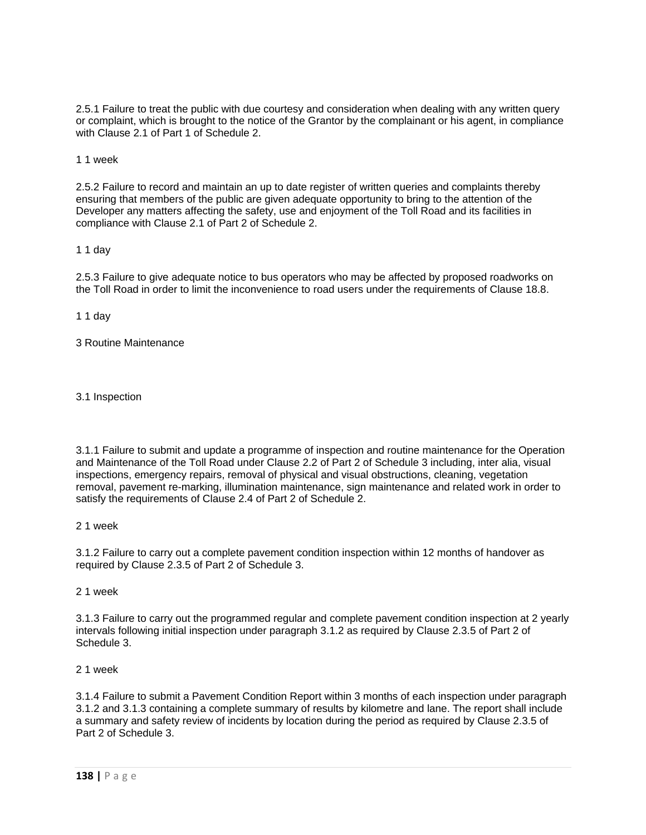2.5.1 Failure to treat the public with due courtesy and consideration when dealing with any written query or complaint, which is brought to the notice of the Grantor by the complainant or his agent, in compliance with Clause 2.1 of Part 1 of Schedule 2.

1 1 week

2.5.2 Failure to record and maintain an up to date register of written queries and complaints thereby ensuring that members of the public are given adequate opportunity to bring to the attention of the Developer any matters affecting the safety, use and enjoyment of the Toll Road and its facilities in compliance with Clause 2.1 of Part 2 of Schedule 2.

1 1 day

2.5.3 Failure to give adequate notice to bus operators who may be affected by proposed roadworks on the Toll Road in order to limit the inconvenience to road users under the requirements of Clause 18.8.

1 1 day

3 Routine Maintenance

3.1 Inspection

3.1.1 Failure to submit and update a programme of inspection and routine maintenance for the Operation and Maintenance of the Toll Road under Clause 2.2 of Part 2 of Schedule 3 including, inter alia, visual inspections, emergency repairs, removal of physical and visual obstructions, cleaning, vegetation removal, pavement re-marking, illumination maintenance, sign maintenance and related work in order to satisfy the requirements of Clause 2.4 of Part 2 of Schedule 2.

2 1 week

3.1.2 Failure to carry out a complete pavement condition inspection within 12 months of handover as required by Clause 2.3.5 of Part 2 of Schedule 3.

2 1 week

3.1.3 Failure to carry out the programmed regular and complete pavement condition inspection at 2 yearly intervals following initial inspection under paragraph 3.1.2 as required by Clause 2.3.5 of Part 2 of Schedule 3.

2 1 week

3.1.4 Failure to submit a Pavement Condition Report within 3 months of each inspection under paragraph 3.1.2 and 3.1.3 containing a complete summary of results by kilometre and lane. The report shall include a summary and safety review of incidents by location during the period as required by Clause 2.3.5 of Part 2 of Schedule 3.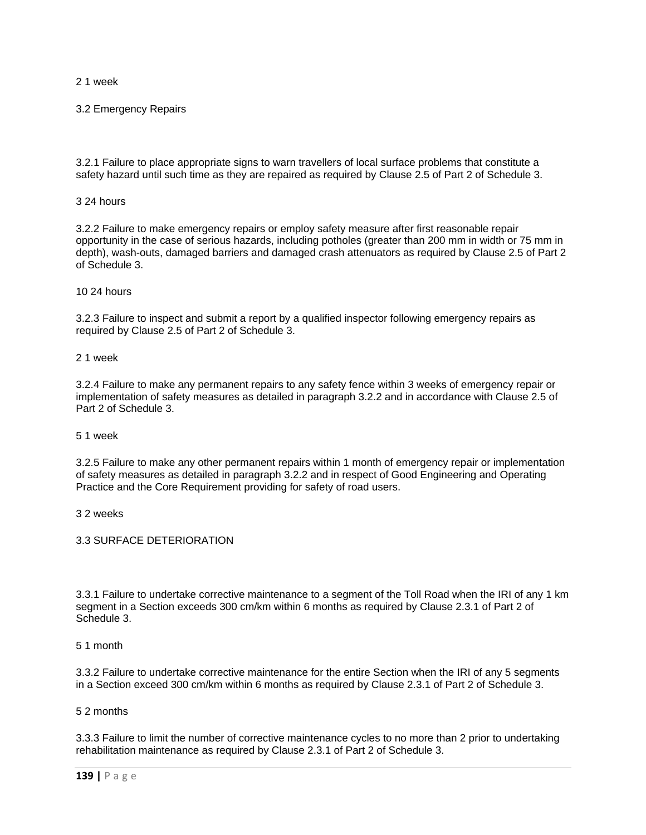2 1 week

3.2 Emergency Repairs

3.2.1 Failure to place appropriate signs to warn travellers of local surface problems that constitute a safety hazard until such time as they are repaired as required by Clause 2.5 of Part 2 of Schedule 3.

3 24 hours

3.2.2 Failure to make emergency repairs or employ safety measure after first reasonable repair opportunity in the case of serious hazards, including potholes (greater than 200 mm in width or 75 mm in depth), wash-outs, damaged barriers and damaged crash attenuators as required by Clause 2.5 of Part 2 of Schedule 3.

10 24 hours

3.2.3 Failure to inspect and submit a report by a qualified inspector following emergency repairs as required by Clause 2.5 of Part 2 of Schedule 3.

2 1 week

3.2.4 Failure to make any permanent repairs to any safety fence within 3 weeks of emergency repair or implementation of safety measures as detailed in paragraph 3.2.2 and in accordance with Clause 2.5 of Part 2 of Schedule 3.

5 1 week

3.2.5 Failure to make any other permanent repairs within 1 month of emergency repair or implementation of safety measures as detailed in paragraph 3.2.2 and in respect of Good Engineering and Operating Practice and the Core Requirement providing for safety of road users.

3 2 weeks

3.3 SURFACE DETERIORATION

3.3.1 Failure to undertake corrective maintenance to a segment of the Toll Road when the IRI of any 1 km segment in a Section exceeds 300 cm/km within 6 months as required by Clause 2.3.1 of Part 2 of Schedule 3.

5 1 month

3.3.2 Failure to undertake corrective maintenance for the entire Section when the IRI of any 5 segments in a Section exceed 300 cm/km within 6 months as required by Clause 2.3.1 of Part 2 of Schedule 3.

5 2 months

3.3.3 Failure to limit the number of corrective maintenance cycles to no more than 2 prior to undertaking rehabilitation maintenance as required by Clause 2.3.1 of Part 2 of Schedule 3.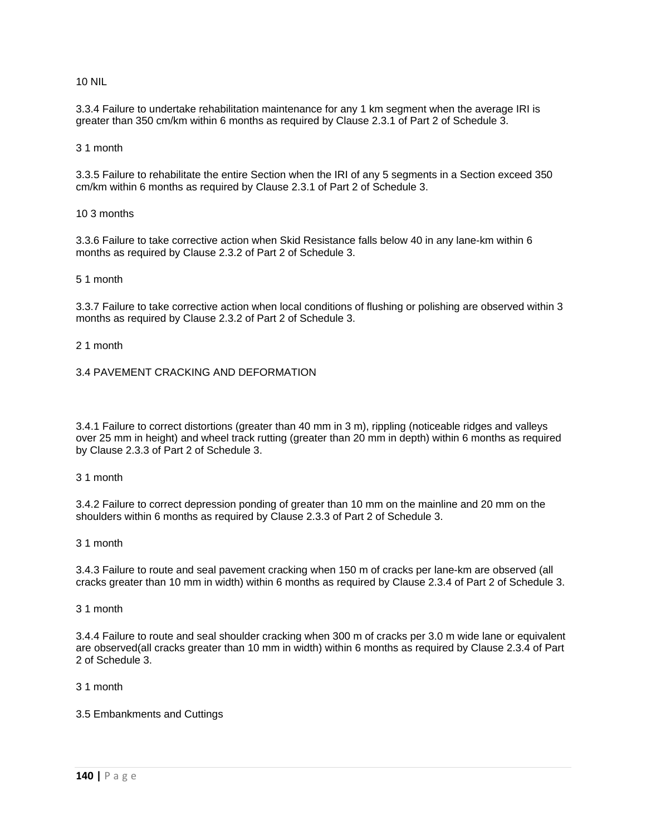### 10 NIL

3.3.4 Failure to undertake rehabilitation maintenance for any 1 km segment when the average IRI is greater than 350 cm/km within 6 months as required by Clause 2.3.1 of Part 2 of Schedule 3.

3 1 month

3.3.5 Failure to rehabilitate the entire Section when the IRI of any 5 segments in a Section exceed 350 cm/km within 6 months as required by Clause 2.3.1 of Part 2 of Schedule 3.

10 3 months

3.3.6 Failure to take corrective action when Skid Resistance falls below 40 in any lane-km within 6 months as required by Clause 2.3.2 of Part 2 of Schedule 3.

### 5 1 month

3.3.7 Failure to take corrective action when local conditions of flushing or polishing are observed within 3 months as required by Clause 2.3.2 of Part 2 of Schedule 3.

2 1 month

3.4 PAVEMENT CRACKING AND DEFORMATION

3.4.1 Failure to correct distortions (greater than 40 mm in 3 m), rippling (noticeable ridges and valleys over 25 mm in height) and wheel track rutting (greater than 20 mm in depth) within 6 months as required by Clause 2.3.3 of Part 2 of Schedule 3.

3 1 month

3.4.2 Failure to correct depression ponding of greater than 10 mm on the mainline and 20 mm on the shoulders within 6 months as required by Clause 2.3.3 of Part 2 of Schedule 3.

3 1 month

3.4.3 Failure to route and seal pavement cracking when 150 m of cracks per lane-km are observed (all cracks greater than 10 mm in width) within 6 months as required by Clause 2.3.4 of Part 2 of Schedule 3.

### 3 1 month

3.4.4 Failure to route and seal shoulder cracking when 300 m of cracks per 3.0 m wide lane or equivalent are observed(all cracks greater than 10 mm in width) within 6 months as required by Clause 2.3.4 of Part 2 of Schedule 3.

3 1 month

### 3.5 Embankments and Cuttings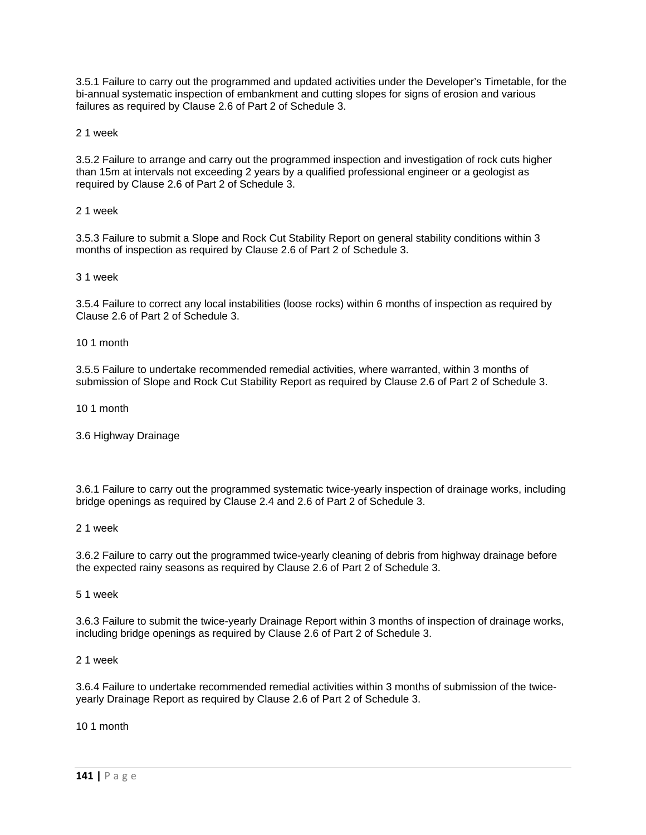3.5.1 Failure to carry out the programmed and updated activities under the Developer's Timetable, for the bi-annual systematic inspection of embankment and cutting slopes for signs of erosion and various failures as required by Clause 2.6 of Part 2 of Schedule 3.

2 1 week

3.5.2 Failure to arrange and carry out the programmed inspection and investigation of rock cuts higher than 15m at intervals not exceeding 2 years by a qualified professional engineer or a geologist as required by Clause 2.6 of Part 2 of Schedule 3.

2 1 week

3.5.3 Failure to submit a Slope and Rock Cut Stability Report on general stability conditions within 3 months of inspection as required by Clause 2.6 of Part 2 of Schedule 3.

3 1 week

3.5.4 Failure to correct any local instabilities (loose rocks) within 6 months of inspection as required by Clause 2.6 of Part 2 of Schedule 3.

10 1 month

3.5.5 Failure to undertake recommended remedial activities, where warranted, within 3 months of submission of Slope and Rock Cut Stability Report as required by Clause 2.6 of Part 2 of Schedule 3.

10 1 month

3.6 Highway Drainage

3.6.1 Failure to carry out the programmed systematic twice-yearly inspection of drainage works, including bridge openings as required by Clause 2.4 and 2.6 of Part 2 of Schedule 3.

2 1 week

3.6.2 Failure to carry out the programmed twice-yearly cleaning of debris from highway drainage before the expected rainy seasons as required by Clause 2.6 of Part 2 of Schedule 3.

5 1 week

3.6.3 Failure to submit the twice-yearly Drainage Report within 3 months of inspection of drainage works, including bridge openings as required by Clause 2.6 of Part 2 of Schedule 3.

2 1 week

3.6.4 Failure to undertake recommended remedial activities within 3 months of submission of the twiceyearly Drainage Report as required by Clause 2.6 of Part 2 of Schedule 3.

10 1 month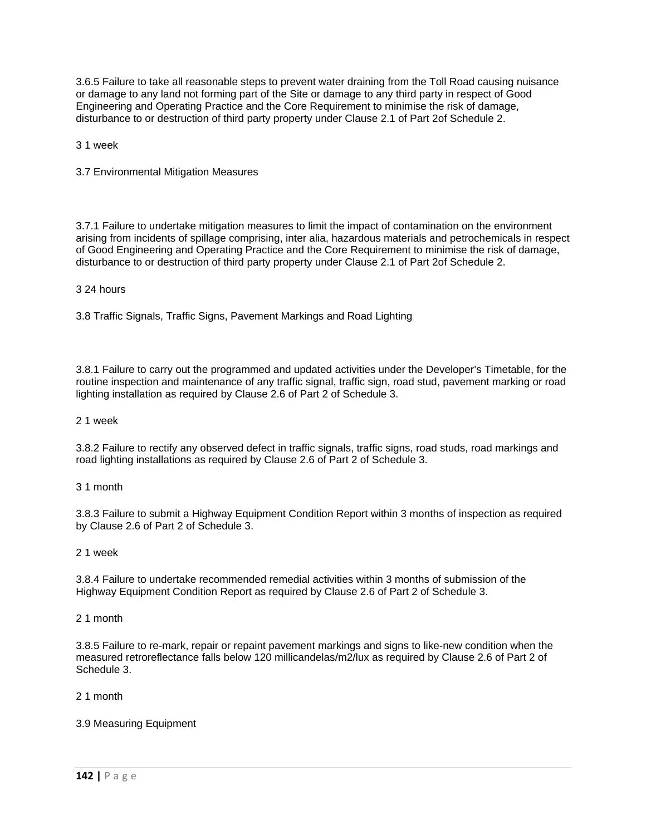3.6.5 Failure to take all reasonable steps to prevent water draining from the Toll Road causing nuisance or damage to any land not forming part of the Site or damage to any third party in respect of Good Engineering and Operating Practice and the Core Requirement to minimise the risk of damage, disturbance to or destruction of third party property under Clause 2.1 of Part 2of Schedule 2.

3 1 week

3.7 Environmental Mitigation Measures

3.7.1 Failure to undertake mitigation measures to limit the impact of contamination on the environment arising from incidents of spillage comprising, inter alia, hazardous materials and petrochemicals in respect of Good Engineering and Operating Practice and the Core Requirement to minimise the risk of damage, disturbance to or destruction of third party property under Clause 2.1 of Part 2of Schedule 2.

# 3 24 hours

3.8 Traffic Signals, Traffic Signs, Pavement Markings and Road Lighting

3.8.1 Failure to carry out the programmed and updated activities under the Developer's Timetable, for the routine inspection and maintenance of any traffic signal, traffic sign, road stud, pavement marking or road lighting installation as required by Clause 2.6 of Part 2 of Schedule 3.

2 1 week

3.8.2 Failure to rectify any observed defect in traffic signals, traffic signs, road studs, road markings and road lighting installations as required by Clause 2.6 of Part 2 of Schedule 3.

3 1 month

3.8.3 Failure to submit a Highway Equipment Condition Report within 3 months of inspection as required by Clause 2.6 of Part 2 of Schedule 3.

### 2 1 week

3.8.4 Failure to undertake recommended remedial activities within 3 months of submission of the Highway Equipment Condition Report as required by Clause 2.6 of Part 2 of Schedule 3.

2 1 month

3.8.5 Failure to re-mark, repair or repaint pavement markings and signs to like-new condition when the measured retroreflectance falls below 120 millicandelas/m2/lux as required by Clause 2.6 of Part 2 of Schedule 3.

2 1 month

3.9 Measuring Equipment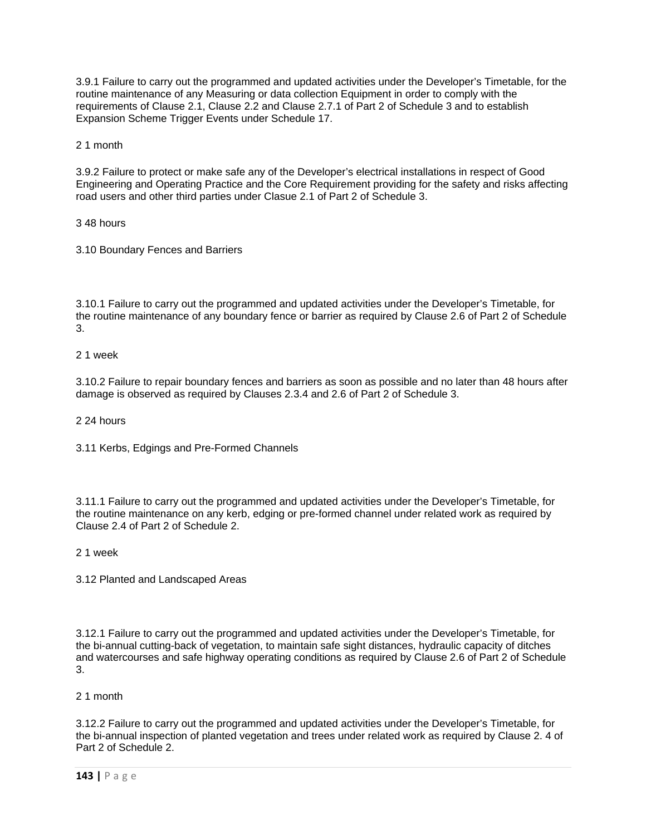3.9.1 Failure to carry out the programmed and updated activities under the Developer's Timetable, for the routine maintenance of any Measuring or data collection Equipment in order to comply with the requirements of Clause 2.1, Clause 2.2 and Clause 2.7.1 of Part 2 of Schedule 3 and to establish Expansion Scheme Trigger Events under Schedule 17.

2 1 month

3.9.2 Failure to protect or make safe any of the Developer's electrical installations in respect of Good Engineering and Operating Practice and the Core Requirement providing for the safety and risks affecting road users and other third parties under Clasue 2.1 of Part 2 of Schedule 3.

3 48 hours

3.10 Boundary Fences and Barriers

3.10.1 Failure to carry out the programmed and updated activities under the Developer's Timetable, for the routine maintenance of any boundary fence or barrier as required by Clause 2.6 of Part 2 of Schedule 3.

2 1 week

3.10.2 Failure to repair boundary fences and barriers as soon as possible and no later than 48 hours after damage is observed as required by Clauses 2.3.4 and 2.6 of Part 2 of Schedule 3.

2 24 hours

3.11 Kerbs, Edgings and Pre-Formed Channels

3.11.1 Failure to carry out the programmed and updated activities under the Developer's Timetable, for the routine maintenance on any kerb, edging or pre-formed channel under related work as required by Clause 2.4 of Part 2 of Schedule 2.

2 1 week

3.12 Planted and Landscaped Areas

3.12.1 Failure to carry out the programmed and updated activities under the Developer's Timetable, for the bi-annual cutting-back of vegetation, to maintain safe sight distances, hydraulic capacity of ditches and watercourses and safe highway operating conditions as required by Clause 2.6 of Part 2 of Schedule 3.

# 2 1 month

3.12.2 Failure to carry out the programmed and updated activities under the Developer's Timetable, for the bi-annual inspection of planted vegetation and trees under related work as required by Clause 2. 4 of Part 2 of Schedule 2.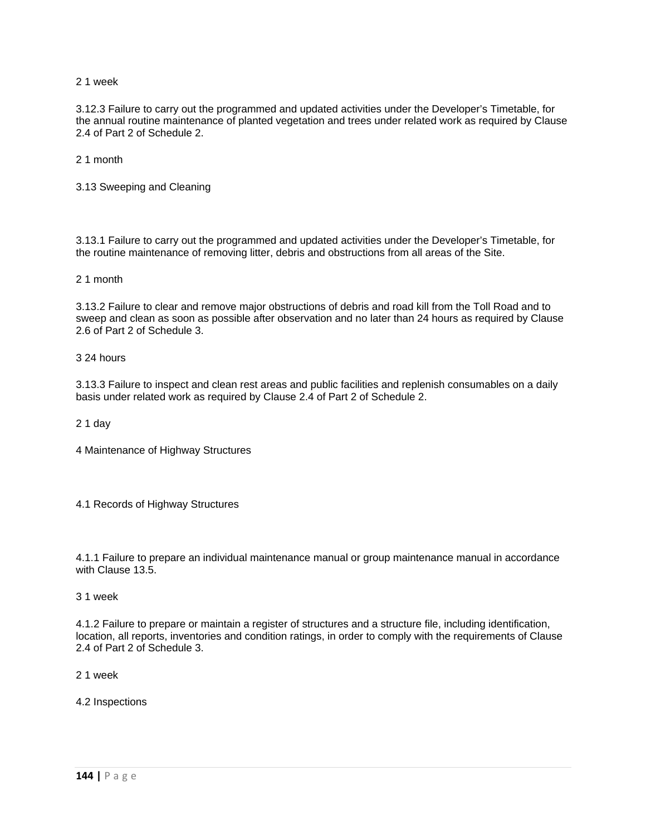2 1 week

3.12.3 Failure to carry out the programmed and updated activities under the Developer's Timetable, for the annual routine maintenance of planted vegetation and trees under related work as required by Clause 2.4 of Part 2 of Schedule 2.

2 1 month

3.13 Sweeping and Cleaning

3.13.1 Failure to carry out the programmed and updated activities under the Developer's Timetable, for the routine maintenance of removing litter, debris and obstructions from all areas of the Site.

2 1 month

3.13.2 Failure to clear and remove major obstructions of debris and road kill from the Toll Road and to sweep and clean as soon as possible after observation and no later than 24 hours as required by Clause 2.6 of Part 2 of Schedule 3.

3 24 hours

3.13.3 Failure to inspect and clean rest areas and public facilities and replenish consumables on a daily basis under related work as required by Clause 2.4 of Part 2 of Schedule 2.

2 1 day

4 Maintenance of Highway Structures

4.1 Records of Highway Structures

4.1.1 Failure to prepare an individual maintenance manual or group maintenance manual in accordance with Clause 13.5.

3 1 week

4.1.2 Failure to prepare or maintain a register of structures and a structure file, including identification, location, all reports, inventories and condition ratings, in order to comply with the requirements of Clause 2.4 of Part 2 of Schedule 3.

2 1 week

4.2 Inspections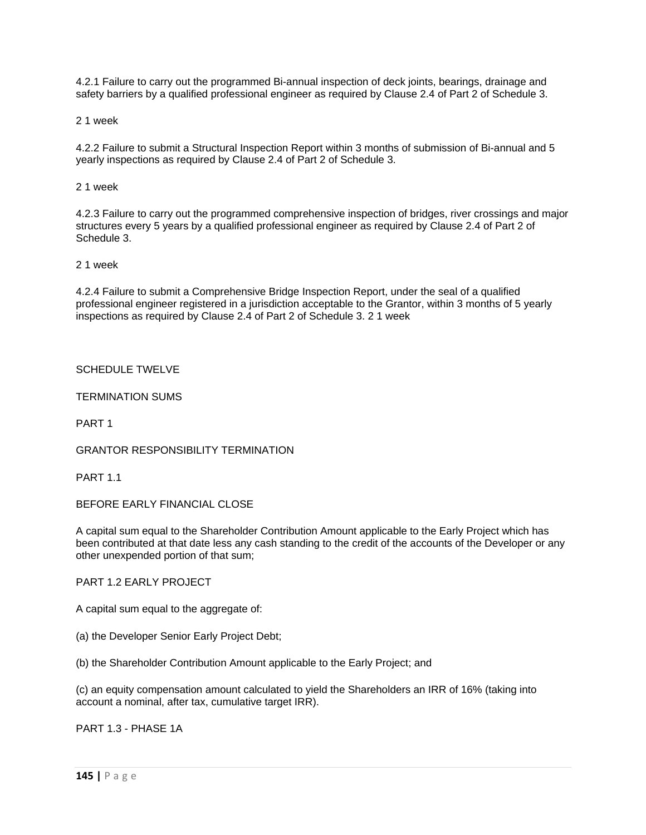4.2.1 Failure to carry out the programmed Bi-annual inspection of deck joints, bearings, drainage and safety barriers by a qualified professional engineer as required by Clause 2.4 of Part 2 of Schedule 3.

2 1 week

4.2.2 Failure to submit a Structural Inspection Report within 3 months of submission of Bi-annual and 5 yearly inspections as required by Clause 2.4 of Part 2 of Schedule 3.

2 1 week

4.2.3 Failure to carry out the programmed comprehensive inspection of bridges, river crossings and major structures every 5 years by a qualified professional engineer as required by Clause 2.4 of Part 2 of Schedule 3.

2 1 week

4.2.4 Failure to submit a Comprehensive Bridge Inspection Report, under the seal of a qualified professional engineer registered in a jurisdiction acceptable to the Grantor, within 3 months of 5 yearly inspections as required by Clause 2.4 of Part 2 of Schedule 3. 2 1 week

### SCHEDULE TWELVE

TERMINATION SUMS

PART 1

GRANTOR RESPONSIBILITY TERMINATION

PART<sub>11</sub>

BEFORE EARLY FINANCIAL CLOSE

A capital sum equal to the Shareholder Contribution Amount applicable to the Early Project which has been contributed at that date less any cash standing to the credit of the accounts of the Developer or any other unexpended portion of that sum;

PART 1.2 EARLY PROJECT

A capital sum equal to the aggregate of:

(a) the Developer Senior Early Project Debt;

(b) the Shareholder Contribution Amount applicable to the Early Project; and

(c) an equity compensation amount calculated to yield the Shareholders an IRR of 16% (taking into account a nominal, after tax, cumulative target IRR).

PART 1.3 - PHASE 1A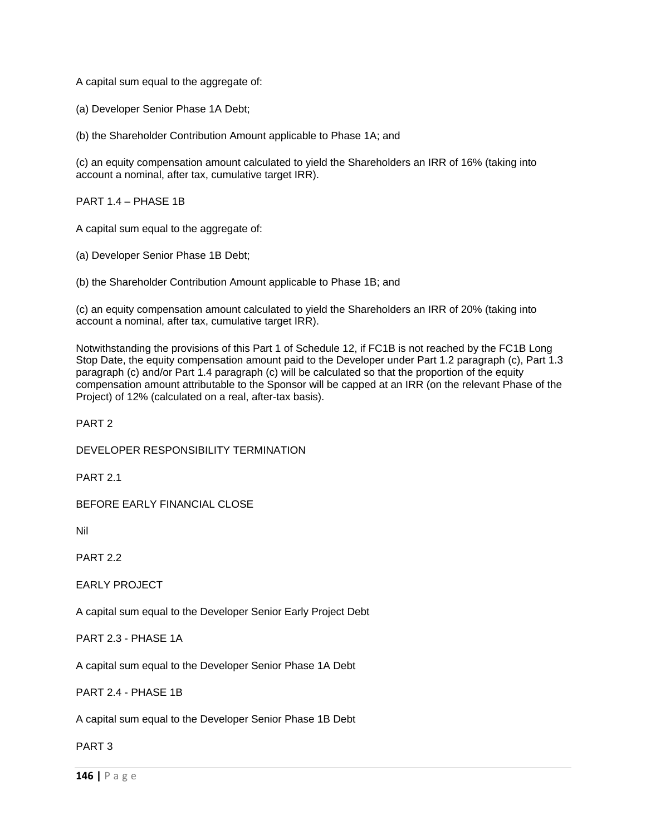A capital sum equal to the aggregate of:

(a) Developer Senior Phase 1A Debt;

(b) the Shareholder Contribution Amount applicable to Phase 1A; and

(c) an equity compensation amount calculated to yield the Shareholders an IRR of 16% (taking into account a nominal, after tax, cumulative target IRR).

PART 1.4 – PHASE 1B

A capital sum equal to the aggregate of:

(a) Developer Senior Phase 1B Debt;

(b) the Shareholder Contribution Amount applicable to Phase 1B; and

(c) an equity compensation amount calculated to yield the Shareholders an IRR of 20% (taking into account a nominal, after tax, cumulative target IRR).

Notwithstanding the provisions of this Part 1 of Schedule 12, if FC1B is not reached by the FC1B Long Stop Date, the equity compensation amount paid to the Developer under Part 1.2 paragraph (c), Part 1.3 paragraph (c) and/or Part 1.4 paragraph (c) will be calculated so that the proportion of the equity compensation amount attributable to the Sponsor will be capped at an IRR (on the relevant Phase of the Project) of 12% (calculated on a real, after-tax basis).

PART 2

DEVELOPER RESPONSIBILITY TERMINATION

PART 21

BEFORE EARLY FINANCIAL CLOSE

Nil

PART 2.2

EARLY PROJECT

A capital sum equal to the Developer Senior Early Project Debt

PART 2.3 - PHASE 1A

A capital sum equal to the Developer Senior Phase 1A Debt

PART 2.4 - PHASE 1B

A capital sum equal to the Developer Senior Phase 1B Debt

PART 3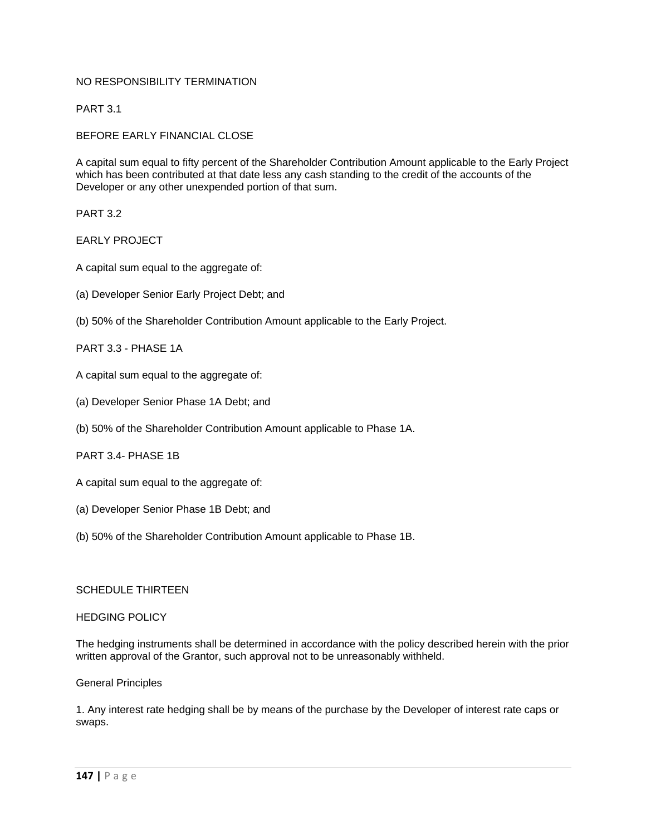## NO RESPONSIBILITY TERMINATION

PART 3.1

BEFORE EARLY FINANCIAL CLOSE

A capital sum equal to fifty percent of the Shareholder Contribution Amount applicable to the Early Project which has been contributed at that date less any cash standing to the credit of the accounts of the Developer or any other unexpended portion of that sum.

PART 3.2

### EARLY PROJECT

A capital sum equal to the aggregate of:

- (a) Developer Senior Early Project Debt; and
- (b) 50% of the Shareholder Contribution Amount applicable to the Early Project.

### PART 3.3 - PHASE 1A

- A capital sum equal to the aggregate of:
- (a) Developer Senior Phase 1A Debt; and
- (b) 50% of the Shareholder Contribution Amount applicable to Phase 1A.
- PART 3.4- PHASE 1B
- A capital sum equal to the aggregate of:
- (a) Developer Senior Phase 1B Debt; and
- (b) 50% of the Shareholder Contribution Amount applicable to Phase 1B.

#### SCHEDULE THIRTEEN

#### HEDGING POLICY

The hedging instruments shall be determined in accordance with the policy described herein with the prior written approval of the Grantor, such approval not to be unreasonably withheld.

### General Principles

1. Any interest rate hedging shall be by means of the purchase by the Developer of interest rate caps or swaps.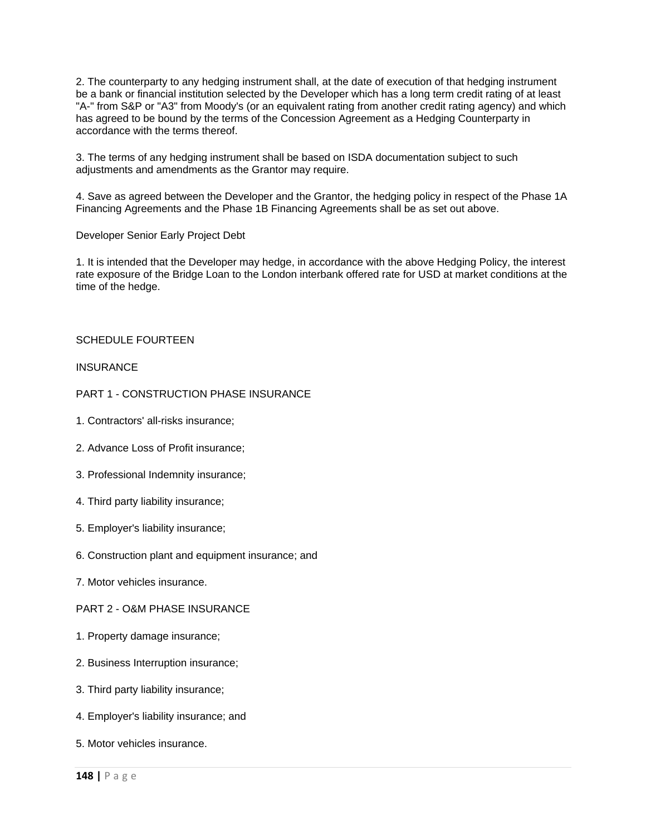2. The counterparty to any hedging instrument shall, at the date of execution of that hedging instrument be a bank or financial institution selected by the Developer which has a long term credit rating of at least "A-" from S&P or "A3" from Moody's (or an equivalent rating from another credit rating agency) and which has agreed to be bound by the terms of the Concession Agreement as a Hedging Counterparty in accordance with the terms thereof.

3. The terms of any hedging instrument shall be based on ISDA documentation subject to such adjustments and amendments as the Grantor may require.

4. Save as agreed between the Developer and the Grantor, the hedging policy in respect of the Phase 1A Financing Agreements and the Phase 1B Financing Agreements shall be as set out above.

Developer Senior Early Project Debt

1. It is intended that the Developer may hedge, in accordance with the above Hedging Policy, the interest rate exposure of the Bridge Loan to the London interbank offered rate for USD at market conditions at the time of the hedge.

### SCHEDULE FOURTEEN

#### **INSURANCE**

### PART 1 - CONSTRUCTION PHASE INSURANCE

- 1. Contractors' all-risks insurance;
- 2. Advance Loss of Profit insurance;
- 3. Professional Indemnity insurance;
- 4. Third party liability insurance;
- 5. Employer's liability insurance;
- 6. Construction plant and equipment insurance; and
- 7. Motor vehicles insurance.

### PART 2 - O&M PHASE INSURANCE

- 1. Property damage insurance;
- 2. Business Interruption insurance;
- 3. Third party liability insurance;
- 4. Employer's liability insurance; and
- 5. Motor vehicles insurance.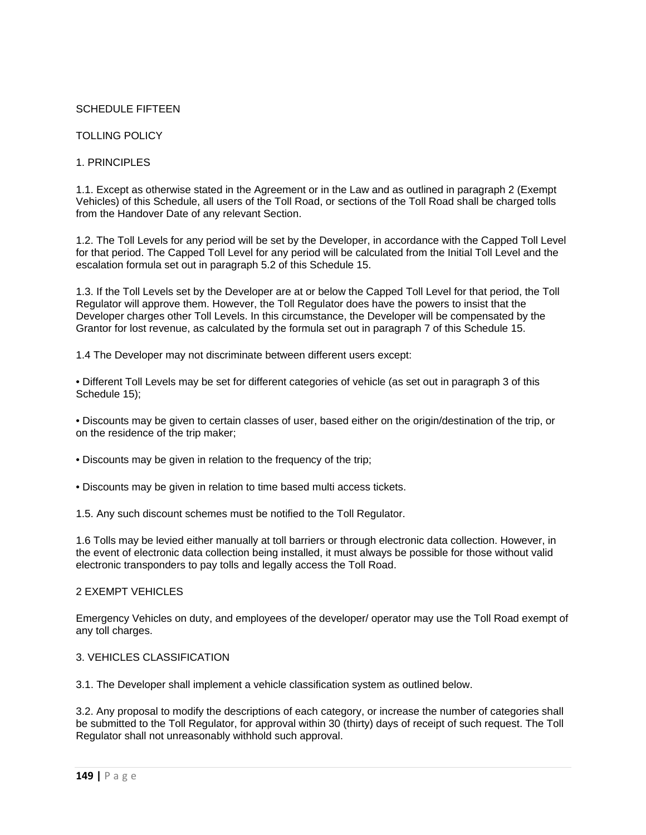## SCHEDULE FIFTEEN

## TOLLING POLICY

## 1. PRINCIPI FS

1.1. Except as otherwise stated in the Agreement or in the Law and as outlined in paragraph 2 (Exempt Vehicles) of this Schedule, all users of the Toll Road, or sections of the Toll Road shall be charged tolls from the Handover Date of any relevant Section.

1.2. The Toll Levels for any period will be set by the Developer, in accordance with the Capped Toll Level for that period. The Capped Toll Level for any period will be calculated from the Initial Toll Level and the escalation formula set out in paragraph 5.2 of this Schedule 15.

1.3. If the Toll Levels set by the Developer are at or below the Capped Toll Level for that period, the Toll Regulator will approve them. However, the Toll Regulator does have the powers to insist that the Developer charges other Toll Levels. In this circumstance, the Developer will be compensated by the Grantor for lost revenue, as calculated by the formula set out in paragraph 7 of this Schedule 15.

1.4 The Developer may not discriminate between different users except:

• Different Toll Levels may be set for different categories of vehicle (as set out in paragraph 3 of this Schedule 15);

• Discounts may be given to certain classes of user, based either on the origin/destination of the trip, or on the residence of the trip maker;

- Discounts may be given in relation to the frequency of the trip;
- Discounts may be given in relation to time based multi access tickets.

1.5. Any such discount schemes must be notified to the Toll Regulator.

1.6 Tolls may be levied either manually at toll barriers or through electronic data collection. However, in the event of electronic data collection being installed, it must always be possible for those without valid electronic transponders to pay tolls and legally access the Toll Road.

#### 2 EXEMPT VEHICLES

Emergency Vehicles on duty, and employees of the developer/ operator may use the Toll Road exempt of any toll charges.

#### 3. VEHICLES CLASSIFICATION

3.1. The Developer shall implement a vehicle classification system as outlined below.

3.2. Any proposal to modify the descriptions of each category, or increase the number of categories shall be submitted to the Toll Regulator, for approval within 30 (thirty) days of receipt of such request. The Toll Regulator shall not unreasonably withhold such approval.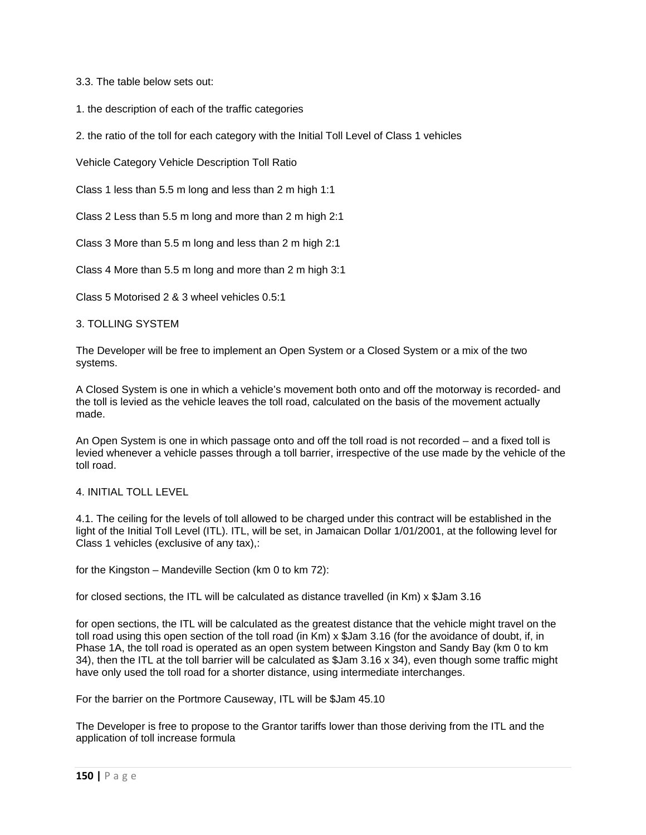3.3. The table below sets out:

1. the description of each of the traffic categories

2. the ratio of the toll for each category with the Initial Toll Level of Class 1 vehicles

Vehicle Category Vehicle Description Toll Ratio

Class 1 less than 5.5 m long and less than 2 m high 1:1

Class 2 Less than 5.5 m long and more than 2 m high 2:1

Class 3 More than 5.5 m long and less than 2 m high 2:1

Class 4 More than 5.5 m long and more than 2 m high 3:1

Class 5 Motorised 2 & 3 wheel vehicles 0.5:1

#### 3. TOLLING SYSTEM

The Developer will be free to implement an Open System or a Closed System or a mix of the two systems.

A Closed System is one in which a vehicle's movement both onto and off the motorway is recorded- and the toll is levied as the vehicle leaves the toll road, calculated on the basis of the movement actually made.

An Open System is one in which passage onto and off the toll road is not recorded – and a fixed toll is levied whenever a vehicle passes through a toll barrier, irrespective of the use made by the vehicle of the toll road.

## 4. INITIAL TOLL LEVEL

4.1. The ceiling for the levels of toll allowed to be charged under this contract will be established in the light of the Initial Toll Level (ITL). ITL, will be set, in Jamaican Dollar 1/01/2001, at the following level for Class 1 vehicles (exclusive of any tax),:

for the Kingston – Mandeville Section (km 0 to km 72):

for closed sections, the ITL will be calculated as distance travelled (in Km) x \$Jam 3.16

for open sections, the ITL will be calculated as the greatest distance that the vehicle might travel on the toll road using this open section of the toll road (in Km) x \$Jam 3.16 (for the avoidance of doubt, if, in Phase 1A, the toll road is operated as an open system between Kingston and Sandy Bay (km 0 to km 34), then the ITL at the toll barrier will be calculated as \$Jam 3.16 x 34), even though some traffic might have only used the toll road for a shorter distance, using intermediate interchanges.

For the barrier on the Portmore Causeway, ITL will be \$Jam 45.10

The Developer is free to propose to the Grantor tariffs lower than those deriving from the ITL and the application of toll increase formula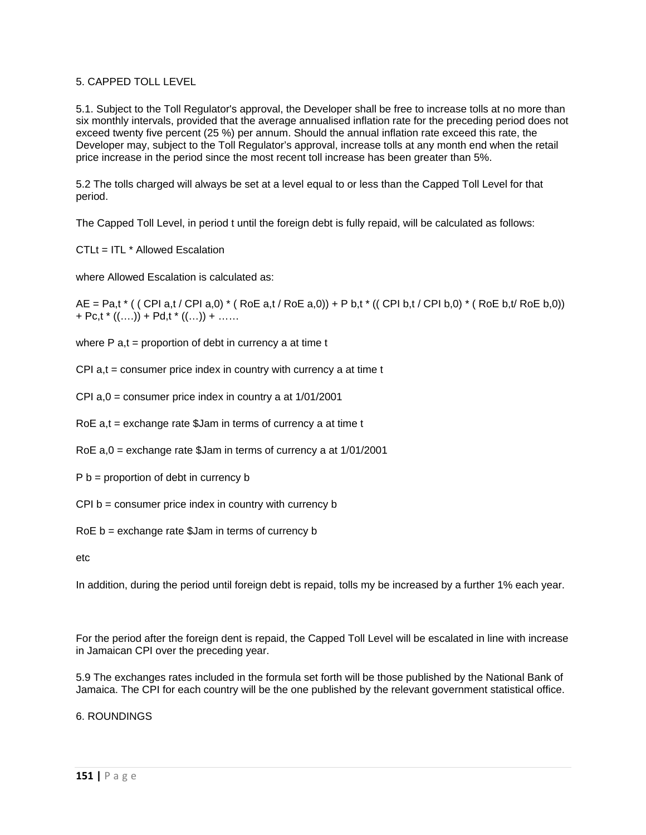# 5. CAPPED TOLL LEVEL

5.1. Subject to the Toll Regulator's approval, the Developer shall be free to increase tolls at no more than six monthly intervals, provided that the average annualised inflation rate for the preceding period does not exceed twenty five percent (25 %) per annum. Should the annual inflation rate exceed this rate, the Developer may, subject to the Toll Regulator's approval, increase tolls at any month end when the retail price increase in the period since the most recent toll increase has been greater than 5%.

5.2 The tolls charged will always be set at a level equal to or less than the Capped Toll Level for that period.

The Capped Toll Level, in period t until the foreign debt is fully repaid, will be calculated as follows:

CTLt = ITL \* Allowed Escalation

where Allowed Escalation is calculated as:

 $AE = Pa, t^*$  ( ( CPI a,t / CPI a,0)  $*(RoE a, t/RoE a, 0)) + P b, t^*$  ( CPI b,t / CPI b,0)  $*(RoE b, t/RoE b, 0))$ + Pc,t  $*($   $($ ....) + Pd,t  $*($   $($ ...) + ......

where  $P$  a,t = proportion of debt in currency a at time t

- $CPI$  a,t = consumer price index in country with currency a at time t
- CPI a,0 = consumer price index in country a at 1/01/2001
- RoE a,t = exchange rate \$Jam in terms of currency a at time t
- RoE a,0 = exchange rate \$Jam in terms of currency a at 1/01/2001
- $P b =$  proportion of debt in currency b
- CPI b = consumer price index in country with currency b
- RoE b = exchange rate \$Jam in terms of currency b

etc

In addition, during the period until foreign debt is repaid, tolls my be increased by a further 1% each year.

For the period after the foreign dent is repaid, the Capped Toll Level will be escalated in line with increase in Jamaican CPI over the preceding year.

5.9 The exchanges rates included in the formula set forth will be those published by the National Bank of Jamaica. The CPI for each country will be the one published by the relevant government statistical office.

6. ROUNDINGS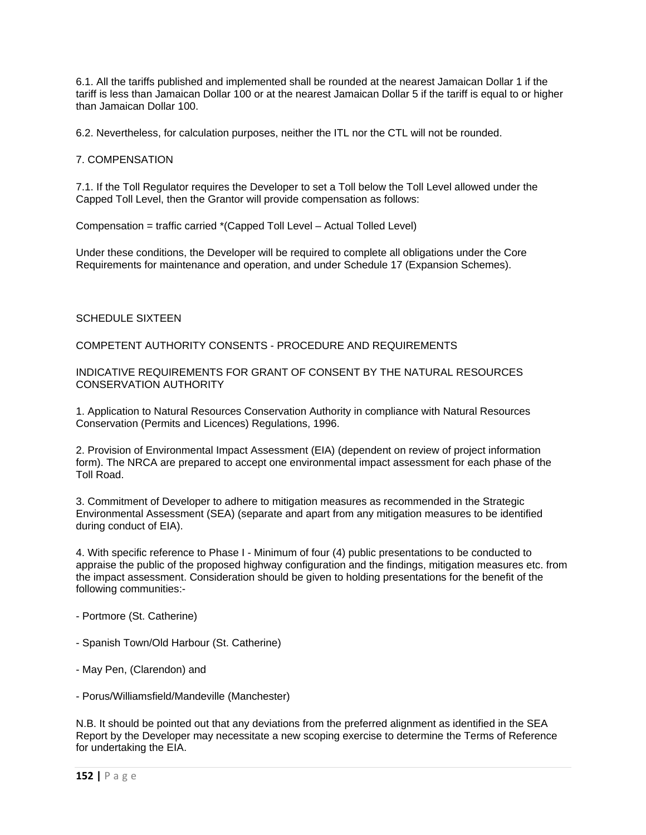6.1. All the tariffs published and implemented shall be rounded at the nearest Jamaican Dollar 1 if the tariff is less than Jamaican Dollar 100 or at the nearest Jamaican Dollar 5 if the tariff is equal to or higher than Jamaican Dollar 100.

6.2. Nevertheless, for calculation purposes, neither the ITL nor the CTL will not be rounded.

## 7. COMPENSATION

7.1. If the Toll Regulator requires the Developer to set a Toll below the Toll Level allowed under the Capped Toll Level, then the Grantor will provide compensation as follows:

Compensation = traffic carried \*(Capped Toll Level – Actual Tolled Level)

Under these conditions, the Developer will be required to complete all obligations under the Core Requirements for maintenance and operation, and under Schedule 17 (Expansion Schemes).

### SCHEDULE SIXTEEN

COMPETENT AUTHORITY CONSENTS - PROCEDURE AND REQUIREMENTS

#### INDICATIVE REQUIREMENTS FOR GRANT OF CONSENT BY THE NATURAL RESOURCES CONSERVATION AUTHORITY

1. Application to Natural Resources Conservation Authority in compliance with Natural Resources Conservation (Permits and Licences) Regulations, 1996.

2. Provision of Environmental Impact Assessment (EIA) (dependent on review of project information form). The NRCA are prepared to accept one environmental impact assessment for each phase of the Toll Road.

3. Commitment of Developer to adhere to mitigation measures as recommended in the Strategic Environmental Assessment (SEA) (separate and apart from any mitigation measures to be identified during conduct of EIA).

4. With specific reference to Phase I - Minimum of four (4) public presentations to be conducted to appraise the public of the proposed highway configuration and the findings, mitigation measures etc. from the impact assessment. Consideration should be given to holding presentations for the benefit of the following communities:-

- Portmore (St. Catherine)
- Spanish Town/Old Harbour (St. Catherine)
- May Pen, (Clarendon) and
- Porus/Williamsfield/Mandeville (Manchester)

N.B. It should be pointed out that any deviations from the preferred alignment as identified in the SEA Report by the Developer may necessitate a new scoping exercise to determine the Terms of Reference for undertaking the EIA.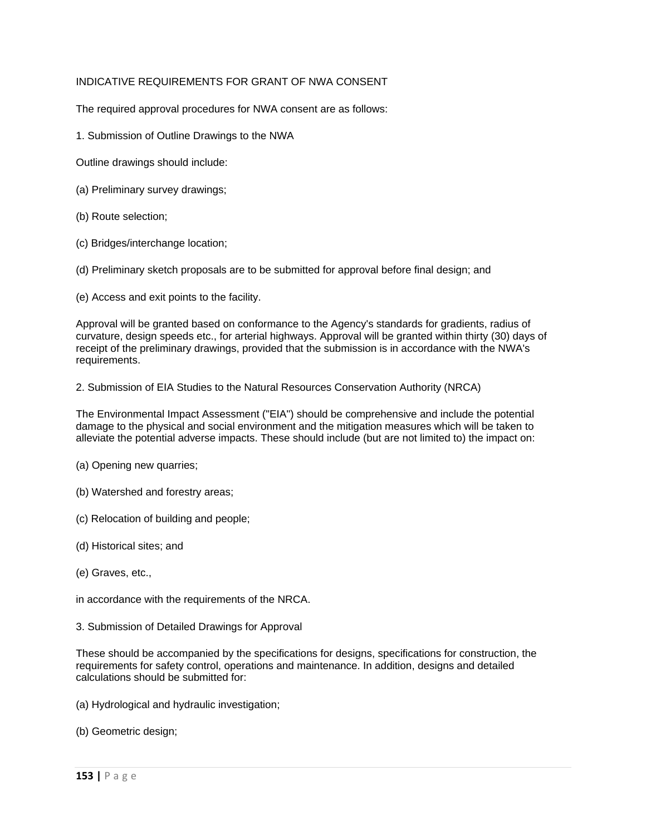# INDICATIVE REQUIREMENTS FOR GRANT OF NWA CONSENT

The required approval procedures for NWA consent are as follows:

1. Submission of Outline Drawings to the NWA

Outline drawings should include:

- (a) Preliminary survey drawings;
- (b) Route selection;
- (c) Bridges/interchange location;

(d) Preliminary sketch proposals are to be submitted for approval before final design; and

(e) Access and exit points to the facility.

Approval will be granted based on conformance to the Agency's standards for gradients, radius of curvature, design speeds etc., for arterial highways. Approval will be granted within thirty (30) days of receipt of the preliminary drawings, provided that the submission is in accordance with the NWA's requirements.

2. Submission of EIA Studies to the Natural Resources Conservation Authority (NRCA)

The Environmental Impact Assessment ("EIA") should be comprehensive and include the potential damage to the physical and social environment and the mitigation measures which will be taken to alleviate the potential adverse impacts. These should include (but are not limited to) the impact on:

- (a) Opening new quarries;
- (b) Watershed and forestry areas;
- (c) Relocation of building and people;
- (d) Historical sites; and
- (e) Graves, etc.,
- in accordance with the requirements of the NRCA.
- 3. Submission of Detailed Drawings for Approval

These should be accompanied by the specifications for designs, specifications for construction, the requirements for safety control, operations and maintenance. In addition, designs and detailed calculations should be submitted for:

- (a) Hydrological and hydraulic investigation;
- (b) Geometric design;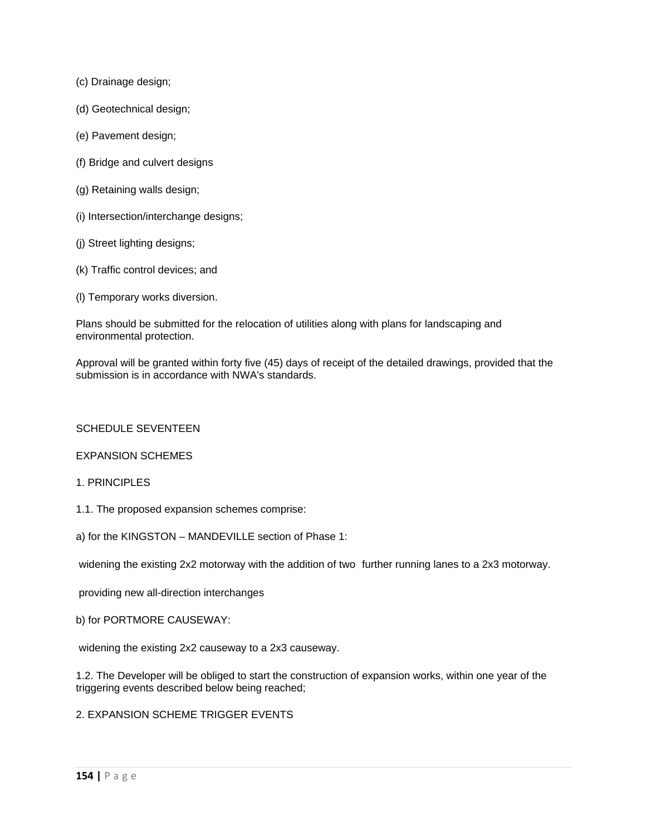- (c) Drainage design;
- (d) Geotechnical design;
- (e) Pavement design;
- (f) Bridge and culvert designs
- (g) Retaining walls design;
- (i) Intersection/interchange designs;
- (j) Street lighting designs;
- (k) Traffic control devices; and
- (l) Temporary works diversion.

Plans should be submitted for the relocation of utilities along with plans for landscaping and environmental protection.

Approval will be granted within forty five (45) days of receipt of the detailed drawings, provided that the submission is in accordance with NWA's standards.

## SCHEDULE SEVENTEEN

## EXPANSION SCHEMES

## 1. PRINCIPLES

- 1.1. The proposed expansion schemes comprise:
- a) for the KINGSTON MANDEVILLE section of Phase 1:

widening the existing 2x2 motorway with the addition of two further running lanes to a 2x3 motorway.

providing new all-direction interchanges

b) for PORTMORE CAUSEWAY:

widening the existing 2x2 causeway to a 2x3 causeway.

1.2. The Developer will be obliged to start the construction of expansion works, within one year of the triggering events described below being reached;

## 2. EXPANSION SCHEME TRIGGER EVENTS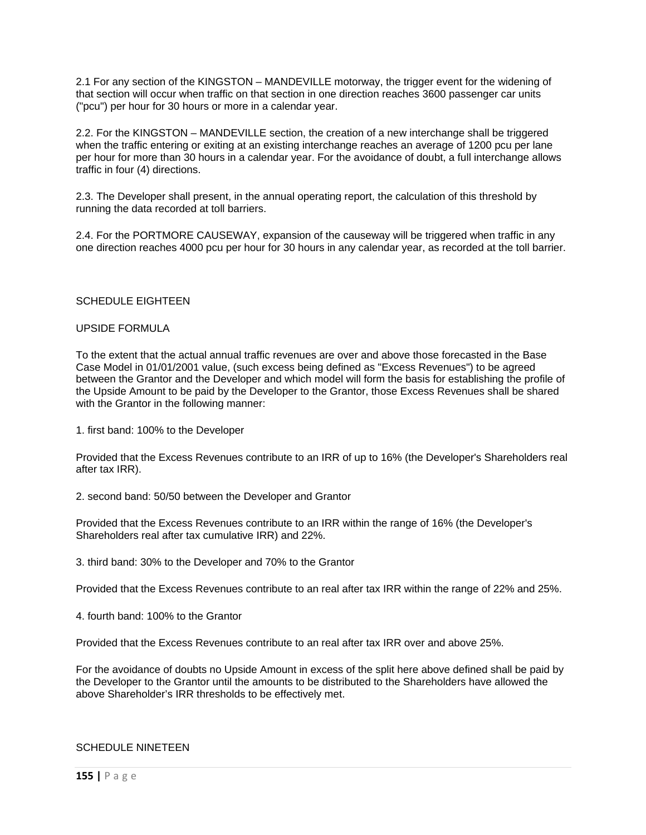2.1 For any section of the KINGSTON – MANDEVILLE motorway, the trigger event for the widening of that section will occur when traffic on that section in one direction reaches 3600 passenger car units ("pcu") per hour for 30 hours or more in a calendar year.

2.2. For the KINGSTON – MANDEVILLE section, the creation of a new interchange shall be triggered when the traffic entering or exiting at an existing interchange reaches an average of 1200 pcu per lane per hour for more than 30 hours in a calendar year. For the avoidance of doubt, a full interchange allows traffic in four (4) directions.

2.3. The Developer shall present, in the annual operating report, the calculation of this threshold by running the data recorded at toll barriers.

2.4. For the PORTMORE CAUSEWAY, expansion of the causeway will be triggered when traffic in any one direction reaches 4000 pcu per hour for 30 hours in any calendar year, as recorded at the toll barrier.

### SCHEDULE EIGHTEEN

#### UPSIDE FORMULA

To the extent that the actual annual traffic revenues are over and above those forecasted in the Base Case Model in 01/01/2001 value, (such excess being defined as "Excess Revenues") to be agreed between the Grantor and the Developer and which model will form the basis for establishing the profile of the Upside Amount to be paid by the Developer to the Grantor, those Excess Revenues shall be shared with the Grantor in the following manner:

1. first band: 100% to the Developer

Provided that the Excess Revenues contribute to an IRR of up to 16% (the Developer's Shareholders real after tax IRR).

2. second band: 50/50 between the Developer and Grantor

Provided that the Excess Revenues contribute to an IRR within the range of 16% (the Developer's Shareholders real after tax cumulative IRR) and 22%.

3. third band: 30% to the Developer and 70% to the Grantor

Provided that the Excess Revenues contribute to an real after tax IRR within the range of 22% and 25%.

4. fourth band: 100% to the Grantor

Provided that the Excess Revenues contribute to an real after tax IRR over and above 25%.

For the avoidance of doubts no Upside Amount in excess of the split here above defined shall be paid by the Developer to the Grantor until the amounts to be distributed to the Shareholders have allowed the above Shareholder's IRR thresholds to be effectively met.

# SCHEDULE NINETEEN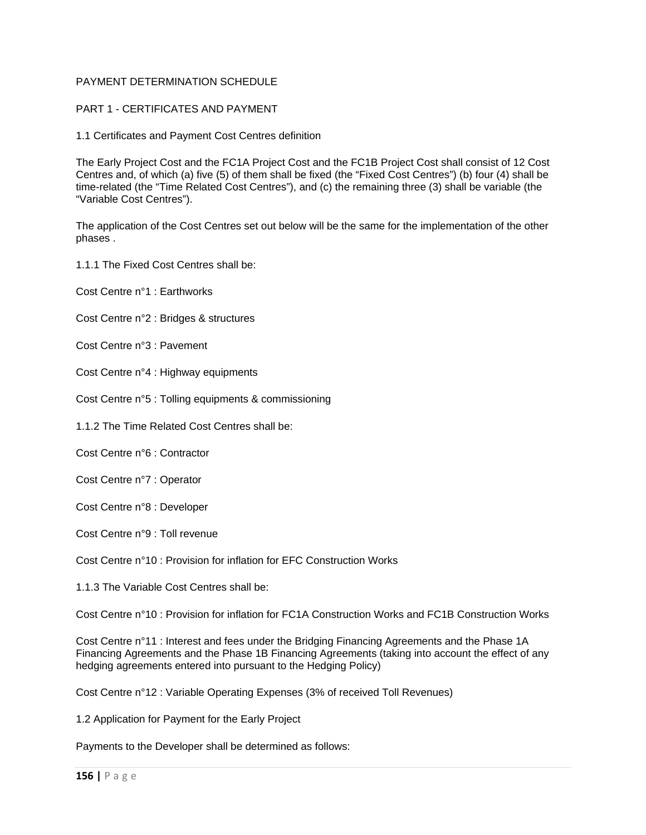# PAYMENT DETERMINATION SCHEDULE

## PART 1 - CERTIFICATES AND PAYMENT

1.1 Certificates and Payment Cost Centres definition

The Early Project Cost and the FC1A Project Cost and the FC1B Project Cost shall consist of 12 Cost Centres and, of which (a) five (5) of them shall be fixed (the "Fixed Cost Centres") (b) four (4) shall be time-related (the "Time Related Cost Centres"), and (c) the remaining three (3) shall be variable (the "Variable Cost Centres").

The application of the Cost Centres set out below will be the same for the implementation of the other phases .

1.1.1 The Fixed Cost Centres shall be:

Cost Centre n°1 : Earthworks

Cost Centre n°2 : Bridges & structures

Cost Centre n°3 : Pavement

Cost Centre n°4 : Highway equipments

Cost Centre n°5 : Tolling equipments & commissioning

1.1.2 The Time Related Cost Centres shall be:

Cost Centre n°6 : Contractor

Cost Centre n°7 : Operator

Cost Centre n°8 : Developer

Cost Centre n°9 : Toll revenue

Cost Centre n°10 : Provision for inflation for EFC Construction Works

1.1.3 The Variable Cost Centres shall be:

Cost Centre n°10 : Provision for inflation for FC1A Construction Works and FC1B Construction Works

Cost Centre n°11 : Interest and fees under the Bridging Financing Agreements and the Phase 1A Financing Agreements and the Phase 1B Financing Agreements (taking into account the effect of any hedging agreements entered into pursuant to the Hedging Policy)

Cost Centre n°12 : Variable Operating Expenses (3% of received Toll Revenues)

1.2 Application for Payment for the Early Project

Payments to the Developer shall be determined as follows: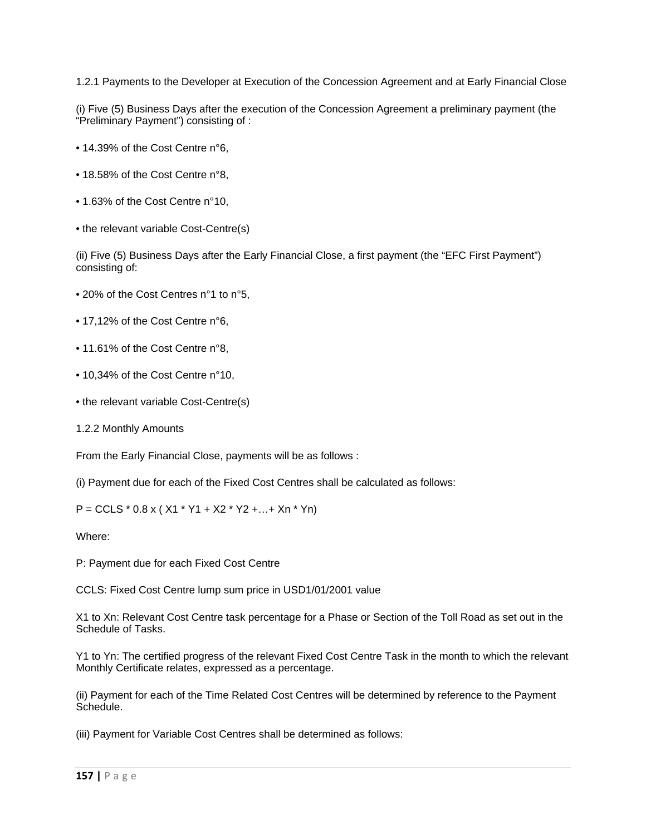1.2.1 Payments to the Developer at Execution of the Concession Agreement and at Early Financial Close

(i) Five (5) Business Days after the execution of the Concession Agreement a preliminary payment (the "Preliminary Payment") consisting of :

- 14.39% of the Cost Centre n°6,
- 18.58% of the Cost Centre n°8,
- 1.63% of the Cost Centre n°10,
- the relevant variable Cost-Centre(s)

(ii) Five (5) Business Days after the Early Financial Close, a first payment (the "EFC First Payment") consisting of:

- 20% of the Cost Centres n°1 to n°5,
- 17,12% of the Cost Centre n°6,
- 11.61% of the Cost Centre n°8,
- 10,34% of the Cost Centre n°10,
- the relevant variable Cost-Centre(s)
- 1.2.2 Monthly Amounts

From the Early Financial Close, payments will be as follows :

(i) Payment due for each of the Fixed Cost Centres shall be calculated as follows:

 $P = CCLS * 0.8 x ( X1 * Y1 + X2 * Y2 + ... + Xn * Yn)$ 

Where:

P: Payment due for each Fixed Cost Centre

CCLS: Fixed Cost Centre lump sum price in USD1/01/2001 value

X1 to Xn: Relevant Cost Centre task percentage for a Phase or Section of the Toll Road as set out in the Schedule of Tasks.

Y1 to Yn: The certified progress of the relevant Fixed Cost Centre Task in the month to which the relevant Monthly Certificate relates, expressed as a percentage.

(ii) Payment for each of the Time Related Cost Centres will be determined by reference to the Payment Schedule.

(iii) Payment for Variable Cost Centres shall be determined as follows: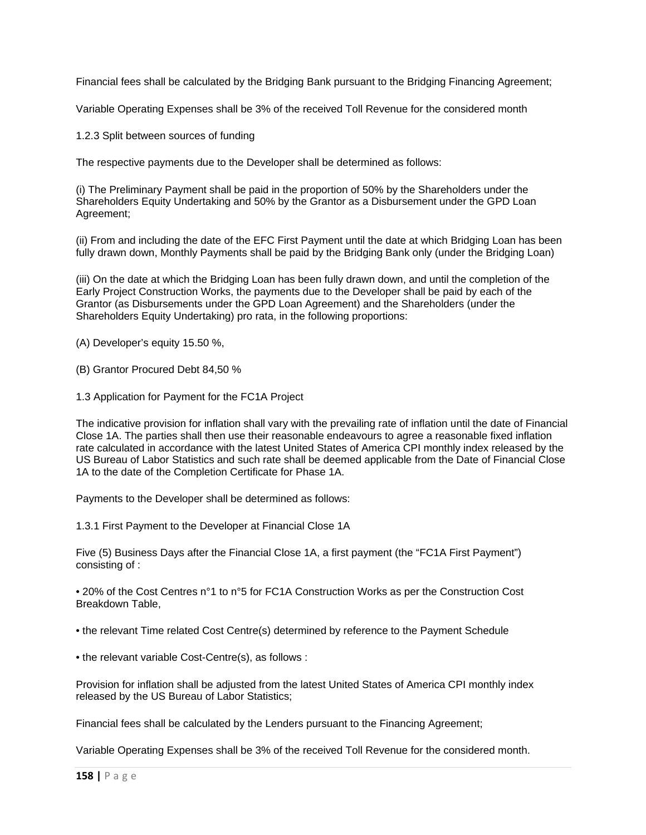Financial fees shall be calculated by the Bridging Bank pursuant to the Bridging Financing Agreement;

Variable Operating Expenses shall be 3% of the received Toll Revenue for the considered month

1.2.3 Split between sources of funding

The respective payments due to the Developer shall be determined as follows:

(i) The Preliminary Payment shall be paid in the proportion of 50% by the Shareholders under the Shareholders Equity Undertaking and 50% by the Grantor as a Disbursement under the GPD Loan Agreement;

(ii) From and including the date of the EFC First Payment until the date at which Bridging Loan has been fully drawn down, Monthly Payments shall be paid by the Bridging Bank only (under the Bridging Loan)

(iii) On the date at which the Bridging Loan has been fully drawn down, and until the completion of the Early Project Construction Works, the payments due to the Developer shall be paid by each of the Grantor (as Disbursements under the GPD Loan Agreement) and the Shareholders (under the Shareholders Equity Undertaking) pro rata, in the following proportions:

(A) Developer's equity 15.50 %,

(B) Grantor Procured Debt 84,50 %

1.3 Application for Payment for the FC1A Project

The indicative provision for inflation shall vary with the prevailing rate of inflation until the date of Financial Close 1A. The parties shall then use their reasonable endeavours to agree a reasonable fixed inflation rate calculated in accordance with the latest United States of America CPI monthly index released by the US Bureau of Labor Statistics and such rate shall be deemed applicable from the Date of Financial Close 1A to the date of the Completion Certificate for Phase 1A.

Payments to the Developer shall be determined as follows:

1.3.1 First Payment to the Developer at Financial Close 1A

Five (5) Business Days after the Financial Close 1A, a first payment (the "FC1A First Payment") consisting of :

• 20% of the Cost Centres n°1 to n°5 for FC1A Construction Works as per the Construction Cost Breakdown Table,

• the relevant Time related Cost Centre(s) determined by reference to the Payment Schedule

• the relevant variable Cost-Centre(s), as follows :

Provision for inflation shall be adjusted from the latest United States of America CPI monthly index released by the US Bureau of Labor Statistics;

Financial fees shall be calculated by the Lenders pursuant to the Financing Agreement;

Variable Operating Expenses shall be 3% of the received Toll Revenue for the considered month.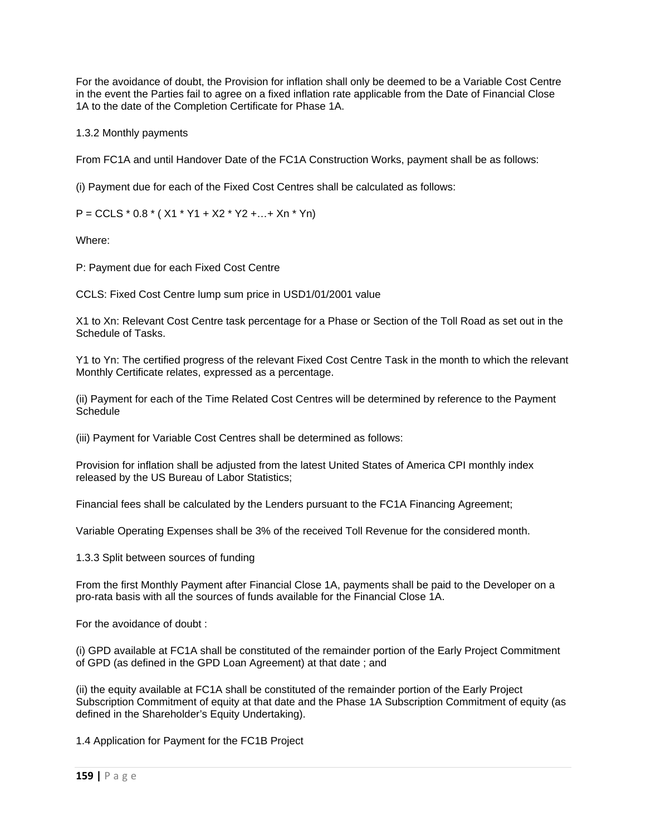For the avoidance of doubt, the Provision for inflation shall only be deemed to be a Variable Cost Centre in the event the Parties fail to agree on a fixed inflation rate applicable from the Date of Financial Close 1A to the date of the Completion Certificate for Phase 1A.

1.3.2 Monthly payments

From FC1A and until Handover Date of the FC1A Construction Works, payment shall be as follows:

(i) Payment due for each of the Fixed Cost Centres shall be calculated as follows:

 $P = CCLS * 0.8 * (X1 * Y1 + X2 * Y2 + ... + Xn * Yn)$ 

Where:

P: Payment due for each Fixed Cost Centre

CCLS: Fixed Cost Centre lump sum price in USD1/01/2001 value

X1 to Xn: Relevant Cost Centre task percentage for a Phase or Section of the Toll Road as set out in the Schedule of Tasks.

Y1 to Yn: The certified progress of the relevant Fixed Cost Centre Task in the month to which the relevant Monthly Certificate relates, expressed as a percentage.

(ii) Payment for each of the Time Related Cost Centres will be determined by reference to the Payment **Schedule** 

(iii) Payment for Variable Cost Centres shall be determined as follows:

Provision for inflation shall be adjusted from the latest United States of America CPI monthly index released by the US Bureau of Labor Statistics;

Financial fees shall be calculated by the Lenders pursuant to the FC1A Financing Agreement;

Variable Operating Expenses shall be 3% of the received Toll Revenue for the considered month.

1.3.3 Split between sources of funding

From the first Monthly Payment after Financial Close 1A, payments shall be paid to the Developer on a pro-rata basis with all the sources of funds available for the Financial Close 1A.

For the avoidance of doubt :

(i) GPD available at FC1A shall be constituted of the remainder portion of the Early Project Commitment of GPD (as defined in the GPD Loan Agreement) at that date ; and

(ii) the equity available at FC1A shall be constituted of the remainder portion of the Early Project Subscription Commitment of equity at that date and the Phase 1A Subscription Commitment of equity (as defined in the Shareholder's Equity Undertaking).

1.4 Application for Payment for the FC1B Project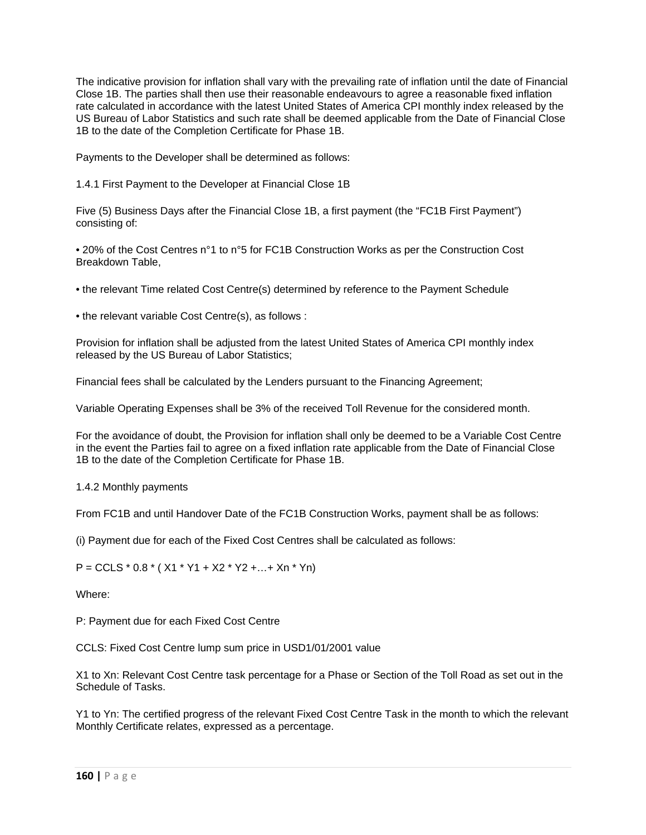The indicative provision for inflation shall vary with the prevailing rate of inflation until the date of Financial Close 1B. The parties shall then use their reasonable endeavours to agree a reasonable fixed inflation rate calculated in accordance with the latest United States of America CPI monthly index released by the US Bureau of Labor Statistics and such rate shall be deemed applicable from the Date of Financial Close 1B to the date of the Completion Certificate for Phase 1B.

Payments to the Developer shall be determined as follows:

1.4.1 First Payment to the Developer at Financial Close 1B

Five (5) Business Days after the Financial Close 1B, a first payment (the "FC1B First Payment") consisting of:

• 20% of the Cost Centres n°1 to n°5 for FC1B Construction Works as per the Construction Cost Breakdown Table,

• the relevant Time related Cost Centre(s) determined by reference to the Payment Schedule

• the relevant variable Cost Centre(s), as follows :

Provision for inflation shall be adjusted from the latest United States of America CPI monthly index released by the US Bureau of Labor Statistics;

Financial fees shall be calculated by the Lenders pursuant to the Financing Agreement;

Variable Operating Expenses shall be 3% of the received Toll Revenue for the considered month.

For the avoidance of doubt, the Provision for inflation shall only be deemed to be a Variable Cost Centre in the event the Parties fail to agree on a fixed inflation rate applicable from the Date of Financial Close 1B to the date of the Completion Certificate for Phase 1B.

1.4.2 Monthly payments

From FC1B and until Handover Date of the FC1B Construction Works, payment shall be as follows:

(i) Payment due for each of the Fixed Cost Centres shall be calculated as follows:

 $P = CCLS * 0.8 * (X1 * Y1 + X2 * Y2 + ... + Xn * Yn)$ 

Where:

P: Payment due for each Fixed Cost Centre

CCLS: Fixed Cost Centre lump sum price in USD1/01/2001 value

X1 to Xn: Relevant Cost Centre task percentage for a Phase or Section of the Toll Road as set out in the Schedule of Tasks.

Y1 to Yn: The certified progress of the relevant Fixed Cost Centre Task in the month to which the relevant Monthly Certificate relates, expressed as a percentage.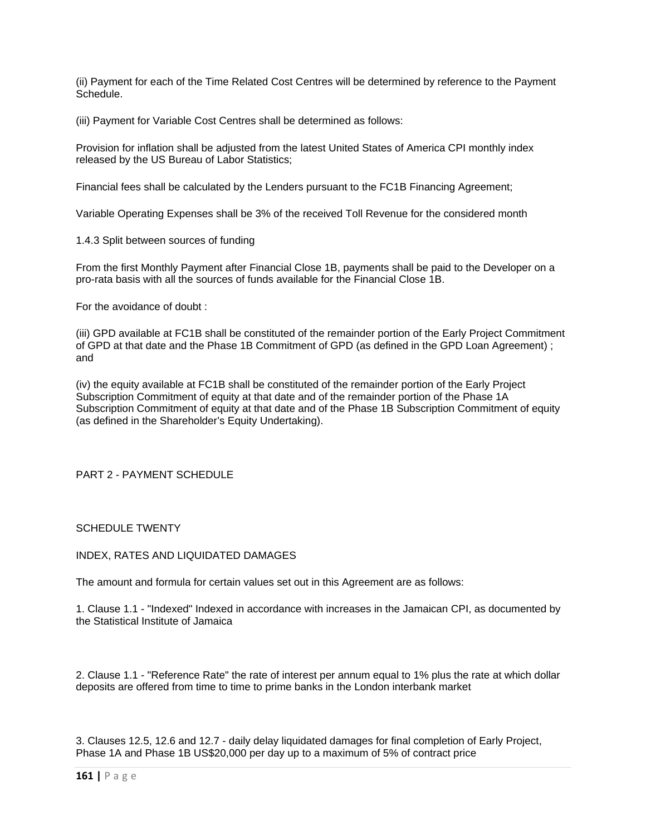(ii) Payment for each of the Time Related Cost Centres will be determined by reference to the Payment Schedule.

(iii) Payment for Variable Cost Centres shall be determined as follows:

Provision for inflation shall be adjusted from the latest United States of America CPI monthly index released by the US Bureau of Labor Statistics;

Financial fees shall be calculated by the Lenders pursuant to the FC1B Financing Agreement;

Variable Operating Expenses shall be 3% of the received Toll Revenue for the considered month

1.4.3 Split between sources of funding

From the first Monthly Payment after Financial Close 1B, payments shall be paid to the Developer on a pro-rata basis with all the sources of funds available for the Financial Close 1B.

For the avoidance of doubt :

(iii) GPD available at FC1B shall be constituted of the remainder portion of the Early Project Commitment of GPD at that date and the Phase 1B Commitment of GPD (as defined in the GPD Loan Agreement) ; and

(iv) the equity available at FC1B shall be constituted of the remainder portion of the Early Project Subscription Commitment of equity at that date and of the remainder portion of the Phase 1A Subscription Commitment of equity at that date and of the Phase 1B Subscription Commitment of equity (as defined in the Shareholder's Equity Undertaking).

### PART 2 - PAYMENT SCHEDULE

#### SCHEDULE TWENTY

#### INDEX, RATES AND LIQUIDATED DAMAGES

The amount and formula for certain values set out in this Agreement are as follows:

1. Clause 1.1 - "Indexed" Indexed in accordance with increases in the Jamaican CPI, as documented by the Statistical Institute of Jamaica

2. Clause 1.1 - "Reference Rate" the rate of interest per annum equal to 1% plus the rate at which dollar deposits are offered from time to time to prime banks in the London interbank market

3. Clauses 12.5, 12.6 and 12.7 - daily delay liquidated damages for final completion of Early Project, Phase 1A and Phase 1B US\$20,000 per day up to a maximum of 5% of contract price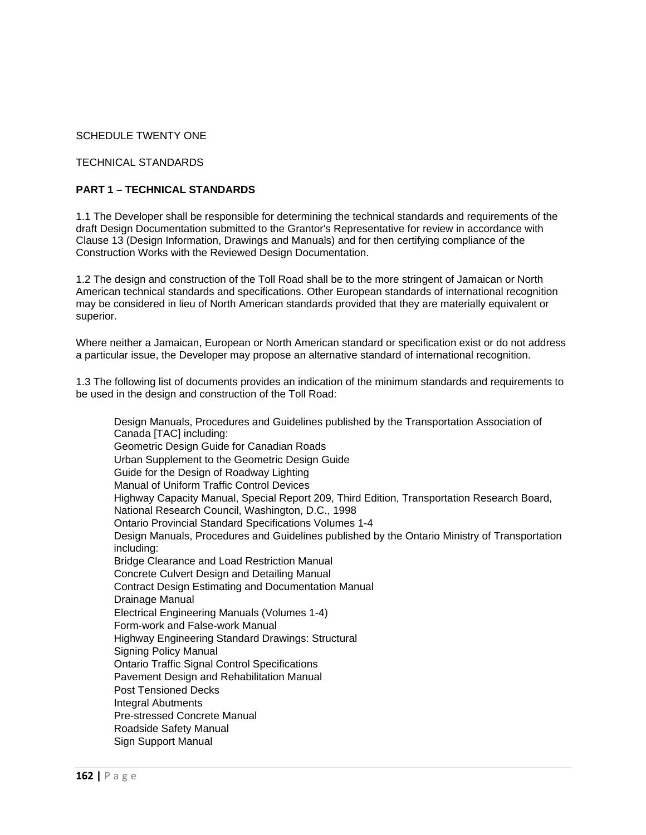## SCHEDULE TWENTY ONE

## TECHNICAL STANDARDS

### **PART 1 – TECHNICAL STANDARDS**

1.1 The Developer shall be responsible for determining the technical standards and requirements of the draft Design Documentation submitted to the Grantor's Representative for review in accordance with Clause 13 (Design Information, Drawings and Manuals) and for then certifying compliance of the Construction Works with the Reviewed Design Documentation.

1.2 The design and construction of the Toll Road shall be to the more stringent of Jamaican or North American technical standards and specifications. Other European standards of international recognition may be considered in lieu of North American standards provided that they are materially equivalent or superior.

Where neither a Jamaican, European or North American standard or specification exist or do not address a particular issue, the Developer may propose an alternative standard of international recognition.

1.3 The following list of documents provides an indication of the minimum standards and requirements to be used in the design and construction of the Toll Road:

 Design Manuals, Procedures and Guidelines published by the Transportation Association of Canada [TAC] including: Geometric Design Guide for Canadian Roads Urban Supplement to the Geometric Design Guide Guide for the Design of Roadway Lighting Manual of Uniform Traffic Control Devices Highway Capacity Manual, Special Report 209, Third Edition, Transportation Research Board, National Research Council, Washington, D.C., 1998 Ontario Provincial Standard Specifications Volumes 1-4 Design Manuals, Procedures and Guidelines published by the Ontario Ministry of Transportation including: Bridge Clearance and Load Restriction Manual Concrete Culvert Design and Detailing Manual Contract Design Estimating and Documentation Manual Drainage Manual Electrical Engineering Manuals (Volumes 1-4) Form-work and False-work Manual Highway Engineering Standard Drawings: Structural Signing Policy Manual Ontario Traffic Signal Control Specifications Pavement Design and Rehabilitation Manual Post Tensioned Decks Integral Abutments Pre-stressed Concrete Manual Roadside Safety Manual Sign Support Manual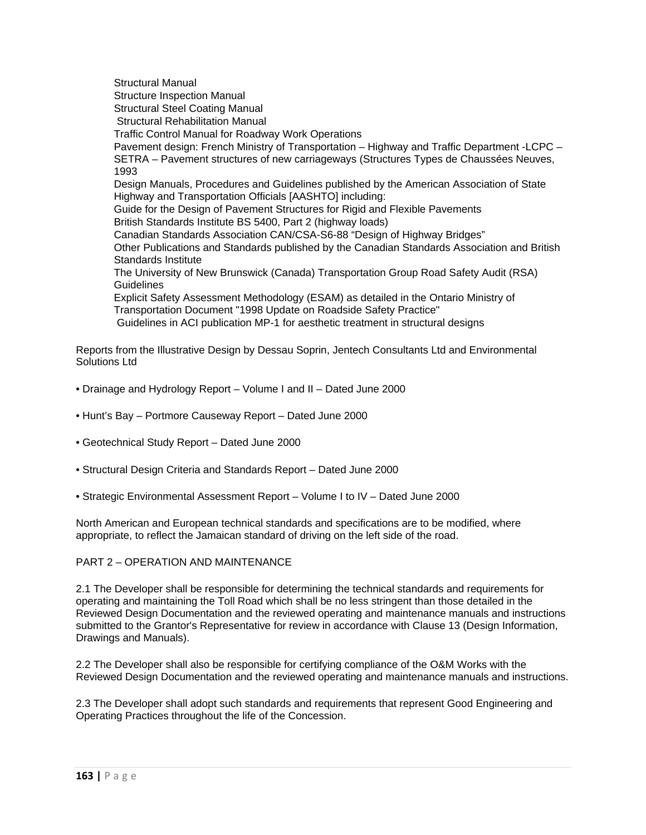Structural Manual Structure Inspection Manual Structural Steel Coating Manual Structural Rehabilitation Manual Traffic Control Manual for Roadway Work Operations Pavement design: French Ministry of Transportation – Highway and Traffic Department -LCPC – SETRA – Pavement structures of new carriageways (Structures Types de Chaussées Neuves, 1993 Design Manuals, Procedures and Guidelines published by the American Association of State Highway and Transportation Officials [AASHTO] including: Guide for the Design of Pavement Structures for Rigid and Flexible Pavements British Standards Institute BS 5400, Part 2 (highway loads) Canadian Standards Association CAN/CSA-S6-88 "Design of Highway Bridges" Other Publications and Standards published by the Canadian Standards Association and British Standards Institute The University of New Brunswick (Canada) Transportation Group Road Safety Audit (RSA) **Guidelines**  Explicit Safety Assessment Methodology (ESAM) as detailed in the Ontario Ministry of Transportation Document "1998 Update on Roadside Safety Practice" Guidelines in ACI publication MP-1 for aesthetic treatment in structural designs

Reports from the Illustrative Design by Dessau Soprin, Jentech Consultants Ltd and Environmental Solutions Ltd

- Drainage and Hydrology Report Volume I and II Dated June 2000
- Hunt's Bay Portmore Causeway Report Dated June 2000
- Geotechnical Study Report Dated June 2000
- Structural Design Criteria and Standards Report Dated June 2000
- Strategic Environmental Assessment Report Volume I to IV Dated June 2000

North American and European technical standards and specifications are to be modified, where appropriate, to reflect the Jamaican standard of driving on the left side of the road.

#### PART 2 – OPERATION AND MAINTENANCE

2.1 The Developer shall be responsible for determining the technical standards and requirements for operating and maintaining the Toll Road which shall be no less stringent than those detailed in the Reviewed Design Documentation and the reviewed operating and maintenance manuals and instructions submitted to the Grantor's Representative for review in accordance with Clause 13 (Design Information, Drawings and Manuals).

2.2 The Developer shall also be responsible for certifying compliance of the O&M Works with the Reviewed Design Documentation and the reviewed operating and maintenance manuals and instructions.

2.3 The Developer shall adopt such standards and requirements that represent Good Engineering and Operating Practices throughout the life of the Concession.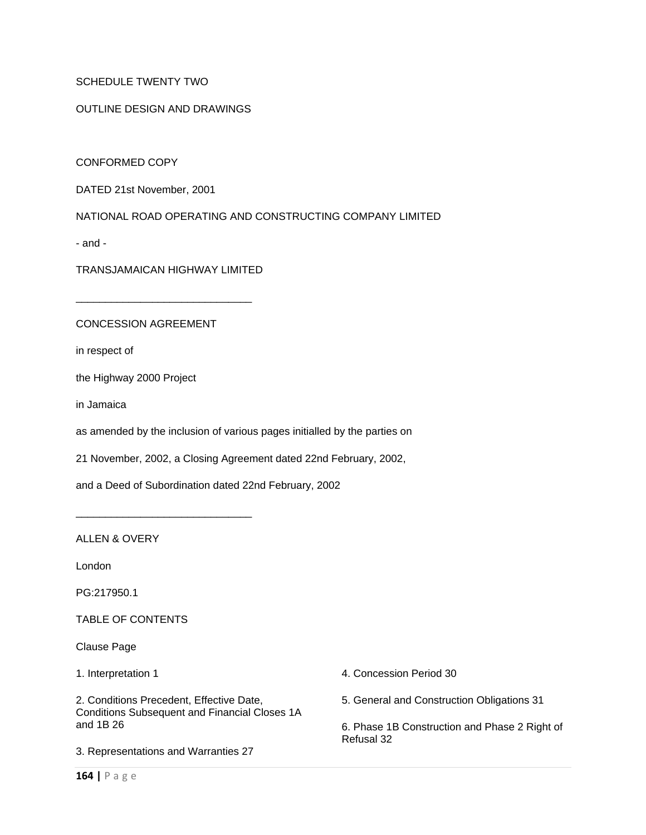## SCHEDULE TWENTY TWO

#### OUTLINE DESIGN AND DRAWINGS

CONFORMED COPY

DATED 21st November, 2001

NATIONAL ROAD OPERATING AND CONSTRUCTING COMPANY LIMITED

- and -

TRANSJAMAICAN HIGHWAY LIMITED

\_\_\_\_\_\_\_\_\_\_\_\_\_\_\_\_\_\_\_\_\_\_\_\_\_\_\_\_\_\_

\_\_\_\_\_\_\_\_\_\_\_\_\_\_\_\_\_\_\_\_\_\_\_\_\_\_\_\_\_\_

#### CONCESSION AGREEMENT

in respect of

the Highway 2000 Project

in Jamaica

as amended by the inclusion of various pages initialled by the parties on

21 November, 2002, a Closing Agreement dated 22nd February, 2002,

and a Deed of Subordination dated 22nd February, 2002

ALLEN & OVERY

London

PG:217950.1

TABLE OF CONTENTS

Clause Page

1. Interpretation 1

2. Conditions Precedent, Effective Date, Conditions Subsequent and Financial Closes 1A and 1B 26

3. Representations and Warranties 27

4. Concession Period 30

5. General and Construction Obligations 31

6. Phase 1B Construction and Phase 2 Right of Refusal 32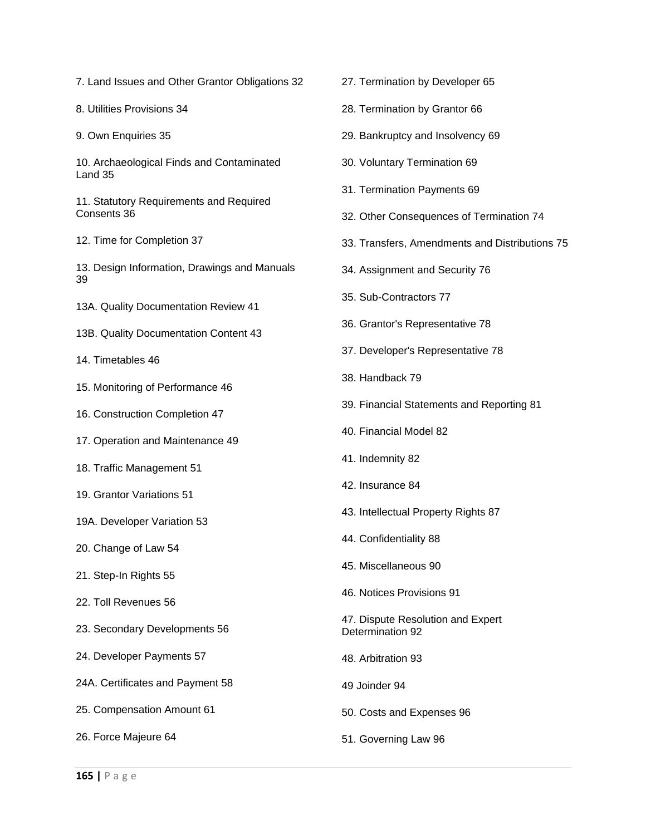- 7. Land Issues and Other Grantor Obligations 32
- 8. Utilities Provisions 34
- 9. Own Enquiries 35
- 10. Archaeological Finds and Contaminated Land 35
- 11. Statutory Requirements and Required Consents 36
- 12. Time for Completion 37
- 13. Design Information, Drawings and Manuals 39
- 13A. Quality Documentation Review 41
- 13B. Quality Documentation Content 43
- 14. Timetables 46
- 15. Monitoring of Performance 46
- 16. Construction Completion 47
- 17. Operation and Maintenance 49
- 18. Traffic Management 51
- 19. Grantor Variations 51
- 19A. Developer Variation 53
- 20. Change of Law 54
- 21. Step-In Rights 55
- 22. Toll Revenues 56
- 23. Secondary Developments 56
- 24. Developer Payments 57
- 24A. Certificates and Payment 58
- 25. Compensation Amount 61
- 26. Force Majeure 64
- 27. Termination by Developer 65
- 28. Termination by Grantor 66
- 29. Bankruptcy and Insolvency 69
- 30. Voluntary Termination 69
- 31. Termination Payments 69
- 32. Other Consequences of Termination 74
- 33. Transfers, Amendments and Distributions 75
- 34. Assignment and Security 76
- 35. Sub-Contractors 77
- 36. Grantor's Representative 78
- 37. Developer's Representative 78
- 38. Handback 79
- 39. Financial Statements and Reporting 81
- 40. Financial Model 82
- 41. Indemnity 82
- 42. Insurance 84
- 43. Intellectual Property Rights 87
- 44. Confidentiality 88
- 45. Miscellaneous 90
- 46. Notices Provisions 91
- 47. Dispute Resolution and Expert Determination 92
- 48. Arbitration 93
- 49 Joinder 94
- 50. Costs and Expenses 96
- 51. Governing Law 96